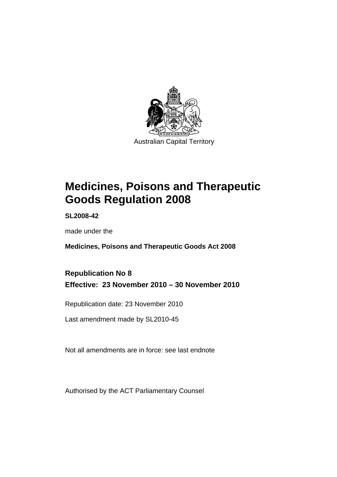

# **[Medicines, Poisons and Therapeutic](#page-24-0)  [Goods Regulation 2008](#page-24-0)**

**SL2008-42** 

made under the

**[Medicines, Poisons and Therapeutic Goods Act 2008](#page-24-0)** 

# **Republication No 8 Effective: 23 November 2010 – 30 November 2010**

Republication date: 23 November 2010

Last amendment made by SL2010-45

Not all amendments are in force: see last endnote

Authorised by the ACT Parliamentary Counsel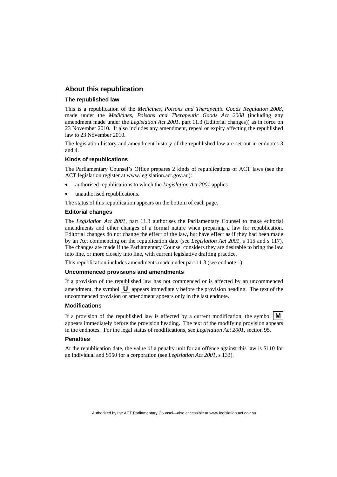#### **About this republication**

#### **The republished law**

This is a republication of the *Medicines, Poisons and Therapeutic Goods Regulation 2008*, made under the *[Medicines, Poisons and Therapeutic Goods Act 2008](#page-24-0)* (including any amendment made under the *Legislation Act 2001*, part 11.3 (Editorial changes)) as in force on 23 November 2010*.* It also includes any amendment, repeal or expiry affecting the republished law to 23 November 2010.

The legislation history and amendment history of the republished law are set out in endnotes 3 and 4.

#### **Kinds of republications**

The Parliamentary Counsel's Office prepares 2 kinds of republications of ACT laws (see the ACT legislation register at www.legislation.act.gov.au):

- authorised republications to which the *Legislation Act 2001* applies
- unauthorised republications.

The status of this republication appears on the bottom of each page.

#### **Editorial changes**

The *Legislation Act 2001*, part 11.3 authorises the Parliamentary Counsel to make editorial amendments and other changes of a formal nature when preparing a law for republication. Editorial changes do not change the effect of the law, but have effect as if they had been made by an Act commencing on the republication date (see *Legislation Act 2001*, s 115 and s 117). The changes are made if the Parliamentary Counsel considers they are desirable to bring the law into line, or more closely into line, with current legislative drafting practice.

This republication includes amendments made under part 11.3 (see endnote 1).

#### **Uncommenced provisions and amendments**

If a provision of the republished law has not commenced or is affected by an uncommenced amendment, the symbol  $\mathbf{U}$  appears immediately before the provision heading. The text of the uncommenced provision or amendment appears only in the last endnote.

#### **Modifications**

If a provision of the republished law is affected by a current modification, the symbol  $\vert \mathbf{M} \vert$ appears immediately before the provision heading. The text of the modifying provision appears in the endnotes. For the legal status of modifications, see *Legislation Act 2001*, section 95.

#### **Penalties**

At the republication date, the value of a penalty unit for an offence against this law is \$110 for an individual and \$550 for a corporation (see *Legislation Act 2001*, s 133).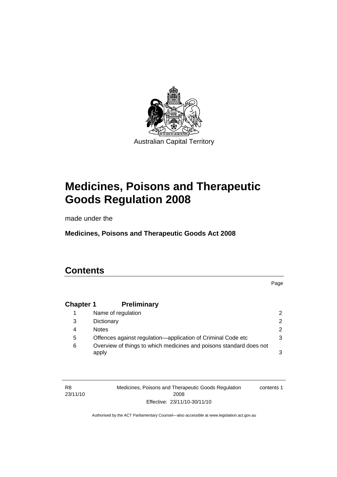

# **[Medicines, Poisons and Therapeutic](#page-24-0)  [Goods Regulation 2008](#page-24-0)**

made under the

**[Medicines, Poisons and Therapeutic Goods Act 2008](#page-24-0)** 

# **Contents**

Page

### **Chapter 1 Preliminary**

|   | Name of regulation                                                           |   |
|---|------------------------------------------------------------------------------|---|
| 3 | Dictionary                                                                   | 2 |
| 4 | <b>Notes</b>                                                                 | 2 |
| 5 | Offences against regulation—application of Criminal Code etc                 | 3 |
| 6 | Overview of things to which medicines and poisons standard does not<br>apply | 3 |

R8 23/11/10 Medicines, Poisons and Therapeutic Goods Regulation 2008 Effective: 23/11/10-30/11/10 contents 1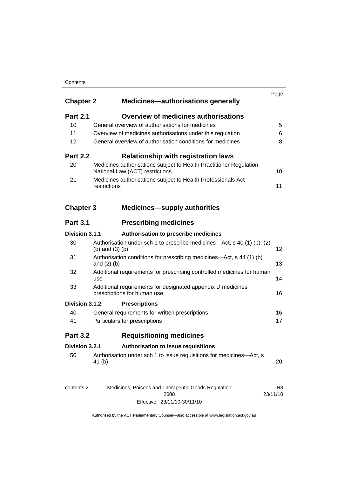#### **Contents**

| <b>Chapter 2</b> | <b>Medicines-authorisations generally</b>                                                             | Page |
|------------------|-------------------------------------------------------------------------------------------------------|------|
| <b>Part 2.1</b>  | <b>Overview of medicines authorisations</b>                                                           |      |
| 10               | General overview of authorisations for medicines                                                      | 5    |
| 11               | Overview of medicines authorisations under this regulation                                            | 6    |
| 12               | General overview of authorisation conditions for medicines                                            | 8    |
| <b>Part 2.2</b>  | <b>Relationship with registration laws</b>                                                            |      |
| 20               | Medicines authorisations subject to Health Practitioner Regulation<br>National Law (ACT) restrictions | 10   |
| 21               | Medicines authorisations subject to Health Professionals Act<br>restrictions                          | 11   |
| <b>Chapter 3</b> | <b>Medicines-supply authorities</b>                                                                   |      |
| <b>Part 3.1</b>  | <b>Prescribing medicines</b>                                                                          |      |
| Division 3.1.1   | Authorisation to prescribe medicines                                                                  |      |
| 30               | Authorisation under sch 1 to prescribe medicines—Act, s 40 (1) (b), (2)<br>(b) and $(3)$ (b)          | 12   |
| 31               | Authorisation conditions for prescribing medicines-Act, s 44 (1) (b)<br>and $(2)$ $(b)$               | 13   |
| 32               | Additional requirements for prescribing controlled medicines for human<br>use                         | 14   |
| 33               | Additional requirements for designated appendix D medicines<br>prescriptions for human use            | 16   |
| Division 3.1.2   | <b>Prescriptions</b>                                                                                  |      |
| 40               | General requirements for written prescriptions                                                        | 16   |
| 41               | Particulars for prescriptions                                                                         | 17   |
| <b>Part 3.2</b>  | <b>Requisitioning medicines</b>                                                                       |      |
| Division 3.2.1   | Authorisation to issue requisitions                                                                   |      |
|                  |                                                                                                       |      |

| contents 2 | Medicines, Poisons and Therapeutic Goods Regulation | R8       |
|------------|-----------------------------------------------------|----------|
|            | 2008                                                | 23/11/10 |
|            | Effective: 23/11/10-30/11/10                        |          |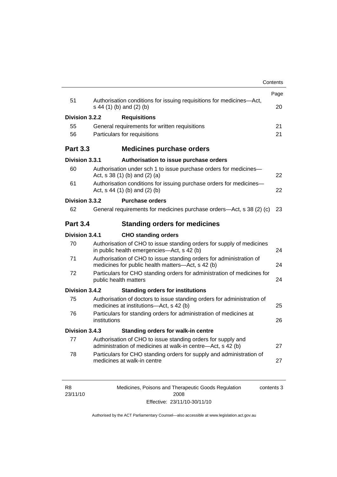|                 |              |                                                                                                                          | Contents |
|-----------------|--------------|--------------------------------------------------------------------------------------------------------------------------|----------|
| 51              |              | Authorisation conditions for issuing requisitions for medicines-Act,                                                     | Page     |
|                 |              | s 44 (1) (b) and (2) (b)                                                                                                 | 20       |
| Division 3.2.2  |              | <b>Requisitions</b>                                                                                                      |          |
| 55              |              | General requirements for written requisitions                                                                            | 21       |
| 56              |              | Particulars for requisitions                                                                                             | 21       |
| <b>Part 3.3</b> |              | <b>Medicines purchase orders</b>                                                                                         |          |
| Division 3.3.1  |              | Authorisation to issue purchase orders                                                                                   |          |
| 60              |              | Authorisation under sch 1 to issue purchase orders for medicines-<br>Act, $s$ 38 (1) (b) and (2) (a)                     | 22       |
| 61              |              | Authorisation conditions for issuing purchase orders for medicines-<br>Act, $s$ 44 (1) (b) and (2) (b)                   | 22       |
| Division 3.3.2  |              | <b>Purchase orders</b>                                                                                                   |          |
| 62              |              | General requirements for medicines purchase orders—Act, s 38 (2) (c)                                                     | 23       |
| <b>Part 3.4</b> |              | <b>Standing orders for medicines</b>                                                                                     |          |
| Division 3.4.1  |              | <b>CHO standing orders</b>                                                                                               |          |
| 70              |              | Authorisation of CHO to issue standing orders for supply of medicines<br>in public health emergencies—Act, s 42 (b)      | 24       |
| 71              |              | Authorisation of CHO to issue standing orders for administration of<br>medicines for public health matters-Act, s 42 (b) | 24       |
| 72              |              | Particulars for CHO standing orders for administration of medicines for<br>public health matters                         | 24       |
| Division 3.4.2  |              | <b>Standing orders for institutions</b>                                                                                  |          |
| 75              |              | Authorisation of doctors to issue standing orders for administration of<br>medicines at institutions-Act, s 42 (b)       | 25       |
| 76              | institutions | Particulars for standing orders for administration of medicines at                                                       | 26       |
| Division 3.4.3  |              | Standing orders for walk-in centre                                                                                       |          |
| 77              |              | Authorisation of CHO to issue standing orders for supply and                                                             | 27       |
|                 |              | administration of medicines at walk-in centre-Act, s 42 (b)                                                              |          |

| R8       | Medicines, Poisons and Therapeutic Goods Regulation | contents 3 |
|----------|-----------------------------------------------------|------------|
| 23/11/10 | 2008                                                |            |
|          | Effective: 23/11/10-30/11/10                        |            |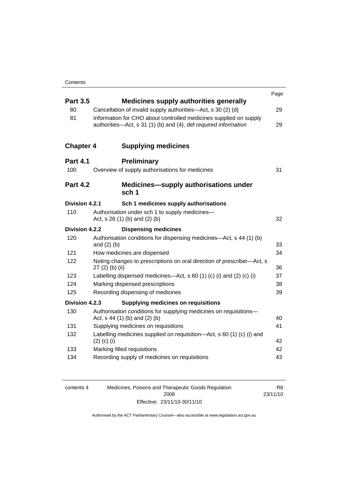|                  |                                                                                                                                      | Page |
|------------------|--------------------------------------------------------------------------------------------------------------------------------------|------|
| <b>Part 3.5</b>  | <b>Medicines supply authorities generally</b>                                                                                        |      |
| 80               | Cancellation of invalid supply authorities—Act, s 30 (2) (d)                                                                         | 29   |
| 81               | Information for CHO about controlled medicines supplied on supply<br>authorities-Act, s 31 (1) (b) and (4), def required information | 29   |
| <b>Chapter 4</b> | <b>Supplying medicines</b>                                                                                                           |      |
| <b>Part 4.1</b>  | <b>Preliminary</b>                                                                                                                   |      |
| 100              | Overview of supply authorisations for medicines                                                                                      | 31   |
| <b>Part 4.2</b>  | <b>Medicines—supply authorisations under</b><br>sch <sub>1</sub>                                                                     |      |
| Division 4.2.1   | Sch 1 medicines supply authorisations                                                                                                |      |
| 110              | Authorisation under sch 1 to supply medicines-<br>Act, s 26 (1) (b) and (2) (b)                                                      | 32   |
| Division 4.2.2   | <b>Dispensing medicines</b>                                                                                                          |      |
| 120              | Authorisation conditions for dispensing medicines—Act, s 44 (1) (b)<br>and $(2)$ $(b)$                                               | 33   |
| 121              | How medicines are dispensed                                                                                                          | 34   |
| 122              | Noting changes to prescriptions on oral direction of prescriber-Act, s<br>27 (2) (b) (ii)                                            | 36   |
| 123              | Labelling dispensed medicines—Act, s 60 (1) (c) (i) and (2) (c) (i)                                                                  | 37   |
| 124              | Marking dispensed prescriptions                                                                                                      | 38   |
| 125              | Recording dispensing of medicines                                                                                                    | 39   |
| Division 4.2.3   | <b>Supplying medicines on requisitions</b>                                                                                           |      |
| 130              | Authorisation conditions for supplying medicines on requisitions-<br>Act, s 44 (1) (b) and (2) (b)                                   | 40   |
| 131              | Supplying medicines on requisitions                                                                                                  | 41   |
| 132              | Labelling medicines supplied on requisition—Act, s 60 (1) (c) (i) and<br>$(2)$ (c) (i)                                               | 42   |
| 133              | Marking filled requisitions                                                                                                          | 42   |
| 134              | Recording supply of medicines on requisitions                                                                                        | 43   |
|                  |                                                                                                                                      |      |

| contents 4 | Medicines, Poisons and Therapeutic Goods Regulation | R8       |
|------------|-----------------------------------------------------|----------|
|            | 2008                                                | 23/11/10 |
|            | Effective: 23/11/10-30/11/10                        |          |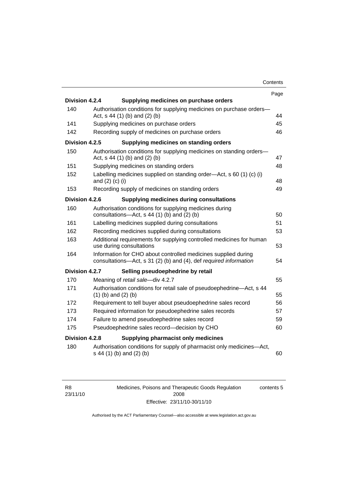| Contents |
|----------|
|----------|

|                |                                                                                                                                     | Page |
|----------------|-------------------------------------------------------------------------------------------------------------------------------------|------|
| Division 4.2.4 | Supplying medicines on purchase orders                                                                                              |      |
| 140            | Authorisation conditions for supplying medicines on purchase orders-<br>Act, s 44 (1) (b) and (2) (b)                               | 44   |
| 141            | Supplying medicines on purchase orders                                                                                              | 45   |
| 142            | Recording supply of medicines on purchase orders                                                                                    | 46   |
| Division 4.2.5 | Supplying medicines on standing orders                                                                                              |      |
| 150            | Authorisation conditions for supplying medicines on standing orders-<br>Act, s 44 (1) (b) and (2) (b)                               | 47   |
| 151            | Supplying medicines on standing orders                                                                                              | 48   |
| 152            | Labelling medicines supplied on standing order-Act, s 60 (1) (c) (i)<br>and $(2)$ $(c)$ $(i)$                                       | 48   |
| 153            | Recording supply of medicines on standing orders                                                                                    | 49   |
| Division 4.2.6 | <b>Supplying medicines during consultations</b>                                                                                     |      |
| 160            | Authorisation conditions for supplying medicines during<br>consultations- $-\text{Act}$ , s 44 (1) (b) and (2) (b)                  | 50   |
| 161            | Labelling medicines supplied during consultations                                                                                   | 51   |
| 162            | Recording medicines supplied during consultations                                                                                   | 53   |
| 163            | Additional requirements for supplying controlled medicines for human<br>use during consultations                                    | 53   |
| 164            | Information for CHO about controlled medicines supplied during<br>consultations-Act, s 31 (2) (b) and (4), def required information | 54   |
| Division 4.2.7 | Selling pseudoephedrine by retail                                                                                                   |      |
| 170            | Meaning of retail sale-div 4.2.7                                                                                                    | 55   |
| 171            | Authorisation conditions for retail sale of pseudoephedrine-Act, s 44<br>$(1)$ (b) and $(2)$ (b)                                    | 55   |
| 172            | Requirement to tell buyer about pseudoephedrine sales record                                                                        | 56   |
| 173            | Required information for pseudoephedrine sales records                                                                              | 57   |
| 174            | Failure to amend pseudoephedrine sales record                                                                                       | 59   |
| 175            | Pseudoephedrine sales record-decision by CHO                                                                                        | 60   |
| Division 4.2.8 | Supplying pharmacist only medicines                                                                                                 |      |
| 180            | Authorisation conditions for supply of pharmacist only medicines—Act,<br>s 44 (1) (b) and (2) (b)                                   | 60   |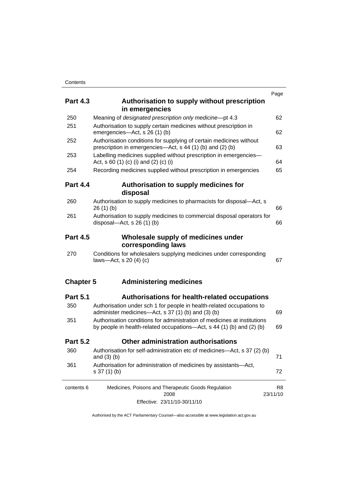|                  |                                                                                                                                                   | Page                       |
|------------------|---------------------------------------------------------------------------------------------------------------------------------------------------|----------------------------|
| <b>Part 4.3</b>  | Authorisation to supply without prescription<br>in emergencies                                                                                    |                            |
| 250              | Meaning of designated prescription only medicine-pt 4.3                                                                                           | 62                         |
| 251              | Authorisation to supply certain medicines without prescription in<br>emergencies-Act, s 26 (1) (b)                                                | 62                         |
| 252              | Authorisation conditions for supplying of certain medicines without<br>prescription in emergencies—Act, s 44 (1) (b) and (2) (b)                  | 63                         |
| 253              | Labelling medicines supplied without prescription in emergencies-<br>Act, s 60 (1) (c) (i) and (2) (c) (i)                                        | 64                         |
| 254              | Recording medicines supplied without prescription in emergencies                                                                                  | 65                         |
| <b>Part 4.4</b>  | Authorisation to supply medicines for<br>disposal                                                                                                 |                            |
| 260              | Authorisation to supply medicines to pharmacists for disposal-Act, s<br>26(1)(b)                                                                  | 66                         |
| 261              | Authorisation to supply medicines to commercial disposal operators for<br>disposal—Act, s $26(1)(b)$                                              | 66                         |
| <b>Part 4.5</b>  | Wholesale supply of medicines under<br>corresponding laws                                                                                         |                            |
| 270              | Conditions for wholesalers supplying medicines under corresponding<br>laws-Act, s $20(4)(c)$                                                      | 67                         |
| <b>Chapter 5</b> | <b>Administering medicines</b>                                                                                                                    |                            |
| <b>Part 5.1</b>  | Authorisations for health-related occupations                                                                                                     |                            |
| 350              | Authorisation under sch 1 for people in health-related occupations to<br>administer medicines—Act, s 37 (1) (b) and (3) (b)                       | 69                         |
| 351              | Authorisation conditions for administration of medicines at institutions<br>by people in health-related occupations—Act, s 44 (1) (b) and (2) (b) | 69                         |
| <b>Part 5.2</b>  | Other administration authorisations                                                                                                               |                            |
| 360              | Authorisation for self-administration etc of medicines—Act, s 37 (2) (b)<br>and $(3)$ $(b)$                                                       | 71                         |
| 361              | Authorisation for administration of medicines by assistants-Act,<br>$s 37(1)$ (b)                                                                 | 72                         |
| contents 6       | Medicines, Poisons and Therapeutic Goods Regulation<br>2008                                                                                       | R <sub>8</sub><br>23/11/10 |
|                  | Effective: 23/11/10-30/11/10                                                                                                                      |                            |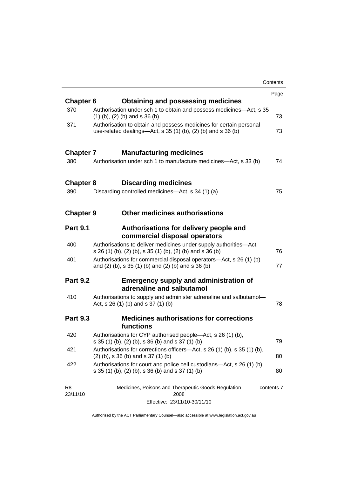|                            |                                                                                                                                       | Contents   |
|----------------------------|---------------------------------------------------------------------------------------------------------------------------------------|------------|
|                            |                                                                                                                                       | Page       |
| <b>Chapter 6</b>           | <b>Obtaining and possessing medicines</b>                                                                                             |            |
| 370                        | Authorisation under sch 1 to obtain and possess medicines-Act, s 35<br>$(1)$ (b), (2) (b) and s 36 (b)                                | 73         |
| 371                        | Authorisation to obtain and possess medicines for certain personal<br>use-related dealings—Act, s $35(1)(b)$ , $(2)(b)$ and s $36(b)$ | 73         |
| <b>Chapter 7</b>           | <b>Manufacturing medicines</b>                                                                                                        |            |
| 380                        | Authorisation under sch 1 to manufacture medicines—Act, s 33 (b)                                                                      | 74         |
| <b>Chapter 8</b>           | <b>Discarding medicines</b>                                                                                                           |            |
| 390                        | Discarding controlled medicines—Act, s 34 (1) (a)                                                                                     | 75         |
| <b>Chapter 9</b>           | <b>Other medicines authorisations</b>                                                                                                 |            |
| <b>Part 9.1</b>            | Authorisations for delivery people and<br>commercial disposal operators                                                               |            |
| 400                        | Authorisations to deliver medicines under supply authorities-Act,<br>s 26 (1) (b), (2) (b), s 35 (1) (b), (2) (b) and s 36 (b)        | 76         |
| 401                        | Authorisations for commercial disposal operators—Act, s 26 (1) (b)<br>and (2) (b), s 35 (1) (b) and (2) (b) and s 36 (b)              | 77         |
| <b>Part 9.2</b>            | <b>Emergency supply and administration of</b><br>adrenaline and salbutamol                                                            |            |
| 410                        | Authorisations to supply and administer adrenaline and salbutamol-<br>Act, s $26(1)$ (b) and s $37(1)$ (b)                            | 78         |
| <b>Part 9.3</b>            | <b>Medicines authorisations for corrections</b><br>functions                                                                          |            |
| 420                        | Authorisations for CYP authorised people—Act, s 26 (1) (b),<br>s 35 (1) (b), (2) (b), s 36 (b) and s 37 (1) (b)                       | 79         |
| 421                        | Authorisations for corrections officers-Act, s 26 (1) (b), s 35 (1) (b),<br>$(2)$ (b), s 36 (b) and s 37 (1) (b)                      | 80         |
| 422                        | Authorisations for court and police cell custodians—Act, s 26 (1) (b),<br>s 35 (1) (b), (2) (b), s 36 (b) and s 37 (1) (b)            | 80         |
| R <sub>8</sub><br>23/11/10 | Medicines, Poisons and Therapeutic Goods Regulation<br>2008                                                                           | contents 7 |
|                            | Effective: 23/11/10-30/11/10                                                                                                          |            |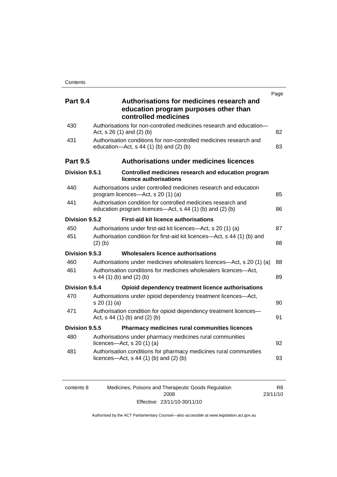|                 |                                                                                                                           | Page |
|-----------------|---------------------------------------------------------------------------------------------------------------------------|------|
| <b>Part 9.4</b> | Authorisations for medicines research and<br>education program purposes other than<br>controlled medicines                |      |
| 430             | Authorisations for non-controlled medicines research and education-<br>Act, s 26 (1) and (2) (b)                          | 82   |
| 431             | Authorisation conditions for non-controlled medicines research and<br>education- $Act$ , s 44 (1) (b) and (2) (b)         | 83   |
| <b>Part 9.5</b> | <b>Authorisations under medicines licences</b>                                                                            |      |
| Division 9.5.1  | Controlled medicines research and education program<br>licence authorisations                                             |      |
| 440             | Authorisations under controlled medicines research and education<br>program licences—Act, s 20 (1) (a)                    | 85   |
| 441             | Authorisation condition for controlled medicines research and<br>education program licences—Act, s 44 (1) (b) and (2) (b) | 86   |
| Division 9.5.2  | <b>First-aid kit licence authorisations</b>                                                                               |      |
| 450             | Authorisations under first-aid kit licences—Act, s 20 (1) (a)                                                             | 87   |
| 451             | Authorisation condition for first-aid kit licences-Act, s 44 (1) (b) and<br>$(2)$ (b)                                     | 88   |
| Division 9.5.3  | Wholesalers licence authorisations                                                                                        |      |
| 460             | Authorisations under medicines wholesalers licences—Act, s 20 (1) (a)                                                     | 88   |
| 461             | Authorisation conditions for medicines wholesalers licences-Act,<br>s 44 (1) (b) and (2) (b)                              | 89   |
| Division 9.5.4  | Opioid dependency treatment licence authorisations                                                                        |      |
| 470             | Authorisations under opioid dependency treatment licences-Act,<br>s 20(1)(a)                                              | 90   |
| 471             | Authorisation condition for opioid dependency treatment licences-<br>Act, $s$ 44 (1) (b) and (2) (b)                      | 91   |
| Division 9.5.5  | Pharmacy medicines rural communities licences                                                                             |      |
| 480             | Authorisations under pharmacy medicines rural communities<br>licences- $-\text{Act}$ , s 20 (1) (a)                       | 92   |
| 481             | Authorisation conditions for pharmacy medicines rural communities<br>licences—Act, $s$ 44 (1) (b) and (2) (b)             | 93   |
|                 |                                                                                                                           |      |

| contents 8 | Medicines, Poisons and Therapeutic Goods Regulation | R8       |
|------------|-----------------------------------------------------|----------|
|            | 2008                                                | 23/11/10 |
|            | Effective: 23/11/10-30/11/10                        |          |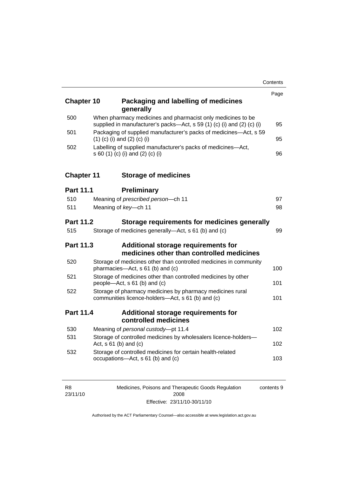| <b>Chapter 10</b> | Packaging and labelling of medicines<br>generally                                                                                     | Page |
|-------------------|---------------------------------------------------------------------------------------------------------------------------------------|------|
| 500               | When pharmacy medicines and pharmacist only medicines to be<br>supplied in manufacturer's packs-Act, s 59 (1) (c) (i) and (2) (c) (i) | 95   |
| 501               | Packaging of supplied manufacturer's packs of medicines-Act, s 59<br>$(1)$ (c) (i) and (2) (c) (i)                                    | 95   |
| 502               | Labelling of supplied manufacturer's packs of medicines-Act,<br>s 60 (1) (c) (i) and (2) (c) (i)                                      | 96   |
| <b>Chapter 11</b> | <b>Storage of medicines</b>                                                                                                           |      |
| <b>Part 11.1</b>  | <b>Preliminary</b>                                                                                                                    |      |
| 510               | Meaning of prescribed person-ch 11                                                                                                    | 97   |
| 511               | Meaning of key-ch 11                                                                                                                  | 98   |
| Part 11.2         | Storage requirements for medicines generally                                                                                          |      |
| 515               | Storage of medicines generally—Act, s 61 (b) and (c)                                                                                  | 99   |
| Part 11.3         | <b>Additional storage requirements for</b><br>medicines other than controlled medicines                                               |      |
| 520               | Storage of medicines other than controlled medicines in community<br>pharmacies-Act, s 61 (b) and (c)                                 | 100  |
| 521               | Storage of medicines other than controlled medicines by other<br>people-Act, s 61 (b) and (c)                                         | 101  |
| 522               | Storage of pharmacy medicines by pharmacy medicines rural<br>communities licence-holders-Act, s 61 (b) and (c)                        | 101  |
| Part 11.4         | <b>Additional storage requirements for</b><br>controlled medicines                                                                    |      |
| 530               | Meaning of personal custody-pt 11.4                                                                                                   | 102  |
| 531               | Storage of controlled medicines by wholesalers licence-holders-<br>Act, $s$ 61 (b) and (c)                                            | 102  |
| 532               | Storage of controlled medicines for certain health-related<br>occupations-Act, s 61 (b) and (c)                                       | 103  |

| R8       | Medicines, Poisons and Therapeutic Goods Regulation | contents 9 |
|----------|-----------------------------------------------------|------------|
| 23/11/10 | 2008                                                |            |
|          | Effective: 23/11/10-30/11/10                        |            |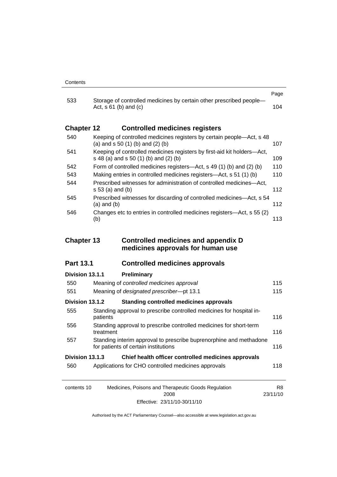| 533               |                                                                                                                  | Page |
|-------------------|------------------------------------------------------------------------------------------------------------------|------|
|                   | Storage of controlled medicines by certain other prescribed people-<br>Act, $s \, 61$ (b) and (c)                | 104  |
| <b>Chapter 12</b> | <b>Controlled medicines registers</b>                                                                            |      |
| 540               | Keeping of controlled medicines registers by certain people—Act, s 48<br>(a) and $s$ 50 (1) (b) and (2) (b)      | 107  |
| 541               | Keeping of controlled medicines registers by first-aid kit holders—Act,<br>s 48 (a) and s 50 (1) (b) and (2) (b) | 109  |
| 542               | Form of controlled medicines registers—Act, s 49 (1) (b) and (2) (b)                                             | 110  |
| 543               | Making entries in controlled medicines registers-Act, s 51 (1) (b)                                               | 110  |
| 544               | Prescribed witnesses for administration of controlled medicines—Act.<br>s 53 (a) and (b)                         | 112  |
| 545               | Prescribed witnesses for discarding of controlled medicines—Act, s 54<br>$(a)$ and $(b)$                         | 112  |
| 546               | Changes etc to entries in controlled medicines registers—Act, s 55 (2)<br>(b)                                    | 113  |

#### **Chapter 13 Controlled medicines and appendix D medicines approvals for human use**

#### **Part 13.1 Controlled medicines approvals**

| Division 13.1.1                                                        | Preliminary                                                                                                |          |
|------------------------------------------------------------------------|------------------------------------------------------------------------------------------------------------|----------|
| 550                                                                    | Meaning of controlled medicines approval                                                                   | 115      |
| 551                                                                    | Meaning of designated prescriber-pt 13.1                                                                   | 115      |
| Division 13.1.2                                                        | Standing controlled medicines approvals                                                                    |          |
| 555                                                                    | Standing approval to prescribe controlled medicines for hospital in-<br>patients                           | 116      |
| 556                                                                    | Standing approval to prescribe controlled medicines for short-term<br>treatment                            | 116      |
| 557                                                                    | Standing interim approval to prescribe buprenorphine and methadone<br>for patients of certain institutions | 116      |
| Division 13.1.3<br>Chief health officer controlled medicines approvals |                                                                                                            |          |
| 560                                                                    | Applications for CHO controlled medicines approvals                                                        | 118      |
|                                                                        |                                                                                                            |          |
| contents 10                                                            | Medicines, Poisons and Therapeutic Goods Regulation                                                        | R8       |
|                                                                        | 2008                                                                                                       | 23/11/10 |

Authorised by the ACT Parliamentary Counsel—also accessible at www.legislation.act.gov.au

Effective: 23/11/10-30/11/10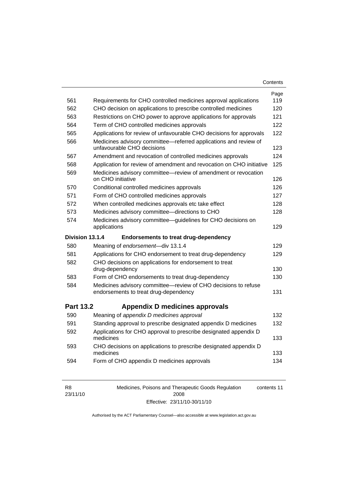| Contents |
|----------|
|----------|

| 561              | Requirements for CHO controlled medicines approval applications                                                                         | Page<br>119 |
|------------------|-----------------------------------------------------------------------------------------------------------------------------------------|-------------|
| 562              |                                                                                                                                         | 120         |
| 563              | CHO decision on applications to prescribe controlled medicines<br>Restrictions on CHO power to approve applications for approvals       | 121         |
| 564              | Term of CHO controlled medicines approvals                                                                                              | 122         |
| 565              |                                                                                                                                         | 122         |
| 566              | Applications for review of unfavourable CHO decisions for approvals<br>Medicines advisory committee-referred applications and review of |             |
|                  | unfavourable CHO decisions                                                                                                              | 123         |
| 567              | Amendment and revocation of controlled medicines approvals                                                                              | 124         |
| 568              | Application for review of amendment and revocation on CHO initiative                                                                    | 125         |
| 569              | Medicines advisory committee-review of amendment or revocation<br>on CHO initiative                                                     | 126         |
| 570              | Conditional controlled medicines approvals                                                                                              | 126         |
| 571              | Form of CHO controlled medicines approvals                                                                                              | 127         |
| 572              | When controlled medicines approvals etc take effect                                                                                     | 128         |
| 573              | Medicines advisory committee-directions to CHO                                                                                          | 128         |
| 574              | Medicines advisory committee-guidelines for CHO decisions on<br>applications                                                            | 129         |
|                  |                                                                                                                                         |             |
| Division 13.1.4  | <b>Endorsements to treat drug-dependency</b>                                                                                            |             |
| 580              | Meaning of endorsement-div 13.1.4                                                                                                       | 129         |
| 581              | Applications for CHO endorsement to treat drug-dependency                                                                               | 129         |
| 582              | CHO decisions on applications for endorsement to treat<br>drug-dependency                                                               | 130         |
| 583              | Form of CHO endorsements to treat drug-dependency                                                                                       | 130         |
| 584              | Medicines advisory committee-review of CHO decisions to refuse<br>endorsements to treat drug-dependency                                 | 131         |
| <b>Part 13.2</b> | Appendix D medicines approvals                                                                                                          |             |
| 590              | Meaning of appendix D medicines approval                                                                                                | 132         |
| 591              | Standing approval to prescribe designated appendix D medicines                                                                          | 132         |
| 592              | Applications for CHO approval to prescribe designated appendix D<br>medicines                                                           | 133         |
| 593              | CHO decisions on applications to prescribe designated appendix D<br>medicines                                                           | 133         |

| R8       | Medicines, Poisons and Therapeutic Goods Regulation | contents 11 |
|----------|-----------------------------------------------------|-------------|
| 23/11/10 | 2008                                                |             |
|          | Effective: 23/11/10-30/11/10                        |             |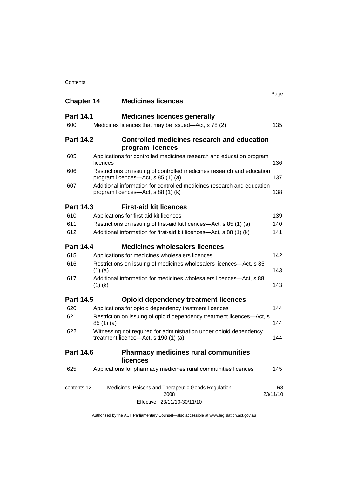| <b>Chapter 14</b> | <b>Medicines licences</b>                                                                                    | Page                       |
|-------------------|--------------------------------------------------------------------------------------------------------------|----------------------------|
|                   |                                                                                                              |                            |
| <b>Part 14.1</b>  | <b>Medicines licences generally</b>                                                                          |                            |
| 600               | Medicines licences that may be issued—Act, s 78 (2)                                                          | 135                        |
| <b>Part 14.2</b>  | Controlled medicines research and education<br>program licences                                              |                            |
| 605               | Applications for controlled medicines research and education program<br>licences                             | 136                        |
| 606               | Restrictions on issuing of controlled medicines research and education<br>program licences-Act, s 85 (1) (a) | 137                        |
| 607               | Additional information for controlled medicines research and education<br>program licences—Act, s 88 (1) (k) | 138                        |
| <b>Part 14.3</b>  | <b>First-aid kit licences</b>                                                                                |                            |
| 610               | Applications for first-aid kit licences                                                                      | 139                        |
| 611               | Restrictions on issuing of first-aid kit licences—Act, s 85 (1) (a)                                          | 140                        |
| 612               | Additional information for first-aid kit licences-Act, s 88 (1) (k)                                          | 141                        |
| <b>Part 14.4</b>  | <b>Medicines wholesalers licences</b>                                                                        |                            |
| 615               | Applications for medicines wholesalers licences                                                              | 142                        |
| 616               | Restrictions on issuing of medicines wholesalers licences—Act, s 85<br>$(1)$ (a)                             | 143                        |
| 617               | Additional information for medicines wholesalers licences—Act, s 88<br>$(1)$ (k)                             | 143                        |
| <b>Part 14.5</b>  | <b>Opioid dependency treatment licences</b>                                                                  |                            |
| 620               | Applications for opioid dependency treatment licences                                                        | 144                        |
| 621               | Restriction on issuing of opioid dependency treatment licences-Act, s<br>85(1)(a)                            | 144                        |
| 622               | Witnessing not required for administration under opioid dependency<br>treatment licence—Act, s 190 (1) (a)   | 144                        |
| <b>Part 14.6</b>  | <b>Pharmacy medicines rural communities</b><br><b>licences</b>                                               |                            |
| 625               | Applications for pharmacy medicines rural communities licences                                               | 145                        |
| contents 12       | Medicines, Poisons and Therapeutic Goods Regulation<br>2008                                                  | R <sub>8</sub><br>23/11/10 |
|                   | Effective: 23/11/10-30/11/10                                                                                 |                            |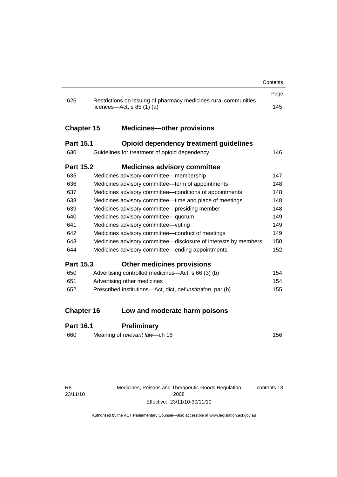|                   |                                                                                               | Contents |
|-------------------|-----------------------------------------------------------------------------------------------|----------|
|                   |                                                                                               | Page     |
| 626               | Restrictions on issuing of pharmacy medicines rural communities<br>licences—Act, s $85(1)(a)$ | 145      |
| <b>Chapter 15</b> | <b>Medicines-other provisions</b>                                                             |          |
| <b>Part 15.1</b>  | Opioid dependency treatment guidelines                                                        |          |
| 630               | Guidelines for treatment of opioid dependency                                                 | 146      |
| <b>Part 15.2</b>  | <b>Medicines advisory committee</b>                                                           |          |
| 635               | Medicines advisory committee-membership                                                       | 147      |
| 636               | Medicines advisory committee—term of appointments                                             | 148      |
| 637               | Medicines advisory committee-conditions of appointments                                       | 148      |
| 638               | Medicines advisory committee—time and place of meetings                                       | 148      |
| 639               | Medicines advisory committee-presiding member                                                 | 148      |
| 640               | Medicines advisory committee-quorum                                                           | 149      |
| 641               | Medicines advisory committee-voting                                                           | 149      |
| 642               | Medicines advisory committee-conduct of meetings                                              | 149      |
| 643               | Medicines advisory committee-disclosure of interests by members                               | 150      |
| 644               | Medicines advisory committee—ending appointments                                              | 152      |
| <b>Part 15.3</b>  | <b>Other medicines provisions</b>                                                             |          |
| 650               | Advertising controlled medicines—Act, s 66 (3) (b)                                            | 154      |
| 651               | Advertising other medicines                                                                   | 154      |
| 652               | Prescribed institutions-Act, dict, def <i>institution</i> , par (b)                           | 155      |
| <b>Chapter 16</b> | Low and moderate harm poisons                                                                 |          |
| <b>Part 16.1</b>  | <b>Preliminary</b>                                                                            |          |

| 156 |
|-----|
|     |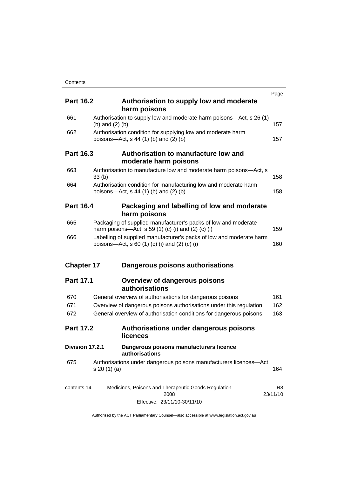|                   |                   |                                                                                                                                  | Page                       |
|-------------------|-------------------|----------------------------------------------------------------------------------------------------------------------------------|----------------------------|
| <b>Part 16.2</b>  |                   | Authorisation to supply low and moderate                                                                                         |                            |
|                   |                   | harm poisons                                                                                                                     |                            |
| 661               | (b) and $(2)$ (b) | Authorisation to supply low and moderate harm poisons—Act, s 26 (1)                                                              | 157                        |
| 662               |                   | Authorisation condition for supplying low and moderate harm<br>poisons-Act, $s$ 44 (1) (b) and (2) (b)                           | 157                        |
| <b>Part 16.3</b>  |                   | Authorisation to manufacture low and<br>moderate harm poisons                                                                    |                            |
| 663               | 33(b)             | Authorisation to manufacture low and moderate harm poisons-Act, s                                                                | 158                        |
| 664               |                   | Authorisation condition for manufacturing low and moderate harm<br>poisons—Act, s 44 (1) (b) and (2) (b)                         | 158                        |
| <b>Part 16.4</b>  |                   | Packaging and labelling of low and moderate<br>harm poisons                                                                      |                            |
| 665               |                   | Packaging of supplied manufacturer's packs of low and moderate<br>harm poisons—Act, s 59 $(1)$ $(c)$ $(i)$ and $(2)$ $(c)$ $(i)$ | 159                        |
| 666               |                   | Labelling of supplied manufacturer's packs of low and moderate harm<br>poisons—Act, s 60 (1) (c) (i) and (2) (c) (i)             | 160                        |
| <b>Chapter 17</b> |                   | Dangerous poisons authorisations                                                                                                 |                            |
| <b>Part 17.1</b>  |                   | <b>Overview of dangerous poisons</b><br>authorisations                                                                           |                            |
| 670               |                   | General overview of authorisations for dangerous poisons                                                                         | 161                        |
| 671               |                   | Overview of dangerous poisons authorisations under this regulation                                                               | 162                        |
| 672               |                   | General overview of authorisation conditions for dangerous poisons                                                               | 163                        |
| <b>Part 17.2</b>  |                   | Authorisations under dangerous poisons<br><b>licences</b>                                                                        |                            |
| Division 17.2.1   |                   | Dangerous poisons manufacturers licence<br>authorisations                                                                        |                            |
| 675               | s 20 (1) (a)      | Authorisations under dangerous poisons manufacturers licences-Act,                                                               | 164                        |
| contents 14       |                   | Medicines, Poisons and Therapeutic Goods Regulation<br>2008                                                                      | R <sub>8</sub><br>23/11/10 |
|                   |                   | Effective: 23/11/10-30/11/10                                                                                                     |                            |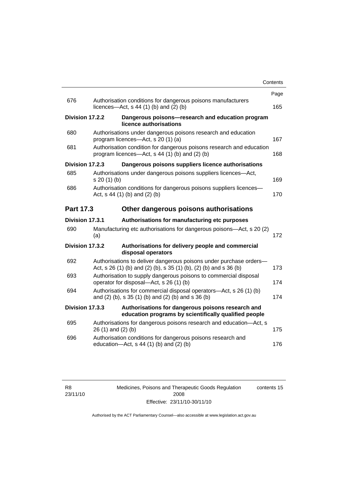|                 |                                                                                                                          |                                                                                                                                         | Contents |
|-----------------|--------------------------------------------------------------------------------------------------------------------------|-----------------------------------------------------------------------------------------------------------------------------------------|----------|
|                 |                                                                                                                          |                                                                                                                                         | Page     |
| 676             |                                                                                                                          | Authorisation conditions for dangerous poisons manufacturers<br>licences- $-\text{Act}$ , s 44 (1) (b) and (2) (b)                      | 165      |
| Division 17.2.2 |                                                                                                                          | Dangerous poisons-research and education program<br>licence authorisations                                                              |          |
| 680             |                                                                                                                          | Authorisations under dangerous poisons research and education<br>program licences-Act, s 20 (1) (a)                                     | 167      |
| 681             |                                                                                                                          | Authorisation condition for dangerous poisons research and education<br>program licences—Act, s 44 (1) (b) and (2) (b)                  | 168      |
| Division 17.2.3 |                                                                                                                          | Dangerous poisons suppliers licence authorisations                                                                                      |          |
| 685             | s 20 (1) (b)                                                                                                             | Authorisations under dangerous poisons suppliers licences—Act,                                                                          | 169      |
| 686             | Authorisation conditions for dangerous poisons suppliers licences-<br>Act, $s$ 44 (1) (b) and (2) (b)                    |                                                                                                                                         |          |
| Part 17.3       |                                                                                                                          | Other dangerous poisons authorisations                                                                                                  |          |
| Division 17.3.1 |                                                                                                                          | Authorisations for manufacturing etc purposes                                                                                           |          |
| 690             | (a)                                                                                                                      | Manufacturing etc authorisations for dangerous poisons—Act, s 20 (2)                                                                    | 172      |
| Division 17.3.2 |                                                                                                                          | Authorisations for delivery people and commercial<br>disposal operators                                                                 |          |
| 692             |                                                                                                                          | Authorisations to deliver dangerous poisons under purchase orders-<br>Act, s 26 (1) (b) and (2) (b), s 35 (1) (b), (2) (b) and s 36 (b) | 173      |
| 693             | Authorisation to supply dangerous poisons to commercial disposal<br>operator for disposal—Act, s 26 (1) (b)              |                                                                                                                                         | 174      |
| 694             | Authorisations for commercial disposal operators-Act, s 26 (1) (b)<br>and (2) (b), s 35 (1) (b) and (2) (b) and s 36 (b) |                                                                                                                                         | 174      |
| Division 17.3.3 |                                                                                                                          | Authorisations for dangerous poisons research and<br>education programs by scientifically qualified people                              |          |
| 695             | 26 (1) and (2) (b)                                                                                                       | Authorisations for dangerous poisons research and education-Act, s                                                                      | 175      |
| 696             |                                                                                                                          | Authorisation conditions for dangerous poisons research and<br>education-Act, s 44 (1) (b) and (2) (b)                                  | 176      |
|                 |                                                                                                                          |                                                                                                                                         |          |

Medicines, Poisons and Therapeutic Goods Regulation 2008 Effective: 23/11/10-30/11/10 contents 15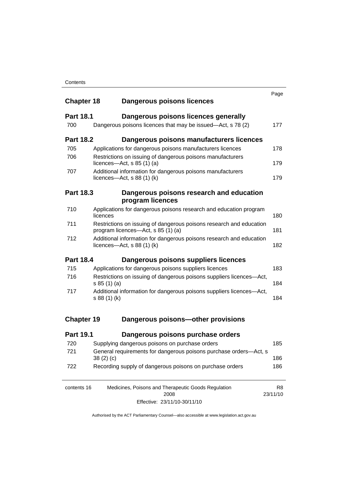| <b>Chapter 18</b> | Dangerous poisons licences                                                                                | Page                       |  |  |
|-------------------|-----------------------------------------------------------------------------------------------------------|----------------------------|--|--|
| <b>Part 18.1</b>  | Dangerous poisons licences generally                                                                      |                            |  |  |
| 700               | Dangerous poisons licences that may be issued-Act, s 78 (2)                                               | 177                        |  |  |
| <b>Part 18.2</b>  | Dangerous poisons manufacturers licences                                                                  |                            |  |  |
| 705               | Applications for dangerous poisons manufacturers licences                                                 | 178                        |  |  |
| 706               | Restrictions on issuing of dangerous poisons manufacturers<br>licences- $-\text{Act}$ , s 85 (1) (a)      | 179                        |  |  |
| 707               | Additional information for dangerous poisons manufacturers<br>licences—Act, $s$ 88 (1) (k)                |                            |  |  |
| <b>Part 18.3</b>  | Dangerous poisons research and education                                                                  |                            |  |  |
|                   | program licences                                                                                          |                            |  |  |
| 710               | Applications for dangerous poisons research and education program<br>licences                             | 180                        |  |  |
| 711               | Restrictions on issuing of dangerous poisons research and education<br>program licences—Act, s 85 (1) (a) |                            |  |  |
| 712               | Additional information for dangerous poisons research and education<br>licences—Act, $s$ 88 (1) (k)       | 182                        |  |  |
| <b>Part 18.4</b>  | Dangerous poisons suppliers licences                                                                      |                            |  |  |
| 715               | Applications for dangerous poisons suppliers licences                                                     | 183                        |  |  |
| 716               | Restrictions on issuing of dangerous poisons suppliers licences-Act,<br>s 85(1)(a)                        | 184                        |  |  |
| 717               | Additional information for dangerous poisons suppliers licences-Act,<br>s 88 (1) (k)                      | 184                        |  |  |
| <b>Chapter 19</b> | Dangerous poisons-other provisions                                                                        |                            |  |  |
| <b>Part 19.1</b>  | Dangerous poisons purchase orders                                                                         |                            |  |  |
| 720               | Supplying dangerous poisons on purchase orders                                                            | 185                        |  |  |
| 721               | General requirements for dangerous poisons purchase orders-Act, s<br>38(2)(c)                             | 186                        |  |  |
| 722               | Recording supply of dangerous poisons on purchase orders                                                  | 186                        |  |  |
| contents 16       | Medicines, Poisons and Therapeutic Goods Regulation<br>2008                                               | R <sub>8</sub><br>23/11/10 |  |  |

Effective: 23/11/10-30/11/10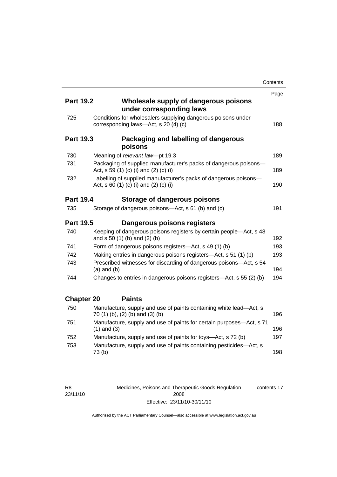|                   |                                                                                                           | Contents |
|-------------------|-----------------------------------------------------------------------------------------------------------|----------|
|                   |                                                                                                           | Page     |
| <b>Part 19.2</b>  | Wholesale supply of dangerous poisons<br>under corresponding laws                                         |          |
| 725               | Conditions for wholesalers supplying dangerous poisons under<br>corresponding laws-Act, s 20 (4) (c)      | 188      |
| <b>Part 19.3</b>  | Packaging and labelling of dangerous<br>poisons                                                           |          |
| 730               | Meaning of relevant law-pt 19.3                                                                           | 189      |
| 731               | Packaging of supplied manufacturer's packs of dangerous poisons-<br>Act, s 59 (1) (c) (i) and (2) (c) (i) | 189      |
| 732               | Labelling of supplied manufacturer's packs of dangerous poisons-<br>Act, s 60 (1) (c) (i) and (2) (c) (i) | 190      |
| <b>Part 19.4</b>  | Storage of dangerous poisons                                                                              |          |
| 735               | Storage of dangerous poisons-Act, s 61 (b) and (c)                                                        | 191      |
| <b>Part 19.5</b>  | Dangerous poisons registers                                                                               |          |
| 740               | Keeping of dangerous poisons registers by certain people-Act, s 48<br>and s 50 (1) (b) and (2) (b)        | 192      |
| 741               | Form of dangerous poisons registers-Act, s 49 (1) (b)                                                     | 193      |
| 742               | Making entries in dangerous poisons registers-Act, s 51 (1) (b)                                           | 193      |
| 743               | Prescribed witnesses for discarding of dangerous poisons-Act, s 54<br>$(a)$ and $(b)$                     | 194      |
| 744               | Changes to entries in dangerous poisons registers—Act, s 55 (2) (b)                                       | 194      |
| <b>Chapter 20</b> | <b>Paints</b>                                                                                             |          |
| 750               | Manufacture, supply and use of paints containing white lead-Act, s<br>70 (1) (b), (2) (b) and (3) (b)     | 196      |
| 751               | Manufacture, supply and use of paints for certain purposes—Act, s 71<br>$(1)$ and $(3)$                   | 196      |
| 752               | Manufacture, supply and use of paints for toys—Act, s 72 (b)                                              | 197      |
| 753               | Manufacture, supply and use of paints containing pesticides-Act, s<br>73(b)                               | 198      |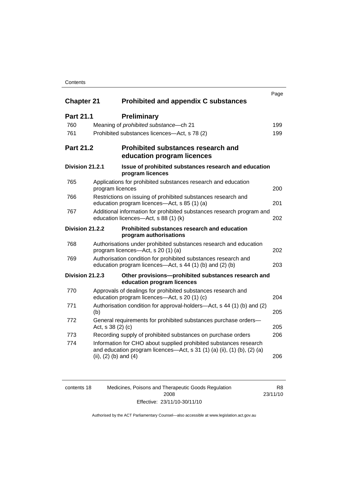#### **Contents**

| <b>Chapter 21</b> | <b>Prohibited and appendix C substances</b>                                                                                                                               | Page |  |
|-------------------|---------------------------------------------------------------------------------------------------------------------------------------------------------------------------|------|--|
| <b>Part 21.1</b>  | <b>Preliminary</b>                                                                                                                                                        |      |  |
| 760               | Meaning of prohibited substance - ch 21                                                                                                                                   | 199  |  |
| 761               | Prohibited substances licences—Act, s 78 (2)                                                                                                                              | 199  |  |
| <b>Part 21.2</b>  | <b>Prohibited substances research and</b><br>education program licences                                                                                                   |      |  |
| Division 21.2.1   | Issue of prohibited substances research and education<br>program licences                                                                                                 |      |  |
| 765               | Applications for prohibited substances research and education<br>program licences                                                                                         | 200  |  |
| 766               | Restrictions on issuing of prohibited substances research and<br>education program licences—Act, s 85 (1) (a)                                                             |      |  |
| 767               | Additional information for prohibited substances research program and<br>education licences-Act, s 88 (1) (k)                                                             |      |  |
| Division 21.2.2   | Prohibited substances research and education<br>program authorisations                                                                                                    |      |  |
| 768               | Authorisations under prohibited substances research and education<br>program licences—Act, s 20 (1) (a)                                                                   | 202  |  |
| 769               | Authorisation condition for prohibited substances research and<br>education program licences—Act, s 44 (1) (b) and (2) (b)                                                | 203  |  |
| Division 21.2.3   | Other provisions-prohibited substances research and<br>education program licences                                                                                         |      |  |
| 770               | Approvals of dealings for prohibited substances research and<br>education program licences-Act, s 20 (1) (c)                                                              | 204  |  |
| 771               | Authorisation condition for approval-holders—Act, s 44 (1) (b) and (2)<br>(b)                                                                                             |      |  |
| 772               | General requirements for prohibited substances purchase orders-<br>Act, s 38 (2) (c)                                                                                      | 205  |  |
| 773               | Recording supply of prohibited substances on purchase orders                                                                                                              | 206  |  |
| 774               | Information for CHO about supplied prohibited substances research<br>and education program licences—Act, s 31 (1) (a) (ii), (1) (b), (2) (a)<br>(ii), $(2)$ (b) and $(4)$ | 206  |  |

| contents 18 | Medicines, Poisons and Therapeutic Goods Regulation | R8.      |
|-------------|-----------------------------------------------------|----------|
|             | 2008                                                | 23/11/10 |
|             | Effective: 23/11/10-30/11/10                        |          |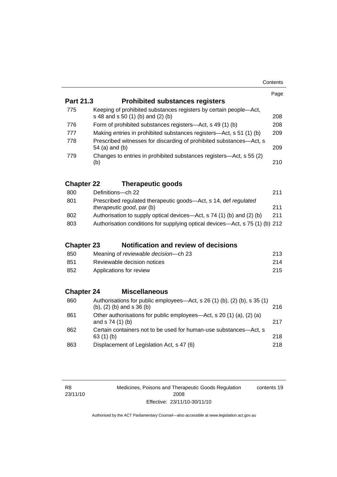| Contents |
|----------|
|----------|

|                   |                                                                                                         | Page |  |
|-------------------|---------------------------------------------------------------------------------------------------------|------|--|
| Part 21.3         | <b>Prohibited substances registers</b>                                                                  |      |  |
| 775               | Keeping of prohibited substances registers by certain people-Act,<br>s 48 and s 50 (1) (b) and (2) (b)  | 208  |  |
| 776               | Form of prohibited substances registers—Act, s 49 (1) (b)                                               | 208  |  |
| 777               | Making entries in prohibited substances registers-Act, s 51 (1) (b)                                     | 209  |  |
| 778               | Prescribed witnesses for discarding of prohibited substances-Act, s<br>54 (a) and (b)                   | 209  |  |
| 779               | Changes to entries in prohibited substances registers—Act, s 55 (2)<br>(b)                              | 210  |  |
| <b>Chapter 22</b> | <b>Therapeutic goods</b>                                                                                |      |  |
| 800               | Definitions-ch 22                                                                                       | 211  |  |
| 801               | Prescribed regulated therapeutic goods-Act, s 14, def regulated<br><i>therapeutic good, par (b)</i>     | 211  |  |
| 802               | 211<br>Authorisation to supply optical devices—Act, s 74 (1) (b) and (2) (b)                            |      |  |
| 803               | Authorisation conditions for supplying optical devices—Act, s 75 (1) (b) 212                            |      |  |
| <b>Chapter 23</b> | <b>Notification and review of decisions</b>                                                             |      |  |
| 850               | Meaning of reviewable decision--- ch 23                                                                 | 213  |  |
| 851               | Reviewable decision notices                                                                             | 214  |  |
| 852               | Applications for review                                                                                 | 215  |  |
| <b>Chapter 24</b> | <b>Miscellaneous</b>                                                                                    |      |  |
| 860               | Authorisations for public employees—Act, s 26 (1) (b), (2) (b), s 35 (1)<br>(b), $(2)$ (b) and s 36 (b) | 216  |  |
| 861               | Other authorisations for public employees—Act, s 20 (1) (a), (2) (a)<br>and s 74 (1) (b)                | 217  |  |
| 862               | Certain containers not to be used for human-use substances-Act, s<br>63(1)(b)                           | 218  |  |
| 863               | Displacement of Legislation Act, s 47 (6)                                                               | 218  |  |

Medicines, Poisons and Therapeutic Goods Regulation 2008 Effective: 23/11/10-30/11/10 contents 19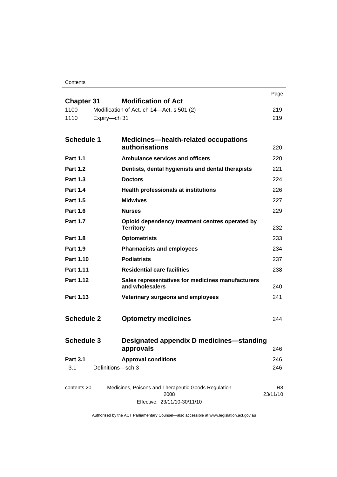**Contents** 

|                              |                                                                      | Page           |
|------------------------------|----------------------------------------------------------------------|----------------|
| <b>Chapter 31</b>            | <b>Modification of Act</b>                                           |                |
| 1100<br>1110<br>Expiry-ch 31 | Modification of Act, ch 14-Act, s 501 (2)                            | 219<br>219     |
|                              |                                                                      |                |
| <b>Schedule 1</b>            | <b>Medicines-health-related occupations</b>                          |                |
|                              | authorisations                                                       | 220            |
| <b>Part 1.1</b>              | <b>Ambulance services and officers</b>                               | 220            |
| <b>Part 1.2</b>              | Dentists, dental hygienists and dental therapists                    | 221            |
| <b>Part 1.3</b>              | <b>Doctors</b>                                                       | 224            |
| <b>Part 1.4</b>              | <b>Health professionals at institutions</b>                          | 226            |
| <b>Part 1.5</b>              | <b>Midwives</b>                                                      | 227            |
| <b>Part 1.6</b>              | <b>Nurses</b>                                                        | 229            |
| <b>Part 1.7</b>              | Opioid dependency treatment centres operated by<br><b>Territory</b>  | 232            |
| <b>Part 1.8</b>              | <b>Optometrists</b>                                                  | 233            |
| <b>Part 1.9</b>              | <b>Pharmacists and employees</b>                                     | 234            |
| Part 1.10                    | <b>Podiatrists</b>                                                   | 237            |
| Part 1.11                    | <b>Residential care facilities</b>                                   | 238            |
| Part 1.12                    | Sales representatives for medicines manufacturers<br>and wholesalers | 240            |
| Part 1.13                    | Veterinary surgeons and employees                                    | 241            |
|                              |                                                                      |                |
| <b>Schedule 2</b>            | <b>Optometry medicines</b>                                           | 244            |
|                              |                                                                      |                |
| <b>Schedule 3</b>            | Designated appendix D medicines-standing                             |                |
|                              | approvals                                                            | 246            |
| <b>Part 3.1</b>              | <b>Approval conditions</b>                                           | 246            |
| 3.1                          | Definitions-sch 3                                                    | 246            |
| contents 20                  | Medicines, Poisons and Therapeutic Goods Regulation                  | R <sub>8</sub> |
|                              | 2008                                                                 | 23/11/10       |

Effective: 23/11/10-30/11/10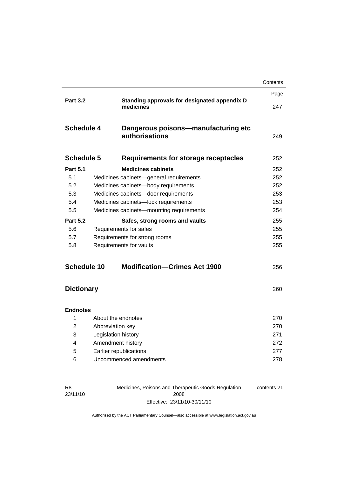|                   |                     |                                                           | Contents |
|-------------------|---------------------|-----------------------------------------------------------|----------|
|                   |                     |                                                           | Page     |
| <b>Part 3.2</b>   |                     | Standing approvals for designated appendix D<br>medicines | 247      |
| <b>Schedule 4</b> |                     | Dangerous poisons-manufacturing etc<br>authorisations     | 249      |
| <b>Schedule 5</b> |                     | Requirements for storage receptacles                      | 252      |
| <b>Part 5.1</b>   |                     | <b>Medicines cabinets</b>                                 | 252      |
| 5.1               |                     | Medicines cabinets-general requirements                   | 252      |
| 5.2               |                     | Medicines cabinets-body requirements                      | 252      |
| 5.3               |                     | Medicines cabinets-door requirements                      | 253      |
| 5.4               |                     | Medicines cabinets-lock requirements                      | 253      |
| 5.5               |                     | Medicines cabinets-mounting requirements                  | 254      |
| <b>Part 5.2</b>   |                     | Safes, strong rooms and vaults                            | 255      |
| 5.6               |                     | Requirements for safes                                    | 255      |
| 5.7               |                     | Requirements for strong rooms                             | 255      |
| 5.8               |                     | Requirements for vaults                                   | 255      |
| Schedule 10       |                     | <b>Modification-Crimes Act 1900</b>                       | 256      |
| <b>Dictionary</b> |                     |                                                           | 260      |
| <b>Endnotes</b>   |                     |                                                           |          |
| 1                 |                     | About the endnotes                                        | 270      |
| $\overline{2}$    | Abbreviation key    |                                                           | 270      |
| 3                 | Legislation history |                                                           | 271      |
| 4                 |                     | Amendment history                                         | 272      |
| 5                 |                     | Earlier republications                                    | 277      |
| 6                 |                     | Uncommenced amendments                                    | 278      |
|                   |                     |                                                           |          |
|                   |                     |                                                           |          |

| R8       | Medicines, Poisons and Therapeutic Goods Regulation | contents 21 |
|----------|-----------------------------------------------------|-------------|
| 23/11/10 | 2008                                                |             |
|          | Effective: 23/11/10-30/11/10                        |             |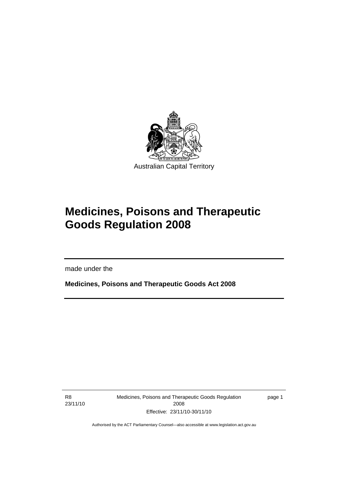<span id="page-24-0"></span>

# **Medicines, Poisons and Therapeutic Goods Regulation 2008**

made under the

**Medicines, Poisons and Therapeutic Goods Act 2008** 

R8 23/11/10

I

Medicines, Poisons and Therapeutic Goods Regulation 2008 Effective: 23/11/10-30/11/10

page 1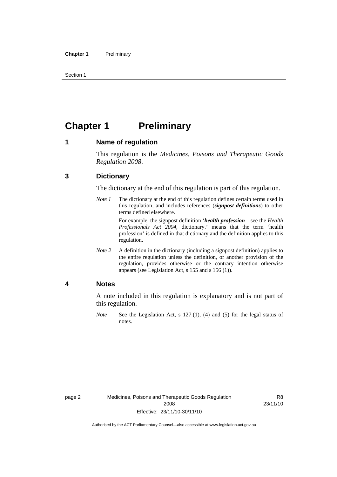<span id="page-25-0"></span>Section 1

# **Chapter 1 Preliminary**

#### **1 Name of regulation**

This regulation is the *Medicines, Poisons and Therapeutic Goods Regulation 2008*.

#### **3 Dictionary**

The dictionary at the end of this regulation is part of this regulation.

*Note 1* The dictionary at the end of this regulation defines certain terms used in this regulation, and includes references (*signpost definitions*) to other terms defined elsewhere.

> For example, the signpost definition '*health profession*—see the *Health Professionals Act 2004*, dictionary.' means that the term 'health profession' is defined in that dictionary and the definition applies to this regulation.

*Note 2* A definition in the dictionary (including a signpost definition) applies to the entire regulation unless the definition, or another provision of the regulation, provides otherwise or the contrary intention otherwise appears (see Legislation Act, s 155 and s 156 (1)).

#### **4 Notes**

A note included in this regulation is explanatory and is not part of this regulation.

*Note* See the Legislation Act, s 127 (1), (4) and (5) for the legal status of notes.

R8 23/11/10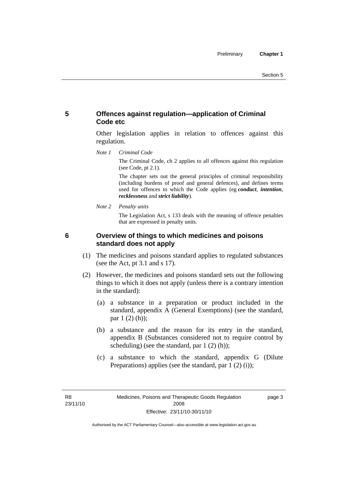#### <span id="page-26-0"></span>**5 Offences against regulation—application of Criminal Code etc**

Other legislation applies in relation to offences against this regulation.

*Note 1 Criminal Code*

The Criminal Code, ch 2 applies to all offences against this regulation (see Code, pt 2.1).

The chapter sets out the general principles of criminal responsibility (including burdens of proof and general defences), and defines terms used for offences to which the Code applies (eg *conduct*, *intention*, *recklessness* and *strict liability*).

*Note 2 Penalty units* 

The Legislation Act, s 133 deals with the meaning of offence penalties that are expressed in penalty units.

#### **6 Overview of things to which medicines and poisons standard does not apply**

- (1) The medicines and poisons standard applies to regulated substances (see the Act, pt 3.1 and s 17).
- (2) However, the medicines and poisons standard sets out the following things to which it does not apply (unless there is a contrary intention in the standard):
	- (a) a substance in a preparation or product included in the standard, appendix A (General Exemptions) (see the standard, par 1 (2) (h));
	- (b) a substance and the reason for its entry in the standard, appendix B (Substances considered not to require control by scheduling) (see the standard, par 1 (2) (h));
	- (c) a substance to which the standard, appendix G (Dilute Preparations) applies (see the standard, par  $1(2)(i)$ );

R8 23/11/10 page 3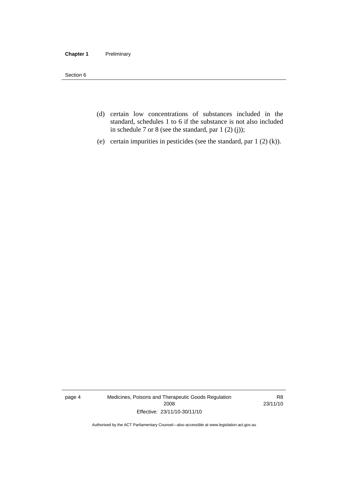#### **Chapter 1** Preliminary

Section 6

- (d) certain low concentrations of substances included in the standard, schedules 1 to 6 if the substance is not also included in schedule 7 or 8 (see the standard, par 1 (2) (j));
- (e) certain impurities in pesticides (see the standard, par 1 (2) (k)).

page 4 Medicines, Poisons and Therapeutic Goods Regulation 2008 Effective: 23/11/10-30/11/10

R8 23/11/10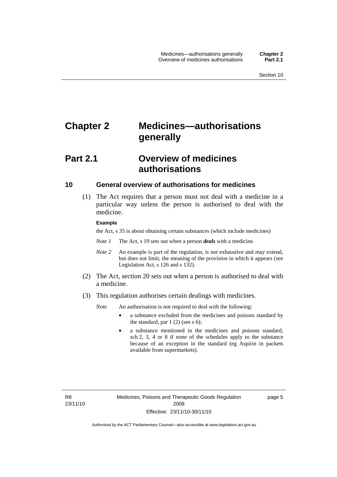# <span id="page-28-0"></span>**Chapter 2 Medicines—authorisations generally**

# **Part 2.1 Overview of medicines authorisations**

#### **10 General overview of authorisations for medicines**

 (1) The Act requires that a person must not deal with a medicine in a particular way unless the person is authorised to deal with the medicine.

#### **Example**

the Act, s 35 is about obtaining certain substances (which include medicines)

- *Note 1* The Act, s 19 sets out when a person *deals* with a medicine.
- *Note 2* An example is part of the regulation, is not exhaustive and may extend, but does not limit, the meaning of the provision in which it appears (see Legislation Act, s 126 and s 132).
- (2) The Act, section 20 sets out when a person is authorised to deal with a medicine.
- (3) This regulation authorises certain dealings with medicines.

*Note* An authorisation is not required to deal with the following:

- a substance excluded from the medicines and poisons standard by the standard, par  $1(2)$  (see s 6);
- a substance mentioned in the medicines and poisons standard, sch 2, 3, 4 or 8 if none of the schedules apply to the substance because of an exception in the standard (eg Aspirin in packets available from supermarkets).

R8 23/11/10 page 5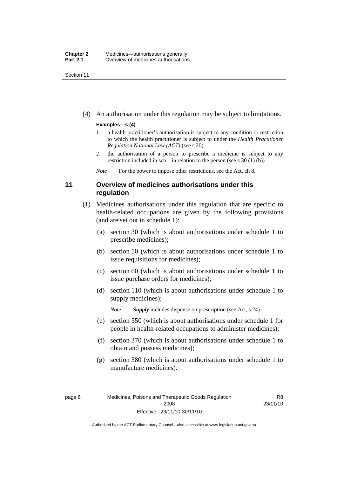<span id="page-29-0"></span>Section 11

(4) An authorisation under this regulation may be subject to limitations.

#### **Examples—s (4)**

- 1 a health practitioner's authorisation is subject to any condition or restriction to which the health practitioner is subject to under the *Health Practitioner Regulation National Law (ACT)* (see s 20)
- 2 the authorisation of a person to prescribe a medicine is subject to any restriction included in sch 1 in relation to the person (see s 30 (1) (b))

*Note* For the power to impose other restrictions, see the Act, ch 8.

#### **11 Overview of medicines authorisations under this regulation**

- (1) Medicines authorisations under this regulation that are specific to health-related occupations are given by the following provisions (and are set out in schedule 1):
	- (a) section 30 (which is about authorisations under schedule 1 to prescribe medicines);
	- (b) section 50 (which is about authorisations under schedule 1 to issue requisitions for medicines);
	- (c) section 60 (which is about authorisations under schedule 1 to issue purchase orders for medicines);
	- (d) section 110 (which is about authorisations under schedule 1 to supply medicines);

*Note Supply* includes dispense on prescription (see Act, s 24).

- (e) section 350 (which is about authorisations under schedule 1 for people in health-related occupations to administer medicines);
- (f) section 370 (which is about authorisations under schedule 1 to obtain and possess medicines);
- (g) section 380 (which is about authorisations under schedule 1 to manufacture medicines).

R8 23/11/10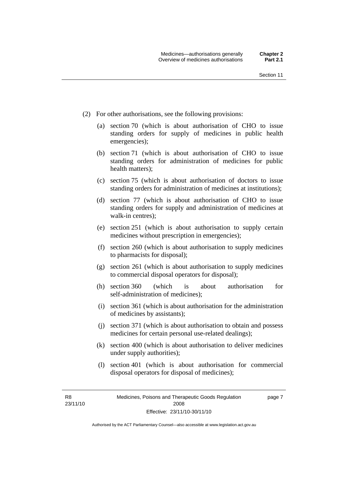- (2) For other authorisations, see the following provisions:
	- (a) section 70 (which is about authorisation of CHO to issue standing orders for supply of medicines in public health emergencies);
	- (b) section 71 (which is about authorisation of CHO to issue standing orders for administration of medicines for public health matters);
	- (c) section 75 (which is about authorisation of doctors to issue standing orders for administration of medicines at institutions);
	- (d) section 77 (which is about authorisation of CHO to issue standing orders for supply and administration of medicines at walk-in centres);
	- (e) section 251 (which is about authorisation to supply certain medicines without prescription in emergencies);
	- (f) section 260 (which is about authorisation to supply medicines to pharmacists for disposal);
	- (g) section 261 (which is about authorisation to supply medicines to commercial disposal operators for disposal);
	- (h) section 360 (which is about authorisation for self-administration of medicines);
	- (i) section 361 (which is about authorisation for the administration of medicines by assistants);
	- (j) section 371 (which is about authorisation to obtain and possess medicines for certain personal use-related dealings);
	- (k) section 400 (which is about authorisation to deliver medicines under supply authorities);
	- (l) section 401 (which is about authorisation for commercial disposal operators for disposal of medicines);

R8 23/11/10 page 7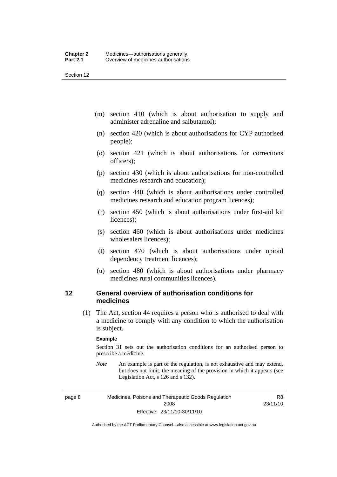<span id="page-31-0"></span>Section 12

- (m) section 410 (which is about authorisation to supply and administer adrenaline and salbutamol);
- (n) section 420 (which is about authorisations for CYP authorised people);
- (o) section 421 (which is about authorisations for corrections officers);
- (p) section 430 (which is about authorisations for non-controlled medicines research and education);
- (q) section 440 (which is about authorisations under controlled medicines research and education program licences);
- (r) section 450 (which is about authorisations under first-aid kit licences);
- (s) section 460 (which is about authorisations under medicines wholesalers licences);
- (t) section 470 (which is about authorisations under opioid dependency treatment licences);
- (u) section 480 (which is about authorisations under pharmacy medicines rural communities licences).

#### **12 General overview of authorisation conditions for medicines**

 (1) The Act, section 44 requires a person who is authorised to deal with a medicine to comply with any condition to which the authorisation is subject.

#### **Example**

Section 31 sets out the authorisation conditions for an authorised person to prescribe a medicine.

*Note* An example is part of the regulation, is not exhaustive and may extend, but does not limit, the meaning of the provision in which it appears (see Legislation Act, s 126 and s 132).

page 8 Medicines, Poisons and Therapeutic Goods Regulation 2008 Effective: 23/11/10-30/11/10

R8 23/11/10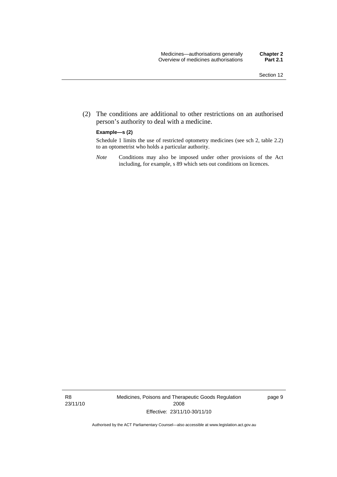(2) The conditions are additional to other restrictions on an authorised person's authority to deal with a medicine.

#### **Example—s (2)**

Schedule 1 limits the use of restricted optometry medicines (see sch 2, table 2.2) to an optometrist who holds a particular authority.

*Note* Conditions may also be imposed under other provisions of the Act including, for example, s 89 which sets out conditions on licences.

R8 23/11/10 Medicines, Poisons and Therapeutic Goods Regulation 2008 Effective: 23/11/10-30/11/10

page 9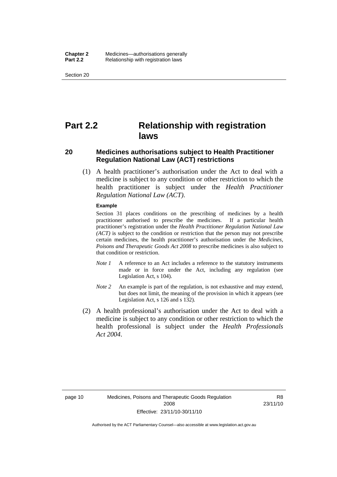<span id="page-33-0"></span>Section 20

# **Part 2.2 Relationship with registration laws**

#### **20 Medicines authorisations subject to Health Practitioner Regulation National Law (ACT) restrictions**

 (1) A health practitioner's authorisation under the Act to deal with a medicine is subject to any condition or other restriction to which the health practitioner is subject under the *Health Practitioner Regulation National Law (ACT)*.

#### **Example**

Section 31 places conditions on the prescribing of medicines by a health practitioner authorised to prescribe the medicines. If a particular health practitioner's registration under the *Health Practitioner Regulation National Law (ACT)* is subject to the condition or restriction that the person may not prescribe certain medicines, the health practitioner's authorisation under the *Medicines, Poisons and Therapeutic Goods Act 2008* to prescribe medicines is also subject to that condition or restriction.

- *Note 1* A reference to an Act includes a reference to the statutory instruments made or in force under the Act, including any regulation (see Legislation Act, s 104).
- *Note 2* An example is part of the regulation, is not exhaustive and may extend, but does not limit, the meaning of the provision in which it appears (see Legislation Act, s 126 and s 132).
- (2) A health professional's authorisation under the Act to deal with a medicine is subject to any condition or other restriction to which the health professional is subject under the *Health Professionals Act 2004*.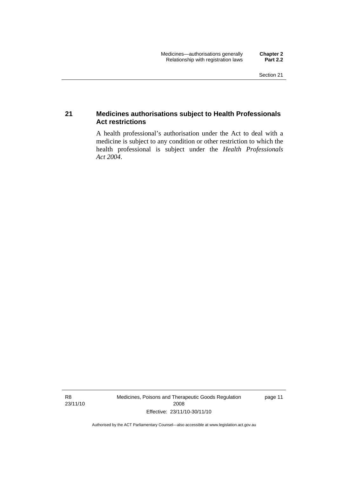#### <span id="page-34-0"></span>**21 Medicines authorisations subject to Health Professionals Act restrictions**

A health professional's authorisation under the Act to deal with a medicine is subject to any condition or other restriction to which the health professional is subject under the *Health Professionals Act 2004*.

R8 23/11/10 Medicines, Poisons and Therapeutic Goods Regulation 2008 Effective: 23/11/10-30/11/10

page 11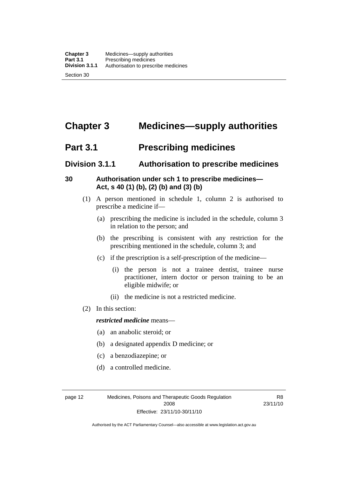# <span id="page-35-0"></span>**Chapter 3 Medicines—supply authorities**

### **Part 3.1 Prescribing medicines**

### **Division 3.1.1 Authorisation to prescribe medicines**

#### **30 Authorisation under sch 1 to prescribe medicines— Act, s 40 (1) (b), (2) (b) and (3) (b)**

- (1) A person mentioned in schedule 1, column 2 is authorised to prescribe a medicine if—
	- (a) prescribing the medicine is included in the schedule, column 3 in relation to the person; and
	- (b) the prescribing is consistent with any restriction for the prescribing mentioned in the schedule, column 3; and
	- (c) if the prescription is a self-prescription of the medicine—
		- (i) the person is not a trainee dentist, trainee nurse practitioner, intern doctor or person training to be an eligible midwife; or
		- (ii) the medicine is not a restricted medicine.
- (2) In this section:

#### *restricted medicine* means—

- (a) an anabolic steroid; or
- (b) a designated appendix D medicine; or
- (c) a benzodiazepine; or
- (d) a controlled medicine.

page 12 Medicines, Poisons and Therapeutic Goods Regulation 2008 Effective: 23/11/10-30/11/10

R8 23/11/10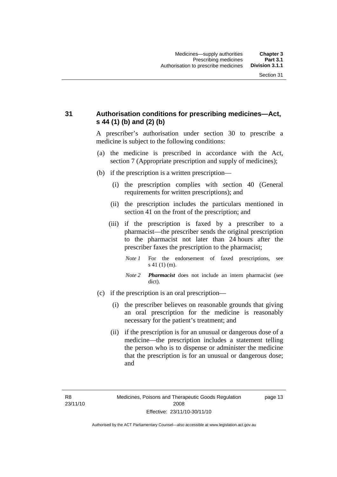## **31 Authorisation conditions for prescribing medicines—Act, s 44 (1) (b) and (2) (b)**

A prescriber's authorisation under section 30 to prescribe a medicine is subject to the following conditions:

- (a) the medicine is prescribed in accordance with the Act, section 7 (Appropriate prescription and supply of medicines);
- (b) if the prescription is a written prescription—
	- (i) the prescription complies with section 40 (General requirements for written prescriptions); and
	- (ii) the prescription includes the particulars mentioned in section 41 on the front of the prescription; and
	- (iii) if the prescription is faxed by a prescriber to a pharmacist—the prescriber sends the original prescription to the pharmacist not later than 24 hours after the prescriber faxes the prescription to the pharmacist;
		- *Note 1* For the endorsement of faxed prescriptions, see s 41 (1) (m).
		- *Note 2 Pharmacist* does not include an intern pharmacist (see dict).
- (c) if the prescription is an oral prescription—
	- (i) the prescriber believes on reasonable grounds that giving an oral prescription for the medicine is reasonably necessary for the patient's treatment; and
	- (ii) if the prescription is for an unusual or dangerous dose of a medicine—the prescription includes a statement telling the person who is to dispense or administer the medicine that the prescription is for an unusual or dangerous dose; and

page 13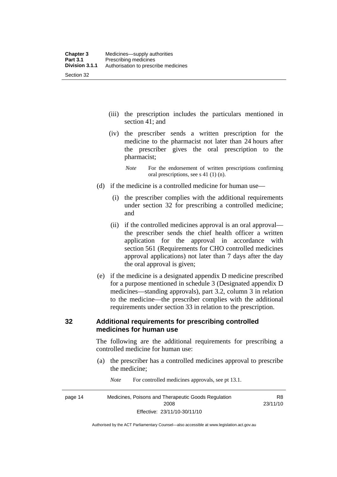- (iii) the prescription includes the particulars mentioned in section 41; and
- (iv) the prescriber sends a written prescription for the medicine to the pharmacist not later than 24 hours after the prescriber gives the oral prescription to the pharmacist;
	- *Note* For the endorsement of written prescriptions confirming oral prescriptions, see s 41 (1) (n).
- (d) if the medicine is a controlled medicine for human use—
	- (i) the prescriber complies with the additional requirements under section 32 for prescribing a controlled medicine; and
	- (ii) if the controlled medicines approval is an oral approval the prescriber sends the chief health officer a written application for the approval in accordance with section 561 (Requirements for CHO controlled medicines approval applications) not later than 7 days after the day the oral approval is given;
- (e) if the medicine is a designated appendix D medicine prescribed for a purpose mentioned in schedule 3 (Designated appendix D medicines—standing approvals), part 3.2, column 3 in relation to the medicine—the prescriber complies with the additional requirements under section 33 in relation to the prescription.

#### **32 Additional requirements for prescribing controlled medicines for human use**

The following are the additional requirements for prescribing a controlled medicine for human use:

- (a) the prescriber has a controlled medicines approval to prescribe the medicine;
- page 14 Medicines, Poisons and Therapeutic Goods Regulation 2008 Effective: 23/11/10-30/11/10 R8 23/11/10
- *Note* For controlled medicines approvals, see pt 13.1.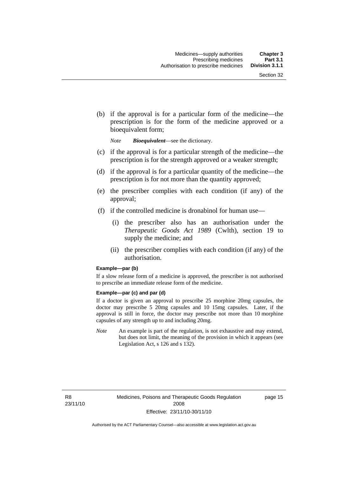(b) if the approval is for a particular form of the medicine—the prescription is for the form of the medicine approved or a bioequivalent form;

*Note Bioequivalent*—see the dictionary.

- (c) if the approval is for a particular strength of the medicine—the prescription is for the strength approved or a weaker strength;
- (d) if the approval is for a particular quantity of the medicine—the prescription is for not more than the quantity approved;
- (e) the prescriber complies with each condition (if any) of the approval;
- (f) if the controlled medicine is dronabinol for human use—
	- (i) the prescriber also has an authorisation under the *Therapeutic Goods Act 1989* (Cwlth), section 19 to supply the medicine; and
	- (ii) the prescriber complies with each condition (if any) of the authorisation.

#### **Example—par (b)**

If a slow release form of a medicine is approved, the prescriber is not authorised to prescribe an immediate release form of the medicine.

#### **Example—par (c) and par (d)**

If a doctor is given an approval to prescribe 25 morphine 20mg capsules, the doctor may prescribe 5 20mg capsules and 10 15mg capsules. Later, if the approval is still in force, the doctor may prescribe not more than 10 morphine capsules of any strength up to and including 20mg.

*Note* An example is part of the regulation, is not exhaustive and may extend, but does not limit, the meaning of the provision in which it appears (see Legislation Act, s 126 and s 132).

R8 23/11/10 page 15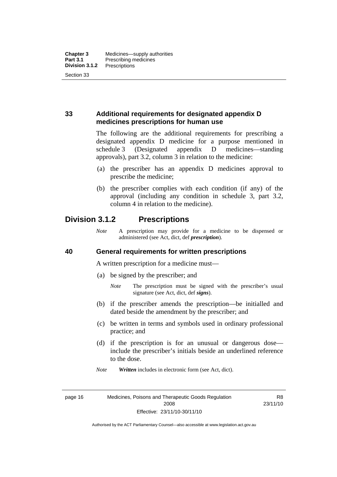## **33 Additional requirements for designated appendix D medicines prescriptions for human use**

The following are the additional requirements for prescribing a designated appendix D medicine for a purpose mentioned in schedule 3 (Designated appendix D medicines—standing approvals), part 3.2, column 3 in relation to the medicine:

- (a) the prescriber has an appendix D medicines approval to prescribe the medicine;
- (b) the prescriber complies with each condition (if any) of the approval (including any condition in schedule 3, part 3.2, column 4 in relation to the medicine).

## **Division 3.1.2 Prescriptions**

*Note* A prescription may provide for a medicine to be dispensed or administered (see Act, dict, def *prescription*).

#### **40 General requirements for written prescriptions**

A written prescription for a medicine must—

- (a) be signed by the prescriber; and
	- *Note* The prescription must be signed with the prescriber's usual signature (see Act, dict, def *signs*).
- (b) if the prescriber amends the prescription—be initialled and dated beside the amendment by the prescriber; and
- (c) be written in terms and symbols used in ordinary professional practice; and
- (d) if the prescription is for an unusual or dangerous dose include the prescriber's initials beside an underlined reference to the dose.
- *Note Written* includes in electronic form (see Act, dict).

page 16 Medicines, Poisons and Therapeutic Goods Regulation 2008 Effective: 23/11/10-30/11/10

R8 23/11/10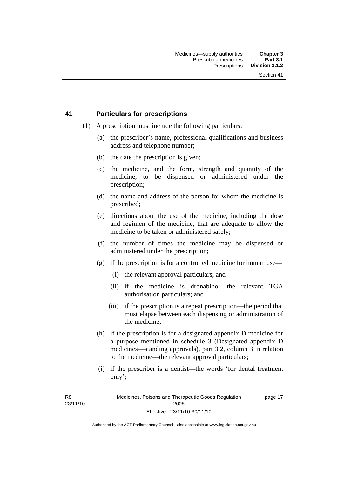#### **41 Particulars for prescriptions**

- (1) A prescription must include the following particulars:
	- (a) the prescriber's name, professional qualifications and business address and telephone number;
	- (b) the date the prescription is given;
	- (c) the medicine, and the form, strength and quantity of the medicine, to be dispensed or administered under the prescription;
	- (d) the name and address of the person for whom the medicine is prescribed;
	- (e) directions about the use of the medicine, including the dose and regimen of the medicine, that are adequate to allow the medicine to be taken or administered safely;
	- (f) the number of times the medicine may be dispensed or administered under the prescription;
	- (g) if the prescription is for a controlled medicine for human use—
		- (i) the relevant approval particulars; and
		- (ii) if the medicine is dronabinol—the relevant TGA authorisation particulars; and
		- (iii) if the prescription is a repeat prescription—the period that must elapse between each dispensing or administration of the medicine;
	- (h) if the prescription is for a designated appendix D medicine for a purpose mentioned in schedule 3 (Designated appendix D medicines—standing approvals), part 3.2, column 3 in relation to the medicine—the relevant approval particulars;
	- (i) if the prescriber is a dentist—the words 'for dental treatment only';

R8 23/11/10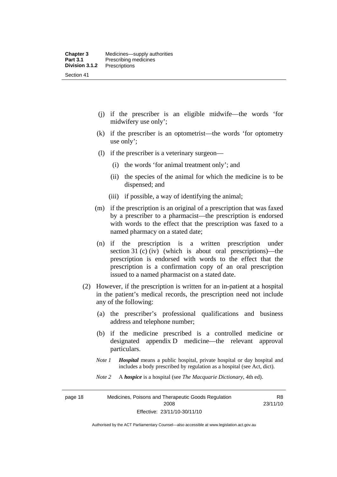- (j) if the prescriber is an eligible midwife—the words 'for midwifery use only';
- (k) if the prescriber is an optometrist—the words 'for optometry use only';
- (l) if the prescriber is a veterinary surgeon—
	- (i) the words 'for animal treatment only'; and
	- (ii) the species of the animal for which the medicine is to be dispensed; and
	- (iii) if possible, a way of identifying the animal;
- (m) if the prescription is an original of a prescription that was faxed by a prescriber to a pharmacist—the prescription is endorsed with words to the effect that the prescription was faxed to a named pharmacy on a stated date;
- (n) if the prescription is a written prescription under section 31 (c) (iv) (which is about oral prescriptions)—the prescription is endorsed with words to the effect that the prescription is a confirmation copy of an oral prescription issued to a named pharmacist on a stated date.
- (2) However, if the prescription is written for an in-patient at a hospital in the patient's medical records, the prescription need not include any of the following:
	- (a) the prescriber's professional qualifications and business address and telephone number;
	- (b) if the medicine prescribed is a controlled medicine or designated appendix D medicine—the relevant approval particulars.
	- *Note 1 Hospital* means a public hospital, private hospital or day hospital and includes a body prescribed by regulation as a hospital (see Act, dict).
	- *Note 2* A *hospice* is a hospital (see *The Macquarie Dictionary*, 4th ed).

page 18 Medicines, Poisons and Therapeutic Goods Regulation 2008 Effective: 23/11/10-30/11/10

R8 23/11/10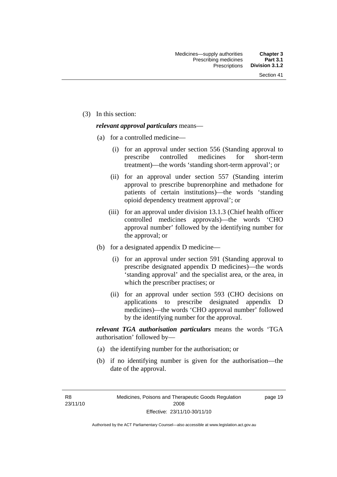(3) In this section:

#### *relevant approval particulars* means—

- (a) for a controlled medicine—
	- (i) for an approval under section 556 (Standing approval to prescribe controlled medicines for short-term treatment)—the words 'standing short-term approval'; or
	- (ii) for an approval under section 557 (Standing interim approval to prescribe buprenorphine and methadone for patients of certain institutions)—the words 'standing opioid dependency treatment approval'; or
	- (iii) for an approval under division 13.1.3 (Chief health officer controlled medicines approvals)—the words 'CHO approval number' followed by the identifying number for the approval; or
- (b) for a designated appendix D medicine—
	- (i) for an approval under section 591 (Standing approval to prescribe designated appendix D medicines)—the words 'standing approval' and the specialist area, or the area, in which the prescriber practises; or
	- (ii) for an approval under section 593 (CHO decisions on applications to prescribe designated appendix D medicines)—the words 'CHO approval number' followed by the identifying number for the approval.

*relevant TGA authorisation particulars* means the words 'TGA authorisation' followed by—

- (a) the identifying number for the authorisation; or
- (b) if no identifying number is given for the authorisation—the date of the approval.

R8 23/11/10 page 19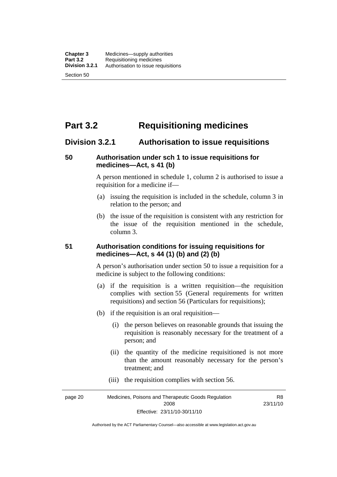# **Part 3.2 Requisitioning medicines**

#### **Division 3.2.1 Authorisation to issue requisitions**

#### **50 Authorisation under sch 1 to issue requisitions for medicines—Act, s 41 (b)**

A person mentioned in schedule 1, column 2 is authorised to issue a requisition for a medicine if—

- (a) issuing the requisition is included in the schedule, column 3 in relation to the person; and
- (b) the issue of the requisition is consistent with any restriction for the issue of the requisition mentioned in the schedule, column 3.

#### **51 Authorisation conditions for issuing requisitions for medicines—Act, s 44 (1) (b) and (2) (b)**

A person's authorisation under section 50 to issue a requisition for a medicine is subject to the following conditions:

- (a) if the requisition is a written requisition—the requisition complies with section 55 (General requirements for written requisitions) and section 56 (Particulars for requisitions);
- (b) if the requisition is an oral requisition—
	- (i) the person believes on reasonable grounds that issuing the requisition is reasonably necessary for the treatment of a person; and
	- (ii) the quantity of the medicine requisitioned is not more than the amount reasonably necessary for the person's treatment; and
	- (iii) the requisition complies with section 56.

page 20 Medicines, Poisons and Therapeutic Goods Regulation 2008 Effective: 23/11/10-30/11/10 R8 23/11/10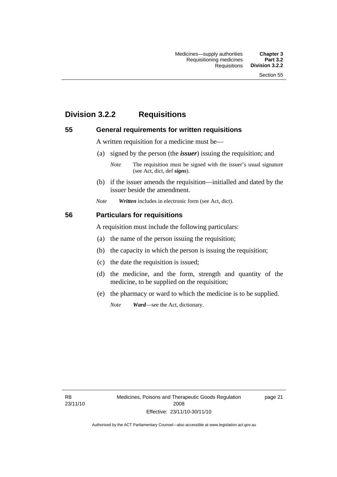# **Division 3.2.2 Requisitions**

#### **55 General requirements for written requisitions**

A written requisition for a medicine must be—

(a) signed by the person (the *issuer*) issuing the requisition; and

 (b) if the issuer amends the requisition—initialled and dated by the issuer beside the amendment.

*Note Written* includes in electronic form (see Act, dict).

#### **56 Particulars for requisitions**

A requisition must include the following particulars:

- (a) the name of the person issuing the requisition;
- (b) the capacity in which the person is issuing the requisition;
- (c) the date the requisition is issued;
- (d) the medicine, and the form, strength and quantity of the medicine, to be supplied on the requisition;
- (e) the pharmacy or ward to which the medicine is to be supplied.

*Note Ward*—see the Act, dictionary.

R8 23/11/10 page 21

*Note* The requisition must be signed with the issuer's usual signature (see Act, dict, def *signs*).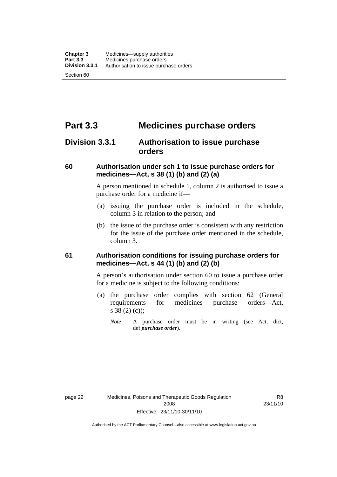# **Part 3.3 Medicines purchase orders**

## **Division 3.3.1 Authorisation to issue purchase orders**

#### **60 Authorisation under sch 1 to issue purchase orders for medicines—Act, s 38 (1) (b) and (2) (a)**

A person mentioned in schedule 1, column 2 is authorised to issue a purchase order for a medicine if—

- (a) issuing the purchase order is included in the schedule, column 3 in relation to the person; and
- (b) the issue of the purchase order is consistent with any restriction for the issue of the purchase order mentioned in the schedule, column 3.

#### **61 Authorisation conditions for issuing purchase orders for medicines—Act, s 44 (1) (b) and (2) (b)**

A person's authorisation under section 60 to issue a purchase order for a medicine is subject to the following conditions:

- (a) the purchase order complies with section 62 (General requirements for medicines purchase orders—Act, s 38 (2) (c));
	- *Note* A purchase order must be in writing (see Act, dict, def *purchase order*).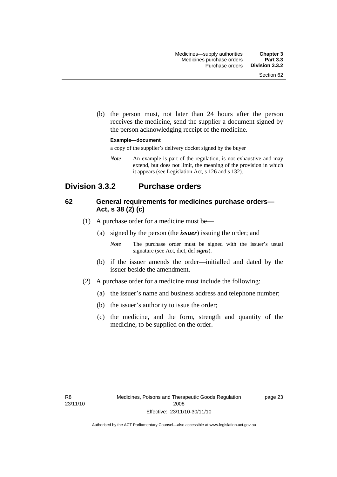(b) the person must, not later than 24 hours after the person receives the medicine, send the supplier a document signed by the person acknowledging receipt of the medicine.

#### **Example—document**

a copy of the supplier's delivery docket signed by the buyer

*Note* An example is part of the regulation, is not exhaustive and may extend, but does not limit, the meaning of the provision in which it appears (see Legislation Act, s 126 and s 132).

## **Division 3.3.2 Purchase orders**

#### **62 General requirements for medicines purchase orders— Act, s 38 (2) (c)**

- (1) A purchase order for a medicine must be—
	- (a) signed by the person (the *issuer*) issuing the order; and
		- *Note* The purchase order must be signed with the issuer's usual signature (see Act, dict, def *signs*).
	- (b) if the issuer amends the order—initialled and dated by the issuer beside the amendment.
- (2) A purchase order for a medicine must include the following:
	- (a) the issuer's name and business address and telephone number;
	- (b) the issuer's authority to issue the order;
	- (c) the medicine, and the form, strength and quantity of the medicine, to be supplied on the order.

page 23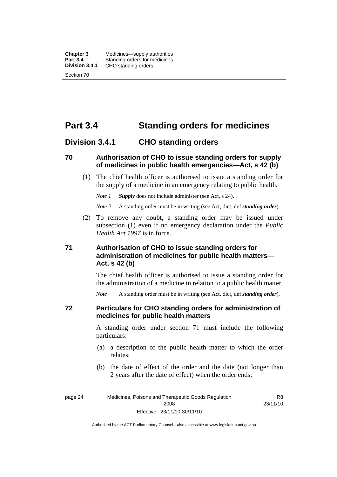**Chapter 3** Medicines—supply authorities<br>**Part 3.4** Standing orders for medicines **Part 3.4** Standing orders for medicines<br>**Division 3.4.1** CHO standing orders **Division 3.4.1** CHO standing orders Section 70

# **Part 3.4 Standing orders for medicines**

#### **Division 3.4.1 CHO standing orders**

#### **70 Authorisation of CHO to issue standing orders for supply of medicines in public health emergencies—Act, s 42 (b)**

 (1) The chief health officer is authorised to issue a standing order for the supply of a medicine in an emergency relating to public health.

*Note 1 Supply* does not include administer (see Act, s 24).

*Note 2* A standing order must be in writing (see Act, dict, def *standing order*).

 (2) To remove any doubt, a standing order may be issued under subsection (1) even if no emergency declaration under the *Public Health Act 1997* is in force.

#### **71 Authorisation of CHO to issue standing orders for administration of medicines for public health matters— Act, s 42 (b)**

The chief health officer is authorised to issue a standing order for the administration of a medicine in relation to a public health matter.

*Note* A standing order must be in writing (see Act, dict, def *standing order*).

#### **72 Particulars for CHO standing orders for administration of medicines for public health matters**

A standing order under section 71 must include the following particulars:

- (a) a description of the public health matter to which the order relates;
- (b) the date of effect of the order and the date (not longer than 2 years after the date of effect) when the order ends;

R8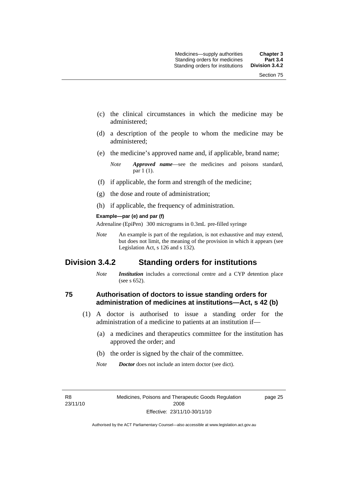- (c) the clinical circumstances in which the medicine may be administered;
- (d) a description of the people to whom the medicine may be administered;
- (e) the medicine's approved name and, if applicable, brand name;

- (f) if applicable, the form and strength of the medicine;
- (g) the dose and route of administration;
- (h) if applicable, the frequency of administration.

#### **Example—par (e) and par (f)**

Adrenaline (EpiPen) 300 micrograms in 0.3mL pre-filled syringe

*Note* An example is part of the regulation, is not exhaustive and may extend, but does not limit, the meaning of the provision in which it appears (see Legislation Act, s 126 and s 132).

## **Division 3.4.2 Standing orders for institutions**

*Note Institution* includes a correctional centre and a CYP detention place (see s 652).

#### **75 Authorisation of doctors to issue standing orders for administration of medicines at institutions—Act, s 42 (b)**

- (1) A doctor is authorised to issue a standing order for the administration of a medicine to patients at an institution if—
	- (a) a medicines and therapeutics committee for the institution has approved the order; and
	- (b) the order is signed by the chair of the committee.
	- *Note Doctor* does not include an intern doctor (see dict).

R8 23/11/10 page 25

*Note Approved name*—see the medicines and poisons standard, par 1 (1).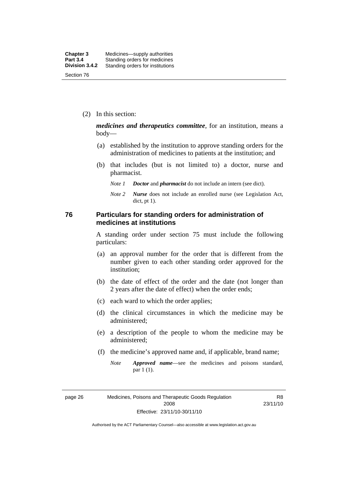(2) In this section:

*medicines and therapeutics committee*, for an institution, means a body—

- (a) established by the institution to approve standing orders for the administration of medicines to patients at the institution; and
- (b) that includes (but is not limited to) a doctor, nurse and pharmacist.
	- *Note 1 Doctor* and *pharmacist* do not include an intern (see dict).
	- *Note 2 Nurse* does not include an enrolled nurse (see Legislation Act, dict, pt 1).

#### **76 Particulars for standing orders for administration of medicines at institutions**

A standing order under section 75 must include the following particulars:

- (a) an approval number for the order that is different from the number given to each other standing order approved for the institution;
- (b) the date of effect of the order and the date (not longer than 2 years after the date of effect) when the order ends;
- (c) each ward to which the order applies;
- (d) the clinical circumstances in which the medicine may be administered;
- (e) a description of the people to whom the medicine may be administered;
- (f) the medicine's approved name and, if applicable, brand name;
	- *Note Approved name*—see the medicines and poisons standard, par 1 (1).

page 26 Medicines, Poisons and Therapeutic Goods Regulation 2008 Effective: 23/11/10-30/11/10

R8 23/11/10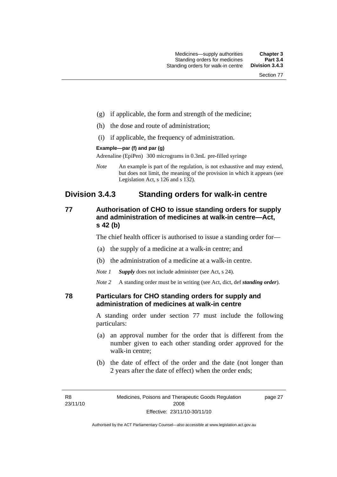- (g) if applicable, the form and strength of the medicine;
- (h) the dose and route of administration;
- (i) if applicable, the frequency of administration.

#### **Example—par (f) and par (g)**

Adrenaline (EpiPen) 300 micrograms in 0.3mL pre-filled syringe

*Note* An example is part of the regulation, is not exhaustive and may extend, but does not limit, the meaning of the provision in which it appears (see Legislation Act, s 126 and s 132).

## **Division 3.4.3 Standing orders for walk-in centre**

#### **77 Authorisation of CHO to issue standing orders for supply and administration of medicines at walk-in centre—Act, s 42 (b)**

The chief health officer is authorised to issue a standing order for—

- (a) the supply of a medicine at a walk-in centre; and
- (b) the administration of a medicine at a walk-in centre.

*Note 1 Supply* does not include administer (see Act, s 24).

*Note 2* A standing order must be in writing (see Act, dict, def *standing order*).

#### **78 Particulars for CHO standing orders for supply and administration of medicines at walk-in centre**

A standing order under section 77 must include the following particulars:

- (a) an approval number for the order that is different from the number given to each other standing order approved for the walk-in centre;
- (b) the date of effect of the order and the date (not longer than 2 years after the date of effect) when the order ends;

page 27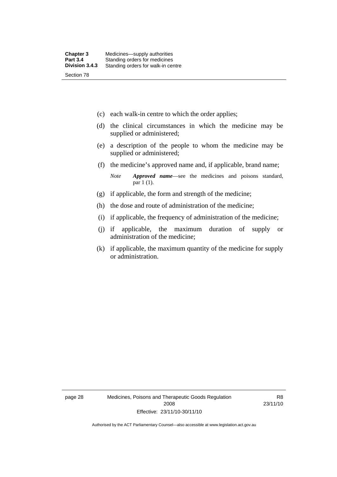- (c) each walk-in centre to which the order applies;
- (d) the clinical circumstances in which the medicine may be supplied or administered;
- (e) a description of the people to whom the medicine may be supplied or administered;
- (f) the medicine's approved name and, if applicable, brand name;

*Note Approved name*—see the medicines and poisons standard, par 1 (1).

- (g) if applicable, the form and strength of the medicine;
- (h) the dose and route of administration of the medicine;
- (i) if applicable, the frequency of administration of the medicine;
- (j) if applicable, the maximum duration of supply or administration of the medicine;
- (k) if applicable, the maximum quantity of the medicine for supply or administration.

page 28 Medicines, Poisons and Therapeutic Goods Regulation 2008 Effective: 23/11/10-30/11/10

R8 23/11/10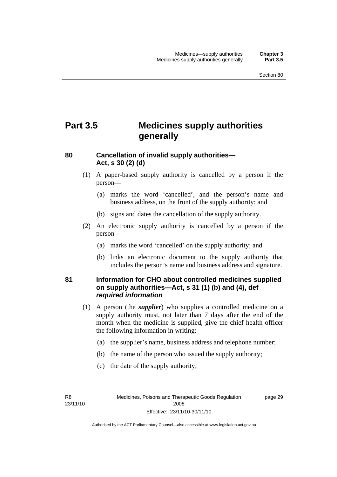# **Part 3.5 Medicines supply authorities generally**

#### **80 Cancellation of invalid supply authorities— Act, s 30 (2) (d)**

- (1) A paper-based supply authority is cancelled by a person if the person—
	- (a) marks the word 'cancelled', and the person's name and business address, on the front of the supply authority; and
	- (b) signs and dates the cancellation of the supply authority.
- (2) An electronic supply authority is cancelled by a person if the person—
	- (a) marks the word 'cancelled' on the supply authority; and
	- (b) links an electronic document to the supply authority that includes the person's name and business address and signature.

#### **81 Information for CHO about controlled medicines supplied on supply authorities—Act, s 31 (1) (b) and (4), def**  *required information*

- (1) A person (the *supplier*) who supplies a controlled medicine on a supply authority must, not later than 7 days after the end of the month when the medicine is supplied, give the chief health officer the following information in writing:
	- (a) the supplier's name, business address and telephone number;
	- (b) the name of the person who issued the supply authority;
	- (c) the date of the supply authority;

R8 23/11/10 page 29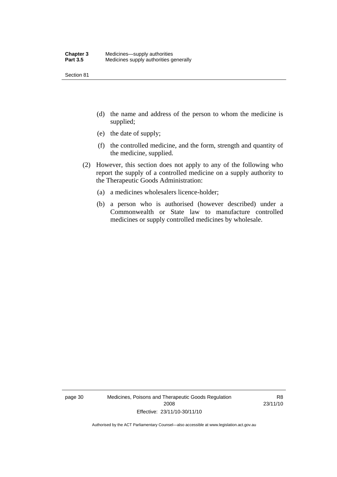Section 81

- (d) the name and address of the person to whom the medicine is supplied;
- (e) the date of supply;
- (f) the controlled medicine, and the form, strength and quantity of the medicine, supplied.
- (2) However, this section does not apply to any of the following who report the supply of a controlled medicine on a supply authority to the Therapeutic Goods Administration:
	- (a) a medicines wholesalers licence-holder;
	- (b) a person who is authorised (however described) under a Commonwealth or State law to manufacture controlled medicines or supply controlled medicines by wholesale.

page 30 Medicines, Poisons and Therapeutic Goods Regulation 2008 Effective: 23/11/10-30/11/10

R8 23/11/10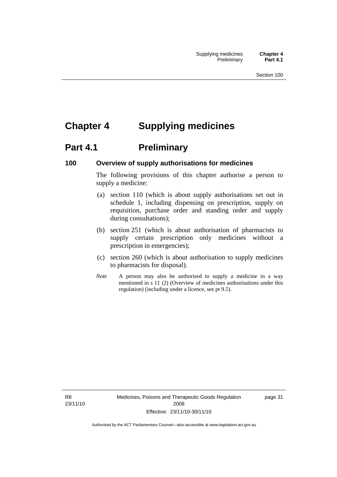# **Chapter 4 Supplying medicines**

# **Part 4.1** Preliminary

#### **100 Overview of supply authorisations for medicines**

The following provisions of this chapter authorise a person to supply a medicine:

- (a) section 110 (which is about supply authorisations set out in schedule 1, including dispensing on prescription, supply on requisition, purchase order and standing order and supply during consultations);
- (b) section 251 (which is about authorisation of pharmacists to supply certain prescription only medicines without a prescription in emergencies);
- (c) section 260 (which is about authorisation to supply medicines to pharmacists for disposal).
- *Note* A person may also be authorised to supply a medicine in a way mentioned in s 11 (2) (Overview of medicines authorisations under this regulation) (including under a licence, see pt 9.5).

R8 23/11/10 page 31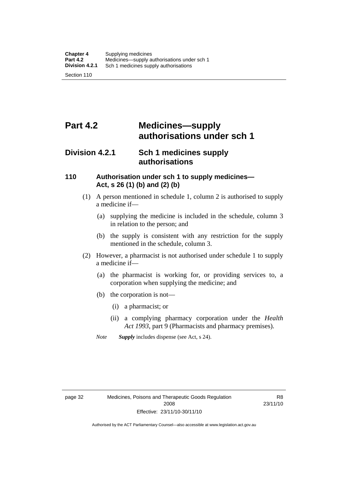# **Part 4.2 Medicines—supply authorisations under sch 1**

## **Division 4.2.1 Sch 1 medicines supply authorisations**

#### **110 Authorisation under sch 1 to supply medicines— Act, s 26 (1) (b) and (2) (b)**

- (1) A person mentioned in schedule 1, column 2 is authorised to supply a medicine if—
	- (a) supplying the medicine is included in the schedule, column 3 in relation to the person; and
	- (b) the supply is consistent with any restriction for the supply mentioned in the schedule, column 3.
- (2) However, a pharmacist is not authorised under schedule 1 to supply a medicine if—
	- (a) the pharmacist is working for, or providing services to, a corporation when supplying the medicine; and
	- (b) the corporation is not—
		- (i) a pharmacist; or
		- (ii) a complying pharmacy corporation under the *Health Act 1993*, part 9 (Pharmacists and pharmacy premises).
	- *Note Supply* includes dispense (see Act, s 24).

R8 23/11/10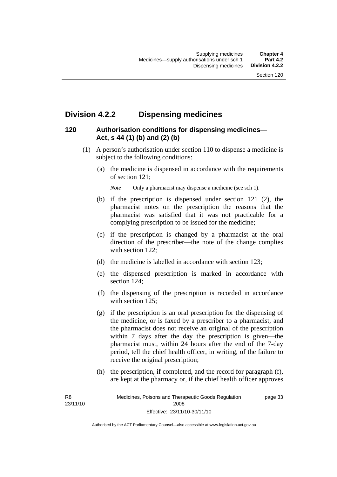# **Division 4.2.2 Dispensing medicines**

## **120 Authorisation conditions for dispensing medicines— Act, s 44 (1) (b) and (2) (b)**

- (1) A person's authorisation under section 110 to dispense a medicine is subject to the following conditions:
	- (a) the medicine is dispensed in accordance with the requirements of section 121;

*Note* Only a pharmacist may dispense a medicine (see sch 1).

- (b) if the prescription is dispensed under section 121 (2), the pharmacist notes on the prescription the reasons that the pharmacist was satisfied that it was not practicable for a complying prescription to be issued for the medicine;
- (c) if the prescription is changed by a pharmacist at the oral direction of the prescriber—the note of the change complies with section 122:
- (d) the medicine is labelled in accordance with section 123;
- (e) the dispensed prescription is marked in accordance with section 124;
- (f) the dispensing of the prescription is recorded in accordance with section 125:
- (g) if the prescription is an oral prescription for the dispensing of the medicine, or is faxed by a prescriber to a pharmacist, and the pharmacist does not receive an original of the prescription within 7 days after the day the prescription is given—the pharmacist must, within 24 hours after the end of the 7-day period, tell the chief health officer, in writing, of the failure to receive the original prescription;
- (h) the prescription, if completed, and the record for paragraph (f), are kept at the pharmacy or, if the chief health officer approves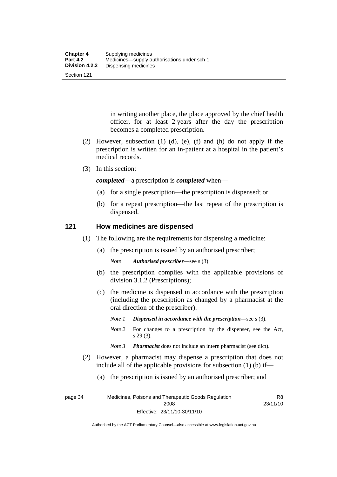Section 121

in writing another place, the place approved by the chief health officer, for at least 2 years after the day the prescription becomes a completed prescription.

- (2) However, subsection (1) (d), (e), (f) and (h) do not apply if the prescription is written for an in-patient at a hospital in the patient's medical records.
- (3) In this section:

*completed*—a prescription is *completed* when—

- (a) for a single prescription—the prescription is dispensed; or
- (b) for a repeat prescription—the last repeat of the prescription is dispensed.

#### **121 How medicines are dispensed**

- (1) The following are the requirements for dispensing a medicine:
	- (a) the prescription is issued by an authorised prescriber;

*Note Authorised prescriber*—see s (3).

- (b) the prescription complies with the applicable provisions of division 3.1.2 (Prescriptions);
- (c) the medicine is dispensed in accordance with the prescription (including the prescription as changed by a pharmacist at the oral direction of the prescriber).
	- *Note 1 Dispensed in accordance with the prescription*—see s (3).
	- *Note* 2 For changes to a prescription by the dispenser, see the Act, s 29 (3).
	- *Note 3 Pharmacist* does not include an intern pharmacist (see dict).
- (2) However, a pharmacist may dispense a prescription that does not include all of the applicable provisions for subsection (1) (b) if—
	- (a) the prescription is issued by an authorised prescriber; and

page 34 Medicines, Poisons and Therapeutic Goods Regulation 2008 Effective: 23/11/10-30/11/10 R8 23/11/10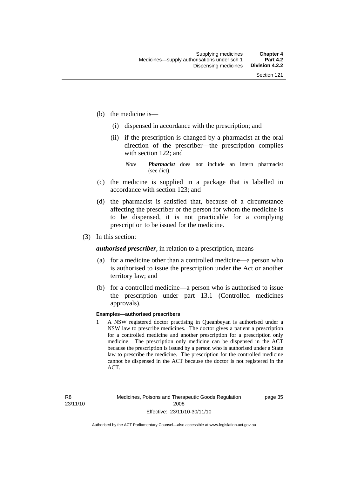- (b) the medicine is—
	- (i) dispensed in accordance with the prescription; and
	- (ii) if the prescription is changed by a pharmacist at the oral direction of the prescriber—the prescription complies with section 122; and

*Note Pharmacist* does not include an intern pharmacist (see dict).

- (c) the medicine is supplied in a package that is labelled in accordance with section 123; and
- (d) the pharmacist is satisfied that, because of a circumstance affecting the prescriber or the person for whom the medicine is to be dispensed, it is not practicable for a complying prescription to be issued for the medicine.
- (3) In this section:

*authorised prescriber*, in relation to a prescription, means—

- (a) for a medicine other than a controlled medicine—a person who is authorised to issue the prescription under the Act or another territory law; and
- (b) for a controlled medicine—a person who is authorised to issue the prescription under part 13.1 (Controlled medicines approvals).

#### **Examples—authorised prescribers**

1 A NSW registered doctor practising in Queanbeyan is authorised under a NSW law to prescribe medicines. The doctor gives a patient a prescription for a controlled medicine and another prescription for a prescription only medicine. The prescription only medicine can be dispensed in the ACT because the prescription is issued by a person who is authorised under a State law to prescribe the medicine. The prescription for the controlled medicine cannot be dispensed in the ACT because the doctor is not registered in the ACT.

page 35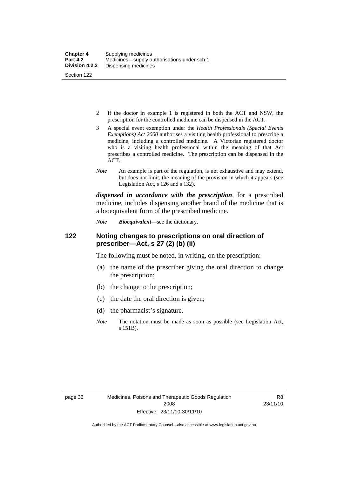- 2 If the doctor in example 1 is registered in both the ACT and NSW, the prescription for the controlled medicine can be dispensed in the ACT.
- 3 A special event exemption under the *Health Professionals (Special Events Exemptions) Act 2000* authorises a visiting health professional to prescribe a medicine, including a controlled medicine. A Victorian registered doctor who is a visiting health professional within the meaning of that Act prescribes a controlled medicine. The prescription can be dispensed in the ACT.
- *Note* An example is part of the regulation, is not exhaustive and may extend, but does not limit, the meaning of the provision in which it appears (see Legislation Act, s 126 and s 132).

*dispensed in accordance with the prescription*, for a prescribed medicine, includes dispensing another brand of the medicine that is a bioequivalent form of the prescribed medicine.

*Note Bioequivalent*—see the dictionary.

#### **122 Noting changes to prescriptions on oral direction of prescriber—Act, s 27 (2) (b) (ii)**

The following must be noted, in writing, on the prescription:

- (a) the name of the prescriber giving the oral direction to change the prescription;
- (b) the change to the prescription;
- (c) the date the oral direction is given;
- (d) the pharmacist's signature.
- *Note* The notation must be made as soon as possible (see Legislation Act, s 151B).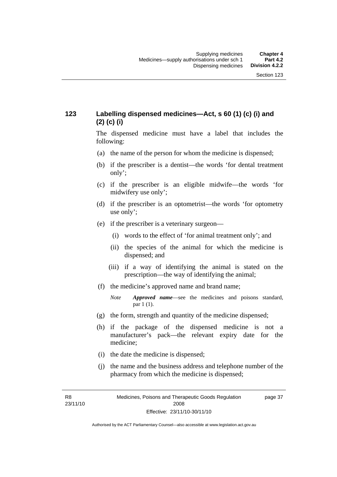## **123 Labelling dispensed medicines—Act, s 60 (1) (c) (i) and (2) (c) (i)**

The dispensed medicine must have a label that includes the following:

- (a) the name of the person for whom the medicine is dispensed;
- (b) if the prescriber is a dentist—the words 'for dental treatment only';
- (c) if the prescriber is an eligible midwife—the words 'for midwifery use only';
- (d) if the prescriber is an optometrist—the words 'for optometry use only';
- (e) if the prescriber is a veterinary surgeon—
	- (i) words to the effect of 'for animal treatment only'; and
	- (ii) the species of the animal for which the medicine is dispensed; and
	- (iii) if a way of identifying the animal is stated on the prescription—the way of identifying the animal;
- (f) the medicine's approved name and brand name;
	- *Note Approved name*—see the medicines and poisons standard, par 1 (1).
- (g) the form, strength and quantity of the medicine dispensed;
- (h) if the package of the dispensed medicine is not a manufacturer's pack—the relevant expiry date for the medicine;
- (i) the date the medicine is dispensed;
- (j) the name and the business address and telephone number of the pharmacy from which the medicine is dispensed;

R8 23/11/10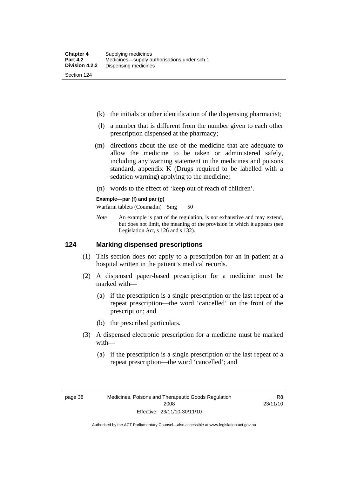- (k) the initials or other identification of the dispensing pharmacist;
- (l) a number that is different from the number given to each other prescription dispensed at the pharmacy;
- (m) directions about the use of the medicine that are adequate to allow the medicine to be taken or administered safely, including any warning statement in the medicines and poisons standard, appendix K (Drugs required to be labelled with a sedation warning) applying to the medicine;
- (n) words to the effect of 'keep out of reach of children'.

#### **Example—par (f) and par (g)**

Warfarin tablets (Coumadin) 5mg 50

*Note* An example is part of the regulation, is not exhaustive and may extend, but does not limit, the meaning of the provision in which it appears (see Legislation Act, s 126 and s 132).

#### **124 Marking dispensed prescriptions**

- (1) This section does not apply to a prescription for an in-patient at a hospital written in the patient's medical records.
- (2) A dispensed paper-based prescription for a medicine must be marked with—
	- (a) if the prescription is a single prescription or the last repeat of a repeat prescription—the word 'cancelled' on the front of the prescription; and
	- (b) the prescribed particulars.
- (3) A dispensed electronic prescription for a medicine must be marked with—
	- (a) if the prescription is a single prescription or the last repeat of a repeat prescription—the word 'cancelled'; and

R8 23/11/10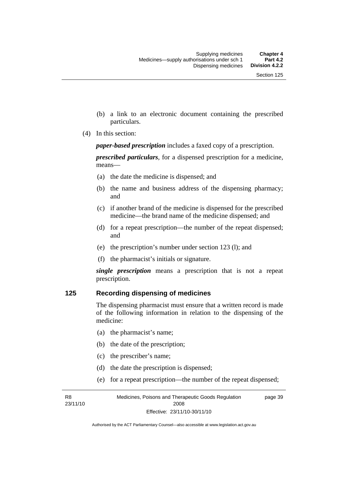- (b) a link to an electronic document containing the prescribed particulars.
- (4) In this section:

*paper-based prescription* includes a faxed copy of a prescription.

*prescribed particulars*, for a dispensed prescription for a medicine, means—

- (a) the date the medicine is dispensed; and
- (b) the name and business address of the dispensing pharmacy; and
- (c) if another brand of the medicine is dispensed for the prescribed medicine—the brand name of the medicine dispensed; and
- (d) for a repeat prescription—the number of the repeat dispensed; and
- (e) the prescription's number under section 123 (l); and
- (f) the pharmacist's initials or signature.

*single prescription* means a prescription that is not a repeat prescription.

#### **125 Recording dispensing of medicines**

The dispensing pharmacist must ensure that a written record is made of the following information in relation to the dispensing of the medicine:

- (a) the pharmacist's name;
- (b) the date of the prescription;
- (c) the prescriber's name;
- (d) the date the prescription is dispensed;
- (e) for a repeat prescription—the number of the repeat dispensed;

R8 23/11/10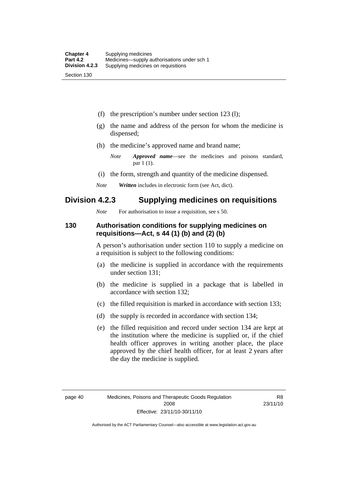(f) the prescription's number under section 123 (l);

- (g) the name and address of the person for whom the medicine is dispensed;
- (h) the medicine's approved name and brand name;
	- *Note Approved name*—see the medicines and poisons standard, par 1 (1).
- (i) the form, strength and quantity of the medicine dispensed.
- *Note Written* includes in electronic form (see Act, dict).

## **Division 4.2.3 Supplying medicines on requisitions**

*Note* For authorisation to issue a requisition, see s 50.

#### **130 Authorisation conditions for supplying medicines on requisitions—Act, s 44 (1) (b) and (2) (b)**

A person's authorisation under section 110 to supply a medicine on a requisition is subject to the following conditions:

- (a) the medicine is supplied in accordance with the requirements under section 131;
- (b) the medicine is supplied in a package that is labelled in accordance with section 132;
- (c) the filled requisition is marked in accordance with section 133;
- (d) the supply is recorded in accordance with section 134;
- (e) the filled requisition and record under section 134 are kept at the institution where the medicine is supplied or, if the chief health officer approves in writing another place, the place approved by the chief health officer, for at least 2 years after the day the medicine is supplied.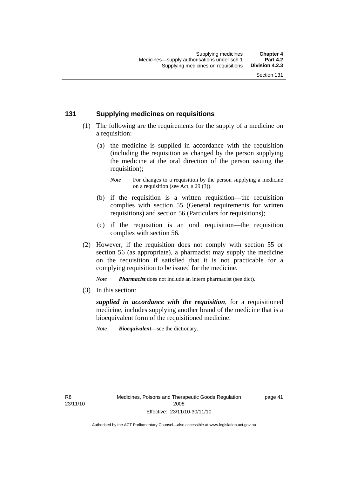## **131 Supplying medicines on requisitions**

- (1) The following are the requirements for the supply of a medicine on a requisition:
	- (a) the medicine is supplied in accordance with the requisition (including the requisition as changed by the person supplying the medicine at the oral direction of the person issuing the requisition);

- (b) if the requisition is a written requisition—the requisition complies with section 55 (General requirements for written requisitions) and section 56 (Particulars for requisitions);
- (c) if the requisition is an oral requisition—the requisition complies with section 56.
- (2) However, if the requisition does not comply with section 55 or section 56 (as appropriate), a pharmacist may supply the medicine on the requisition if satisfied that it is not practicable for a complying requisition to be issued for the medicine.

*Note Pharmacist* does not include an intern pharmacist (see dict).

(3) In this section:

*supplied in accordance with the requisition*, for a requisitioned medicine, includes supplying another brand of the medicine that is a bioequivalent form of the requisitioned medicine.

*Note Bioequivalent*—see the dictionary.

R8 23/11/10 page 41

*Note* For changes to a requisition by the person supplying a medicine on a requisition (see Act, s 29 (3)).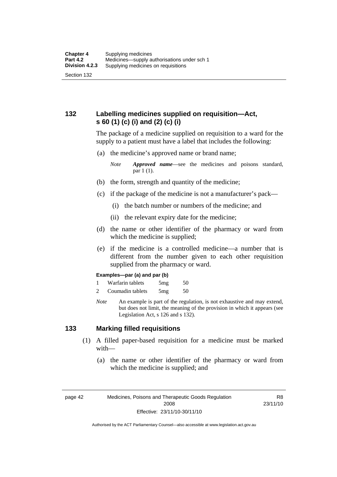## **132 Labelling medicines supplied on requisition—Act, s 60 (1) (c) (i) and (2) (c) (i)**

The package of a medicine supplied on requisition to a ward for the supply to a patient must have a label that includes the following:

(a) the medicine's approved name or brand name;

*Note Approved name*—see the medicines and poisons standard, par 1 (1).

- (b) the form, strength and quantity of the medicine;
- (c) if the package of the medicine is not a manufacturer's pack—
	- (i) the batch number or numbers of the medicine; and
	- (ii) the relevant expiry date for the medicine;
- (d) the name or other identifier of the pharmacy or ward from which the medicine is supplied;
- (e) if the medicine is a controlled medicine—a number that is different from the number given to each other requisition supplied from the pharmacy or ward.

#### **Examples—par (a) and par (b)**

- 1 Warfarin tablets 5mg 50
- 2 Coumadin tablets 5mg 50
- *Note* An example is part of the regulation, is not exhaustive and may extend, but does not limit, the meaning of the provision in which it appears (see Legislation Act, s 126 and s 132).

#### **133 Marking filled requisitions**

- (1) A filled paper-based requisition for a medicine must be marked with—
	- (a) the name or other identifier of the pharmacy or ward from which the medicine is supplied; and

page 42 Medicines, Poisons and Therapeutic Goods Regulation 2008 Effective: 23/11/10-30/11/10

R8 23/11/10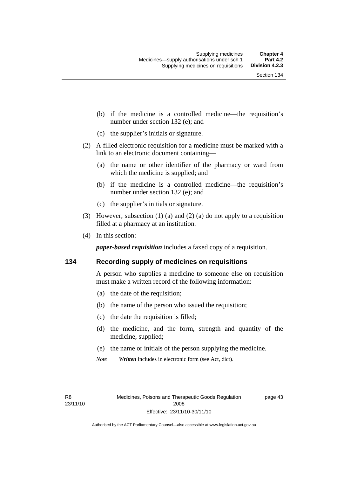- (b) if the medicine is a controlled medicine—the requisition's number under section 132 (e); and
- (c) the supplier's initials or signature.
- (2) A filled electronic requisition for a medicine must be marked with a link to an electronic document containing—
	- (a) the name or other identifier of the pharmacy or ward from which the medicine is supplied; and
	- (b) if the medicine is a controlled medicine—the requisition's number under section 132 (e); and
	- (c) the supplier's initials or signature.
- (3) However, subsection (1) (a) and (2) (a) do not apply to a requisition filled at a pharmacy at an institution.
- (4) In this section:

*paper-based requisition* includes a faxed copy of a requisition.

#### **134 Recording supply of medicines on requisitions**

A person who supplies a medicine to someone else on requisition must make a written record of the following information:

- (a) the date of the requisition;
- (b) the name of the person who issued the requisition;
- (c) the date the requisition is filled;
- (d) the medicine, and the form, strength and quantity of the medicine, supplied;
- (e) the name or initials of the person supplying the medicine.
- *Note Written* includes in electronic form (see Act, dict).

R8 23/11/10 page 43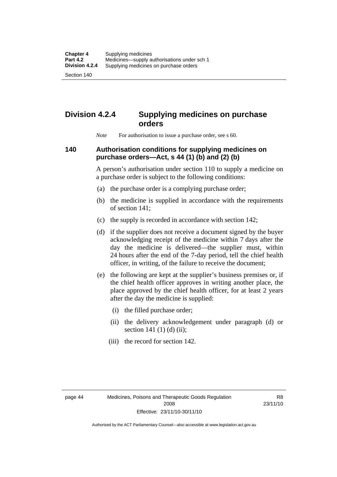Section 140

# **Division 4.2.4 Supplying medicines on purchase orders**

*Note* For authorisation to issue a purchase order, see s 60.

## **140 Authorisation conditions for supplying medicines on purchase orders—Act, s 44 (1) (b) and (2) (b)**

A person's authorisation under section 110 to supply a medicine on a purchase order is subject to the following conditions:

- (a) the purchase order is a complying purchase order;
- (b) the medicine is supplied in accordance with the requirements of section 141;
- (c) the supply is recorded in accordance with section 142;
- (d) if the supplier does not receive a document signed by the buyer acknowledging receipt of the medicine within 7 days after the day the medicine is delivered—the supplier must, within 24 hours after the end of the 7-day period, tell the chief health officer, in writing, of the failure to receive the document;
- (e) the following are kept at the supplier's business premises or, if the chief health officer approves in writing another place, the place approved by the chief health officer, for at least 2 years after the day the medicine is supplied:
	- (i) the filled purchase order;
	- (ii) the delivery acknowledgement under paragraph (d) or section 141 $(1)$  $(d)$  $(ii)$ ;
	- (iii) the record for section 142.

R8 23/11/10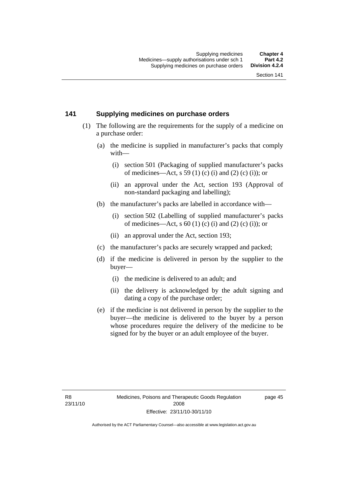#### **141 Supplying medicines on purchase orders**

- (1) The following are the requirements for the supply of a medicine on a purchase order:
	- (a) the medicine is supplied in manufacturer's packs that comply with—
		- (i) section 501 (Packaging of supplied manufacturer's packs of medicines—Act, s 59 (1) (c) (i) and (2) (c) (i)); or
		- (ii) an approval under the Act, section 193 (Approval of non-standard packaging and labelling);
	- (b) the manufacturer's packs are labelled in accordance with—
		- (i) section 502 (Labelling of supplied manufacturer's packs of medicines—Act, s  $60$  (1) (c) (i) and (2) (c) (i)); or
		- (ii) an approval under the Act, section 193;
	- (c) the manufacturer's packs are securely wrapped and packed;
	- (d) if the medicine is delivered in person by the supplier to the buyer—
		- (i) the medicine is delivered to an adult; and
		- (ii) the delivery is acknowledged by the adult signing and dating a copy of the purchase order;
	- (e) if the medicine is not delivered in person by the supplier to the buyer—the medicine is delivered to the buyer by a person whose procedures require the delivery of the medicine to be signed for by the buyer or an adult employee of the buyer.

page 45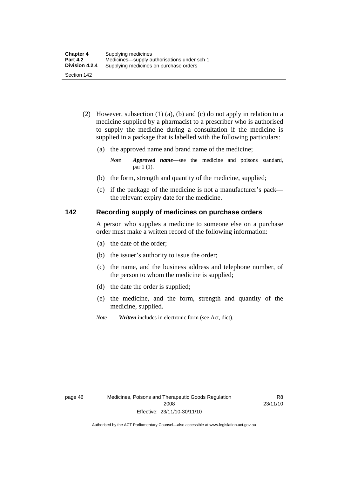- (2) However, subsection (1) (a), (b) and (c) do not apply in relation to a medicine supplied by a pharmacist to a prescriber who is authorised to supply the medicine during a consultation if the medicine is supplied in a package that is labelled with the following particulars:
	- (a) the approved name and brand name of the medicine;

*Note Approved name*—see the medicine and poisons standard, par 1 (1).

- (b) the form, strength and quantity of the medicine, supplied;
- (c) if the package of the medicine is not a manufacturer's pack the relevant expiry date for the medicine.

#### **142 Recording supply of medicines on purchase orders**

A person who supplies a medicine to someone else on a purchase order must make a written record of the following information:

- (a) the date of the order;
- (b) the issuer's authority to issue the order;
- (c) the name, and the business address and telephone number, of the person to whom the medicine is supplied;
- (d) the date the order is supplied;
- (e) the medicine, and the form, strength and quantity of the medicine, supplied.
- *Note Written* includes in electronic form (see Act, dict).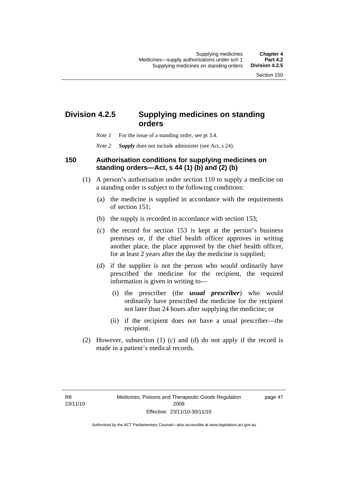# **Division 4.2.5 Supplying medicines on standing orders**

- *Note 1* For the issue of a standing order, see pt 3.4.
- *Note 2 Supply* does not include administer (see Act, s 24).

#### **150 Authorisation conditions for supplying medicines on standing orders—Act, s 44 (1) (b) and (2) (b)**

- (1) A person's authorisation under section 110 to supply a medicine on a standing order is subject to the following conditions:
	- (a) the medicine is supplied in accordance with the requirements of section 151;
	- (b) the supply is recorded in accordance with section 153;
	- (c) the record for section 153 is kept at the person's business premises or, if the chief health officer approves in writing another place, the place approved by the chief health officer, for at least 2 years after the day the medicine is supplied;
	- (d) if the supplier is not the person who would ordinarily have prescribed the medicine for the recipient, the required information is given in writing to—
		- (i) the prescriber (the *usual prescriber*) who would ordinarily have prescribed the medicine for the recipient not later than 24 hours after supplying the medicine; or
		- (ii) if the recipient does not have a usual prescriber—the recipient.
- (2) However, subsection (1) (c) and (d) do not apply if the record is made in a patient's medical records.

page 47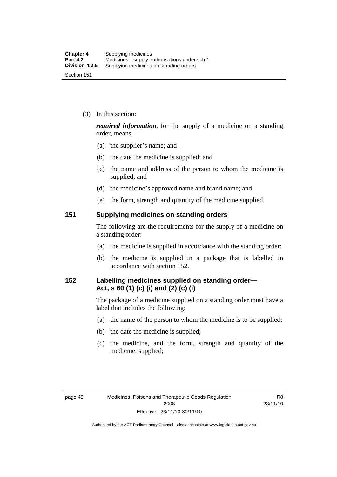(3) In this section:

*required information*, for the supply of a medicine on a standing order, means—

- (a) the supplier's name; and
- (b) the date the medicine is supplied; and
- (c) the name and address of the person to whom the medicine is supplied; and
- (d) the medicine's approved name and brand name; and
- (e) the form, strength and quantity of the medicine supplied.

#### **151 Supplying medicines on standing orders**

The following are the requirements for the supply of a medicine on a standing order:

- (a) the medicine is supplied in accordance with the standing order;
- (b) the medicine is supplied in a package that is labelled in accordance with section 152.

#### **152 Labelling medicines supplied on standing order— Act, s 60 (1) (c) (i) and (2) (c) (i)**

The package of a medicine supplied on a standing order must have a label that includes the following:

- (a) the name of the person to whom the medicine is to be supplied;
- (b) the date the medicine is supplied;
- (c) the medicine, and the form, strength and quantity of the medicine, supplied;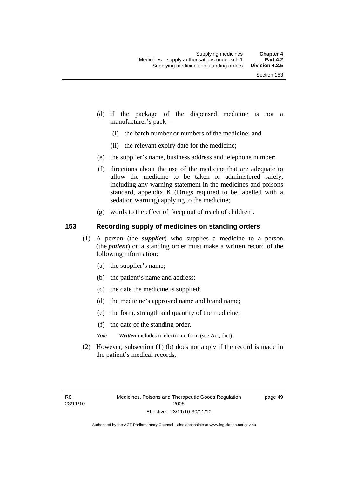- (d) if the package of the dispensed medicine is not a manufacturer's pack—
	- (i) the batch number or numbers of the medicine; and
	- (ii) the relevant expiry date for the medicine;
- (e) the supplier's name, business address and telephone number;
- (f) directions about the use of the medicine that are adequate to allow the medicine to be taken or administered safely, including any warning statement in the medicines and poisons standard, appendix K (Drugs required to be labelled with a sedation warning) applying to the medicine;
- (g) words to the effect of 'keep out of reach of children'.

### **153 Recording supply of medicines on standing orders**

- (1) A person (the *supplier*) who supplies a medicine to a person (the *patient*) on a standing order must make a written record of the following information:
	- (a) the supplier's name;
	- (b) the patient's name and address;
	- (c) the date the medicine is supplied;
	- (d) the medicine's approved name and brand name;
	- (e) the form, strength and quantity of the medicine;
	- (f) the date of the standing order.
	- *Note Written* includes in electronic form (see Act, dict).
- (2) However, subsection (1) (b) does not apply if the record is made in the patient's medical records.

page 49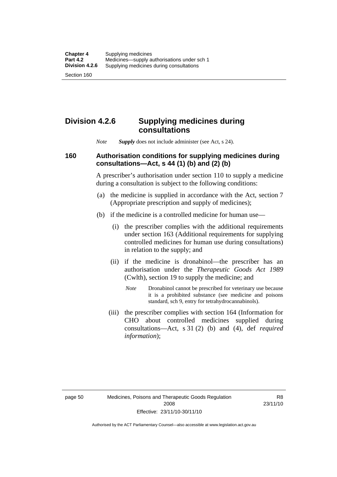### **Division 4.2.6 Supplying medicines during consultations**

*Note Supply* does not include administer (see Act, s 24).

### **160 Authorisation conditions for supplying medicines during consultations—Act, s 44 (1) (b) and (2) (b)**

A prescriber's authorisation under section 110 to supply a medicine during a consultation is subject to the following conditions:

- (a) the medicine is supplied in accordance with the Act, section 7 (Appropriate prescription and supply of medicines);
- (b) if the medicine is a controlled medicine for human use—
	- (i) the prescriber complies with the additional requirements under section 163 (Additional requirements for supplying controlled medicines for human use during consultations) in relation to the supply; and
	- (ii) if the medicine is dronabinol—the prescriber has an authorisation under the *Therapeutic Goods Act 1989* (Cwlth), section 19 to supply the medicine; and
		- *Note* Dronabinol cannot be prescribed for veterinary use because it is a prohibited substance (see medicine and poisons standard, sch 9, entry for tetrahydrocannabinols).
	- (iii) the prescriber complies with section 164 (Information for CHO about controlled medicines supplied during consultations—Act, s 31 (2) (b) and (4), def *required information*);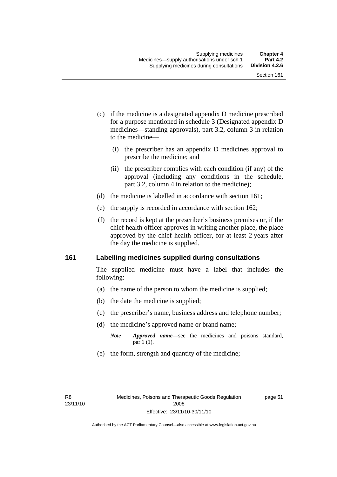- (c) if the medicine is a designated appendix D medicine prescribed for a purpose mentioned in schedule 3 (Designated appendix D medicines—standing approvals), part 3.2, column 3 in relation to the medicine—
	- (i) the prescriber has an appendix D medicines approval to prescribe the medicine; and
	- (ii) the prescriber complies with each condition (if any) of the approval (including any conditions in the schedule, part 3.2, column 4 in relation to the medicine);
- (d) the medicine is labelled in accordance with section 161;
- (e) the supply is recorded in accordance with section 162;
- (f) the record is kept at the prescriber's business premises or, if the chief health officer approves in writing another place, the place approved by the chief health officer, for at least 2 years after the day the medicine is supplied.

### **161 Labelling medicines supplied during consultations**

The supplied medicine must have a label that includes the following:

- (a) the name of the person to whom the medicine is supplied;
- (b) the date the medicine is supplied;
- (c) the prescriber's name, business address and telephone number;
- (d) the medicine's approved name or brand name;
	- *Note Approved name*—see the medicines and poisons standard, par 1 (1).
- (e) the form, strength and quantity of the medicine;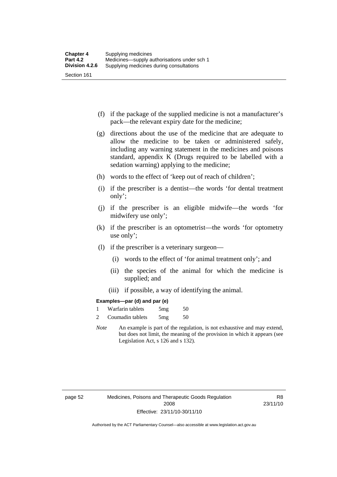- (f) if the package of the supplied medicine is not a manufacturer's pack—the relevant expiry date for the medicine;
- (g) directions about the use of the medicine that are adequate to allow the medicine to be taken or administered safely, including any warning statement in the medicines and poisons standard, appendix K (Drugs required to be labelled with a sedation warning) applying to the medicine;
- (h) words to the effect of 'keep out of reach of children';
- (i) if the prescriber is a dentist—the words 'for dental treatment only';
- (j) if the prescriber is an eligible midwife—the words 'for midwifery use only';
- (k) if the prescriber is an optometrist—the words 'for optometry use only';
- (l) if the prescriber is a veterinary surgeon—
	- (i) words to the effect of 'for animal treatment only'; and
	- (ii) the species of the animal for which the medicine is supplied; and
	- (iii) if possible, a way of identifying the animal.

#### **Examples—par (d) and par (e)**

| Warfarin tablets | 5mg | 50 |
|------------------|-----|----|
| Coumadin tablets | 5mg | 50 |

*Note* An example is part of the regulation, is not exhaustive and may extend, but does not limit, the meaning of the provision in which it appears (see Legislation Act, s 126 and s 132).

page 52 Medicines, Poisons and Therapeutic Goods Regulation 2008 Effective: 23/11/10-30/11/10

R8 23/11/10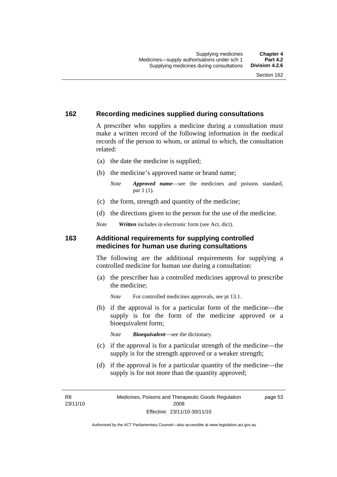### **162 Recording medicines supplied during consultations**

A prescriber who supplies a medicine during a consultation must make a written record of the following information in the medical records of the person to whom, or animal to which, the consultation related:

- (a) the date the medicine is supplied;
- (b) the medicine's approved name or brand name;

*Note Approved name*—see the medicines and poisons standard, par 1 (1).

- (c) the form, strength and quantity of the medicine;
- (d) the directions given to the person for the use of the medicine.

*Note Written* includes in electronic form (see Act, dict).

#### **163 Additional requirements for supplying controlled medicines for human use during consultations**

The following are the additional requirements for supplying a controlled medicine for human use during a consultation:

- (a) the prescriber has a controlled medicines approval to prescribe the medicine;
	- *Note* For controlled medicines approvals, see pt 13.1.
- (b) if the approval is for a particular form of the medicine—the supply is for the form of the medicine approved or a bioequivalent form;

*Note Bioequivalent*—see the dictionary.

- (c) if the approval is for a particular strength of the medicine—the supply is for the strength approved or a weaker strength;
- (d) if the approval is for a particular quantity of the medicine—the supply is for not more than the quantity approved;

R8 23/11/10 page 53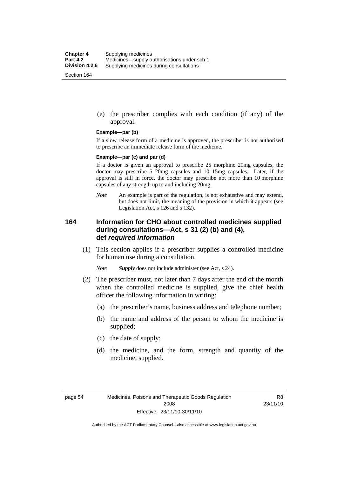(e) the prescriber complies with each condition (if any) of the approval.

#### **Example—par (b)**

If a slow release form of a medicine is approved, the prescriber is not authorised to prescribe an immediate release form of the medicine.

#### **Example—par (c) and par (d)**

If a doctor is given an approval to prescribe 25 morphine 20mg capsules, the doctor may prescribe 5 20mg capsules and 10 15mg capsules. Later, if the approval is still in force, the doctor may prescribe not more than 10 morphine capsules of any strength up to and including 20mg.

*Note* An example is part of the regulation, is not exhaustive and may extend, but does not limit, the meaning of the provision in which it appears (see Legislation Act, s 126 and s 132).

### **164 Information for CHO about controlled medicines supplied during consultations—Act, s 31 (2) (b) and (4), def** *required information*

 (1) This section applies if a prescriber supplies a controlled medicine for human use during a consultation.

*Note Supply* does not include administer (see Act, s 24).

- (2) The prescriber must, not later than 7 days after the end of the month when the controlled medicine is supplied, give the chief health officer the following information in writing:
	- (a) the prescriber's name, business address and telephone number;
	- (b) the name and address of the person to whom the medicine is supplied;
	- (c) the date of supply;
	- (d) the medicine, and the form, strength and quantity of the medicine, supplied.

R8 23/11/10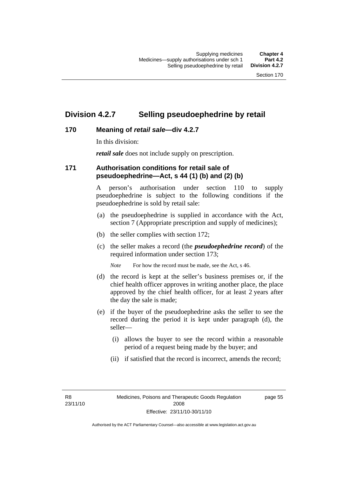### **Division 4.2.7 Selling pseudoephedrine by retail**

### **170 Meaning of** *retail sale***—div 4.2.7**

In this division:

*retail sale* does not include supply on prescription.

### **171 Authorisation conditions for retail sale of pseudoephedrine—Act, s 44 (1) (b) and (2) (b)**

A person's authorisation under section 110 to supply pseudoephedrine is subject to the following conditions if the pseudoephedrine is sold by retail sale:

- (a) the pseudoephedrine is supplied in accordance with the Act, section 7 (Appropriate prescription and supply of medicines);
- (b) the seller complies with section 172;
- (c) the seller makes a record (the *pseudoephedrine record*) of the required information under section 173;

*Note* For how the record must be made, see the Act, s 46.

- (d) the record is kept at the seller's business premises or, if the chief health officer approves in writing another place, the place approved by the chief health officer, for at least 2 years after the day the sale is made;
- (e) if the buyer of the pseudoephedrine asks the seller to see the record during the period it is kept under paragraph (d), the seller—
	- (i) allows the buyer to see the record within a reasonable period of a request being made by the buyer; and
	- (ii) if satisfied that the record is incorrect, amends the record;

R8 23/11/10 page 55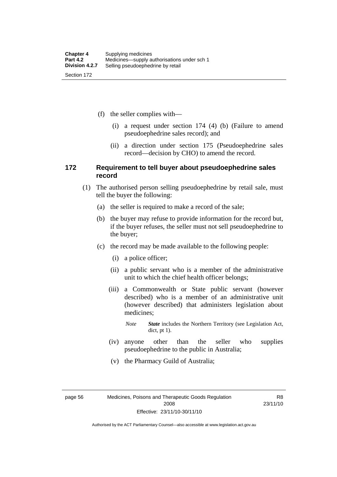(f) the seller complies with—

- (i) a request under section 174 (4) (b) (Failure to amend pseudoephedrine sales record); and
- (ii) a direction under section 175 (Pseudoephedrine sales record—decision by CHO) to amend the record.

### **172 Requirement to tell buyer about pseudoephedrine sales record**

- (1) The authorised person selling pseudoephedrine by retail sale, must tell the buyer the following:
	- (a) the seller is required to make a record of the sale;
	- (b) the buyer may refuse to provide information for the record but, if the buyer refuses, the seller must not sell pseudoephedrine to the buyer;
	- (c) the record may be made available to the following people:
		- (i) a police officer;
		- (ii) a public servant who is a member of the administrative unit to which the chief health officer belongs;
		- (iii) a Commonwealth or State public servant (however described) who is a member of an administrative unit (however described) that administers legislation about medicines;
			- *Note State* includes the Northern Territory (see Legislation Act, dict, pt 1).
		- (iv) anyone other than the seller who supplies pseudoephedrine to the public in Australia;
		- (v) the Pharmacy Guild of Australia;

page 56 Medicines, Poisons and Therapeutic Goods Regulation 2008 Effective: 23/11/10-30/11/10

R8 23/11/10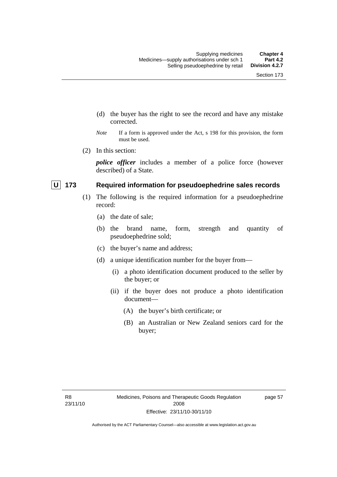- (d) the buyer has the right to see the record and have any mistake corrected.
- *Note* If a form is approved under the Act, s 198 for this provision, the form must be used.
- (2) In this section:

*police officer* includes a member of a police force (however described) of a State.

### **U** 173 Required information for pseudoephedrine sales records

- (1) The following is the required information for a pseudoephedrine record:
	- (a) the date of sale;
	- (b) the brand name, form, strength and quantity of pseudoephedrine sold;
	- (c) the buyer's name and address;
	- (d) a unique identification number for the buyer from—
		- (i) a photo identification document produced to the seller by the buyer; or
		- (ii) if the buyer does not produce a photo identification document—
			- (A) the buyer's birth certificate; or
			- (B) an Australian or New Zealand seniors card for the buyer;

page 57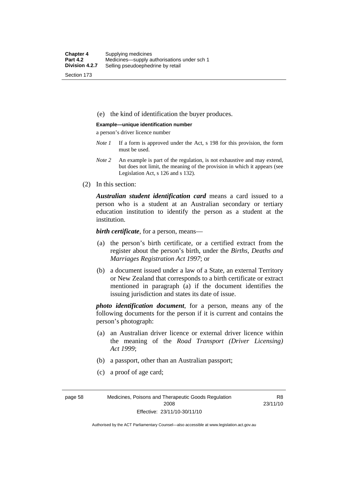(e) the kind of identification the buyer produces.

#### **Example—unique identification number**

a person's driver licence number

- *Note 1* If a form is approved under the Act, s 198 for this provision, the form must be used.
- *Note 2* An example is part of the regulation, is not exhaustive and may extend, but does not limit, the meaning of the provision in which it appears (see Legislation Act, s 126 and s 132).
- (2) In this section:

*Australian student identification card* means a card issued to a person who is a student at an Australian secondary or tertiary education institution to identify the person as a student at the institution.

*birth certificate*, for a person, means—

- (a) the person's birth certificate, or a certified extract from the register about the person's birth, under the *Births, Deaths and Marriages Registration Act 1997*; or
- (b) a document issued under a law of a State, an external Territory or New Zealand that corresponds to a birth certificate or extract mentioned in paragraph (a) if the document identifies the issuing jurisdiction and states its date of issue.

*photo identification document*, for a person, means any of the following documents for the person if it is current and contains the person's photograph:

- (a) an Australian driver licence or external driver licence within the meaning of the *Road Transport (Driver Licensing) Act 1999*;
- (b) a passport, other than an Australian passport;
- (c) a proof of age card;

page 58 Medicines, Poisons and Therapeutic Goods Regulation 2008 Effective: 23/11/10-30/11/10

R8 23/11/10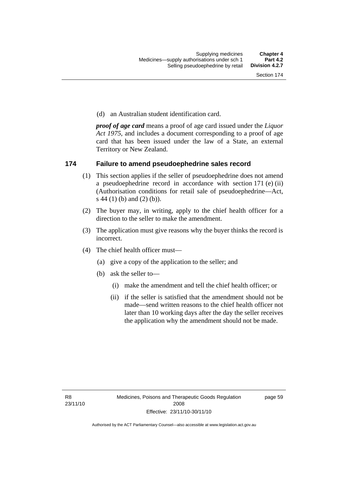(d) an Australian student identification card.

*proof of age card* means a proof of age card issued under the *Liquor Act 1975*, and includes a document corresponding to a proof of age card that has been issued under the law of a State, an external Territory or New Zealand.

### **174 Failure to amend pseudoephedrine sales record**

- (1) This section applies if the seller of pseudoephedrine does not amend a pseudoephedrine record in accordance with section 171 (e) (ii) (Authorisation conditions for retail sale of pseudoephedrine—Act, s 44 (1) (b) and (2) (b)).
- (2) The buyer may, in writing, apply to the chief health officer for a direction to the seller to make the amendment.
- (3) The application must give reasons why the buyer thinks the record is incorrect.
- (4) The chief health officer must—
	- (a) give a copy of the application to the seller; and
	- (b) ask the seller to—
		- (i) make the amendment and tell the chief health officer; or
		- (ii) if the seller is satisfied that the amendment should not be made—send written reasons to the chief health officer not later than 10 working days after the day the seller receives the application why the amendment should not be made.

page 59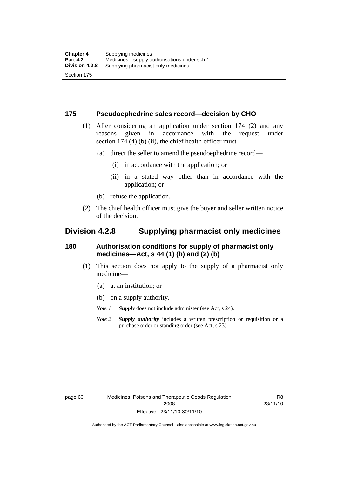### **175 Pseudoephedrine sales record—decision by CHO**

- (1) After considering an application under section 174 (2) and any reasons given in accordance with the request under section 174  $(4)$  (b)  $(ii)$ , the chief health officer must—
	- (a) direct the seller to amend the pseudoephedrine record—
		- (i) in accordance with the application; or
		- (ii) in a stated way other than in accordance with the application; or
	- (b) refuse the application.
- (2) The chief health officer must give the buyer and seller written notice of the decision.

### **Division 4.2.8 Supplying pharmacist only medicines**

### **180 Authorisation conditions for supply of pharmacist only medicines—Act, s 44 (1) (b) and (2) (b)**

- (1) This section does not apply to the supply of a pharmacist only medicine—
	- (a) at an institution; or
	- (b) on a supply authority.

*Note 1 Supply* does not include administer (see Act, s 24).

*Note 2 Supply authority* includes a written prescription or requisition or a purchase order or standing order (see Act, s 23).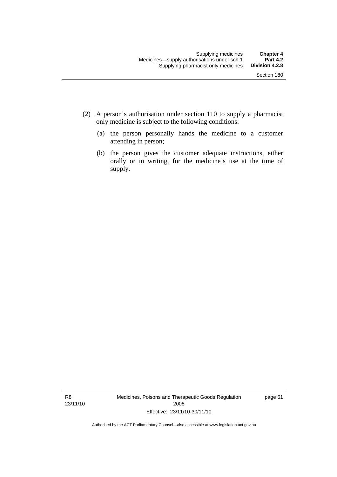- (2) A person's authorisation under section 110 to supply a pharmacist only medicine is subject to the following conditions:
	- (a) the person personally hands the medicine to a customer attending in person;
	- (b) the person gives the customer adequate instructions, either orally or in writing, for the medicine's use at the time of supply.

R8 23/11/10 Medicines, Poisons and Therapeutic Goods Regulation 2008 Effective: 23/11/10-30/11/10

page 61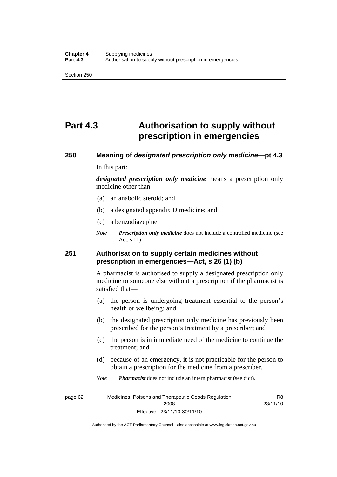# **Part 4.3 Authorisation to supply without prescription in emergencies**

# **250 Meaning of** *designated prescription only medicine***—pt 4.3**

In this part:

*designated prescription only medicine* means a prescription only medicine other than—

- (a) an anabolic steroid; and
- (b) a designated appendix D medicine; and
- (c) a benzodiazepine.
- *Note Prescription only medicine* does not include a controlled medicine (see Act, s 11)

### **251 Authorisation to supply certain medicines without prescription in emergencies—Act, s 26 (1) (b)**

A pharmacist is authorised to supply a designated prescription only medicine to someone else without a prescription if the pharmacist is satisfied that—

- (a) the person is undergoing treatment essential to the person's health or wellbeing; and
- (b) the designated prescription only medicine has previously been prescribed for the person's treatment by a prescriber; and
- (c) the person is in immediate need of the medicine to continue the treatment; and
- (d) because of an emergency, it is not practicable for the person to obtain a prescription for the medicine from a prescriber.
- *Note Pharmacist* does not include an intern pharmacist (see dict).

page 62 Medicines, Poisons and Therapeutic Goods Regulation 2008 Effective: 23/11/10-30/11/10 R8 23/11/10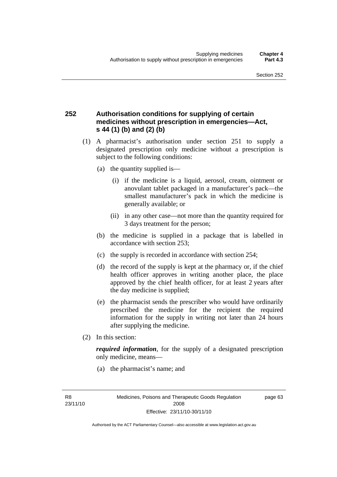### **252 Authorisation conditions for supplying of certain medicines without prescription in emergencies—Act, s 44 (1) (b) and (2) (b)**

- (1) A pharmacist's authorisation under section 251 to supply a designated prescription only medicine without a prescription is subject to the following conditions:
	- (a) the quantity supplied is—
		- (i) if the medicine is a liquid, aerosol, cream, ointment or anovulant tablet packaged in a manufacturer's pack—the smallest manufacturer's pack in which the medicine is generally available; or
		- (ii) in any other case—not more than the quantity required for 3 days treatment for the person;
	- (b) the medicine is supplied in a package that is labelled in accordance with section 253;
	- (c) the supply is recorded in accordance with section 254;
	- (d) the record of the supply is kept at the pharmacy or, if the chief health officer approves in writing another place, the place approved by the chief health officer, for at least 2 years after the day medicine is supplied;
	- (e) the pharmacist sends the prescriber who would have ordinarily prescribed the medicine for the recipient the required information for the supply in writing not later than 24 hours after supplying the medicine.
- (2) In this section:

*required information*, for the supply of a designated prescription only medicine, means—

(a) the pharmacist's name; and

page 63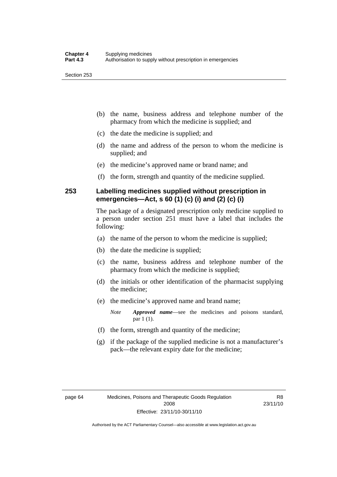- (b) the name, business address and telephone number of the pharmacy from which the medicine is supplied; and
- (c) the date the medicine is supplied; and
- (d) the name and address of the person to whom the medicine is supplied; and
- (e) the medicine's approved name or brand name; and
- (f) the form, strength and quantity of the medicine supplied.

### **253 Labelling medicines supplied without prescription in emergencies—Act, s 60 (1) (c) (i) and (2) (c) (i)**

The package of a designated prescription only medicine supplied to a person under section 251 must have a label that includes the following:

- (a) the name of the person to whom the medicine is supplied;
- (b) the date the medicine is supplied;
- (c) the name, business address and telephone number of the pharmacy from which the medicine is supplied;
- (d) the initials or other identification of the pharmacist supplying the medicine;
- (e) the medicine's approved name and brand name;

*Note Approved name*—see the medicines and poisons standard, par 1 (1).

- (f) the form, strength and quantity of the medicine;
- (g) if the package of the supplied medicine is not a manufacturer's pack—the relevant expiry date for the medicine;

R8 23/11/10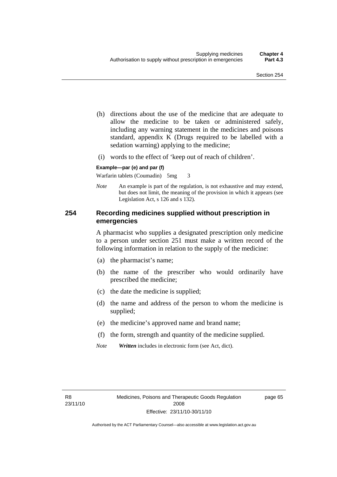- (h) directions about the use of the medicine that are adequate to allow the medicine to be taken or administered safely, including any warning statement in the medicines and poisons standard, appendix K (Drugs required to be labelled with a sedation warning) applying to the medicine;
- (i) words to the effect of 'keep out of reach of children'.

#### **Example—par (e) and par (f)**

Warfarin tablets (Coumadin) 5mg 3

*Note* An example is part of the regulation, is not exhaustive and may extend, but does not limit, the meaning of the provision in which it appears (see Legislation Act, s 126 and s 132).

### **254 Recording medicines supplied without prescription in emergencies**

A pharmacist who supplies a designated prescription only medicine to a person under section 251 must make a written record of the following information in relation to the supply of the medicine:

- (a) the pharmacist's name;
- (b) the name of the prescriber who would ordinarily have prescribed the medicine;
- (c) the date the medicine is supplied;
- (d) the name and address of the person to whom the medicine is supplied;
- (e) the medicine's approved name and brand name;
- (f) the form, strength and quantity of the medicine supplied.
- *Note Written* includes in electronic form (see Act, dict).

page 65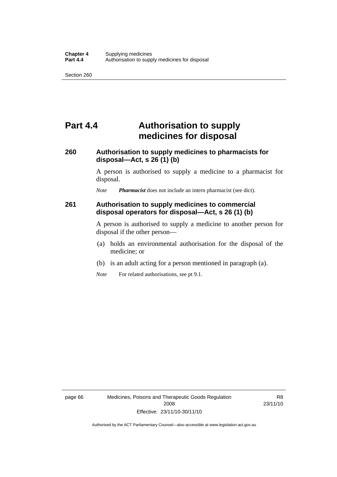# **Part 4.4 Authorisation to supply medicines for disposal**

### **260 Authorisation to supply medicines to pharmacists for disposal—Act, s 26 (1) (b)**

A person is authorised to supply a medicine to a pharmacist for disposal.

*Note Pharmacist* does not include an intern pharmacist (see dict).

### **261 Authorisation to supply medicines to commercial disposal operators for disposal—Act, s 26 (1) (b)**

A person is authorised to supply a medicine to another person for disposal if the other person—

- (a) holds an environmental authorisation for the disposal of the medicine; or
- (b) is an adult acting for a person mentioned in paragraph (a).
- *Note* For related authorisations, see pt 9.1.

R8 23/11/10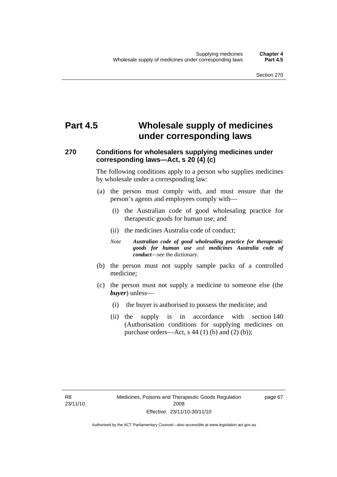# **Part 4.5 Wholesale supply of medicines under corresponding laws**

### **270 Conditions for wholesalers supplying medicines under corresponding laws—Act, s 20 (4) (c)**

The following conditions apply to a person who supplies medicines by wholesale under a corresponding law:

- (a) the person must comply with, and must ensure that the person's agents and employees comply with—
	- (i) the Australian code of good wholesaling practice for therapeutic goods for human use; and
	- (ii) the medicines Australia code of conduct;
	- *Note Australian code of good wholesaling practice for therapeutic goods for human use* and *medicines Australia code of conduct*—see the dictionary.
- (b) the person must not supply sample packs of a controlled medicine;
- (c) the person must not supply a medicine to someone else (the *buyer*) unless—
	- (i) the buyer is authorised to possess the medicine; and
	- (ii) the supply is in accordance with section 140 (Authorisation conditions for supplying medicines on purchase orders—Act, s  $44$  (1) (b) and (2) (b));

page 67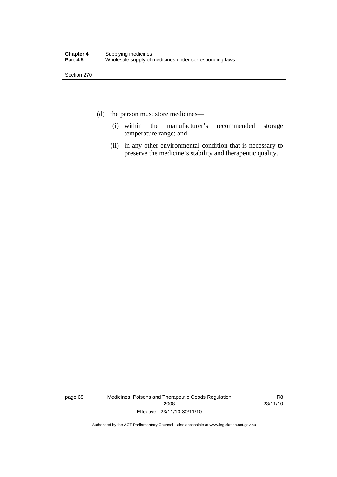- (d) the person must store medicines—
	- (i) within the manufacturer's recommended storage temperature range; and
	- (ii) in any other environmental condition that is necessary to preserve the medicine's stability and therapeutic quality.

page 68 Medicines, Poisons and Therapeutic Goods Regulation 2008 Effective: 23/11/10-30/11/10

R8 23/11/10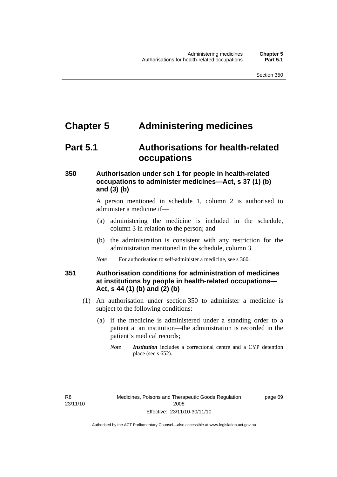## **Chapter 5 Administering medicines**

### **Part 5.1 Authorisations for health-related occupations**

### **350 Authorisation under sch 1 for people in health-related occupations to administer medicines—Act, s 37 (1) (b) and (3) (b)**

A person mentioned in schedule 1, column 2 is authorised to administer a medicine if—

- (a) administering the medicine is included in the schedule, column 3 in relation to the person; and
- (b) the administration is consistent with any restriction for the administration mentioned in the schedule, column 3.
- *Note* For authorisation to self-administer a medicine, see s 360.

### **351 Authorisation conditions for administration of medicines at institutions by people in health-related occupations— Act, s 44 (1) (b) and (2) (b)**

- (1) An authorisation under section 350 to administer a medicine is subject to the following conditions:
	- (a) if the medicine is administered under a standing order to a patient at an institution—the administration is recorded in the patient's medical records;
		- *Note Institution* includes a correctional centre and a CYP detention place (see s 652).

page 69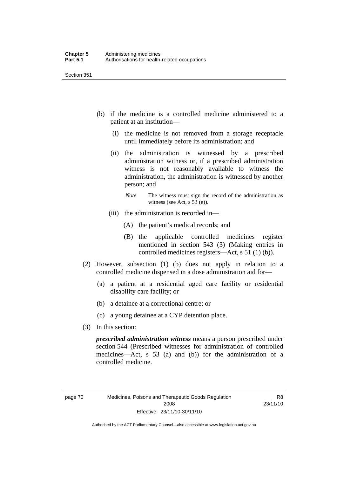- (b) if the medicine is a controlled medicine administered to a patient at an institution—
	- (i) the medicine is not removed from a storage receptacle until immediately before its administration; and
	- (ii) the administration is witnessed by a prescribed administration witness or, if a prescribed administration witness is not reasonably available to witness the administration, the administration is witnessed by another person; and
		- *Note* The witness must sign the record of the administration as witness (see Act, s 53 (e)).
	- (iii) the administration is recorded in—
		- (A) the patient's medical records; and
		- (B) the applicable controlled medicines register mentioned in section 543 (3) (Making entries in controlled medicines registers—Act, s 51 (1) (b)).
- (2) However, subsection (1) (b) does not apply in relation to a controlled medicine dispensed in a dose administration aid for—
	- (a) a patient at a residential aged care facility or residential disability care facility; or
	- (b) a detainee at a correctional centre; or
	- (c) a young detainee at a CYP detention place.
- (3) In this section:

*prescribed administration witness* means a person prescribed under section 544 (Prescribed witnesses for administration of controlled medicines—Act, s 53 (a) and (b)) for the administration of a controlled medicine.

R8 23/11/10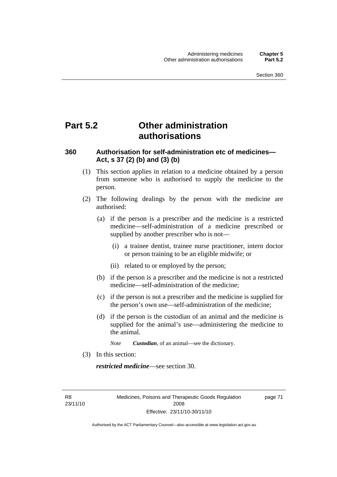# **Part 5.2 Other administration authorisations**

### **360 Authorisation for self-administration etc of medicines— Act, s 37 (2) (b) and (3) (b)**

- (1) This section applies in relation to a medicine obtained by a person from someone who is authorised to supply the medicine to the person.
- (2) The following dealings by the person with the medicine are authorised:
	- (a) if the person is a prescriber and the medicine is a restricted medicine—self-administration of a medicine prescribed or supplied by another prescriber who is not—
		- (i) a trainee dentist, trainee nurse practitioner, intern doctor or person training to be an eligible midwife; or
		- (ii) related to or employed by the person;
	- (b) if the person is a prescriber and the medicine is not a restricted medicine—self-administration of the medicine;
	- (c) if the person is not a prescriber and the medicine is supplied for the person's own use—self-administration of the medicine;
	- (d) if the person is the custodian of an animal and the medicine is supplied for the animal's use—administering the medicine to the animal.

*Note Custodian*, of an animal—see the dictionary.

(3) In this section:

*restricted medicine*—see section 30.

R8 23/11/10 Medicines, Poisons and Therapeutic Goods Regulation 2008 Effective: 23/11/10-30/11/10

page 71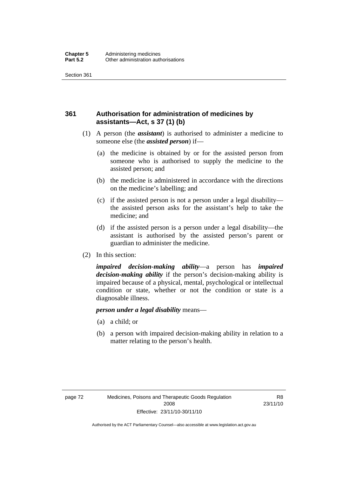### **361 Authorisation for administration of medicines by assistants—Act, s 37 (1) (b)**

- (1) A person (the *assistant*) is authorised to administer a medicine to someone else (the *assisted person*) if—
	- (a) the medicine is obtained by or for the assisted person from someone who is authorised to supply the medicine to the assisted person; and
	- (b) the medicine is administered in accordance with the directions on the medicine's labelling; and
	- (c) if the assisted person is not a person under a legal disability the assisted person asks for the assistant's help to take the medicine; and
	- (d) if the assisted person is a person under a legal disability—the assistant is authorised by the assisted person's parent or guardian to administer the medicine.
- (2) In this section:

*impaired decision-making ability*—a person has *impaired decision-making ability* if the person's decision-making ability is impaired because of a physical, mental, psychological or intellectual condition or state, whether or not the condition or state is a diagnosable illness.

#### *person under a legal disability* means—

- (a) a child; or
- (b) a person with impaired decision-making ability in relation to a matter relating to the person's health.

R8 23/11/10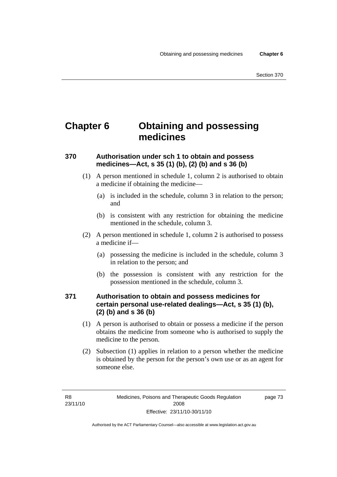# **Chapter 6 Obtaining and possessing medicines**

### **370 Authorisation under sch 1 to obtain and possess medicines—Act, s 35 (1) (b), (2) (b) and s 36 (b)**

- (1) A person mentioned in schedule 1, column 2 is authorised to obtain a medicine if obtaining the medicine—
	- (a) is included in the schedule, column 3 in relation to the person; and
	- (b) is consistent with any restriction for obtaining the medicine mentioned in the schedule, column 3.
- (2) A person mentioned in schedule 1, column 2 is authorised to possess a medicine if—
	- (a) possessing the medicine is included in the schedule, column 3 in relation to the person; and
	- (b) the possession is consistent with any restriction for the possession mentioned in the schedule, column 3.

### **371 Authorisation to obtain and possess medicines for certain personal use-related dealings—Act, s 35 (1) (b), (2) (b) and s 36 (b)**

- (1) A person is authorised to obtain or possess a medicine if the person obtains the medicine from someone who is authorised to supply the medicine to the person.
- (2) Subsection (1) applies in relation to a person whether the medicine is obtained by the person for the person's own use or as an agent for someone else.

page 73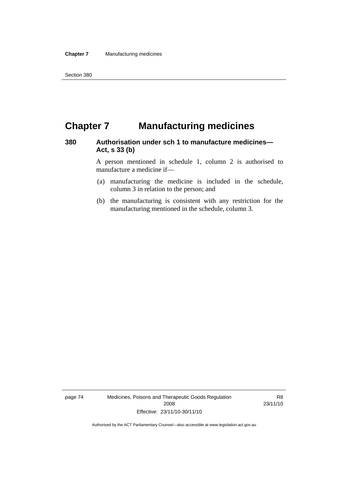# **Chapter 7 Manufacturing medicines**

### **380 Authorisation under sch 1 to manufacture medicines— Act, s 33 (b)**

A person mentioned in schedule 1, column 2 is authorised to manufacture a medicine if—

- (a) manufacturing the medicine is included in the schedule, column 3 in relation to the person; and
- (b) the manufacturing is consistent with any restriction for the manufacturing mentioned in the schedule, column 3.

page 74 Medicines, Poisons and Therapeutic Goods Regulation 2008 Effective: 23/11/10-30/11/10

R8 23/11/10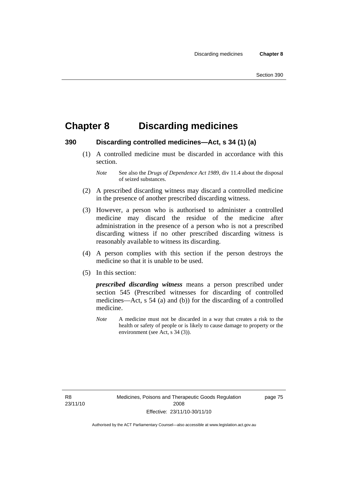# **Chapter 8 Discarding medicines**

### **390 Discarding controlled medicines—Act, s 34 (1) (a)**

 (1) A controlled medicine must be discarded in accordance with this section.

- (2) A prescribed discarding witness may discard a controlled medicine in the presence of another prescribed discarding witness.
- (3) However, a person who is authorised to administer a controlled medicine may discard the residue of the medicine after administration in the presence of a person who is not a prescribed discarding witness if no other prescribed discarding witness is reasonably available to witness its discarding.
- (4) A person complies with this section if the person destroys the medicine so that it is unable to be used.
- (5) In this section:

*prescribed discarding witness* means a person prescribed under section 545 (Prescribed witnesses for discarding of controlled medicines—Act, s 54 (a) and (b)) for the discarding of a controlled medicine.

*Note* A medicine must not be discarded in a way that creates a risk to the health or safety of people or is likely to cause damage to property or the environment (see Act, s 34 (3)).

R8 23/11/10 page 75

*Note* See also the *Drugs of Dependence Act 1989*, div 11.4 about the disposal of seized substances.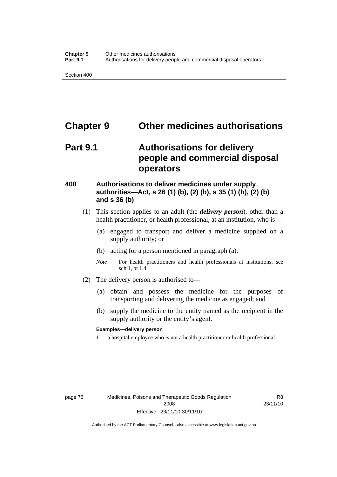## **Chapter 9 Other medicines authorisations**

# **Part 9.1 Authorisations for delivery people and commercial disposal operators**

### **400 Authorisations to deliver medicines under supply authorities—Act, s 26 (1) (b), (2) (b), s 35 (1) (b), (2) (b) and s 36 (b)**

- (1) This section applies to an adult (the *delivery person*), other than a health practitioner, or health professional, at an institution, who is—
	- (a) engaged to transport and deliver a medicine supplied on a supply authority; or
	- (b) acting for a person mentioned in paragraph (a).
	- *Note* For health practitioners and health professionals at institutions, see sch 1, pt 1.4.
- (2) The delivery person is authorised to—
	- (a) obtain and possess the medicine for the purposes of transporting and delivering the medicine as engaged; and
	- (b) supply the medicine to the entity named as the recipient in the supply authority or the entity's agent.

#### **Examples—delivery person**

1 a hospital employee who is not a health practitioner or health professional

R8 23/11/10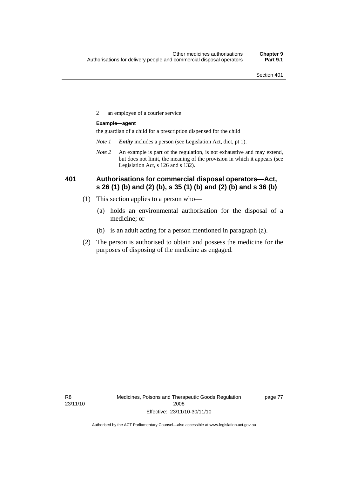2 an employee of a courier service

#### **Example—agent**

the guardian of a child for a prescription dispensed for the child

- *Note 1 Entity* includes a person (see Legislation Act, dict, pt 1).
- *Note 2* An example is part of the regulation, is not exhaustive and may extend, but does not limit, the meaning of the provision in which it appears (see Legislation Act, s 126 and s 132).

### **401 Authorisations for commercial disposal operators—Act, s 26 (1) (b) and (2) (b), s 35 (1) (b) and (2) (b) and s 36 (b)**

- (1) This section applies to a person who—
	- (a) holds an environmental authorisation for the disposal of a medicine; or
	- (b) is an adult acting for a person mentioned in paragraph (a).
- (2) The person is authorised to obtain and possess the medicine for the purposes of disposing of the medicine as engaged.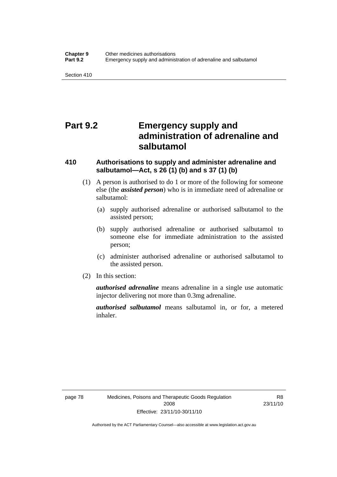# **Part 9.2 Emergency supply and administration of adrenaline and salbutamol**

### **410 Authorisations to supply and administer adrenaline and salbutamol—Act, s 26 (1) (b) and s 37 (1) (b)**

- (1) A person is authorised to do 1 or more of the following for someone else (the *assisted person*) who is in immediate need of adrenaline or salbutamol:
	- (a) supply authorised adrenaline or authorised salbutamol to the assisted person;
	- (b) supply authorised adrenaline or authorised salbutamol to someone else for immediate administration to the assisted person;
	- (c) administer authorised adrenaline or authorised salbutamol to the assisted person.
- (2) In this section:

*authorised adrenaline* means adrenaline in a single use automatic injector delivering not more than 0.3mg adrenaline.

*authorised salbutamol* means salbutamol in, or for, a metered inhaler.

R8 23/11/10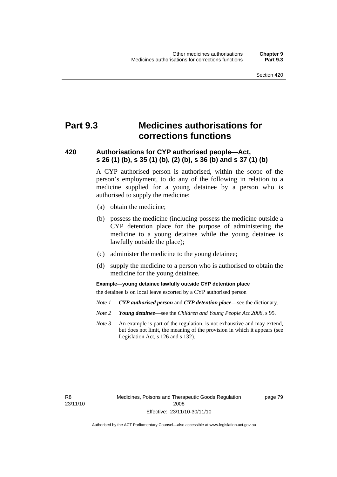# **Part 9.3 Medicines authorisations for corrections functions**

### **420 Authorisations for CYP authorised people—Act, s 26 (1) (b), s 35 (1) (b), (2) (b), s 36 (b) and s 37 (1) (b)**

A CYP authorised person is authorised, within the scope of the person's employment, to do any of the following in relation to a medicine supplied for a young detainee by a person who is authorised to supply the medicine:

- (a) obtain the medicine;
- (b) possess the medicine (including possess the medicine outside a CYP detention place for the purpose of administering the medicine to a young detainee while the young detainee is lawfully outside the place);
- (c) administer the medicine to the young detainee;
- (d) supply the medicine to a person who is authorised to obtain the medicine for the young detainee.

**Example—young detainee lawfully outside CYP detention place** 

the detainee is on local leave escorted by a CYP authorised person

- *Note 1 CYP authorised person* and *CYP detention place*—see the dictionary.
- *Note 2 Young detainee*—see the *Children and Young People Act 2008*, s 95.
- *Note 3* An example is part of the regulation, is not exhaustive and may extend, but does not limit, the meaning of the provision in which it appears (see Legislation Act, s 126 and s 132).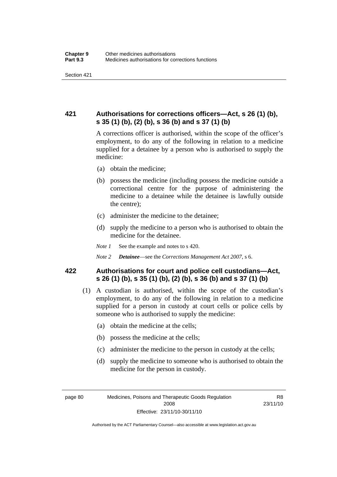### **421 Authorisations for corrections officers—Act, s 26 (1) (b), s 35 (1) (b), (2) (b), s 36 (b) and s 37 (1) (b)**

A corrections officer is authorised, within the scope of the officer's employment, to do any of the following in relation to a medicine supplied for a detainee by a person who is authorised to supply the medicine:

- (a) obtain the medicine;
- (b) possess the medicine (including possess the medicine outside a correctional centre for the purpose of administering the medicine to a detainee while the detainee is lawfully outside the centre);
- (c) administer the medicine to the detainee;
- (d) supply the medicine to a person who is authorised to obtain the medicine for the detainee.
- *Note 1* See the example and notes to s 420.
- *Note 2 Detainee*—see the *Corrections Management Act 2007*, s 6.

### **422 Authorisations for court and police cell custodians—Act, s 26 (1) (b), s 35 (1) (b), (2) (b), s 36 (b) and s 37 (1) (b)**

- (1) A custodian is authorised, within the scope of the custodian's employment, to do any of the following in relation to a medicine supplied for a person in custody at court cells or police cells by someone who is authorised to supply the medicine:
	- (a) obtain the medicine at the cells;
	- (b) possess the medicine at the cells;
	- (c) administer the medicine to the person in custody at the cells;
	- (d) supply the medicine to someone who is authorised to obtain the medicine for the person in custody.

Authorised by the ACT Parliamentary Counsel—also accessible at www.legislation.act.gov.au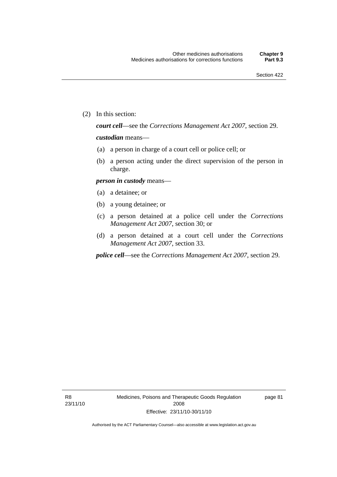(2) In this section:

*court cell*—see the *Corrections Management Act 2007*, section 29.

#### *custodian* means—

- (a) a person in charge of a court cell or police cell; or
- (b) a person acting under the direct supervision of the person in charge.

#### *person in custody* means—

- (a) a detainee; or
- (b) a young detainee; or
- (c) a person detained at a police cell under the *Corrections Management Act 2007*, section 30; or
- (d) a person detained at a court cell under the *Corrections Management Act 2007*, section 33.

*police cell*—see the *Corrections Management Act 2007*, section 29.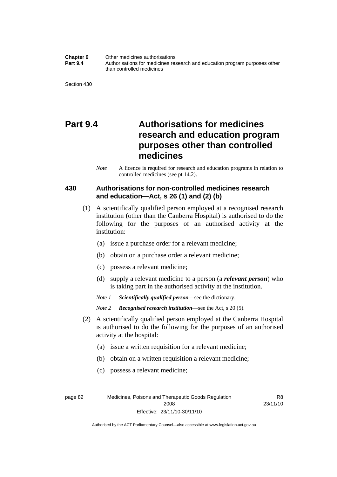#### **Chapter 9** Other medicines authorisations **Part 9.4** • **Authorisations for medicines research and education program purposes other** than controlled medicines

# **Part 9.4 Authorisations for medicines research and education program purposes other than controlled medicines**

*Note* A licence is required for research and education programs in relation to controlled medicines (see pt 14.2).

### **430 Authorisations for non-controlled medicines research and education—Act, s 26 (1) and (2) (b)**

- (1) A scientifically qualified person employed at a recognised research institution (other than the Canberra Hospital) is authorised to do the following for the purposes of an authorised activity at the institution:
	- (a) issue a purchase order for a relevant medicine;
	- (b) obtain on a purchase order a relevant medicine;
	- (c) possess a relevant medicine;
	- (d) supply a relevant medicine to a person (a *relevant person*) who is taking part in the authorised activity at the institution.
	- *Note 1 Scientifically qualified person*—see the dictionary.
	- *Note 2 Recognised research institution*—see the Act, s 20 (5).
- (2) A scientifically qualified person employed at the Canberra Hospital is authorised to do the following for the purposes of an authorised activity at the hospital:
	- (a) issue a written requisition for a relevant medicine;
	- (b) obtain on a written requisition a relevant medicine;
	- (c) possess a relevant medicine;

page 82 Medicines, Poisons and Therapeutic Goods Regulation 2008 Effective: 23/11/10-30/11/10

R8 23/11/10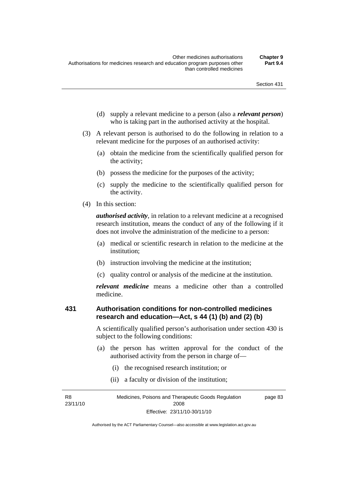- (d) supply a relevant medicine to a person (also a *relevant person*) who is taking part in the authorised activity at the hospital.
- (3) A relevant person is authorised to do the following in relation to a relevant medicine for the purposes of an authorised activity:
	- (a) obtain the medicine from the scientifically qualified person for the activity;
	- (b) possess the medicine for the purposes of the activity;
	- (c) supply the medicine to the scientifically qualified person for the activity.
- (4) In this section:

*authorised activity*, in relation to a relevant medicine at a recognised research institution, means the conduct of any of the following if it does not involve the administration of the medicine to a person:

- (a) medical or scientific research in relation to the medicine at the institution;
- (b) instruction involving the medicine at the institution;
- (c) quality control or analysis of the medicine at the institution.

*relevant medicine* means a medicine other than a controlled medicine.

### **431 Authorisation conditions for non-controlled medicines research and education—Act, s 44 (1) (b) and (2) (b)**

A scientifically qualified person's authorisation under section 430 is subject to the following conditions:

- (a) the person has written approval for the conduct of the authorised activity from the person in charge of—
	- (i) the recognised research institution; or
	- (ii) a faculty or division of the institution;

R8 23/11/10 Medicines, Poisons and Therapeutic Goods Regulation 2008 Effective: 23/11/10-30/11/10 page 83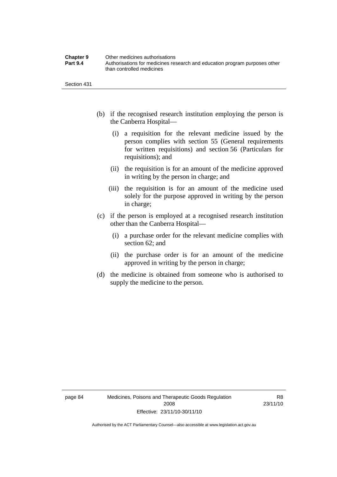| <b>Chapter 9</b> | Other medicines authorisations                                             |
|------------------|----------------------------------------------------------------------------|
| <b>Part 9.4</b>  | Authorisations for medicines research and education program purposes other |
|                  | than controlled medicines                                                  |

- (b) if the recognised research institution employing the person is the Canberra Hospital—
	- (i) a requisition for the relevant medicine issued by the person complies with section 55 (General requirements for written requisitions) and section 56 (Particulars for requisitions); and
	- (ii) the requisition is for an amount of the medicine approved in writing by the person in charge; and
	- (iii) the requisition is for an amount of the medicine used solely for the purpose approved in writing by the person in charge;
- (c) if the person is employed at a recognised research institution other than the Canberra Hospital—
	- (i) a purchase order for the relevant medicine complies with section 62; and
	- (ii) the purchase order is for an amount of the medicine approved in writing by the person in charge;
- (d) the medicine is obtained from someone who is authorised to supply the medicine to the person.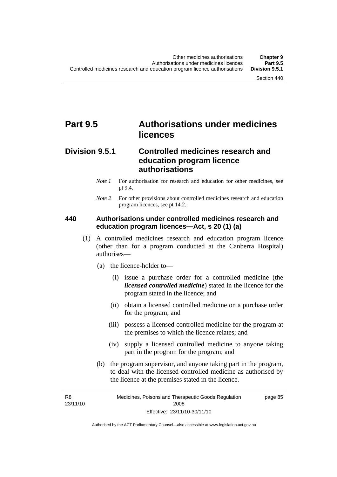# **Part 9.5 Authorisations under medicines licences**

## **Division 9.5.1 Controlled medicines research and education program licence authorisations**

- *Note 1* For authorisation for research and education for other medicines, see pt 9.4.
- *Note* 2 For other provisions about controlled medicines research and education program licences, see pt 14.2.

## **440 Authorisations under controlled medicines research and education program licences—Act, s 20 (1) (a)**

- (1) A controlled medicines research and education program licence (other than for a program conducted at the Canberra Hospital) authorises—
	- (a) the licence-holder to—
		- (i) issue a purchase order for a controlled medicine (the *licensed controlled medicine*) stated in the licence for the program stated in the licence; and
		- (ii) obtain a licensed controlled medicine on a purchase order for the program; and
		- (iii) possess a licensed controlled medicine for the program at the premises to which the licence relates; and
		- (iv) supply a licensed controlled medicine to anyone taking part in the program for the program; and
	- (b) the program supervisor, and anyone taking part in the program, to deal with the licensed controlled medicine as authorised by the licence at the premises stated in the licence.

R8 23/11/10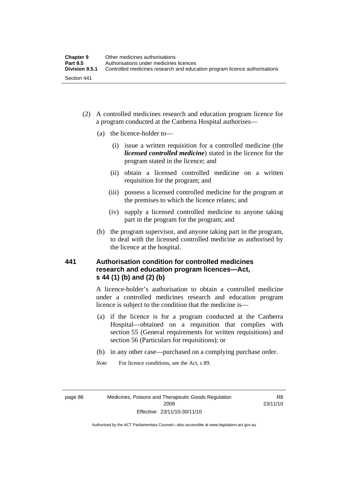- (2) A controlled medicines research and education program licence for a program conducted at the Canberra Hospital authorises—
	- (a) the licence-holder to—
		- (i) issue a written requisition for a controlled medicine (the *licensed controlled medicine*) stated in the licence for the program stated in the licence; and
		- (ii) obtain a licensed controlled medicine on a written requisition for the program; and
		- (iii) possess a licensed controlled medicine for the program at the premises to which the licence relates; and
		- (iv) supply a licensed controlled medicine to anyone taking part in the program for the program; and
	- (b) the program supervisor, and anyone taking part in the program, to deal with the licensed controlled medicine as authorised by the licence at the hospital.

## **441 Authorisation condition for controlled medicines research and education program licences—Act, s 44 (1) (b) and (2) (b)**

A licence-holder's authorisation to obtain a controlled medicine under a controlled medicines research and education program licence is subject to the condition that the medicine is—

- (a) if the licence is for a program conducted at the Canberra Hospital—obtained on a requisition that complies with section 55 (General requirements for written requisitions) and section 56 (Particulars for requisitions); or
- (b) in any other case—purchased on a complying purchase order.
- *Note* For licence conditions, see the Act, s 89.

page 86 Medicines, Poisons and Therapeutic Goods Regulation 2008 Effective: 23/11/10-30/11/10

R8 23/11/10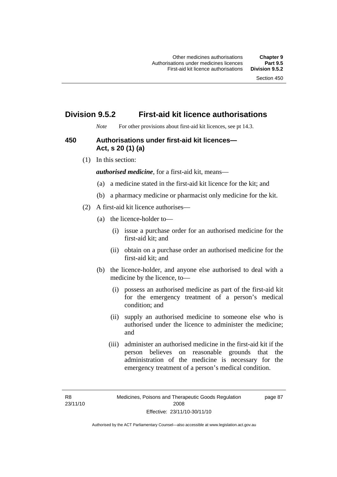## **Division 9.5.2 First-aid kit licence authorisations**

*Note* For other provisions about first-aid kit licences, see pt 14.3.

### **450 Authorisations under first-aid kit licences— Act, s 20 (1) (a)**

(1) In this section:

*authorised medicine*, for a first-aid kit, means—

- (a) a medicine stated in the first-aid kit licence for the kit; and
- (b) a pharmacy medicine or pharmacist only medicine for the kit.
- (2) A first-aid kit licence authorises—
	- (a) the licence-holder to—
		- (i) issue a purchase order for an authorised medicine for the first-aid kit; and
		- (ii) obtain on a purchase order an authorised medicine for the first-aid kit; and
	- (b) the licence-holder, and anyone else authorised to deal with a medicine by the licence, to—
		- (i) possess an authorised medicine as part of the first-aid kit for the emergency treatment of a person's medical condition; and
		- (ii) supply an authorised medicine to someone else who is authorised under the licence to administer the medicine; and
		- (iii) administer an authorised medicine in the first-aid kit if the person believes on reasonable grounds that the administration of the medicine is necessary for the emergency treatment of a person's medical condition.

page 87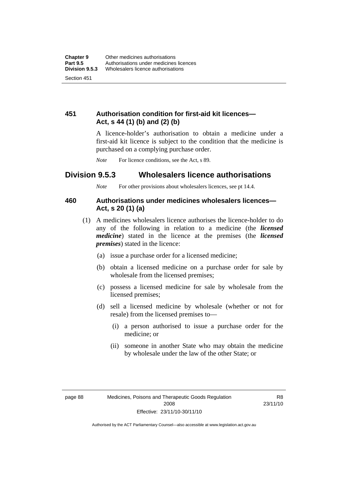## **451 Authorisation condition for first-aid kit licences— Act, s 44 (1) (b) and (2) (b)**

A licence-holder's authorisation to obtain a medicine under a first-aid kit licence is subject to the condition that the medicine is purchased on a complying purchase order.

*Note* For licence conditions, see the Act, s 89.

## **Division 9.5.3 Wholesalers licence authorisations**

*Note* For other provisions about wholesalers licences, see pt 14.4.

## **460 Authorisations under medicines wholesalers licences— Act, s 20 (1) (a)**

- (1) A medicines wholesalers licence authorises the licence-holder to do any of the following in relation to a medicine (the *licensed medicine*) stated in the licence at the premises (the *licensed premises*) stated in the licence:
	- (a) issue a purchase order for a licensed medicine;
	- (b) obtain a licensed medicine on a purchase order for sale by wholesale from the licensed premises;
	- (c) possess a licensed medicine for sale by wholesale from the licensed premises;
	- (d) sell a licensed medicine by wholesale (whether or not for resale) from the licensed premises to—
		- (i) a person authorised to issue a purchase order for the medicine; or
		- (ii) someone in another State who may obtain the medicine by wholesale under the law of the other State; or

R8 23/11/10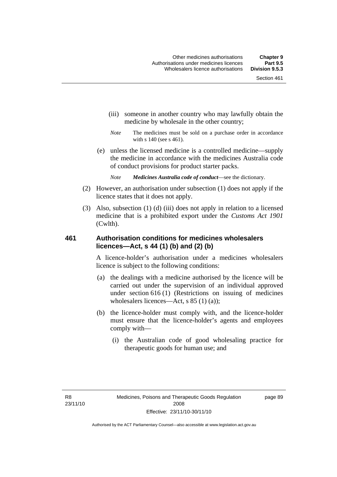- (iii) someone in another country who may lawfully obtain the medicine by wholesale in the other country;
- *Note* The medicines must be sold on a purchase order in accordance with s 140 (see s 461).
- (e) unless the licensed medicine is a controlled medicine—supply the medicine in accordance with the medicines Australia code of conduct provisions for product starter packs.
	- *Note Medicines Australia code of conduct*—see the dictionary.
- (2) However, an authorisation under subsection (1) does not apply if the licence states that it does not apply.
- (3) Also, subsection (1) (d) (iii) does not apply in relation to a licensed medicine that is a prohibited export under the *Customs Act 1901* (Cwlth).

## **461 Authorisation conditions for medicines wholesalers licences—Act, s 44 (1) (b) and (2) (b)**

A licence-holder's authorisation under a medicines wholesalers licence is subject to the following conditions:

- (a) the dealings with a medicine authorised by the licence will be carried out under the supervision of an individual approved under section 616 (1) (Restrictions on issuing of medicines wholesalers licences—Act, s 85 (1) (a));
- (b) the licence-holder must comply with, and the licence-holder must ensure that the licence-holder's agents and employees comply with—
	- (i) the Australian code of good wholesaling practice for therapeutic goods for human use; and

page 89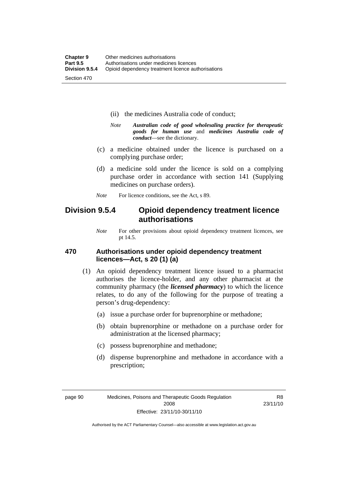- (ii) the medicines Australia code of conduct;
- *Note Australian code of good wholesaling practice for therapeutic goods for human use* and *medicines Australia code of conduct*—see the dictionary.
- (c) a medicine obtained under the licence is purchased on a complying purchase order;
- (d) a medicine sold under the licence is sold on a complying purchase order in accordance with section 141 (Supplying medicines on purchase orders).
- *Note* For licence conditions, see the Act, s 89.

## **Division 9.5.4 Opioid dependency treatment licence authorisations**

*Note* For other provisions about opioid dependency treatment licences, see pt 14.5.

## **470 Authorisations under opioid dependency treatment licences—Act, s 20 (1) (a)**

- (1) An opioid dependency treatment licence issued to a pharmacist authorises the licence-holder, and any other pharmacist at the community pharmacy (the *licensed pharmacy*) to which the licence relates, to do any of the following for the purpose of treating a person's drug-dependency:
	- (a) issue a purchase order for buprenorphine or methadone;
	- (b) obtain buprenorphine or methadone on a purchase order for administration at the licensed pharmacy;
	- (c) possess buprenorphine and methadone;
	- (d) dispense buprenorphine and methadone in accordance with a prescription;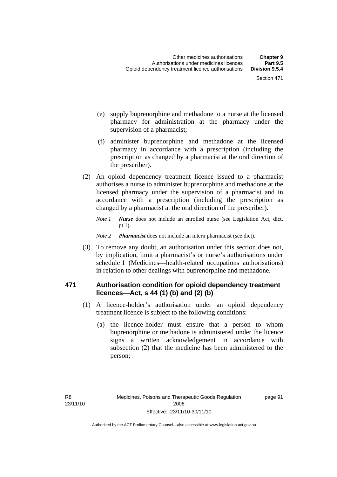- (e) supply buprenorphine and methadone to a nurse at the licensed pharmacy for administration at the pharmacy under the supervision of a pharmacist;
- (f) administer buprenorphine and methadone at the licensed pharmacy in accordance with a prescription (including the prescription as changed by a pharmacist at the oral direction of the prescriber).
- (2) An opioid dependency treatment licence issued to a pharmacist authorises a nurse to administer buprenorphine and methadone at the licensed pharmacy under the supervision of a pharmacist and in accordance with a prescription (including the prescription as changed by a pharmacist at the oral direction of the prescriber).
	- *Note 1 Nurse* does not include an enrolled nurse (see Legislation Act, dict, pt 1).
	- *Note 2 Pharmacist* does not include an intern pharmacist (see dict).
- (3) To remove any doubt, an authorisation under this section does not, by implication, limit a pharmacist's or nurse's authorisations under schedule 1 (Medicines—health-related occupations authorisations) in relation to other dealings with buprenorphine and methadone.

## **471 Authorisation condition for opioid dependency treatment licences—Act, s 44 (1) (b) and (2) (b)**

- (1) A licence-holder's authorisation under an opioid dependency treatment licence is subject to the following conditions:
	- (a) the licence-holder must ensure that a person to whom buprenorphine or methadone is administered under the licence signs a written acknowledgement in accordance with subsection (2) that the medicine has been administered to the person;

page 91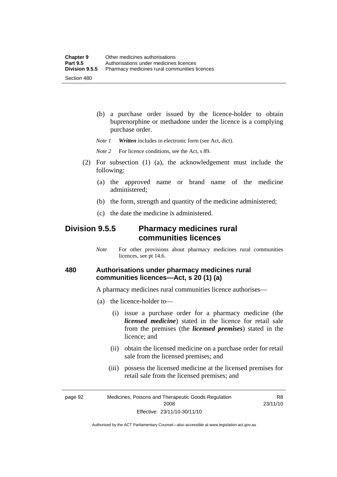(b) a purchase order issued by the licence-holder to obtain buprenorphine or methadone under the licence is a complying purchase order.

*Note 1 Written* includes in electronic form (see Act, dict).

*Note* 2 For licence conditions, see the Act, s 89.

- (2) For subsection (1) (a), the acknowledgement must include the following:
	- (a) the approved name or brand name of the medicine administered;
	- (b) the form, strength and quantity of the medicine administered;
	- (c) the date the medicine is administered.

## **Division 9.5.5 Pharmacy medicines rural communities licences**

*Note* For other provisions about pharmacy medicines rural communities licences, see pt 14.6.

## **480 Authorisations under pharmacy medicines rural communities licences—Act, s 20 (1) (a)**

A pharmacy medicines rural communities licence authorises—

- (a) the licence-holder to—
	- (i) issue a purchase order for a pharmacy medicine (the *licensed medicine*) stated in the licence for retail sale from the premises (the *licensed premises*) stated in the licence; and
	- (ii) obtain the licensed medicine on a purchase order for retail sale from the licensed premises; and
	- (iii) possess the licensed medicine at the licensed premises for retail sale from the licensed premises; and

page 92 Medicines, Poisons and Therapeutic Goods Regulation 2008 Effective: 23/11/10-30/11/10

R8 23/11/10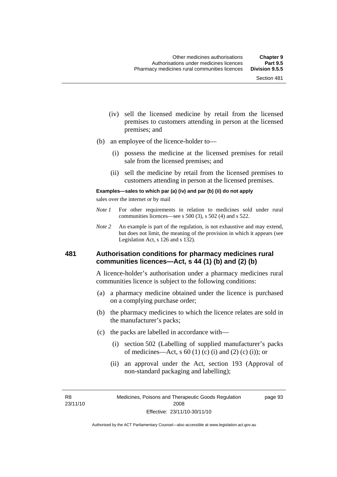- (iv) sell the licensed medicine by retail from the licensed premises to customers attending in person at the licensed premises; and
- (b) an employee of the licence-holder to—
	- (i) possess the medicine at the licensed premises for retail sale from the licensed premises; and
	- (ii) sell the medicine by retail from the licensed premises to customers attending in person at the licensed premises.

#### **Examples—sales to which par (a) (iv) and par (b) (ii) do not apply**

sales over the internet or by mail

- *Note 1* For other requirements in relation to medicines sold under rural communities licences—see s 500 (3), s 502 (4) and s 522.
- *Note 2* An example is part of the regulation, is not exhaustive and may extend, but does not limit, the meaning of the provision in which it appears (see Legislation Act, s 126 and s 132).

### **481 Authorisation conditions for pharmacy medicines rural communities licences—Act, s 44 (1) (b) and (2) (b)**

A licence-holder's authorisation under a pharmacy medicines rural communities licence is subject to the following conditions:

- (a) a pharmacy medicine obtained under the licence is purchased on a complying purchase order;
- (b) the pharmacy medicines to which the licence relates are sold in the manufacturer's packs;
- (c) the packs are labelled in accordance with—
	- (i) section 502 (Labelling of supplied manufacturer's packs of medicines—Act, s  $60(1)$  (c) (i) and (2) (c) (i)); or
	- (ii) an approval under the Act, section 193 (Approval of non-standard packaging and labelling);

R8 23/11/10 page 93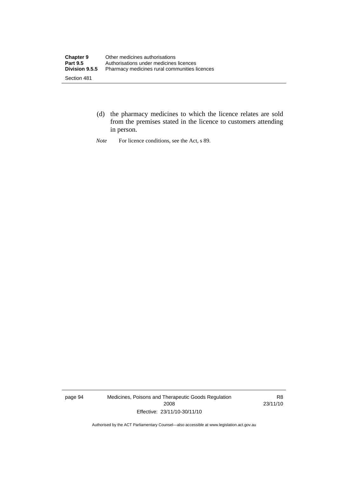- (d) the pharmacy medicines to which the licence relates are sold from the premises stated in the licence to customers attending in person.
- *Note* For licence conditions, see the Act, s 89.

page 94 Medicines, Poisons and Therapeutic Goods Regulation 2008 Effective: 23/11/10-30/11/10

R8 23/11/10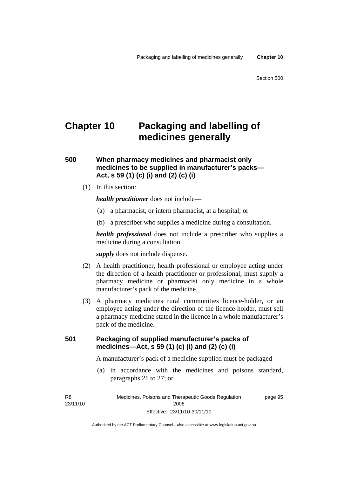# **Chapter 10 Packaging and labelling of medicines generally**

## **500 When pharmacy medicines and pharmacist only medicines to be supplied in manufacturer's packs— Act, s 59 (1) (c) (i) and (2) (c) (i)**

(1) In this section:

*health practitioner* does not include—

- (a) a pharmacist, or intern pharmacist, at a hospital; or
- (b) a prescriber who supplies a medicine during a consultation.

*health professional* does not include a prescriber who supplies a medicine during a consultation.

*supply* does not include dispense.

- (2) A health practitioner, health professional or employee acting under the direction of a health practitioner or professional, must supply a pharmacy medicine or pharmacist only medicine in a whole manufacturer's pack of the medicine.
- (3) A pharmacy medicines rural communities licence-holder, or an employee acting under the direction of the licence-holder, must sell a pharmacy medicine stated in the licence in a whole manufacturer's pack of the medicine.

## **501 Packaging of supplied manufacturer's packs of medicines—Act, s 59 (1) (c) (i) and (2) (c) (i)**

A manufacturer's pack of a medicine supplied must be packaged—

 (a) in accordance with the medicines and poisons standard, paragraphs 21 to 27; or

R8 23/11/10 page 95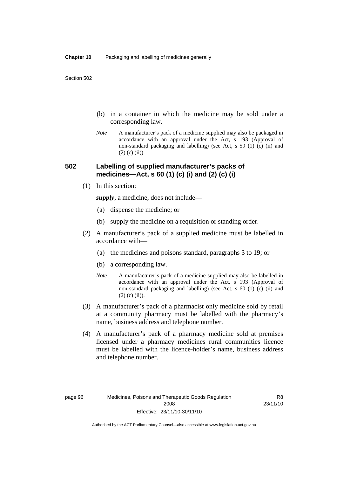- (b) in a container in which the medicine may be sold under a corresponding law.
- *Note* A manufacturer's pack of a medicine supplied may also be packaged in accordance with an approval under the Act, s 193 (Approval of non-standard packaging and labelling) (see Act, s 59 (1) (c) (ii) and  $(2)$  (c) (ii)).

## **502 Labelling of supplied manufacturer's packs of medicines—Act, s 60 (1) (c) (i) and (2) (c) (i)**

(1) In this section:

*supply*, a medicine, does not include—

- (a) dispense the medicine; or
- (b) supply the medicine on a requisition or standing order.
- (2) A manufacturer's pack of a supplied medicine must be labelled in accordance with—
	- (a) the medicines and poisons standard, paragraphs 3 to 19; or
	- (b) a corresponding law.
	- *Note* A manufacturer's pack of a medicine supplied may also be labelled in accordance with an approval under the Act, s 193 (Approval of non-standard packaging and labelling) (see Act, s 60 (1) (c) (ii) and  $(2)$  (c) (ii)).
- (3) A manufacturer's pack of a pharmacist only medicine sold by retail at a community pharmacy must be labelled with the pharmacy's name, business address and telephone number.
- (4) A manufacturer's pack of a pharmacy medicine sold at premises licensed under a pharmacy medicines rural communities licence must be labelled with the licence-holder's name, business address and telephone number.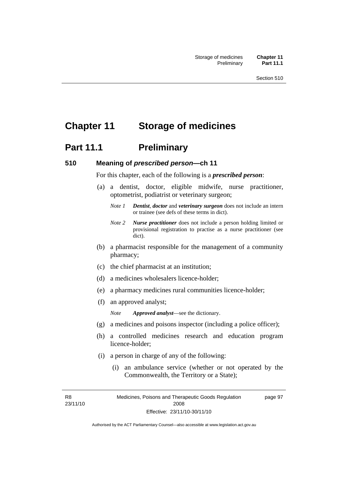# **Chapter 11 Storage of medicines**

# **Part 11.1** Preliminary

#### **510 Meaning of** *prescribed person***—ch 11**

For this chapter, each of the following is a *prescribed person*:

- (a) a dentist, doctor, eligible midwife, nurse practitioner, optometrist, podiatrist or veterinary surgeon;
	- *Note 1 Dentist*, *doctor* and *veterinary surgeon* does not include an intern or trainee (see defs of these terms in dict).
	- *Note 2 Nurse practitioner* does not include a person holding limited or provisional registration to practise as a nurse practitioner (see dict).
- (b) a pharmacist responsible for the management of a community pharmacy;
- (c) the chief pharmacist at an institution;
- (d) a medicines wholesalers licence-holder;
- (e) a pharmacy medicines rural communities licence-holder;
- (f) an approved analyst;

*Note Approved analyst*—see the dictionary.

- (g) a medicines and poisons inspector (including a police officer);
- (h) a controlled medicines research and education program licence-holder;
- (i) a person in charge of any of the following:
	- (i) an ambulance service (whether or not operated by the Commonwealth, the Territory or a State);

R8 23/11/10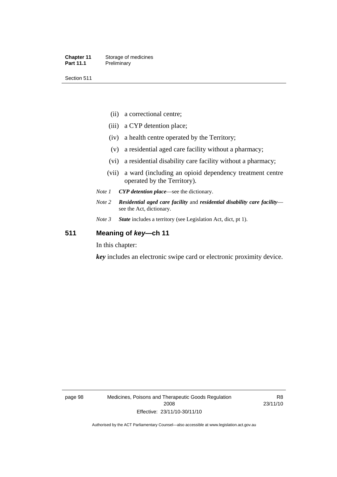Section 511

- (ii) a correctional centre;
- (iii) a CYP detention place;
- (iv) a health centre operated by the Territory;
- (v) a residential aged care facility without a pharmacy;
- (vi) a residential disability care facility without a pharmacy;
- (vii) a ward (including an opioid dependency treatment centre operated by the Territory).
- *Note 1 CYP detention place*—see the dictionary.
- *Note 2 Residential aged care facility* and *residential disability care facility* see the Act, dictionary.
- *Note 3 State* includes a territory (see Legislation Act, dict, pt 1).

## **511 Meaning of** *key***—ch 11**

In this chapter:

*key* includes an electronic swipe card or electronic proximity device.

page 98 Medicines, Poisons and Therapeutic Goods Regulation 2008 Effective: 23/11/10-30/11/10

R8 23/11/10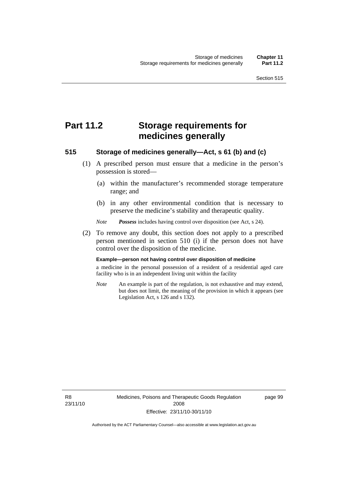# **Part 11.2 Storage requirements for medicines generally**

## **515 Storage of medicines generally—Act, s 61 (b) and (c)**

- (1) A prescribed person must ensure that a medicine in the person's possession is stored—
	- (a) within the manufacturer's recommended storage temperature range; and
	- (b) in any other environmental condition that is necessary to preserve the medicine's stability and therapeutic quality.

*Note Possess* includes having control over disposition (see Act, s 24).

 (2) To remove any doubt, this section does not apply to a prescribed person mentioned in section 510 (i) if the person does not have control over the disposition of the medicine.

#### **Example—person not having control over disposition of medicine**

a medicine in the personal possession of a resident of a residential aged care facility who is in an independent living unit within the facility

*Note* An example is part of the regulation, is not exhaustive and may extend, but does not limit, the meaning of the provision in which it appears (see Legislation Act, s 126 and s 132).

R8 23/11/10 Medicines, Poisons and Therapeutic Goods Regulation 2008 Effective: 23/11/10-30/11/10

page 99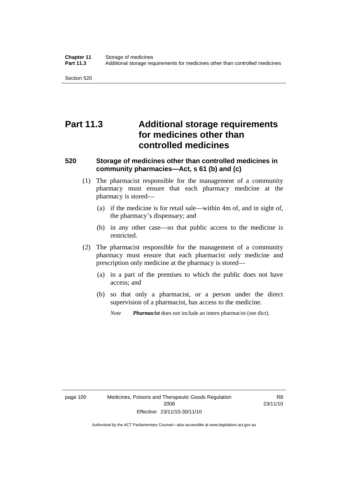# **Part 11.3 Additional storage requirements for medicines other than controlled medicines**

## **520 Storage of medicines other than controlled medicines in community pharmacies—Act, s 61 (b) and (c)**

- (1) The pharmacist responsible for the management of a community pharmacy must ensure that each pharmacy medicine at the pharmacy is stored—
	- (a) if the medicine is for retail sale—within 4m of, and in sight of, the pharmacy's dispensary; and
	- (b) in any other case—so that public access to the medicine is restricted.
- (2) The pharmacist responsible for the management of a community pharmacy must ensure that each pharmacist only medicine and prescription only medicine at the pharmacy is stored—
	- (a) in a part of the premises to which the public does not have access; and
	- (b) so that only a pharmacist, or a person under the direct supervision of a pharmacist, has access to the medicine.
		- *Note Pharmacist* does not include an intern pharmacist (see dict).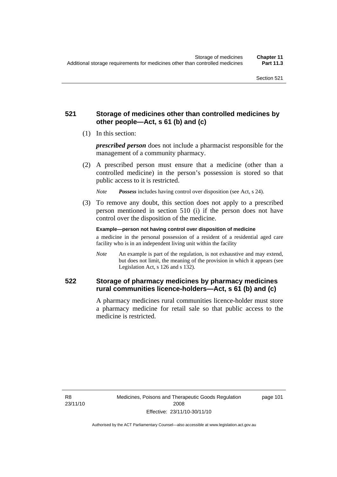## **521 Storage of medicines other than controlled medicines by other people—Act, s 61 (b) and (c)**

(1) In this section:

*prescribed person* does not include a pharmacist responsible for the management of a community pharmacy.

 (2) A prescribed person must ensure that a medicine (other than a controlled medicine) in the person's possession is stored so that public access to it is restricted.

*Note Possess* includes having control over disposition (see Act, s 24).

 (3) To remove any doubt, this section does not apply to a prescribed person mentioned in section 510 (i) if the person does not have control over the disposition of the medicine.

**Example—person not having control over disposition of medicine** 

a medicine in the personal possession of a resident of a residential aged care facility who is in an independent living unit within the facility

*Note* An example is part of the regulation, is not exhaustive and may extend, but does not limit, the meaning of the provision in which it appears (see Legislation Act, s 126 and s 132).

## **522 Storage of pharmacy medicines by pharmacy medicines rural communities licence-holders—Act, s 61 (b) and (c)**

A pharmacy medicines rural communities licence-holder must store a pharmacy medicine for retail sale so that public access to the medicine is restricted.

R8 23/11/10 page 101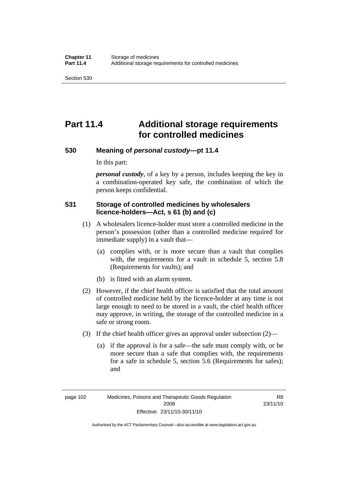Section 530

# **Part 11.4 Additional storage requirements for controlled medicines**

### **530 Meaning of** *personal custody***—pt 11.4**

In this part:

*personal custody*, of a key by a person, includes keeping the key in a combination-operated key safe, the combination of which the person keeps confidential.

## **531 Storage of controlled medicines by wholesalers licence-holders—Act, s 61 (b) and (c)**

- (1) A wholesalers licence-holder must store a controlled medicine in the person's possession (other than a controlled medicine required for immediate supply) in a vault that—
	- (a) complies with, or is more secure than a vault that complies with, the requirements for a vault in schedule 5, section 5.8 (Requirements for vaults); and
	- (b) is fitted with an alarm system.
- (2) However, if the chief health officer is satisfied that the total amount of controlled medicine held by the licence-holder at any time is not large enough to need to be stored in a vault, the chief health officer may approve, in writing, the storage of the controlled medicine in a safe or strong room.
- (3) If the chief health officer gives an approval under subsection (2)—
	- (a) if the approval is for a safe—the safe must comply with, or be more secure than a safe that complies with, the requirements for a safe in schedule 5, section 5.6 (Requirements for safes); and

page 102 Medicines, Poisons and Therapeutic Goods Regulation 2008 Effective: 23/11/10-30/11/10

R8 23/11/10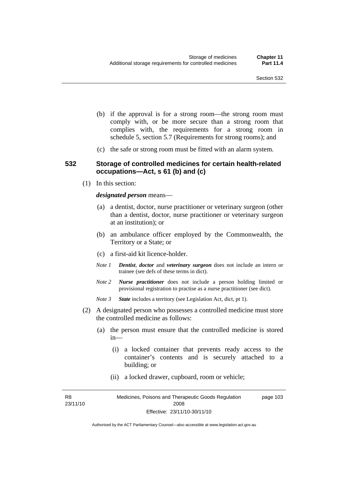- (b) if the approval is for a strong room—the strong room must comply with, or be more secure than a strong room that complies with, the requirements for a strong room in schedule 5, section 5.7 (Requirements for strong rooms); and
- (c) the safe or strong room must be fitted with an alarm system.

### **532 Storage of controlled medicines for certain health-related occupations—Act, s 61 (b) and (c)**

(1) In this section:

#### *designated person* means—

- (a) a dentist, doctor, nurse practitioner or veterinary surgeon (other than a dentist, doctor, nurse practitioner or veterinary surgeon at an institution); or
- (b) an ambulance officer employed by the Commonwealth, the Territory or a State; or
- (c) a first-aid kit licence-holder.
- *Note 1 Dentist*, *doctor* and *veterinary surgeon* does not include an intern or trainee (see defs of these terms in dict).
- *Note 2 Nurse practitioner* does not include a person holding limited or provisional registration to practise as a nurse practitioner (see dict).
- *Note 3 State* includes a territory (see Legislation Act, dict, pt 1).
- (2) A designated person who possesses a controlled medicine must store the controlled medicine as follows:
	- (a) the person must ensure that the controlled medicine is stored in—
		- (i) a locked container that prevents ready access to the container's contents and is securely attached to a building; or
		- (ii) a locked drawer, cupboard, room or vehicle;

R8 23/11/10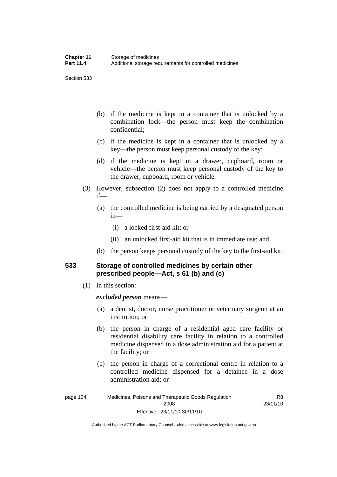Section 533

- (b) if the medicine is kept in a container that is unlocked by a combination lock—the person must keep the combination confidential;
- (c) if the medicine is kept in a container that is unlocked by a key—the person must keep personal custody of the key;
- (d) if the medicine is kept in a drawer, cupboard, room or vehicle—the person must keep personal custody of the key to the drawer, cupboard, room or vehicle.
- (3) However, subsection (2) does not apply to a controlled medicine if—
	- (a) the controlled medicine is being carried by a designated person in—
		- (i) a locked first-aid kit; or
		- (ii) an unlocked first-aid kit that is in immediate use; and
	- (b) the person keeps personal custody of the key to the first-aid kit.

## **533 Storage of controlled medicines by certain other prescribed people—Act, s 61 (b) and (c)**

(1) In this section:

#### *excluded person* means—

- (a) a dentist, doctor, nurse practitioner or veterinary surgeon at an institution; or
- (b) the person in charge of a residential aged care facility or residential disability care facility in relation to a controlled medicine dispensed in a dose administration aid for a patient at the facility; or
- (c) the person in charge of a correctional centre in relation to a controlled medicine dispensed for a detainee in a dose administration aid; or

Authorised by the ACT Parliamentary Counsel—also accessible at www.legislation.act.gov.au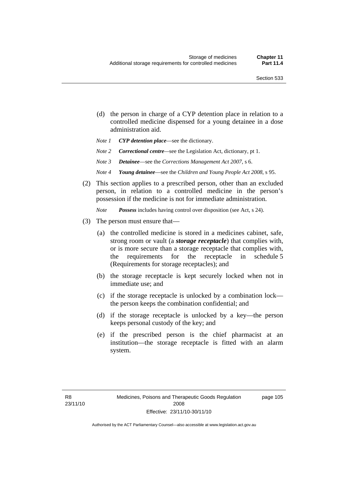- (d) the person in charge of a CYP detention place in relation to a controlled medicine dispensed for a young detainee in a dose administration aid.
- *Note 1 CYP detention place*—see the dictionary.
- *Note 2 Correctional centre—see the Legislation Act, dictionary, pt 1.*
- *Note 3 Detainee*—see the *Corrections Management Act 2007*, s 6.
- *Note 4 Young detainee*—see the *Children and Young People Act 2008*, s 95.
- (2) This section applies to a prescribed person, other than an excluded person, in relation to a controlled medicine in the person's possession if the medicine is not for immediate administration.

*Note Possess* includes having control over disposition (see Act, s 24).

- (3) The person must ensure that—
	- (a) the controlled medicine is stored in a medicines cabinet, safe, strong room or vault (a *storage receptacle*) that complies with, or is more secure than a storage receptacle that complies with, the requirements for the receptacle in schedule 5 (Requirements for storage receptacles); and
	- (b) the storage receptacle is kept securely locked when not in immediate use; and
	- (c) if the storage receptacle is unlocked by a combination lock the person keeps the combination confidential; and
	- (d) if the storage receptacle is unlocked by a key—the person keeps personal custody of the key; and
	- (e) if the prescribed person is the chief pharmacist at an institution—the storage receptacle is fitted with an alarm system.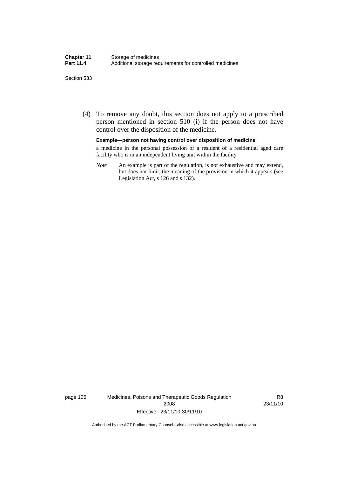#### Section 533

 (4) To remove any doubt, this section does not apply to a prescribed person mentioned in section 510 (i) if the person does not have control over the disposition of the medicine.

#### **Example—person not having control over disposition of medicine**

a medicine in the personal possession of a resident of a residential aged care facility who is in an independent living unit within the facility

*Note* An example is part of the regulation, is not exhaustive and may extend, but does not limit, the meaning of the provision in which it appears (see Legislation Act, s 126 and s 132).

page 106 Medicines, Poisons and Therapeutic Goods Regulation 2008 Effective: 23/11/10-30/11/10

R8 23/11/10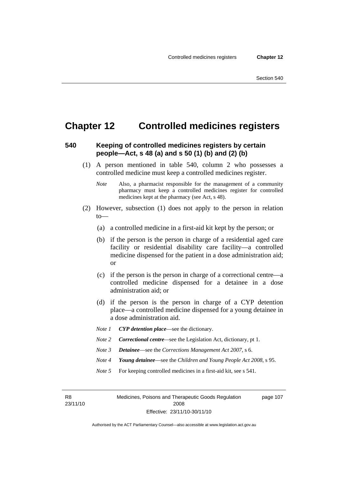## **Chapter 12 Controlled medicines registers**

### **540 Keeping of controlled medicines registers by certain people—Act, s 48 (a) and s 50 (1) (b) and (2) (b)**

- (1) A person mentioned in table 540, column 2 who possesses a controlled medicine must keep a controlled medicines register.
	- *Note* Also, a pharmacist responsible for the management of a community pharmacy must keep a controlled medicines register for controlled medicines kept at the pharmacy (see Act, s 48).
- (2) However, subsection (1) does not apply to the person in relation to—
	- (a) a controlled medicine in a first-aid kit kept by the person; or
	- (b) if the person is the person in charge of a residential aged care facility or residential disability care facility—a controlled medicine dispensed for the patient in a dose administration aid; or
	- (c) if the person is the person in charge of a correctional centre—a controlled medicine dispensed for a detainee in a dose administration aid; or
	- (d) if the person is the person in charge of a CYP detention place—a controlled medicine dispensed for a young detainee in a dose administration aid.
	- *Note 1 CYP detention place*—see the dictionary.
	- *Note 2 Correctional centre*—see the Legislation Act, dictionary, pt 1.
	- *Note 3 Detainee*—see the *Corrections Management Act 2007*, s 6.
	- *Note 4 Young detainee*—see the *Children and Young People Act 2008*, s 95.
	- *Note* 5 For keeping controlled medicines in a first-aid kit, see s 541.

R8 23/11/10 Medicines, Poisons and Therapeutic Goods Regulation 2008 Effective: 23/11/10-30/11/10 page 107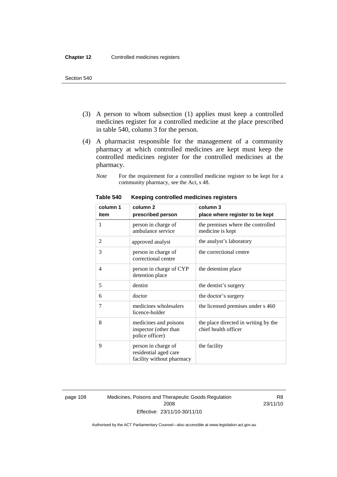- (3) A person to whom subsection (1) applies must keep a controlled medicines register for a controlled medicine at the place prescribed in table 540, column 3 for the person.
- (4) A pharmacist responsible for the management of a community pharmacy at which controlled medicines are kept must keep the controlled medicines register for the controlled medicines at the pharmacy.
	- *Note* For the requirement for a controlled medicine register to be kept for a community pharmacy, see the Act, s 48.

| column 1 | column <sub>2</sub>                                                       | column 3                                                     |
|----------|---------------------------------------------------------------------------|--------------------------------------------------------------|
| item     | prescribed person                                                         | place where register to be kept                              |
| 1        | person in charge of<br>ambulance service                                  | the premises where the controlled<br>medicine is kept        |
| 2        | approved analyst                                                          | the analyst's laboratory                                     |
| 3        | person in charge of<br>correctional centre                                | the correctional centre                                      |
| 4        | person in charge of CYP<br>detention place                                | the detention place                                          |
| 5        | dentist                                                                   | the dentist's surgery                                        |
| 6        | doctor                                                                    | the doctor's surgery                                         |
| 7        | medicines wholesalers<br>licence-holder                                   | the licensed premises under s 460                            |
| 8        | medicines and poisons<br>inspector (other than<br>police officer)         | the place directed in writing by the<br>chief health officer |
| 9        | person in charge of<br>residential aged care<br>facility without pharmacy | the facility                                                 |

#### **Table 540 Keeping controlled medicines registers**

page 108 Medicines, Poisons and Therapeutic Goods Regulation 2008 Effective: 23/11/10-30/11/10

R8 23/11/10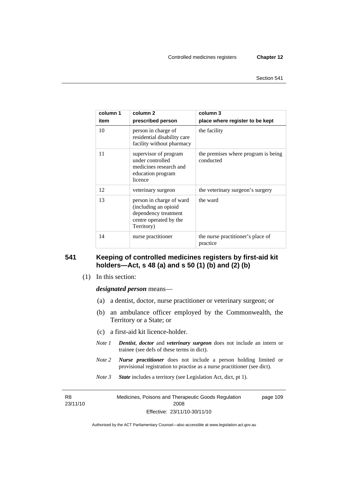| column 1 | column 2                                                                                                         | column 3                                         |
|----------|------------------------------------------------------------------------------------------------------------------|--------------------------------------------------|
| item     | prescribed person                                                                                                | place where register to be kept                  |
| 10       | person in charge of<br>residential disability care<br>facility without pharmacy                                  | the facility                                     |
| 11       | supervisor of program<br>under controlled<br>medicines research and<br>education program<br>licence              | the premises where program is being<br>conducted |
| 12       | veterinary surgeon                                                                                               | the veterinary surgeon's surgery                 |
| 13       | person in charge of ward<br>(including an opioid<br>dependency treatment<br>centre operated by the<br>Territory) | the ward                                         |
| 14       | nurse practitioner                                                                                               | the nurse practitioner's place of<br>practice    |

## **541 Keeping of controlled medicines registers by first-aid kit holders—Act, s 48 (a) and s 50 (1) (b) and (2) (b)**

(1) In this section:

*designated person* means—

- (a) a dentist, doctor, nurse practitioner or veterinary surgeon; or
- (b) an ambulance officer employed by the Commonwealth, the Territory or a State; or
- (c) a first-aid kit licence-holder.
- *Note 1 Dentist*, *doctor* and *veterinary surgeon* does not include an intern or trainee (see defs of these terms in dict).
- *Note 2 Nurse practitioner* does not include a person holding limited or provisional registration to practise as a nurse practitioner (see dict).
- *Note 3 State* includes a territory (see Legislation Act, dict, pt 1).

R8 23/11/10 Medicines, Poisons and Therapeutic Goods Regulation 2008 Effective: 23/11/10-30/11/10 page 109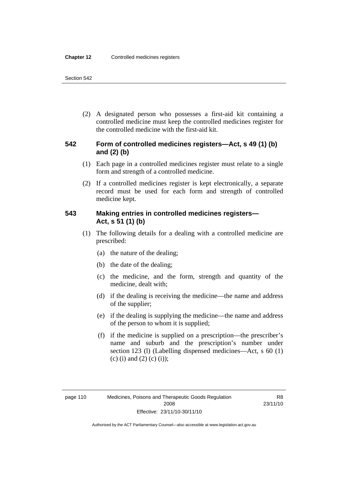(2) A designated person who possesses a first-aid kit containing a controlled medicine must keep the controlled medicines register for the controlled medicine with the first-aid kit.

## **542 Form of controlled medicines registers—Act, s 49 (1) (b) and (2) (b)**

- (1) Each page in a controlled medicines register must relate to a single form and strength of a controlled medicine.
- (2) If a controlled medicines register is kept electronically, a separate record must be used for each form and strength of controlled medicine kept.

## **543 Making entries in controlled medicines registers— Act, s 51 (1) (b)**

- (1) The following details for a dealing with a controlled medicine are prescribed:
	- (a) the nature of the dealing;
	- (b) the date of the dealing;
	- (c) the medicine, and the form, strength and quantity of the medicine, dealt with;
	- (d) if the dealing is receiving the medicine—the name and address of the supplier;
	- (e) if the dealing is supplying the medicine—the name and address of the person to whom it is supplied;
	- (f) if the medicine is supplied on a prescription—the prescriber's name and suburb and the prescription's number under section 123 (l) (Labelling dispensed medicines—Act, s 60 (1) (c) (i) and (2) (c) (i));

R8 23/11/10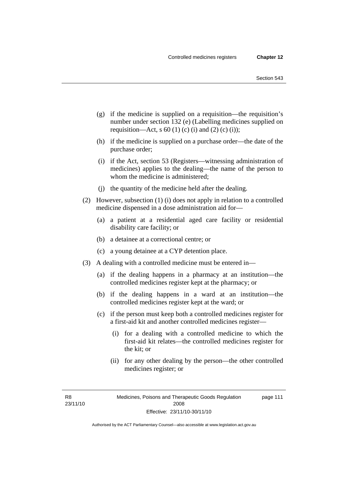- (g) if the medicine is supplied on a requisition—the requisition's number under section 132 (e) (Labelling medicines supplied on requisition—Act, s 60 (1) (c) (i) and (2) (c) (i));
- (h) if the medicine is supplied on a purchase order—the date of the purchase order;
- (i) if the Act, section 53 (Registers—witnessing administration of medicines) applies to the dealing—the name of the person to whom the medicine is administered;
- (j) the quantity of the medicine held after the dealing.
- (2) However, subsection (1) (i) does not apply in relation to a controlled medicine dispensed in a dose administration aid for—
	- (a) a patient at a residential aged care facility or residential disability care facility; or
	- (b) a detainee at a correctional centre; or
	- (c) a young detainee at a CYP detention place.
- (3) A dealing with a controlled medicine must be entered in—
	- (a) if the dealing happens in a pharmacy at an institution—the controlled medicines register kept at the pharmacy; or
	- (b) if the dealing happens in a ward at an institution—the controlled medicines register kept at the ward; or
	- (c) if the person must keep both a controlled medicines register for a first-aid kit and another controlled medicines register—
		- (i) for a dealing with a controlled medicine to which the first-aid kit relates—the controlled medicines register for the kit; or
		- (ii) for any other dealing by the person—the other controlled medicines register; or

R8 23/11/10 page 111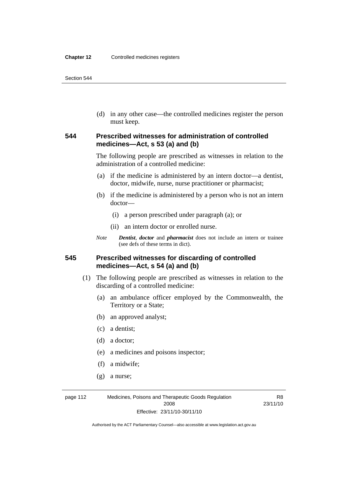(d) in any other case—the controlled medicines register the person must keep.

## **544 Prescribed witnesses for administration of controlled medicines—Act, s 53 (a) and (b)**

The following people are prescribed as witnesses in relation to the administration of a controlled medicine:

- (a) if the medicine is administered by an intern doctor—a dentist, doctor, midwife, nurse, nurse practitioner or pharmacist;
- (b) if the medicine is administered by a person who is not an intern doctor—
	- (i) a person prescribed under paragraph (a); or
	- (ii) an intern doctor or enrolled nurse.
- *Note Dentist*, *doctor* and *pharmacist* does not include an intern or trainee (see defs of these terms in dict).

## **545 Prescribed witnesses for discarding of controlled medicines—Act, s 54 (a) and (b)**

- (1) The following people are prescribed as witnesses in relation to the discarding of a controlled medicine:
	- (a) an ambulance officer employed by the Commonwealth, the Territory or a State;
	- (b) an approved analyst;
	- (c) a dentist;
	- (d) a doctor;
	- (e) a medicines and poisons inspector;
	- (f) a midwife;
	- (g) a nurse;

page 112 Medicines, Poisons and Therapeutic Goods Regulation 2008 Effective: 23/11/10-30/11/10

R8 23/11/10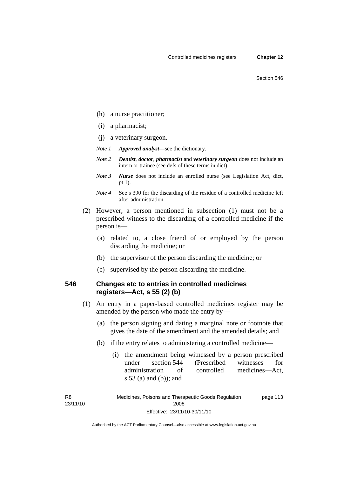- (h) a nurse practitioner;
- (i) a pharmacist;
- (j) a veterinary surgeon.
- *Note 1 Approved analyst*—see the dictionary.
- *Note 2 Dentist*, *doctor*, *pharmacist* and *veterinary surgeon* does not include an intern or trainee (see defs of these terms in dict).
- *Note 3 Nurse* does not include an enrolled nurse (see Legislation Act, dict, pt 1).
- *Note 4* See s 390 for the discarding of the residue of a controlled medicine left after administration.
- (2) However, a person mentioned in subsection (1) must not be a prescribed witness to the discarding of a controlled medicine if the person is—
	- (a) related to, a close friend of or employed by the person discarding the medicine; or
	- (b) the supervisor of the person discarding the medicine; or
	- (c) supervised by the person discarding the medicine.

## **546 Changes etc to entries in controlled medicines registers—Act, s 55 (2) (b)**

- (1) An entry in a paper-based controlled medicines register may be amended by the person who made the entry by—
	- (a) the person signing and dating a marginal note or footnote that gives the date of the amendment and the amended details; and
	- (b) if the entry relates to administering a controlled medicine—
		- (i) the amendment being witnessed by a person prescribed under section 544 (Prescribed witnesses for administration of controlled medicines—Act, s 53 (a) and (b)); and

R8 23/11/10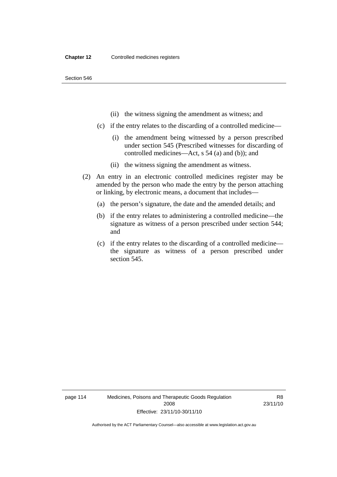- (ii) the witness signing the amendment as witness; and
- (c) if the entry relates to the discarding of a controlled medicine—
	- (i) the amendment being witnessed by a person prescribed under section 545 (Prescribed witnesses for discarding of controlled medicines—Act, s 54 (a) and (b)); and
	- (ii) the witness signing the amendment as witness.
- (2) An entry in an electronic controlled medicines register may be amended by the person who made the entry by the person attaching or linking, by electronic means, a document that includes—
	- (a) the person's signature, the date and the amended details; and
	- (b) if the entry relates to administering a controlled medicine—the signature as witness of a person prescribed under section 544; and
	- (c) if the entry relates to the discarding of a controlled medicine the signature as witness of a person prescribed under section 545.

page 114 Medicines, Poisons and Therapeutic Goods Regulation 2008 Effective: 23/11/10-30/11/10

R8 23/11/10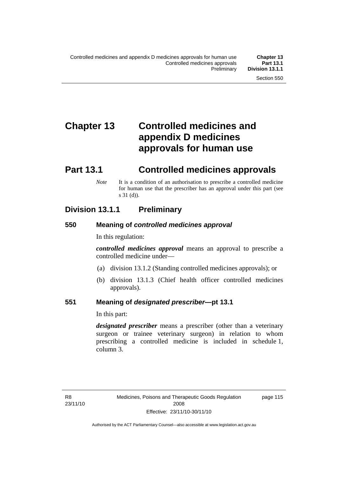# **Chapter 13 Controlled medicines and appendix D medicines approvals for human use**

# **Part 13.1 Controlled medicines approvals**

*Note* It is a condition of an authorisation to prescribe a controlled medicine for human use that the prescriber has an approval under this part (see s 31 (d)).

## **Division 13.1.1 Preliminary**

## **550 Meaning of** *controlled medicines approval*

In this regulation:

*controlled medicines approval* means an approval to prescribe a controlled medicine under—

- (a) division 13.1.2 (Standing controlled medicines approvals); or
- (b) division 13.1.3 (Chief health officer controlled medicines approvals).

## **551 Meaning of** *designated prescriber***—pt 13.1**

In this part:

*designated prescriber* means a prescriber (other than a veterinary surgeon or trainee veterinary surgeon) in relation to whom prescribing a controlled medicine is included in schedule 1, column 3.

page 115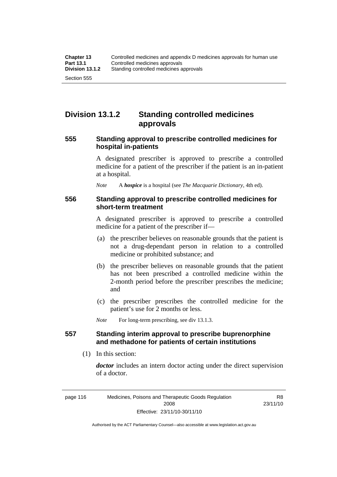# **Division 13.1.2 Standing controlled medicines approvals**

### **555 Standing approval to prescribe controlled medicines for hospital in-patients**

A designated prescriber is approved to prescribe a controlled medicine for a patient of the prescriber if the patient is an in-patient at a hospital.

*Note* A *hospice* is a hospital (see *The Macquarie Dictionary*, 4th ed).

### **556 Standing approval to prescribe controlled medicines for short-term treatment**

A designated prescriber is approved to prescribe a controlled medicine for a patient of the prescriber if—

- (a) the prescriber believes on reasonable grounds that the patient is not a drug-dependant person in relation to a controlled medicine or prohibited substance; and
- (b) the prescriber believes on reasonable grounds that the patient has not been prescribed a controlled medicine within the 2-month period before the prescriber prescribes the medicine; and
- (c) the prescriber prescribes the controlled medicine for the patient's use for 2 months or less.

*Note* For long-term prescribing, see div 13.1.3.

## **557 Standing interim approval to prescribe buprenorphine and methadone for patients of certain institutions**

(1) In this section:

*doctor* includes an intern doctor acting under the direct supervision of a doctor.

R8 23/11/10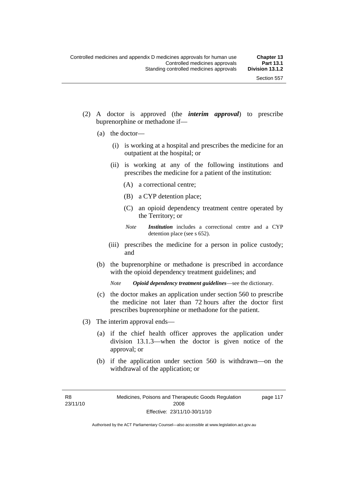- (2) A doctor is approved (the *interim approval*) to prescribe buprenorphine or methadone if—
	- (a) the doctor—
		- (i) is working at a hospital and prescribes the medicine for an outpatient at the hospital; or
		- (ii) is working at any of the following institutions and prescribes the medicine for a patient of the institution:
			- (A) a correctional centre;
			- (B) a CYP detention place;
			- (C) an opioid dependency treatment centre operated by the Territory; or
			- *Note Institution* includes a correctional centre and a CYP detention place (see s 652).
		- (iii) prescribes the medicine for a person in police custody; and
	- (b) the buprenorphine or methadone is prescribed in accordance with the opioid dependency treatment guidelines; and

*Note Opioid dependency treatment guidelines*—see the dictionary.

- (c) the doctor makes an application under section 560 to prescribe the medicine not later than 72 hours after the doctor first prescribes buprenorphine or methadone for the patient.
- (3) The interim approval ends—
	- (a) if the chief health officer approves the application under division 13.1.3—when the doctor is given notice of the approval; or
	- (b) if the application under section 560 is withdrawn—on the withdrawal of the application; or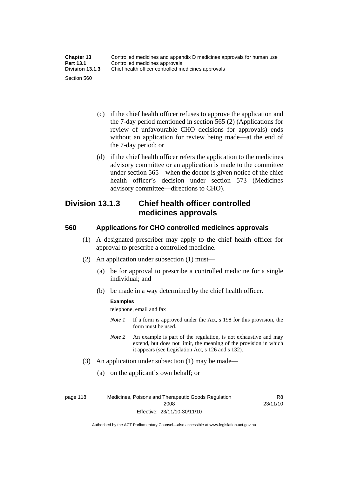| <b>Chapter 13</b> | Controlled medicines and appendix D medicines approvals for human use |
|-------------------|-----------------------------------------------------------------------|
| <b>Part 13.1</b>  | Controlled medicines approvals                                        |
| Division 13.1.3   | Chief health officer controlled medicines approvals                   |
| Section 560       |                                                                       |

- (c) if the chief health officer refuses to approve the application and the 7-day period mentioned in section 565 (2) (Applications for review of unfavourable CHO decisions for approvals) ends without an application for review being made—at the end of the 7-day period; or
- (d) if the chief health officer refers the application to the medicines advisory committee or an application is made to the committee under section 565—when the doctor is given notice of the chief health officer's decision under section 573 (Medicines advisory committee—directions to CHO).

## **Division 13.1.3 Chief health officer controlled medicines approvals**

## **560 Applications for CHO controlled medicines approvals**

- (1) A designated prescriber may apply to the chief health officer for approval to prescribe a controlled medicine.
- (2) An application under subsection (1) must—
	- (a) be for approval to prescribe a controlled medicine for a single individual; and
	- (b) be made in a way determined by the chief health officer.

#### **Examples**

telephone, email and fax

- *Note 1* If a form is approved under the Act, s 198 for this provision, the form must be used.
- *Note 2* An example is part of the regulation, is not exhaustive and may extend, but does not limit, the meaning of the provision in which it appears (see Legislation Act, s 126 and s 132).
- (3) An application under subsection (1) may be made—
	- (a) on the applicant's own behalf; or

page 118 Medicines, Poisons and Therapeutic Goods Regulation 2008 Effective: 23/11/10-30/11/10

R8 23/11/10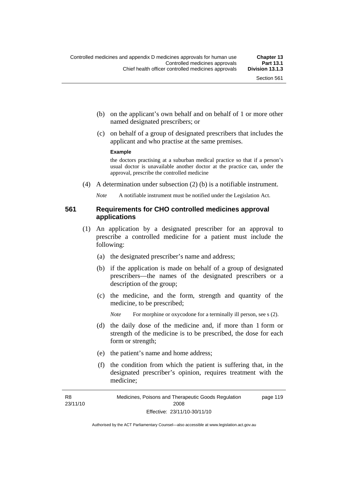- (b) on the applicant's own behalf and on behalf of 1 or more other named designated prescribers; or
- (c) on behalf of a group of designated prescribers that includes the applicant and who practise at the same premises.

#### **Example**

the doctors practising at a suburban medical practice so that if a person's usual doctor is unavailable another doctor at the practice can, under the approval, prescribe the controlled medicine

(4) A determination under subsection (2) (b) is a notifiable instrument.

*Note* A notifiable instrument must be notified under the Legislation Act.

## **561 Requirements for CHO controlled medicines approval applications**

- (1) An application by a designated prescriber for an approval to prescribe a controlled medicine for a patient must include the following:
	- (a) the designated prescriber's name and address;
	- (b) if the application is made on behalf of a group of designated prescribers—the names of the designated prescribers or a description of the group;
	- (c) the medicine, and the form, strength and quantity of the medicine, to be prescribed;

*Note* For morphine or oxycodone for a terminally ill person, see s (2).

- (d) the daily dose of the medicine and, if more than 1 form or strength of the medicine is to be prescribed, the dose for each form or strength;
- (e) the patient's name and home address;
- (f) the condition from which the patient is suffering that, in the designated prescriber's opinion, requires treatment with the medicine;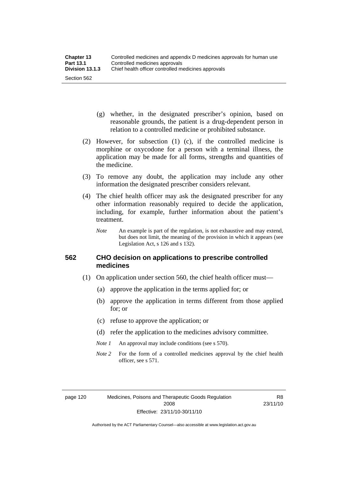- (g) whether, in the designated prescriber's opinion, based on reasonable grounds, the patient is a drug-dependent person in relation to a controlled medicine or prohibited substance.
- (2) However, for subsection (1) (c), if the controlled medicine is morphine or oxycodone for a person with a terminal illness, the application may be made for all forms, strengths and quantities of the medicine.
- (3) To remove any doubt, the application may include any other information the designated prescriber considers relevant.
- (4) The chief health officer may ask the designated prescriber for any other information reasonably required to decide the application, including, for example, further information about the patient's treatment.
	- *Note* An example is part of the regulation, is not exhaustive and may extend, but does not limit, the meaning of the provision in which it appears (see Legislation Act, s 126 and s 132).

## **562 CHO decision on applications to prescribe controlled medicines**

- (1) On application under section 560, the chief health officer must—
	- (a) approve the application in the terms applied for; or
	- (b) approve the application in terms different from those applied for; or
	- (c) refuse to approve the application; or
	- (d) refer the application to the medicines advisory committee.
	- *Note 1* An approval may include conditions (see s 570).
	- *Note* 2 For the form of a controlled medicines approval by the chief health officer, see s 571.

R8 23/11/10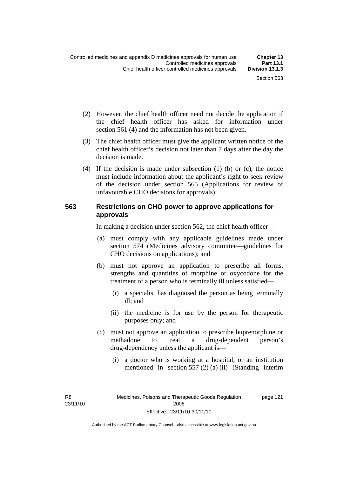- (2) However, the chief health officer need not decide the application if the chief health officer has asked for information under section 561 (4) and the information has not been given.
- (3) The chief health officer must give the applicant written notice of the chief health officer's decision not later than 7 days after the day the decision is made.
- (4) If the decision is made under subsection (1) (b) or (c), the notice must include information about the applicant's right to seek review of the decision under section 565 (Applications for review of unfavourable CHO decisions for approvals).

### **563 Restrictions on CHO power to approve applications for approvals**

In making a decision under section 562, the chief health officer—

- (a) must comply with any applicable guidelines made under section 574 (Medicines advisory committee—guidelines for CHO decisions on applications); and
- (b) must not approve an application to prescribe all forms, strengths and quantities of morphine or oxycodone for the treatment of a person who is terminally ill unless satisfied—
	- (i) a specialist has diagnosed the person as being terminally ill; and
	- (ii) the medicine is for use by the person for therapeutic purposes only; and
- (c) must not approve an application to prescribe buprenorphine or methadone to treat a drug-dependent person's drug-dependency unless the applicant is—
	- (i) a doctor who is working at a hospital, or an institution mentioned in section 557 (2) (a) (ii) (Standing interim

R8 23/11/10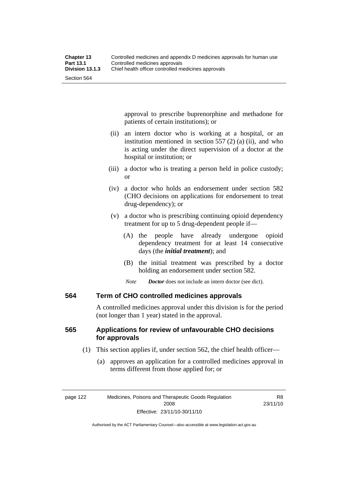approval to prescribe buprenorphine and methadone for patients of certain institutions); or

- (ii) an intern doctor who is working at a hospital, or an institution mentioned in section 557 (2) (a) (ii), and who is acting under the direct supervision of a doctor at the hospital or institution; or
- (iii) a doctor who is treating a person held in police custody; or
- (iv) a doctor who holds an endorsement under section 582 (CHO decisions on applications for endorsement to treat drug-dependency); or
- (v) a doctor who is prescribing continuing opioid dependency treatment for up to 5 drug-dependent people if—
	- (A) the people have already undergone opioid dependency treatment for at least 14 consecutive days (the *initial treatment*); and
	- (B) the initial treatment was prescribed by a doctor holding an endorsement under section 582.
	- *Note Doctor* does not include an intern doctor (see dict).

### **564 Term of CHO controlled medicines approvals**

A controlled medicines approval under this division is for the period (not longer than 1 year) stated in the approval.

## **565 Applications for review of unfavourable CHO decisions for approvals**

- (1) This section applies if, under section 562, the chief health officer—
	- (a) approves an application for a controlled medicines approval in terms different from those applied for; or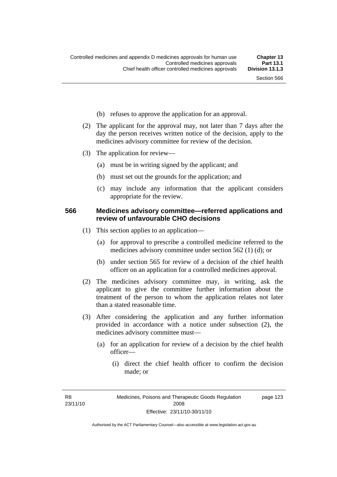- (b) refuses to approve the application for an approval.
- (2) The applicant for the approval may, not later than 7 days after the day the person receives written notice of the decision, apply to the medicines advisory committee for review of the decision.
- (3) The application for review—
	- (a) must be in writing signed by the applicant; and
	- (b) must set out the grounds for the application; and
	- (c) may include any information that the applicant considers appropriate for the review.

#### **566 Medicines advisory committee—referred applications and review of unfavourable CHO decisions**

- (1) This section applies to an application—
	- (a) for approval to prescribe a controlled medicine referred to the medicines advisory committee under section 562 (1) (d); or
	- (b) under section 565 for review of a decision of the chief health officer on an application for a controlled medicines approval.
- (2) The medicines advisory committee may, in writing, ask the applicant to give the committee further information about the treatment of the person to whom the application relates not later than a stated reasonable time.
- (3) After considering the application and any further information provided in accordance with a notice under subsection (2), the medicines advisory committee must—
	- (a) for an application for review of a decision by the chief health officer—
		- (i) direct the chief health officer to confirm the decision made; or

R8 23/11/10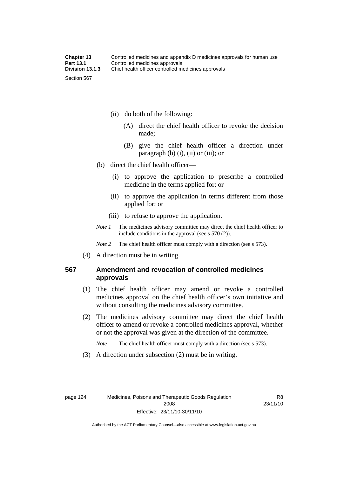- (ii) do both of the following:
	- (A) direct the chief health officer to revoke the decision made;
	- (B) give the chief health officer a direction under paragraph  $(b)$   $(i)$ ,  $(ii)$  or  $(iii)$ ; or
- (b) direct the chief health officer—
	- (i) to approve the application to prescribe a controlled medicine in the terms applied for; or
	- (ii) to approve the application in terms different from those applied for; or
	- (iii) to refuse to approve the application.
- *Note 1* The medicines advisory committee may direct the chief health officer to include conditions in the approval (see s 570 (2)).

*Note* 2 The chief health officer must comply with a direction (see s 573).

(4) A direction must be in writing.

## **567 Amendment and revocation of controlled medicines approvals**

- (1) The chief health officer may amend or revoke a controlled medicines approval on the chief health officer's own initiative and without consulting the medicines advisory committee.
- (2) The medicines advisory committee may direct the chief health officer to amend or revoke a controlled medicines approval, whether or not the approval was given at the direction of the committee.

*Note* The chief health officer must comply with a direction (see s 573).

(3) A direction under subsection (2) must be in writing.

R8 23/11/10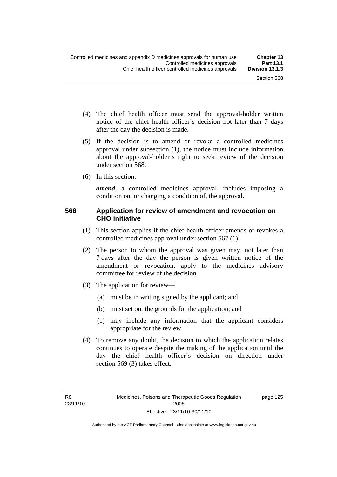- (4) The chief health officer must send the approval-holder written notice of the chief health officer's decision not later than 7 days after the day the decision is made.
- (5) If the decision is to amend or revoke a controlled medicines approval under subsection (1), the notice must include information about the approval-holder's right to seek review of the decision under section 568.
- (6) In this section:

*amend*, a controlled medicines approval, includes imposing a condition on, or changing a condition of, the approval.

#### **568 Application for review of amendment and revocation on CHO initiative**

- (1) This section applies if the chief health officer amends or revokes a controlled medicines approval under section 567 (1).
- (2) The person to whom the approval was given may, not later than 7 days after the day the person is given written notice of the amendment or revocation, apply to the medicines advisory committee for review of the decision.
- (3) The application for review—
	- (a) must be in writing signed by the applicant; and
	- (b) must set out the grounds for the application; and
	- (c) may include any information that the applicant considers appropriate for the review.
- (4) To remove any doubt, the decision to which the application relates continues to operate despite the making of the application until the day the chief health officer's decision on direction under section 569 (3) takes effect.

page 125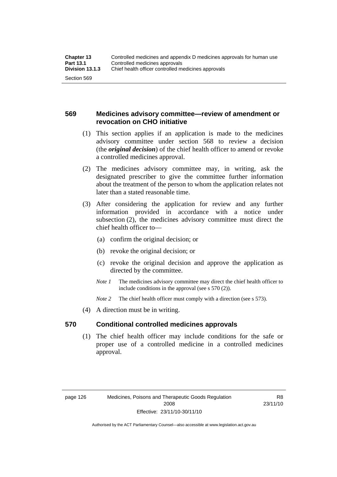## **569 Medicines advisory committee—review of amendment or revocation on CHO initiative**

- (1) This section applies if an application is made to the medicines advisory committee under section 568 to review a decision (the *original decision*) of the chief health officer to amend or revoke a controlled medicines approval.
- (2) The medicines advisory committee may, in writing, ask the designated prescriber to give the committee further information about the treatment of the person to whom the application relates not later than a stated reasonable time.
- (3) After considering the application for review and any further information provided in accordance with a notice under subsection (2), the medicines advisory committee must direct the chief health officer to—
	- (a) confirm the original decision; or
	- (b) revoke the original decision; or
	- (c) revoke the original decision and approve the application as directed by the committee.
	- *Note 1* The medicines advisory committee may direct the chief health officer to include conditions in the approval (see s 570 (2)).
	- *Note* 2 The chief health officer must comply with a direction (see s 573).
- (4) A direction must be in writing.

### **570 Conditional controlled medicines approvals**

 (1) The chief health officer may include conditions for the safe or proper use of a controlled medicine in a controlled medicines approval.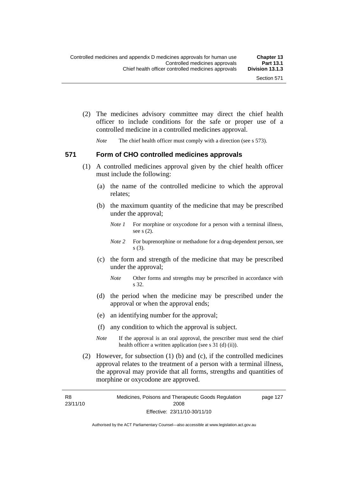(2) The medicines advisory committee may direct the chief health officer to include conditions for the safe or proper use of a controlled medicine in a controlled medicines approval.

*Note* The chief health officer must comply with a direction (see s 573).

#### **571 Form of CHO controlled medicines approvals**

- (1) A controlled medicines approval given by the chief health officer must include the following:
	- (a) the name of the controlled medicine to which the approval relates;
	- (b) the maximum quantity of the medicine that may be prescribed under the approval;
		- *Note 1* For morphine or oxycodone for a person with a terminal illness, see s (2).
		- *Note* 2 For buprenorphine or methadone for a drug-dependent person, see s (3).
	- (c) the form and strength of the medicine that may be prescribed under the approval;
		- *Note* Other forms and strengths may be prescribed in accordance with s 32.
	- (d) the period when the medicine may be prescribed under the approval or when the approval ends;
	- (e) an identifying number for the approval;
	- (f) any condition to which the approval is subject.
	- *Note* If the approval is an oral approval, the prescriber must send the chief health officer a written application (see s  $31$  (d) (ii)).
- (2) However, for subsection (1) (b) and (c), if the controlled medicines approval relates to the treatment of a person with a terminal illness, the approval may provide that all forms, strengths and quantities of morphine or oxycodone are approved.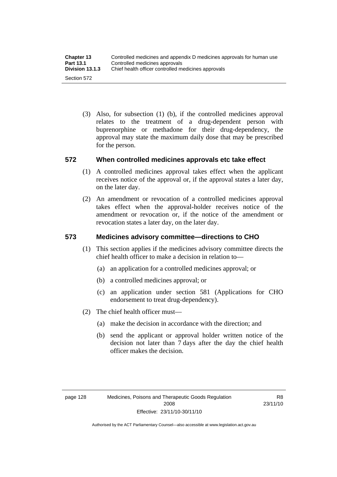(3) Also, for subsection (1) (b), if the controlled medicines approval relates to the treatment of a drug-dependent person with buprenorphine or methadone for their drug-dependency, the approval may state the maximum daily dose that may be prescribed for the person.

## **572 When controlled medicines approvals etc take effect**

- (1) A controlled medicines approval takes effect when the applicant receives notice of the approval or, if the approval states a later day, on the later day.
- (2) An amendment or revocation of a controlled medicines approval takes effect when the approval-holder receives notice of the amendment or revocation or, if the notice of the amendment or revocation states a later day, on the later day.

## **573 Medicines advisory committee—directions to CHO**

- (1) This section applies if the medicines advisory committee directs the chief health officer to make a decision in relation to—
	- (a) an application for a controlled medicines approval; or
	- (b) a controlled medicines approval; or
	- (c) an application under section 581 (Applications for CHO endorsement to treat drug-dependency).
- (2) The chief health officer must—
	- (a) make the decision in accordance with the direction; and
	- (b) send the applicant or approval holder written notice of the decision not later than 7 days after the day the chief health officer makes the decision.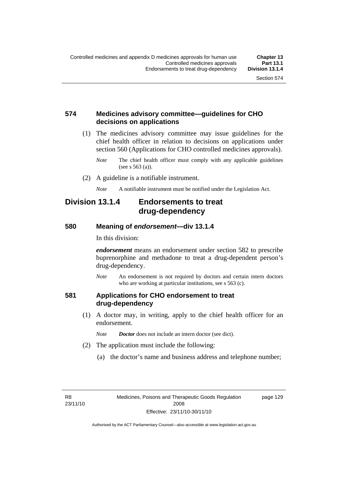### **574 Medicines advisory committee—guidelines for CHO decisions on applications**

 (1) The medicines advisory committee may issue guidelines for the chief health officer in relation to decisions on applications under section 560 (Applications for CHO controlled medicines approvals).

- (2) A guideline is a notifiable instrument.
	- *Note* A notifiable instrument must be notified under the Legislation Act.

## **Division 13.1.4 Endorsements to treat drug-dependency**

#### **580 Meaning of** *endorsement***—div 13.1.4**

In this division:

*endorsement* means an endorsement under section 582 to prescribe buprenorphine and methadone to treat a drug-dependent person's drug-dependency.

*Note* An endorsement is not required by doctors and certain intern doctors who are working at particular institutions, see s 563 (c).

### **581 Applications for CHO endorsement to treat drug-dependency**

- (1) A doctor may, in writing, apply to the chief health officer for an endorsement.
	- *Note Doctor* does not include an intern doctor (see dict).
- (2) The application must include the following:
	- (a) the doctor's name and business address and telephone number;

R8 23/11/10 page 129

*Note* The chief health officer must comply with any applicable guidelines (see s 563 (a)).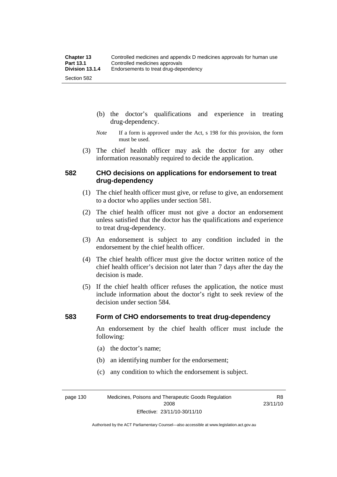- (b) the doctor's qualifications and experience in treating drug-dependency.
- *Note* If a form is approved under the Act, s 198 for this provision, the form must be used.
- (3) The chief health officer may ask the doctor for any other information reasonably required to decide the application.

### **582 CHO decisions on applications for endorsement to treat drug-dependency**

- (1) The chief health officer must give, or refuse to give, an endorsement to a doctor who applies under section 581.
- (2) The chief health officer must not give a doctor an endorsement unless satisfied that the doctor has the qualifications and experience to treat drug-dependency.
- (3) An endorsement is subject to any condition included in the endorsement by the chief health officer.
- (4) The chief health officer must give the doctor written notice of the chief health officer's decision not later than 7 days after the day the decision is made.
- (5) If the chief health officer refuses the application, the notice must include information about the doctor's right to seek review of the decision under section 584.

#### **583 Form of CHO endorsements to treat drug-dependency**

An endorsement by the chief health officer must include the following:

- (a) the doctor's name;
- (b) an identifying number for the endorsement;
- (c) any condition to which the endorsement is subject.

page 130 Medicines, Poisons and Therapeutic Goods Regulation 2008 Effective: 23/11/10-30/11/10

R8 23/11/10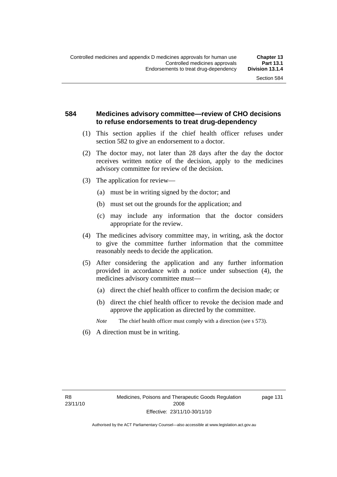## **584 Medicines advisory committee—review of CHO decisions to refuse endorsements to treat drug-dependency**

- (1) This section applies if the chief health officer refuses under section 582 to give an endorsement to a doctor.
- (2) The doctor may, not later than 28 days after the day the doctor receives written notice of the decision, apply to the medicines advisory committee for review of the decision.
- (3) The application for review—
	- (a) must be in writing signed by the doctor; and
	- (b) must set out the grounds for the application; and
	- (c) may include any information that the doctor considers appropriate for the review.
- (4) The medicines advisory committee may, in writing, ask the doctor to give the committee further information that the committee reasonably needs to decide the application.
- (5) After considering the application and any further information provided in accordance with a notice under subsection (4), the medicines advisory committee must—
	- (a) direct the chief health officer to confirm the decision made; or
	- (b) direct the chief health officer to revoke the decision made and approve the application as directed by the committee.

*Note* The chief health officer must comply with a direction (see s 573).

(6) A direction must be in writing.

page 131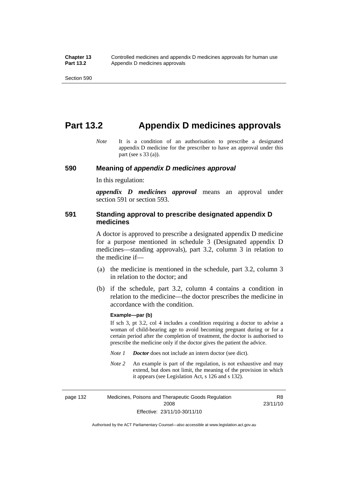## **Part 13.2 Appendix D medicines approvals**

*Note* It is a condition of an authorisation to prescribe a designated appendix D medicine for the prescriber to have an approval under this part (see s 33 (a)).

#### **590 Meaning of** *appendix D medicines approval*

In this regulation:

*appendix D medicines approval* means an approval under section 591 or section 593.

### **591 Standing approval to prescribe designated appendix D medicines**

A doctor is approved to prescribe a designated appendix D medicine for a purpose mentioned in schedule 3 (Designated appendix D medicines—standing approvals), part 3.2, column 3 in relation to the medicine if—

- (a) the medicine is mentioned in the schedule, part 3.2, column 3 in relation to the doctor; and
- (b) if the schedule, part 3.2, column 4 contains a condition in relation to the medicine—the doctor prescribes the medicine in accordance with the condition.

#### **Example—par (b)**

If sch 3, pt 3.2, col 4 includes a condition requiring a doctor to advise a woman of child-bearing age to avoid becoming pregnant during or for a certain period after the completion of treatment, the doctor is authorised to prescribe the medicine only if the doctor gives the patient the advice.

- *Note 1 Doctor* does not include an intern doctor (see dict).
- *Note 2* An example is part of the regulation, is not exhaustive and may extend, but does not limit, the meaning of the provision in which it appears (see Legislation Act, s 126 and s 132).

page 132 Medicines, Poisons and Therapeutic Goods Regulation 2008 Effective: 23/11/10-30/11/10 R8 23/11/10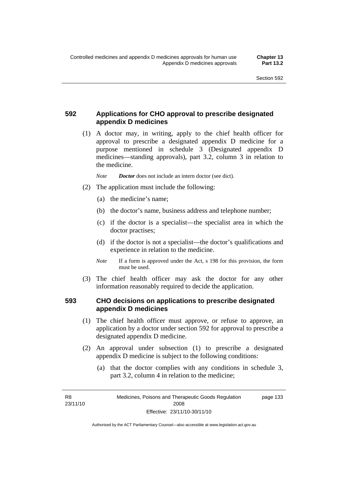## **592 Applications for CHO approval to prescribe designated appendix D medicines**

 (1) A doctor may, in writing, apply to the chief health officer for approval to prescribe a designated appendix D medicine for a purpose mentioned in schedule 3 (Designated appendix D medicines—standing approvals), part 3.2, column 3 in relation to the medicine.

*Note Doctor* does not include an intern doctor (see dict).

- (2) The application must include the following:
	- (a) the medicine's name;
	- (b) the doctor's name, business address and telephone number;
	- (c) if the doctor is a specialist—the specialist area in which the doctor practises;
	- (d) if the doctor is not a specialist—the doctor's qualifications and experience in relation to the medicine.
	- *Note* If a form is approved under the Act, s 198 for this provision, the form must be used.
- (3) The chief health officer may ask the doctor for any other information reasonably required to decide the application.

## **593 CHO decisions on applications to prescribe designated appendix D medicines**

- (1) The chief health officer must approve, or refuse to approve, an application by a doctor under section 592 for approval to prescribe a designated appendix D medicine.
- (2) An approval under subsection (1) to prescribe a designated appendix D medicine is subject to the following conditions:
	- (a) that the doctor complies with any conditions in schedule 3, part 3.2, column 4 in relation to the medicine;

R8 23/11/10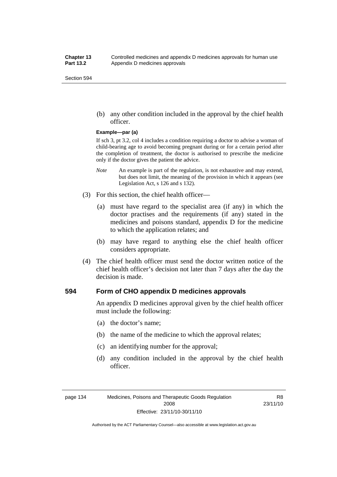(b) any other condition included in the approval by the chief health officer.

#### **Example—par (a)**

If sch 3, pt 3.2, col 4 includes a condition requiring a doctor to advise a woman of child-bearing age to avoid becoming pregnant during or for a certain period after the completion of treatment, the doctor is authorised to prescribe the medicine only if the doctor gives the patient the advice.

- *Note* An example is part of the regulation, is not exhaustive and may extend, but does not limit, the meaning of the provision in which it appears (see Legislation Act, s 126 and s 132).
- (3) For this section, the chief health officer—
	- (a) must have regard to the specialist area (if any) in which the doctor practises and the requirements (if any) stated in the medicines and poisons standard, appendix D for the medicine to which the application relates; and
	- (b) may have regard to anything else the chief health officer considers appropriate.
- (4) The chief health officer must send the doctor written notice of the chief health officer's decision not later than 7 days after the day the decision is made.

#### **594 Form of CHO appendix D medicines approvals**

An appendix D medicines approval given by the chief health officer must include the following:

- (a) the doctor's name;
- (b) the name of the medicine to which the approval relates;
- (c) an identifying number for the approval;
- (d) any condition included in the approval by the chief health officer.

R8 23/11/10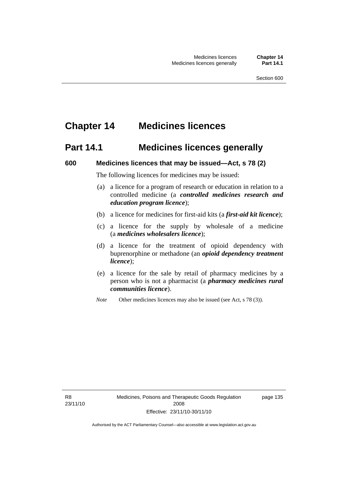# **Chapter 14 Medicines licences**

## **Part 14.1 Medicines licences generally**

#### **600 Medicines licences that may be issued—Act, s 78 (2)**

The following licences for medicines may be issued:

- (a) a licence for a program of research or education in relation to a controlled medicine (a *controlled medicines research and education program licence*);
- (b) a licence for medicines for first-aid kits (a *first-aid kit licence*);
- (c) a licence for the supply by wholesale of a medicine (a *medicines wholesalers licence*);
- (d) a licence for the treatment of opioid dependency with buprenorphine or methadone (an *opioid dependency treatment licence*);
- (e) a licence for the sale by retail of pharmacy medicines by a person who is not a pharmacist (a *pharmacy medicines rural communities licence*).
- *Note* Other medicines licences may also be issued (see Act, s 78 (3)).

R8 23/11/10 Medicines, Poisons and Therapeutic Goods Regulation 2008 Effective: 23/11/10-30/11/10

page 135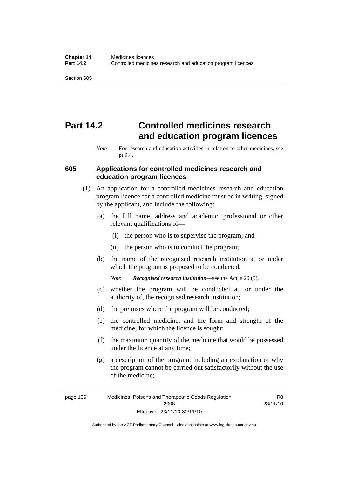# **Part 14.2 Controlled medicines research and education program licences**

### **605 Applications for controlled medicines research and education program licences**

- (1) An application for a controlled medicines research and education program licence for a controlled medicine must be in writing, signed by the applicant, and include the following:
	- (a) the full name, address and academic, professional or other relevant qualifications of—
		- (i) the person who is to supervise the program; and
		- (ii) the person who is to conduct the program;
	- (b) the name of the recognised research institution at or under which the program is proposed to be conducted;

*Note Recognised research institution*—see the Act, s 20 (5).

- (c) whether the program will be conducted at, or under the authority of, the recognised research institution;
- (d) the premises where the program will be conducted;
- (e) the controlled medicine, and the form and strength of the medicine, for which the licence is sought;
- (f) the maximum quantity of the medicine that would be possessed under the licence at any time;
- (g) a description of the program, including an explanation of why the program cannot be carried out satisfactorily without the use of the medicine;

R8 23/11/10

*Note* For research and education activities in relation to other medicines, see pt 9.4.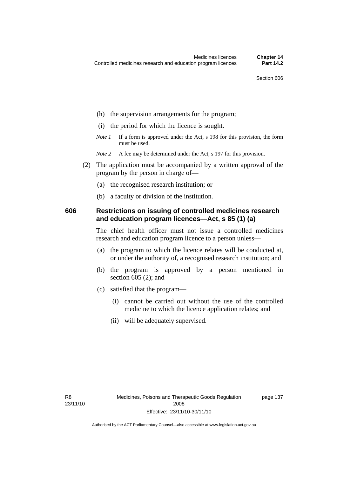- (h) the supervision arrangements for the program;
- (i) the period for which the licence is sought.
- *Note 1* If a form is approved under the Act, s 198 for this provision, the form must be used.
- *Note* 2 A fee may be determined under the Act, s 197 for this provision.
- (2) The application must be accompanied by a written approval of the program by the person in charge of—
	- (a) the recognised research institution; or
	- (b) a faculty or division of the institution.

#### **606 Restrictions on issuing of controlled medicines research and education program licences—Act, s 85 (1) (a)**

The chief health officer must not issue a controlled medicines research and education program licence to a person unless—

- (a) the program to which the licence relates will be conducted at, or under the authority of, a recognised research institution; and
- (b) the program is approved by a person mentioned in section 605 (2); and
- (c) satisfied that the program—
	- (i) cannot be carried out without the use of the controlled medicine to which the licence application relates; and
	- (ii) will be adequately supervised.

page 137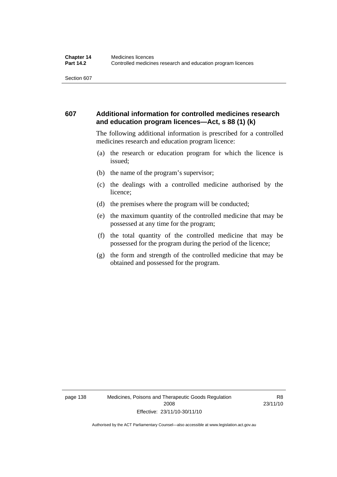## **607 Additional information for controlled medicines research and education program licences—Act, s 88 (1) (k)**

The following additional information is prescribed for a controlled medicines research and education program licence:

- (a) the research or education program for which the licence is issued;
- (b) the name of the program's supervisor;
- (c) the dealings with a controlled medicine authorised by the licence;
- (d) the premises where the program will be conducted;
- (e) the maximum quantity of the controlled medicine that may be possessed at any time for the program;
- (f) the total quantity of the controlled medicine that may be possessed for the program during the period of the licence;
- (g) the form and strength of the controlled medicine that may be obtained and possessed for the program.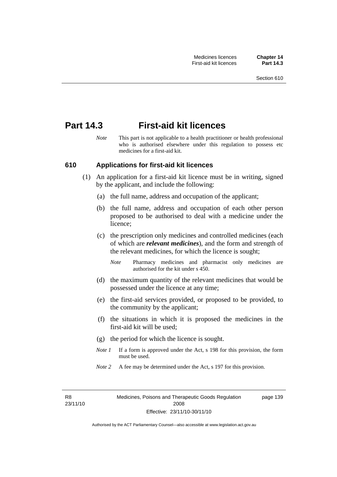## **Part 14.3 First-aid kit licences**

*Note* This part is not applicable to a health practitioner or health professional who is authorised elsewhere under this regulation to possess etc medicines for a first-aid kit.

#### **610 Applications for first-aid kit licences**

- (1) An application for a first-aid kit licence must be in writing, signed by the applicant, and include the following:
	- (a) the full name, address and occupation of the applicant;
	- (b) the full name, address and occupation of each other person proposed to be authorised to deal with a medicine under the licence;
	- (c) the prescription only medicines and controlled medicines (each of which are *relevant medicines*), and the form and strength of the relevant medicines, for which the licence is sought;
		- *Note* Pharmacy medicines and pharmacist only medicines are authorised for the kit under s 450.
	- (d) the maximum quantity of the relevant medicines that would be possessed under the licence at any time;
	- (e) the first-aid services provided, or proposed to be provided, to the community by the applicant;
	- (f) the situations in which it is proposed the medicines in the first-aid kit will be used;
	- (g) the period for which the licence is sought.
	- *Note 1* If a form is approved under the Act, s 198 for this provision, the form must be used.
	- *Note* 2 A fee may be determined under the Act, s 197 for this provision.

R8 23/11/10 page 139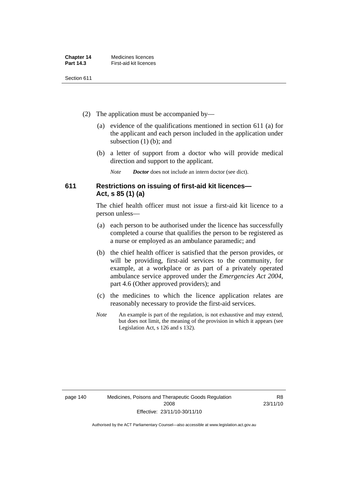| <b>Chapter 14</b> | Medicines licences     |
|-------------------|------------------------|
| <b>Part 14.3</b>  | First-aid kit licences |

- (2) The application must be accompanied by—
	- (a) evidence of the qualifications mentioned in section 611 (a) for the applicant and each person included in the application under subsection (1) (b); and
	- (b) a letter of support from a doctor who will provide medical direction and support to the applicant.
		- *Note Doctor* does not include an intern doctor (see dict).

## **611 Restrictions on issuing of first-aid kit licences— Act, s 85 (1) (a)**

The chief health officer must not issue a first-aid kit licence to a person unless—

- (a) each person to be authorised under the licence has successfully completed a course that qualifies the person to be registered as a nurse or employed as an ambulance paramedic; and
- (b) the chief health officer is satisfied that the person provides, or will be providing, first-aid services to the community, for example, at a workplace or as part of a privately operated ambulance service approved under the *Emergencies Act 2004*, part 4.6 (Other approved providers); and
- (c) the medicines to which the licence application relates are reasonably necessary to provide the first-aid services.
- *Note* An example is part of the regulation, is not exhaustive and may extend, but does not limit, the meaning of the provision in which it appears (see Legislation Act, s 126 and s 132).

R8 23/11/10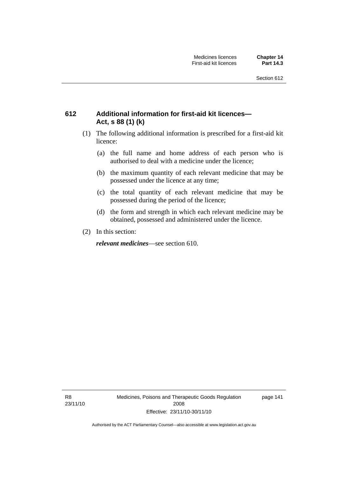## **612 Additional information for first-aid kit licences— Act, s 88 (1) (k)**

- (1) The following additional information is prescribed for a first-aid kit licence:
	- (a) the full name and home address of each person who is authorised to deal with a medicine under the licence;
	- (b) the maximum quantity of each relevant medicine that may be possessed under the licence at any time;
	- (c) the total quantity of each relevant medicine that may be possessed during the period of the licence;
	- (d) the form and strength in which each relevant medicine may be obtained, possessed and administered under the licence.
- (2) In this section:

*relevant medicines*—see section 610.

R8 23/11/10 Medicines, Poisons and Therapeutic Goods Regulation 2008 Effective: 23/11/10-30/11/10

page 141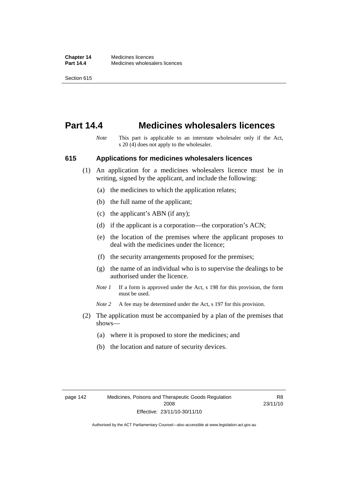## **Part 14.4 Medicines wholesalers licences**

*Note* This part is applicable to an interstate wholesaler only if the Act, s 20 (4) does not apply to the wholesaler.

#### **615 Applications for medicines wholesalers licences**

- (1) An application for a medicines wholesalers licence must be in writing, signed by the applicant, and include the following:
	- (a) the medicines to which the application relates;
	- (b) the full name of the applicant;
	- (c) the applicant's ABN (if any);
	- (d) if the applicant is a corporation—the corporation's ACN;
	- (e) the location of the premises where the applicant proposes to deal with the medicines under the licence;
	- (f) the security arrangements proposed for the premises;
	- (g) the name of an individual who is to supervise the dealings to be authorised under the licence.
	- *Note 1* If a form is approved under the Act, s 198 for this provision, the form must be used.
	- *Note* 2 A fee may be determined under the Act, s 197 for this provision.
- (2) The application must be accompanied by a plan of the premises that shows—
	- (a) where it is proposed to store the medicines; and
	- (b) the location and nature of security devices.

R8 23/11/10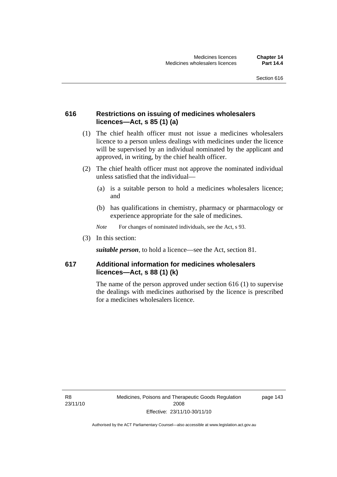## **616 Restrictions on issuing of medicines wholesalers licences—Act, s 85 (1) (a)**

- (1) The chief health officer must not issue a medicines wholesalers licence to a person unless dealings with medicines under the licence will be supervised by an individual nominated by the applicant and approved, in writing, by the chief health officer.
- (2) The chief health officer must not approve the nominated individual unless satisfied that the individual—
	- (a) is a suitable person to hold a medicines wholesalers licence; and
	- (b) has qualifications in chemistry, pharmacy or pharmacology or experience appropriate for the sale of medicines.
	- *Note* For changes of nominated individuals, see the Act, s 93.
- (3) In this section:

*suitable person*, to hold a licence—see the Act, section 81.

## **617 Additional information for medicines wholesalers licences—Act, s 88 (1) (k)**

The name of the person approved under section 616 (1) to supervise the dealings with medicines authorised by the licence is prescribed for a medicines wholesalers licence.

R8 23/11/10 page 143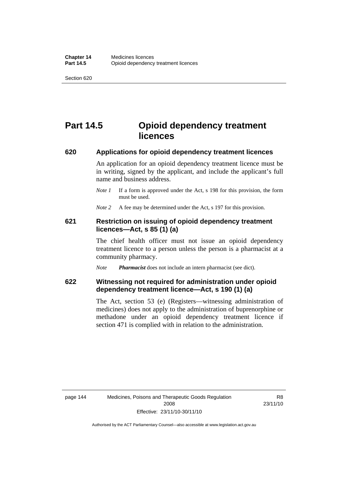# **Part 14.5 Opioid dependency treatment licences**

#### **620 Applications for opioid dependency treatment licences**

An application for an opioid dependency treatment licence must be in writing, signed by the applicant, and include the applicant's full name and business address.

*Note 1* If a form is approved under the Act, s 198 for this provision, the form must be used.

*Note* 2 A fee may be determined under the Act, s 197 for this provision.

### **621 Restriction on issuing of opioid dependency treatment licences—Act, s 85 (1) (a)**

The chief health officer must not issue an opioid dependency treatment licence to a person unless the person is a pharmacist at a community pharmacy.

*Note Pharmacist* does not include an intern pharmacist (see dict).

### **622 Witnessing not required for administration under opioid dependency treatment licence—Act, s 190 (1) (a)**

The Act, section 53 (e) (Registers—witnessing administration of medicines) does not apply to the administration of buprenorphine or methadone under an opioid dependency treatment licence if section 471 is complied with in relation to the administration.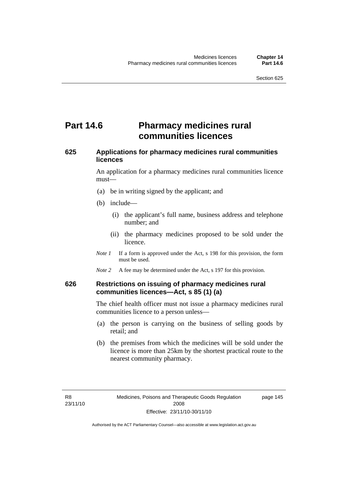# **Part 14.6** Pharmacy medicines rural **communities licences**

## **625 Applications for pharmacy medicines rural communities licences**

An application for a pharmacy medicines rural communities licence must—

- (a) be in writing signed by the applicant; and
- (b) include—
	- (i) the applicant's full name, business address and telephone number; and
	- (ii) the pharmacy medicines proposed to be sold under the licence.
- *Note 1* If a form is approved under the Act, s 198 for this provision, the form must be used.
- *Note* 2 A fee may be determined under the Act, s 197 for this provision.

### **626 Restrictions on issuing of pharmacy medicines rural communities licences—Act, s 85 (1) (a)**

The chief health officer must not issue a pharmacy medicines rural communities licence to a person unless—

- (a) the person is carrying on the business of selling goods by retail; and
- (b) the premises from which the medicines will be sold under the licence is more than 25km by the shortest practical route to the nearest community pharmacy.

page 145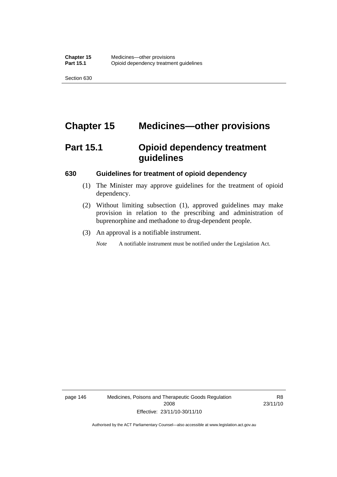# **Chapter 15 Medicines—other provisions**

# **Part 15.1 Opioid dependency treatment guidelines**

#### **630 Guidelines for treatment of opioid dependency**

- (1) The Minister may approve guidelines for the treatment of opioid dependency.
- (2) Without limiting subsection (1), approved guidelines may make provision in relation to the prescribing and administration of buprenorphine and methadone to drug-dependent people.
- (3) An approval is a notifiable instrument.

*Note* A notifiable instrument must be notified under the Legislation Act.

page 146 Medicines, Poisons and Therapeutic Goods Regulation 2008 Effective: 23/11/10-30/11/10

R8 23/11/10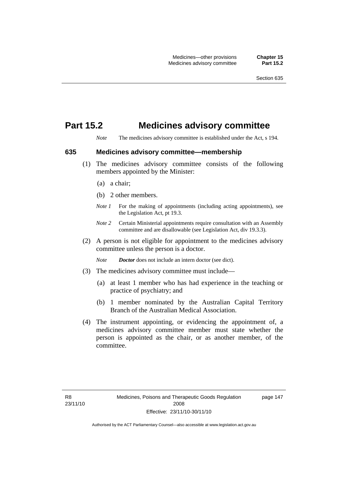## **Part 15.2 Medicines advisory committee**

*Note* The medicines advisory committee is established under the Act, s 194.

#### **635 Medicines advisory committee—membership**

- (1) The medicines advisory committee consists of the following members appointed by the Minister:
	- (a) a chair;
	- (b) 2 other members.
	- *Note 1* For the making of appointments (including acting appointments), see the Legislation Act, pt 19.3.
	- *Note 2* Certain Ministerial appointments require consultation with an Assembly committee and are disallowable (see Legislation Act, div 19.3.3).
- (2) A person is not eligible for appointment to the medicines advisory committee unless the person is a doctor.

*Note Doctor* does not include an intern doctor (see dict).

- (3) The medicines advisory committee must include—
	- (a) at least 1 member who has had experience in the teaching or practice of psychiatry; and
	- (b) 1 member nominated by the Australian Capital Territory Branch of the Australian Medical Association.
- (4) The instrument appointing, or evidencing the appointment of, a medicines advisory committee member must state whether the person is appointed as the chair, or as another member, of the committee.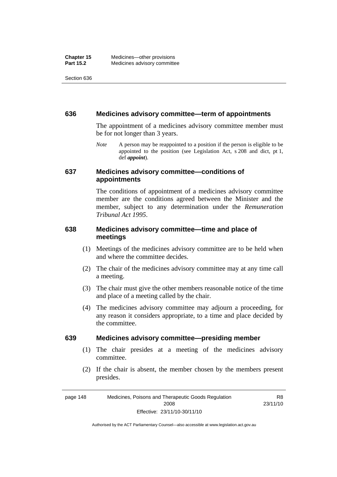#### **636 Medicines advisory committee—term of appointments**

The appointment of a medicines advisory committee member must be for not longer than 3 years.

*Note* A person may be reappointed to a position if the person is eligible to be appointed to the position (see Legislation Act, s 208 and dict, pt 1, def *appoint*).

### **637 Medicines advisory committee—conditions of appointments**

The conditions of appointment of a medicines advisory committee member are the conditions agreed between the Minister and the member, subject to any determination under the *Remuneration Tribunal Act 1995*.

## **638 Medicines advisory committee—time and place of meetings**

- (1) Meetings of the medicines advisory committee are to be held when and where the committee decides.
- (2) The chair of the medicines advisory committee may at any time call a meeting.
- (3) The chair must give the other members reasonable notice of the time and place of a meeting called by the chair.
- (4) The medicines advisory committee may adjourn a proceeding, for any reason it considers appropriate, to a time and place decided by the committee.

### **639 Medicines advisory committee—presiding member**

- (1) The chair presides at a meeting of the medicines advisory committee.
- (2) If the chair is absent, the member chosen by the members present presides.

page 148 Medicines, Poisons and Therapeutic Goods Regulation 2008 Effective: 23/11/10-30/11/10 R8 23/11/10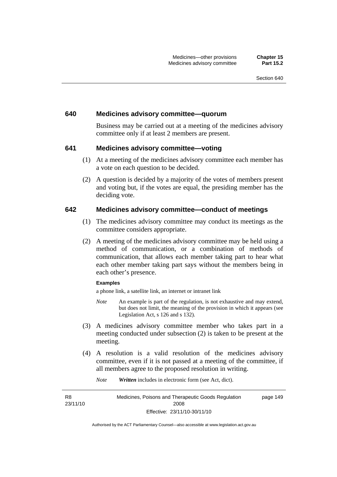#### **640 Medicines advisory committee—quorum**

Business may be carried out at a meeting of the medicines advisory committee only if at least 2 members are present.

#### **641 Medicines advisory committee—voting**

- (1) At a meeting of the medicines advisory committee each member has a vote on each question to be decided.
- (2) A question is decided by a majority of the votes of members present and voting but, if the votes are equal, the presiding member has the deciding vote.

#### **642 Medicines advisory committee—conduct of meetings**

- (1) The medicines advisory committee may conduct its meetings as the committee considers appropriate.
- (2) A meeting of the medicines advisory committee may be held using a method of communication, or a combination of methods of communication, that allows each member taking part to hear what each other member taking part says without the members being in each other's presence.

#### **Examples**

a phone link, a satellite link, an internet or intranet link

- *Note* An example is part of the regulation, is not exhaustive and may extend, but does not limit, the meaning of the provision in which it appears (see Legislation Act, s 126 and s 132).
- (3) A medicines advisory committee member who takes part in a meeting conducted under subsection (2) is taken to be present at the meeting.
- (4) A resolution is a valid resolution of the medicines advisory committee, even if it is not passed at a meeting of the committee, if all members agree to the proposed resolution in writing.

*Note Written* includes in electronic form (see Act, dict).

R8 23/11/10 Medicines, Poisons and Therapeutic Goods Regulation 2008 Effective: 23/11/10-30/11/10 page 149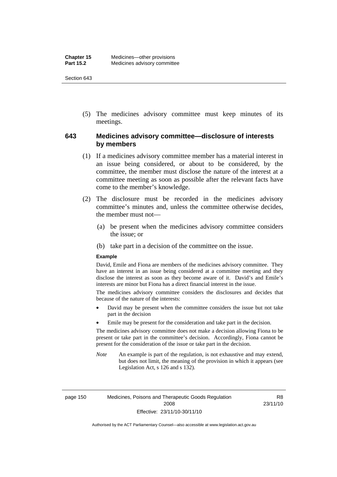(5) The medicines advisory committee must keep minutes of its meetings.

### **643 Medicines advisory committee—disclosure of interests by members**

- (1) If a medicines advisory committee member has a material interest in an issue being considered, or about to be considered, by the committee, the member must disclose the nature of the interest at a committee meeting as soon as possible after the relevant facts have come to the member's knowledge.
- (2) The disclosure must be recorded in the medicines advisory committee's minutes and, unless the committee otherwise decides, the member must not—
	- (a) be present when the medicines advisory committee considers the issue; or
	- (b) take part in a decision of the committee on the issue.

#### **Example**

David, Emile and Fiona are members of the medicines advisory committee. They have an interest in an issue being considered at a committee meeting and they disclose the interest as soon as they become aware of it. David's and Emile's interests are minor but Fiona has a direct financial interest in the issue.

The medicines advisory committee considers the disclosures and decides that because of the nature of the interests:

- David may be present when the committee considers the issue but not take part in the decision
- Emile may be present for the consideration and take part in the decision.

The medicines advisory committee does not make a decision allowing Fiona to be present or take part in the committee's decision. Accordingly, Fiona cannot be present for the consideration of the issue or take part in the decision.

*Note* An example is part of the regulation, is not exhaustive and may extend, but does not limit, the meaning of the provision in which it appears (see Legislation Act, s 126 and s 132).

page 150 Medicines, Poisons and Therapeutic Goods Regulation 2008 Effective: 23/11/10-30/11/10

R8 23/11/10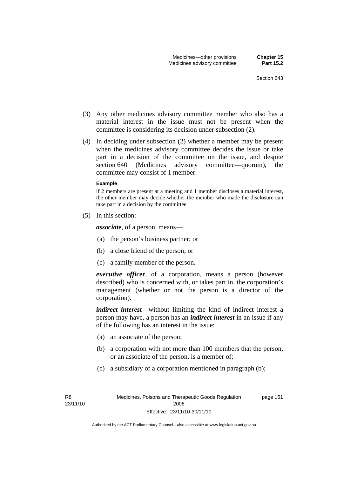- (3) Any other medicines advisory committee member who also has a material interest in the issue must not be present when the committee is considering its decision under subsection (2).
- (4) In deciding under subsection (2) whether a member may be present when the medicines advisory committee decides the issue or take part in a decision of the committee on the issue, and despite section 640 (Medicines advisory committee—quorum), the committee may consist of 1 member.

#### **Example**

if 2 members are present at a meeting and 1 member discloses a material interest, the other member may decide whether the member who made the disclosure can take part in a decision by the committee

(5) In this section:

*associate*, of a person, means—

- (a) the person's business partner; or
- (b) a close friend of the person; or
- (c) a family member of the person.

*executive officer*, of a corporation, means a person (however described) who is concerned with, or takes part in, the corporation's management (whether or not the person is a director of the corporation).

*indirect interest*—without limiting the kind of indirect interest a person may have, a person has an *indirect interest* in an issue if any of the following has an interest in the issue:

- (a) an associate of the person;
- (b) a corporation with not more than 100 members that the person, or an associate of the person, is a member of;
- (c) a subsidiary of a corporation mentioned in paragraph (b);

page 151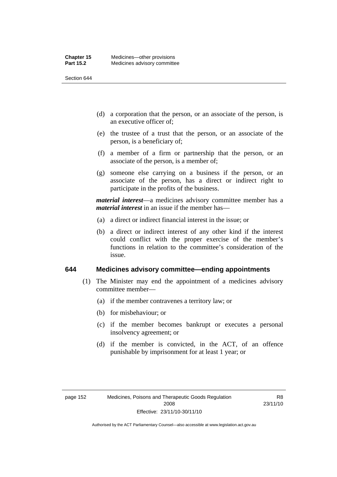- (d) a corporation that the person, or an associate of the person, is an executive officer of;
- (e) the trustee of a trust that the person, or an associate of the person, is a beneficiary of;
- (f) a member of a firm or partnership that the person, or an associate of the person, is a member of;
- (g) someone else carrying on a business if the person, or an associate of the person, has a direct or indirect right to participate in the profits of the business.

*material interest*—a medicines advisory committee member has a *material interest* in an issue if the member has—

- (a) a direct or indirect financial interest in the issue; or
- (b) a direct or indirect interest of any other kind if the interest could conflict with the proper exercise of the member's functions in relation to the committee's consideration of the issue.

#### **644 Medicines advisory committee—ending appointments**

- (1) The Minister may end the appointment of a medicines advisory committee member—
	- (a) if the member contravenes a territory law; or
	- (b) for misbehaviour; or
	- (c) if the member becomes bankrupt or executes a personal insolvency agreement; or
	- (d) if the member is convicted, in the ACT, of an offence punishable by imprisonment for at least 1 year; or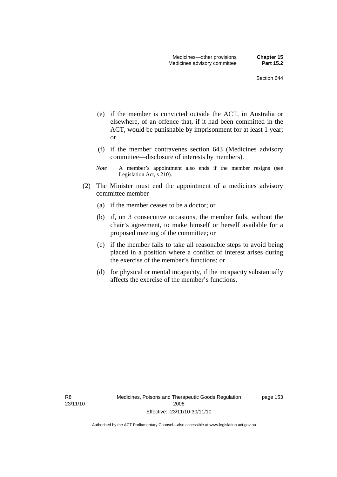- (e) if the member is convicted outside the ACT, in Australia or elsewhere, of an offence that, if it had been committed in the ACT, would be punishable by imprisonment for at least 1 year; or
- (f) if the member contravenes section 643 (Medicines advisory committee—disclosure of interests by members).
- *Note* A member's appointment also ends if the member resigns (see Legislation Act, s 210).
- (2) The Minister must end the appointment of a medicines advisory committee member—
	- (a) if the member ceases to be a doctor; or
	- (b) if, on 3 consecutive occasions, the member fails, without the chair's agreement, to make himself or herself available for a proposed meeting of the committee; or
	- (c) if the member fails to take all reasonable steps to avoid being placed in a position where a conflict of interest arises during the exercise of the member's functions; or
	- (d) for physical or mental incapacity, if the incapacity substantially affects the exercise of the member's functions.

R8 23/11/10 page 153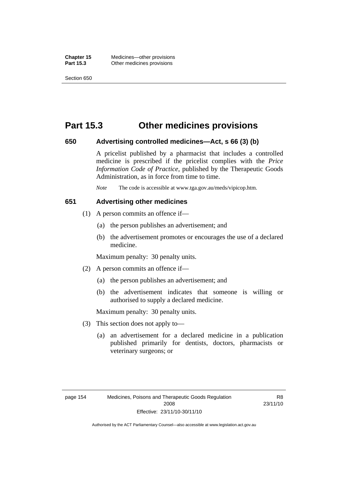## **Part 15.3 Other medicines provisions**

#### **650 Advertising controlled medicines—Act, s 66 (3) (b)**

A pricelist published by a pharmacist that includes a controlled medicine is prescribed if the pricelist complies with the *Price Information Code of Practice*, published by the Therapeutic Goods Administration, as in force from time to time.

*Note* The code is accessible at www.tga.gov.au/meds/vipicop.htm.

#### **651 Advertising other medicines**

- (1) A person commits an offence if—
	- (a) the person publishes an advertisement; and
	- (b) the advertisement promotes or encourages the use of a declared medicine.

Maximum penalty: 30 penalty units.

- (2) A person commits an offence if—
	- (a) the person publishes an advertisement; and
	- (b) the advertisement indicates that someone is willing or authorised to supply a declared medicine.

Maximum penalty: 30 penalty units.

- (3) This section does not apply to—
	- (a) an advertisement for a declared medicine in a publication published primarily for dentists, doctors, pharmacists or veterinary surgeons; or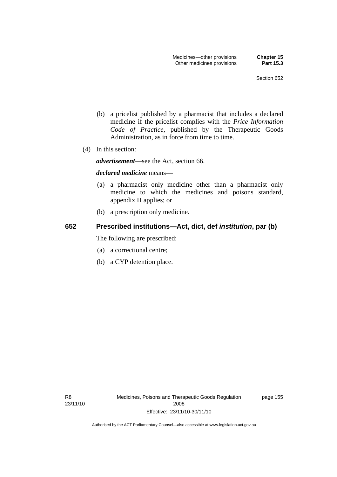- (b) a pricelist published by a pharmacist that includes a declared medicine if the pricelist complies with the *Price Information Code of Practice*, published by the Therapeutic Goods Administration, as in force from time to time.
- (4) In this section:

*advertisement*—see the Act, section 66.

#### *declared medicine* means—

- (a) a pharmacist only medicine other than a pharmacist only medicine to which the medicines and poisons standard, appendix H applies; or
- (b) a prescription only medicine.

## **652 Prescribed institutions—Act, dict, def** *institution***, par (b)**

The following are prescribed:

- (a) a correctional centre;
- (b) a CYP detention place.

page 155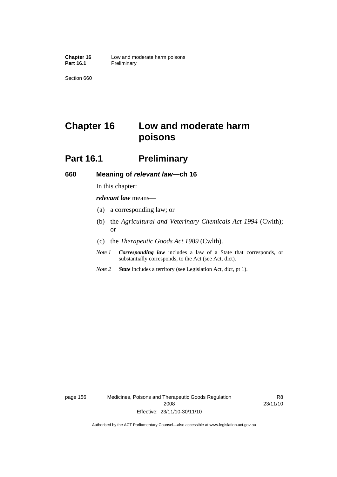# **Chapter 16 Low and moderate harm poisons**

## **Part 16.1** Preliminary

#### **660 Meaning of** *relevant law***—ch 16**

In this chapter:

*relevant law* means—

- (a) a corresponding law; or
- (b) the *Agricultural and Veterinary Chemicals Act 1994* (Cwlth); or
- (c) the *Therapeutic Goods Act 1989* (Cwlth).
- *Note 1 Corresponding law* includes a law of a State that corresponds, or substantially corresponds, to the Act (see Act, dict).
- *Note 2 State* includes a territory (see Legislation Act, dict, pt 1).

page 156 Medicines, Poisons and Therapeutic Goods Regulation 2008 Effective: 23/11/10-30/11/10

R8 23/11/10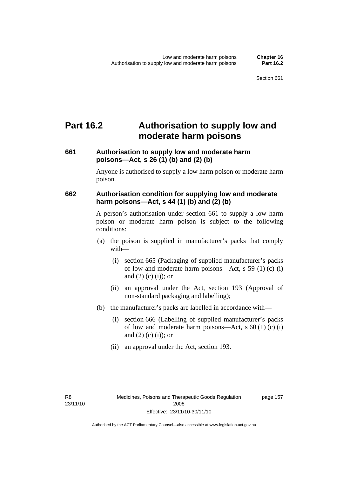## **Part 16.2 Authorisation to supply low and moderate harm poisons**

### **661 Authorisation to supply low and moderate harm poisons—Act, s 26 (1) (b) and (2) (b)**

Anyone is authorised to supply a low harm poison or moderate harm poison.

### **662 Authorisation condition for supplying low and moderate harm poisons—Act, s 44 (1) (b) and (2) (b)**

A person's authorisation under section 661 to supply a low harm poison or moderate harm poison is subject to the following conditions:

- (a) the poison is supplied in manufacturer's packs that comply with—
	- (i) section 665 (Packaging of supplied manufacturer's packs of low and moderate harm poisons—Act, s 59 (1) (c) (i) and  $(2)$  (c) (i)); or
	- (ii) an approval under the Act, section 193 (Approval of non-standard packaging and labelling);
- (b) the manufacturer's packs are labelled in accordance with—
	- (i) section 666 (Labelling of supplied manufacturer's packs of low and moderate harm poisons—Act, s  $60(1)(c)(i)$ and  $(2)$  (c) (i)); or
	- (ii) an approval under the Act, section 193.

page 157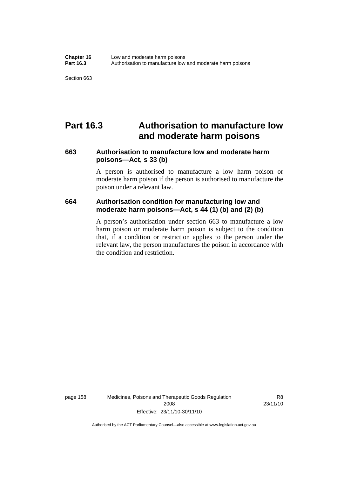### **Part 16.3 Authorisation to manufacture low and moderate harm poisons**

#### **663 Authorisation to manufacture low and moderate harm poisons—Act, s 33 (b)**

A person is authorised to manufacture a low harm poison or moderate harm poison if the person is authorised to manufacture the poison under a relevant law.

#### **664 Authorisation condition for manufacturing low and moderate harm poisons—Act, s 44 (1) (b) and (2) (b)**

A person's authorisation under section 663 to manufacture a low harm poison or moderate harm poison is subject to the condition that, if a condition or restriction applies to the person under the relevant law, the person manufactures the poison in accordance with the condition and restriction.

page 158 Medicines, Poisons and Therapeutic Goods Regulation 2008 Effective: 23/11/10-30/11/10

R8 23/11/10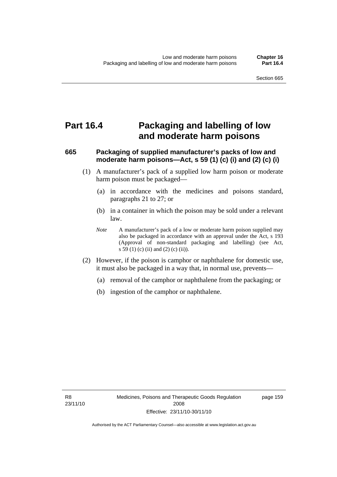### **Part 16.4 Packaging and labelling of low and moderate harm poisons**

#### **665 Packaging of supplied manufacturer's packs of low and moderate harm poisons—Act, s 59 (1) (c) (i) and (2) (c) (i)**

- (1) A manufacturer's pack of a supplied low harm poison or moderate harm poison must be packaged—
	- (a) in accordance with the medicines and poisons standard, paragraphs 21 to 27; or
	- (b) in a container in which the poison may be sold under a relevant law.
	- *Note* A manufacturer's pack of a low or moderate harm poison supplied may also be packaged in accordance with an approval under the Act, s 193 (Approval of non-standard packaging and labelling) (see Act, s 59 (1) (c) (ii) and (2) (c) (ii)).
- (2) However, if the poison is camphor or naphthalene for domestic use, it must also be packaged in a way that, in normal use, prevents—
	- (a) removal of the camphor or naphthalene from the packaging; or
	- (b) ingestion of the camphor or naphthalene.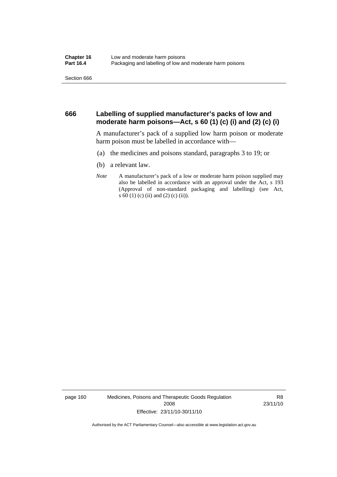#### **666 Labelling of supplied manufacturer's packs of low and moderate harm poisons—Act, s 60 (1) (c) (i) and (2) (c) (i)**

A manufacturer's pack of a supplied low harm poison or moderate harm poison must be labelled in accordance with—

- (a) the medicines and poisons standard, paragraphs 3 to 19; or
- (b) a relevant law.
- *Note* A manufacturer's pack of a low or moderate harm poison supplied may also be labelled in accordance with an approval under the Act, s 193 (Approval of non-standard packaging and labelling) (see Act, s 60 (1) (c) (ii) and (2) (c) (ii)).

page 160 Medicines, Poisons and Therapeutic Goods Regulation 2008 Effective: 23/11/10-30/11/10

R8 23/11/10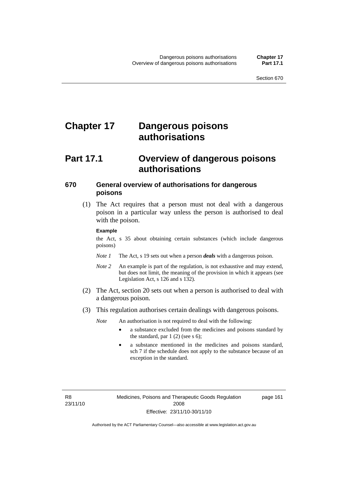# **Chapter 17 Dangerous poisons authorisations**

### **Part 17.1 Overview of dangerous poisons authorisations**

#### **670 General overview of authorisations for dangerous poisons**

 (1) The Act requires that a person must not deal with a dangerous poison in a particular way unless the person is authorised to deal with the poison.

#### **Example**

the Act, s 35 about obtaining certain substances (which include dangerous poisons)

- *Note 1* The Act, s 19 sets out when a person *deals* with a dangerous poison.
- *Note 2* An example is part of the regulation, is not exhaustive and may extend, but does not limit, the meaning of the provision in which it appears (see Legislation Act, s 126 and s 132).
- (2) The Act, section 20 sets out when a person is authorised to deal with a dangerous poison.
- (3) This regulation authorises certain dealings with dangerous poisons.

*Note* An authorisation is not required to deal with the following:

- a substance excluded from the medicines and poisons standard by the standard, par  $1(2)$  (see s 6);
- a substance mentioned in the medicines and poisons standard, sch 7 if the schedule does not apply to the substance because of an exception in the standard.

R8 23/11/10 page 161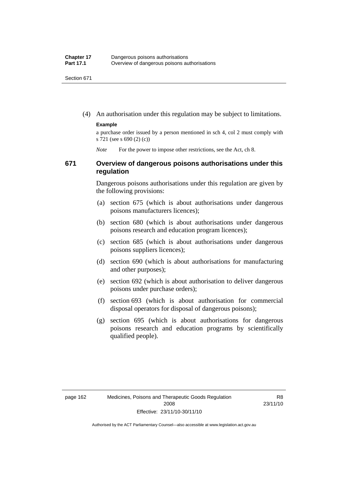(4) An authorisation under this regulation may be subject to limitations.

#### **Example**

a purchase order issued by a person mentioned in sch 4, col 2 must comply with s 721 (see s 690 (2) (c))

*Note* For the power to impose other restrictions, see the Act, ch 8.

#### **671 Overview of dangerous poisons authorisations under this regulation**

Dangerous poisons authorisations under this regulation are given by the following provisions:

- (a) section 675 (which is about authorisations under dangerous poisons manufacturers licences);
- (b) section 680 (which is about authorisations under dangerous poisons research and education program licences);
- (c) section 685 (which is about authorisations under dangerous poisons suppliers licences);
- (d) section 690 (which is about authorisations for manufacturing and other purposes);
- (e) section 692 (which is about authorisation to deliver dangerous poisons under purchase orders);
- (f) section 693 (which is about authorisation for commercial disposal operators for disposal of dangerous poisons);
- (g) section 695 (which is about authorisations for dangerous poisons research and education programs by scientifically qualified people).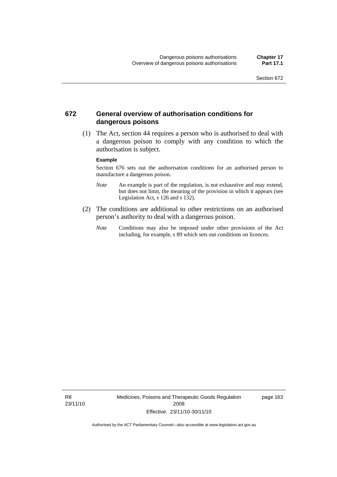#### **672 General overview of authorisation conditions for dangerous poisons**

 (1) The Act, section 44 requires a person who is authorised to deal with a dangerous poison to comply with any condition to which the authorisation is subject.

#### **Example**

Section 676 sets out the authorisation conditions for an authorised person to manufacture a dangerous poison.

- *Note* An example is part of the regulation, is not exhaustive and may extend, but does not limit, the meaning of the provision in which it appears (see Legislation Act, s  $126$  and s  $132$ ).
- (2) The conditions are additional to other restrictions on an authorised person's authority to deal with a dangerous poison.
	- *Note* Conditions may also be imposed under other provisions of the Act including, for example, s 89 which sets out conditions on licences.

R8 23/11/10 Medicines, Poisons and Therapeutic Goods Regulation 2008 Effective: 23/11/10-30/11/10

page 163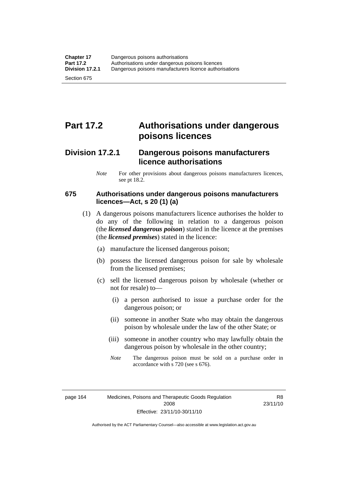# **Part 17.2 Authorisations under dangerous poisons licences**

### **Division 17.2.1 Dangerous poisons manufacturers licence authorisations**

*Note* For other provisions about dangerous poisons manufacturers licences, see pt 18.2.

#### **675 Authorisations under dangerous poisons manufacturers licences—Act, s 20 (1) (a)**

- (1) A dangerous poisons manufacturers licence authorises the holder to do any of the following in relation to a dangerous poison (the *licensed dangerous poison*) stated in the licence at the premises (the *licensed premises*) stated in the licence:
	- (a) manufacture the licensed dangerous poison;
	- (b) possess the licensed dangerous poison for sale by wholesale from the licensed premises;
	- (c) sell the licensed dangerous poison by wholesale (whether or not for resale) to—
		- (i) a person authorised to issue a purchase order for the dangerous poison; or
		- (ii) someone in another State who may obtain the dangerous poison by wholesale under the law of the other State; or
		- (iii) someone in another country who may lawfully obtain the dangerous poison by wholesale in the other country;
		- *Note* The dangerous poison must be sold on a purchase order in accordance with s 720 (see s 676).

R8 23/11/10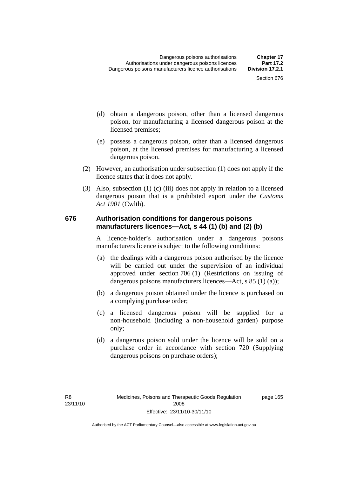- (d) obtain a dangerous poison, other than a licensed dangerous poison, for manufacturing a licensed dangerous poison at the licensed premises;
- (e) possess a dangerous poison, other than a licensed dangerous poison, at the licensed premises for manufacturing a licensed dangerous poison.
- (2) However, an authorisation under subsection (1) does not apply if the licence states that it does not apply.
- (3) Also, subsection (1) (c) (iii) does not apply in relation to a licensed dangerous poison that is a prohibited export under the *Customs Act 1901* (Cwlth).

#### **676 Authorisation conditions for dangerous poisons manufacturers licences—Act, s 44 (1) (b) and (2) (b)**

A licence-holder's authorisation under a dangerous poisons manufacturers licence is subject to the following conditions:

- (a) the dealings with a dangerous poison authorised by the licence will be carried out under the supervision of an individual approved under section 706 (1) (Restrictions on issuing of dangerous poisons manufacturers licences—Act, s 85 (1) (a));
- (b) a dangerous poison obtained under the licence is purchased on a complying purchase order;
- (c) a licensed dangerous poison will be supplied for a non-household (including a non-household garden) purpose only;
- (d) a dangerous poison sold under the licence will be sold on a purchase order in accordance with section 720 (Supplying dangerous poisons on purchase orders);

page 165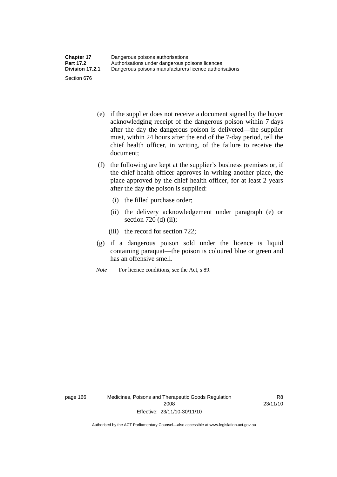- (e) if the supplier does not receive a document signed by the buyer acknowledging receipt of the dangerous poison within 7 days after the day the dangerous poison is delivered—the supplier must, within 24 hours after the end of the 7-day period, tell the chief health officer, in writing, of the failure to receive the document;
- (f) the following are kept at the supplier's business premises or, if the chief health officer approves in writing another place, the place approved by the chief health officer, for at least 2 years after the day the poison is supplied:
	- (i) the filled purchase order;
	- (ii) the delivery acknowledgement under paragraph (e) or section 720 (d) (ii);
	- (iii) the record for section 722;
- (g) if a dangerous poison sold under the licence is liquid containing paraquat—the poison is coloured blue or green and has an offensive smell.
- *Note* For licence conditions, see the Act, s 89.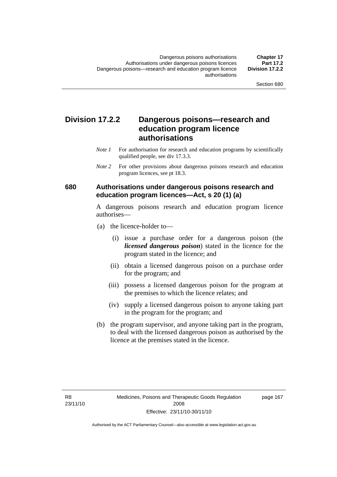### **Division 17.2.2 Dangerous poisons—research and education program licence authorisations**

- *Note 1* For authorisation for research and education programs by scientifically qualified people, see div 17.3.3.
- *Note 2* For other provisions about dangerous poisons research and education program licences, see pt 18.3.

#### **680 Authorisations under dangerous poisons research and education program licences—Act, s 20 (1) (a)**

A dangerous poisons research and education program licence authorises—

- (a) the licence-holder to—
	- (i) issue a purchase order for a dangerous poison (the *licensed dangerous poison*) stated in the licence for the program stated in the licence; and
	- (ii) obtain a licensed dangerous poison on a purchase order for the program; and
	- (iii) possess a licensed dangerous poison for the program at the premises to which the licence relates; and
	- (iv) supply a licensed dangerous poison to anyone taking part in the program for the program; and
- (b) the program supervisor, and anyone taking part in the program, to deal with the licensed dangerous poison as authorised by the licence at the premises stated in the licence.

page 167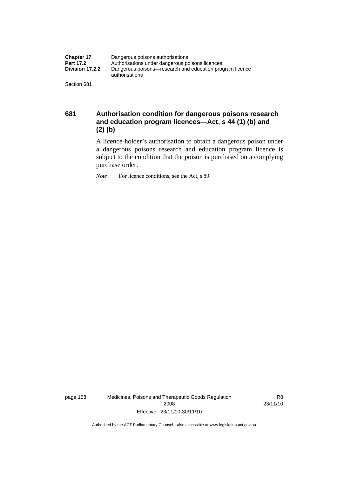| <b>Chapter 17</b> | Dangerous poisons authorisations                                           |  |  |
|-------------------|----------------------------------------------------------------------------|--|--|
| <b>Part 17.2</b>  | Authorisations under dangerous poisons licences                            |  |  |
| Division 17.2.2   | Dangerous poisons—research and education program licence<br>authorisations |  |  |
| Section 681       |                                                                            |  |  |

**681 Authorisation condition for dangerous poisons research and education program licences—Act, s 44 (1) (b) and (2) (b)** 

> A licence-holder's authorisation to obtain a dangerous poison under a dangerous poisons research and education program licence is subject to the condition that the poison is purchased on a complying purchase order.

*Note* For licence conditions, see the Act, s 89.

page 168 Medicines, Poisons and Therapeutic Goods Regulation 2008 Effective: 23/11/10-30/11/10

R8 23/11/10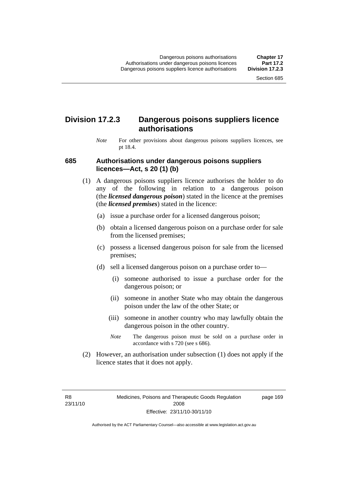### **Division 17.2.3 Dangerous poisons suppliers licence authorisations**

*Note* For other provisions about dangerous poisons suppliers licences, see pt 18.4.

#### **685 Authorisations under dangerous poisons suppliers licences—Act, s 20 (1) (b)**

- (1) A dangerous poisons suppliers licence authorises the holder to do any of the following in relation to a dangerous poison (the *licensed dangerous poison*) stated in the licence at the premises (the *licensed premises*) stated in the licence:
	- (a) issue a purchase order for a licensed dangerous poison;
	- (b) obtain a licensed dangerous poison on a purchase order for sale from the licensed premises;
	- (c) possess a licensed dangerous poison for sale from the licensed premises;
	- (d) sell a licensed dangerous poison on a purchase order to—
		- (i) someone authorised to issue a purchase order for the dangerous poison; or
		- (ii) someone in another State who may obtain the dangerous poison under the law of the other State; or
		- (iii) someone in another country who may lawfully obtain the dangerous poison in the other country.
		- *Note* The dangerous poison must be sold on a purchase order in accordance with s 720 (see s 686).
- (2) However, an authorisation under subsection (1) does not apply if the licence states that it does not apply.

R8 23/11/10 page 169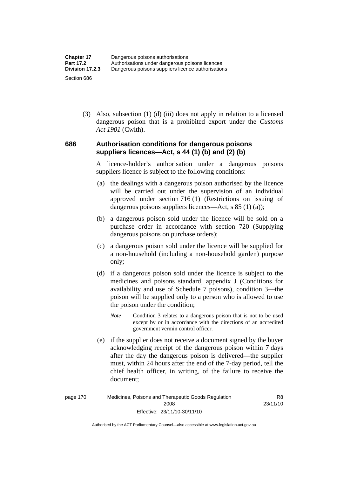(3) Also, subsection (1) (d) (iii) does not apply in relation to a licensed dangerous poison that is a prohibited export under the *Customs Act 1901* (Cwlth).

#### **686 Authorisation conditions for dangerous poisons suppliers licences—Act, s 44 (1) (b) and (2) (b)**

A licence-holder's authorisation under a dangerous poisons suppliers licence is subject to the following conditions:

- (a) the dealings with a dangerous poison authorised by the licence will be carried out under the supervision of an individual approved under section 716 (1) (Restrictions on issuing of dangerous poisons suppliers licences—Act, s 85 (1) (a));
- (b) a dangerous poison sold under the licence will be sold on a purchase order in accordance with section 720 (Supplying dangerous poisons on purchase orders);
- (c) a dangerous poison sold under the licence will be supplied for a non-household (including a non-household garden) purpose only;
- (d) if a dangerous poison sold under the licence is subject to the medicines and poisons standard, appendix J (Conditions for availability and use of Schedule 7 poisons), condition 3—the poison will be supplied only to a person who is allowed to use the poison under the condition;
	- *Note* Condition 3 relates to a dangerous poison that is not to be used except by or in accordance with the directions of an accredited government vermin control officer.
- (e) if the supplier does not receive a document signed by the buyer acknowledging receipt of the dangerous poison within 7 days after the day the dangerous poison is delivered—the supplier must, within 24 hours after the end of the 7-day period, tell the chief health officer, in writing, of the failure to receive the document;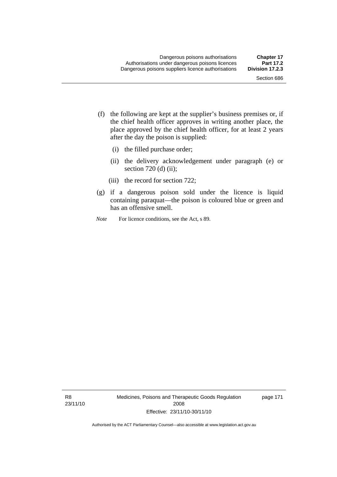- (f) the following are kept at the supplier's business premises or, if the chief health officer approves in writing another place, the place approved by the chief health officer, for at least 2 years after the day the poison is supplied:
	- (i) the filled purchase order;
	- (ii) the delivery acknowledgement under paragraph (e) or section 720 (d) (ii);
	- (iii) the record for section 722;
- (g) if a dangerous poison sold under the licence is liquid containing paraquat—the poison is coloured blue or green and has an offensive smell.
- *Note* For licence conditions, see the Act, s 89.

R8 23/11/10 Medicines, Poisons and Therapeutic Goods Regulation 2008 Effective: 23/11/10-30/11/10

page 171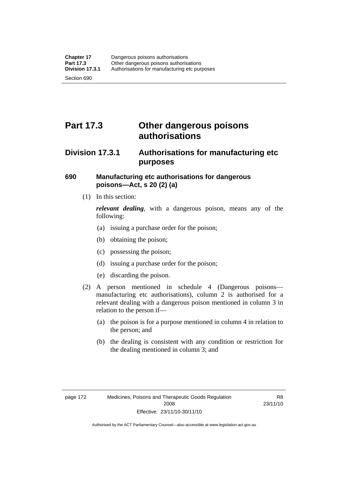# **Part 17.3 Other dangerous poisons authorisations**

### **Division 17.3.1 Authorisations for manufacturing etc purposes**

#### **690 Manufacturing etc authorisations for dangerous poisons—Act, s 20 (2) (a)**

(1) In this section:

*relevant dealing*, with a dangerous poison, means any of the following:

- (a) issuing a purchase order for the poison;
- (b) obtaining the poison;
- (c) possessing the poison;
- (d) issuing a purchase order for the poison;
- (e) discarding the poison.
- (2) A person mentioned in schedule 4 (Dangerous poisons manufacturing etc authorisations), column 2 is authorised for a relevant dealing with a dangerous poison mentioned in column 3 in relation to the person if—
	- (a) the poison is for a purpose mentioned in column 4 in relation to the person; and
	- (b) the dealing is consistent with any condition or restriction for the dealing mentioned in column 3; and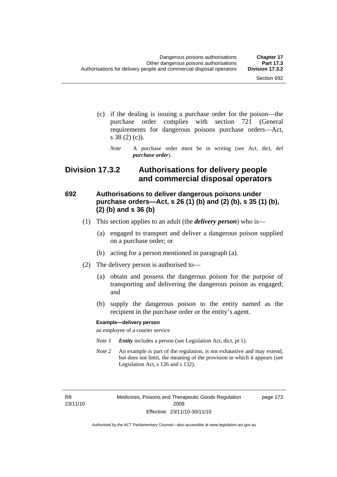- (c) if the dealing is issuing a purchase order for the poison—the purchase order complies with section 721 (General requirements for dangerous poisons purchase orders—Act, s 38 (2) (c)).
	- *Note* A purchase order must be in writing (see Act, dict, def *purchase order*).

### **Division 17.3.2 Authorisations for delivery people and commercial disposal operators**

#### **692 Authorisations to deliver dangerous poisons under purchase orders—Act, s 26 (1) (b) and (2) (b), s 35 (1) (b), (2) (b) and s 36 (b)**

- (1) This section applies to an adult (the *delivery person*) who is—
	- (a) engaged to transport and deliver a dangerous poison supplied on a purchase order; or
	- (b) acting for a person mentioned in paragraph (a).
- (2) The delivery person is authorised to—
	- (a) obtain and possess the dangerous poison for the purpose of transporting and delivering the dangerous poison as engaged; and
	- (b) supply the dangerous poison to the entity named as the recipient in the purchase order or the entity's agent.

#### **Example—delivery person**

an employee of a courier service

- *Note 1 Entity* includes a person (see Legislation Act, dict, pt 1).
- *Note 2* An example is part of the regulation, is not exhaustive and may extend, but does not limit, the meaning of the provision in which it appears (see Legislation Act, s 126 and s 132).

R8 23/11/10 Medicines, Poisons and Therapeutic Goods Regulation 2008 Effective: 23/11/10-30/11/10

page 173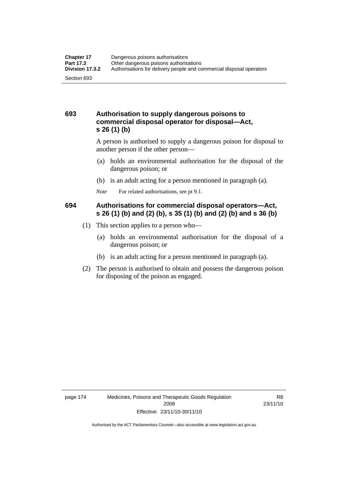#### **693 Authorisation to supply dangerous poisons to commercial disposal operator for disposal—Act, s 26 (1) (b)**

A person is authorised to supply a dangerous poison for disposal to another person if the other person—

- (a) holds an environmental authorisation for the disposal of the dangerous poison; or
- (b) is an adult acting for a person mentioned in paragraph (a).
- *Note* For related authorisations, see pt 9.1.

#### **694 Authorisations for commercial disposal operators—Act, s 26 (1) (b) and (2) (b), s 35 (1) (b) and (2) (b) and s 36 (b)**

- (1) This section applies to a person who—
	- (a) holds an environmental authorisation for the disposal of a dangerous poison; or
	- (b) is an adult acting for a person mentioned in paragraph (a).
- (2) The person is authorised to obtain and possess the dangerous poison for disposing of the poison as engaged.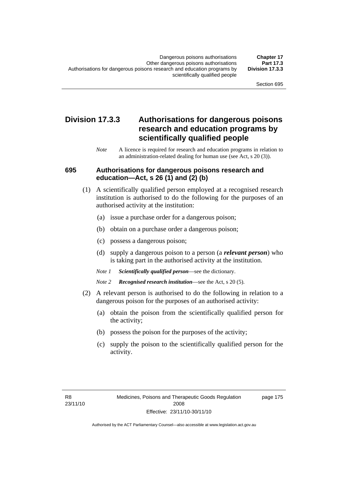### **Division 17.3.3 Authorisations for dangerous poisons research and education programs by scientifically qualified people**

*Note* A licence is required for research and education programs in relation to an administration-related dealing for human use (see Act, s 20 (3)).

#### **695 Authorisations for dangerous poisons research and education—Act, s 26 (1) and (2) (b)**

- (1) A scientifically qualified person employed at a recognised research institution is authorised to do the following for the purposes of an authorised activity at the institution:
	- (a) issue a purchase order for a dangerous poison;
	- (b) obtain on a purchase order a dangerous poison;
	- (c) possess a dangerous poison;
	- (d) supply a dangerous poison to a person (a *relevant person*) who is taking part in the authorised activity at the institution.
	- *Note 1 Scientifically qualified person*—see the dictionary.
	- *Note 2 Recognised research institution*—see the Act, s 20 (5).
- (2) A relevant person is authorised to do the following in relation to a dangerous poison for the purposes of an authorised activity:
	- (a) obtain the poison from the scientifically qualified person for the activity;
	- (b) possess the poison for the purposes of the activity;
	- (c) supply the poison to the scientifically qualified person for the activity.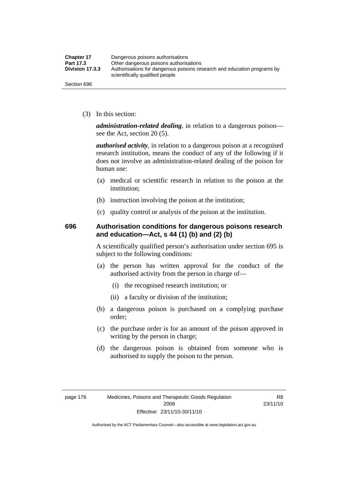| <b>Chapter 17</b> | Dangerous poisons authorisations                                                                           |  |
|-------------------|------------------------------------------------------------------------------------------------------------|--|
| Part 17.3         | Other dangerous poisons authorisations                                                                     |  |
| Division 17.3.3   | Authorisations for dangerous poisons research and education programs by<br>scientifically qualified people |  |
| Section 696       |                                                                                                            |  |

(3) In this section:

*administration-related dealing*, in relation to a dangerous poison see the Act, section 20 (5).

*authorised activity*, in relation to a dangerous poison at a recognised research institution, means the conduct of any of the following if it does not involve an administration-related dealing of the poison for human use:

- (a) medical or scientific research in relation to the poison at the institution;
- (b) instruction involving the poison at the institution;
- (c) quality control or analysis of the poison at the institution.

#### **696 Authorisation conditions for dangerous poisons research and education—Act, s 44 (1) (b) and (2) (b)**

A scientifically qualified person's authorisation under section 695 is subject to the following conditions:

- (a) the person has written approval for the conduct of the authorised activity from the person in charge of—
	- (i) the recognised research institution; or
	- (ii) a faculty or division of the institution;
- (b) a dangerous poison is purchased on a complying purchase order;
- (c) the purchase order is for an amount of the poison approved in writing by the person in charge;
- (d) the dangerous poison is obtained from someone who is authorised to supply the poison to the person.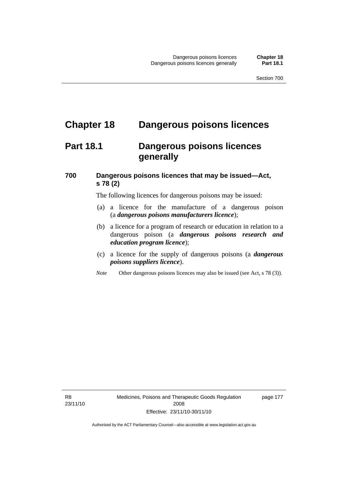## **Chapter 18 Dangerous poisons licences**

### **Part 18.1 Dangerous poisons licences generally**

### **700 Dangerous poisons licences that may be issued—Act, s 78 (2)**

The following licences for dangerous poisons may be issued:

- (a) a licence for the manufacture of a dangerous poison (a *dangerous poisons manufacturers licence*);
- (b) a licence for a program of research or education in relation to a dangerous poison (a *dangerous poisons research and education program licence*);
- (c) a licence for the supply of dangerous poisons (a *dangerous poisons suppliers licence*).
- *Note* Other dangerous poisons licences may also be issued (see Act, s 78 (3)).

R8 23/11/10 Medicines, Poisons and Therapeutic Goods Regulation 2008 Effective: 23/11/10-30/11/10

page 177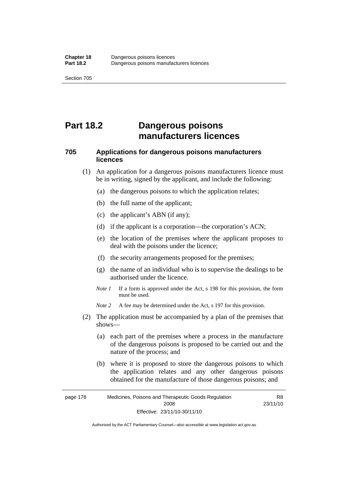# **Part 18.2 Dangerous poisons manufacturers licences**

### **705 Applications for dangerous poisons manufacturers licences**

- (1) An application for a dangerous poisons manufacturers licence must be in writing, signed by the applicant, and include the following:
	- (a) the dangerous poisons to which the application relates;
	- (b) the full name of the applicant;
	- (c) the applicant's ABN (if any);
	- (d) if the applicant is a corporation—the corporation's ACN;
	- (e) the location of the premises where the applicant proposes to deal with the poisons under the licence;
	- (f) the security arrangements proposed for the premises;
	- (g) the name of an individual who is to supervise the dealings to be authorised under the licence.
	- *Note 1* If a form is approved under the Act, s 198 for this provision, the form must be used.
	- *Note* 2 A fee may be determined under the Act, s 197 for this provision.
- (2) The application must be accompanied by a plan of the premises that shows—
	- (a) each part of the premises where a process in the manufacture of the dangerous poisons is proposed to be carried out and the nature of the process; and
	- (b) where it is proposed to store the dangerous poisons to which the application relates and any other dangerous poisons obtained for the manufacture of those dangerous poisons; and

page 178 Medicines, Poisons and Therapeutic Goods Regulation 2008 Effective: 23/11/10-30/11/10 R8 23/11/10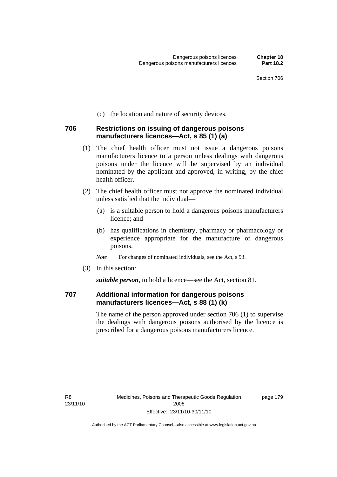(c) the location and nature of security devices.

#### **706 Restrictions on issuing of dangerous poisons manufacturers licences—Act, s 85 (1) (a)**

- (1) The chief health officer must not issue a dangerous poisons manufacturers licence to a person unless dealings with dangerous poisons under the licence will be supervised by an individual nominated by the applicant and approved, in writing, by the chief health officer.
- (2) The chief health officer must not approve the nominated individual unless satisfied that the individual—
	- (a) is a suitable person to hold a dangerous poisons manufacturers licence; and
	- (b) has qualifications in chemistry, pharmacy or pharmacology or experience appropriate for the manufacture of dangerous poisons.
	- *Note* For changes of nominated individuals, see the Act, s 93.
- (3) In this section:

*suitable person*, to hold a licence—see the Act, section 81.

#### **707 Additional information for dangerous poisons manufacturers licences—Act, s 88 (1) (k)**

The name of the person approved under section 706 (1) to supervise the dealings with dangerous poisons authorised by the licence is prescribed for a dangerous poisons manufacturers licence.

page 179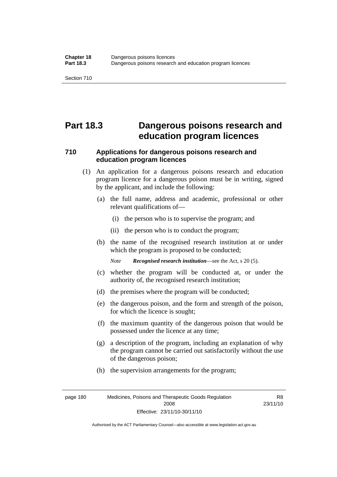# **Part 18.3 Dangerous poisons research and education program licences**

### **710 Applications for dangerous poisons research and education program licences**

- (1) An application for a dangerous poisons research and education program licence for a dangerous poison must be in writing, signed by the applicant, and include the following:
	- (a) the full name, address and academic, professional or other relevant qualifications of—
		- (i) the person who is to supervise the program; and
		- (ii) the person who is to conduct the program;
	- (b) the name of the recognised research institution at or under which the program is proposed to be conducted;

*Note Recognised research institution*—see the Act, s 20 (5).

- (c) whether the program will be conducted at, or under the authority of, the recognised research institution;
- (d) the premises where the program will be conducted;
- (e) the dangerous poison, and the form and strength of the poison, for which the licence is sought;
- (f) the maximum quantity of the dangerous poison that would be possessed under the licence at any time;
- (g) a description of the program, including an explanation of why the program cannot be carried out satisfactorily without the use of the dangerous poison;
- (h) the supervision arrangements for the program;

page 180 Medicines, Poisons and Therapeutic Goods Regulation 2008 Effective: 23/11/10-30/11/10

R8 23/11/10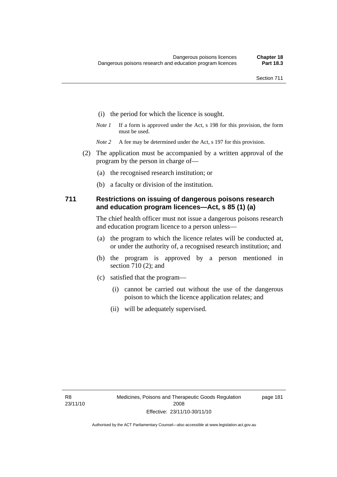- (i) the period for which the licence is sought.
- *Note 1* If a form is approved under the Act, s 198 for this provision, the form must be used.
- *Note* 2 A fee may be determined under the Act, s 197 for this provision.
- (2) The application must be accompanied by a written approval of the program by the person in charge of—
	- (a) the recognised research institution; or
	- (b) a faculty or division of the institution.

#### **711 Restrictions on issuing of dangerous poisons research and education program licences—Act, s 85 (1) (a)**

The chief health officer must not issue a dangerous poisons research and education program licence to a person unless—

- (a) the program to which the licence relates will be conducted at, or under the authority of, a recognised research institution; and
- (b) the program is approved by a person mentioned in section 710 (2); and
- (c) satisfied that the program—
	- (i) cannot be carried out without the use of the dangerous poison to which the licence application relates; and
	- (ii) will be adequately supervised.

page 181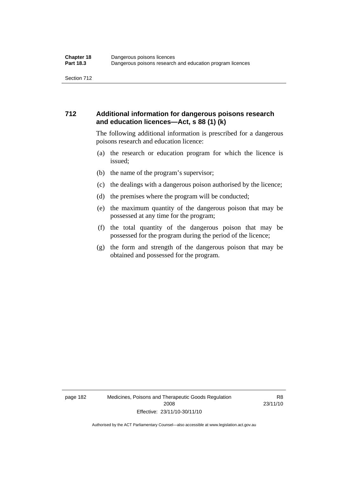#### **712 Additional information for dangerous poisons research and education licences—Act, s 88 (1) (k)**

The following additional information is prescribed for a dangerous poisons research and education licence:

- (a) the research or education program for which the licence is issued;
- (b) the name of the program's supervisor;
- (c) the dealings with a dangerous poison authorised by the licence;
- (d) the premises where the program will be conducted;
- (e) the maximum quantity of the dangerous poison that may be possessed at any time for the program;
- (f) the total quantity of the dangerous poison that may be possessed for the program during the period of the licence;
- (g) the form and strength of the dangerous poison that may be obtained and possessed for the program.

R8 23/11/10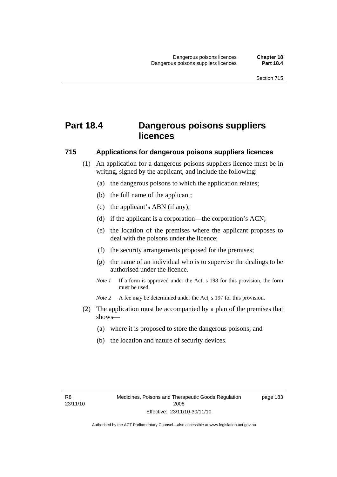# **Part 18.4 Dangerous poisons suppliers licences**

#### **715 Applications for dangerous poisons suppliers licences**

- (1) An application for a dangerous poisons suppliers licence must be in writing, signed by the applicant, and include the following:
	- (a) the dangerous poisons to which the application relates;
	- (b) the full name of the applicant;
	- (c) the applicant's ABN (if any);
	- (d) if the applicant is a corporation—the corporation's ACN;
	- (e) the location of the premises where the applicant proposes to deal with the poisons under the licence;
	- (f) the security arrangements proposed for the premises;
	- (g) the name of an individual who is to supervise the dealings to be authorised under the licence.
	- *Note 1* If a form is approved under the Act, s 198 for this provision, the form must be used.
	- *Note 2* A fee may be determined under the Act, s 197 for this provision.
- (2) The application must be accompanied by a plan of the premises that shows—
	- (a) where it is proposed to store the dangerous poisons; and
	- (b) the location and nature of security devices.

page 183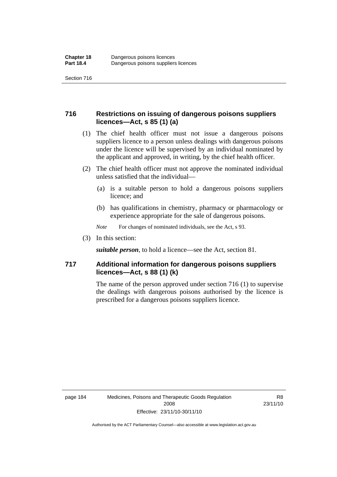#### **716 Restrictions on issuing of dangerous poisons suppliers licences—Act, s 85 (1) (a)**

- (1) The chief health officer must not issue a dangerous poisons suppliers licence to a person unless dealings with dangerous poisons under the licence will be supervised by an individual nominated by the applicant and approved, in writing, by the chief health officer.
- (2) The chief health officer must not approve the nominated individual unless satisfied that the individual—
	- (a) is a suitable person to hold a dangerous poisons suppliers licence; and
	- (b) has qualifications in chemistry, pharmacy or pharmacology or experience appropriate for the sale of dangerous poisons.
	- *Note* For changes of nominated individuals, see the Act, s 93.
- (3) In this section:

*suitable person*, to hold a licence—see the Act, section 81.

#### **717 Additional information for dangerous poisons suppliers licences—Act, s 88 (1) (k)**

The name of the person approved under section 716 (1) to supervise the dealings with dangerous poisons authorised by the licence is prescribed for a dangerous poisons suppliers licence.

R8 23/11/10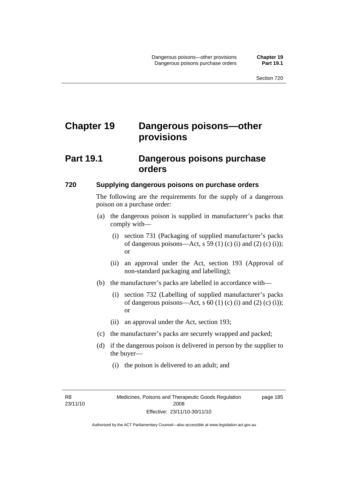# **Chapter 19 Dangerous poisons—other provisions**

### **Part 19.1 Dangerous poisons purchase orders**

#### **720 Supplying dangerous poisons on purchase orders**

The following are the requirements for the supply of a dangerous poison on a purchase order:

- (a) the dangerous poison is supplied in manufacturer's packs that comply with—
	- (i) section 731 (Packaging of supplied manufacturer's packs of dangerous poisons—Act, s 59 (1) (c) (i) and (2) (c) (i)); or
	- (ii) an approval under the Act, section 193 (Approval of non-standard packaging and labelling);
- (b) the manufacturer's packs are labelled in accordance with—
	- (i) section 732 (Labelling of supplied manufacturer's packs of dangerous poisons—Act, s  $60$  (1) (c) (i) and (2) (c) (i)); or
	- (ii) an approval under the Act, section 193;
- (c) the manufacturer's packs are securely wrapped and packed;
- (d) if the dangerous poison is delivered in person by the supplier to the buyer—
	- (i) the poison is delivered to an adult; and

R8 23/11/10 page 185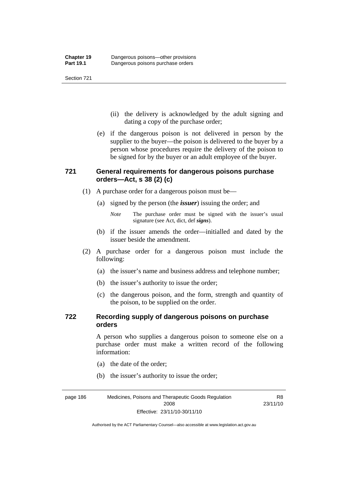- (ii) the delivery is acknowledged by the adult signing and dating a copy of the purchase order;
- (e) if the dangerous poison is not delivered in person by the supplier to the buyer—the poison is delivered to the buyer by a person whose procedures require the delivery of the poison to be signed for by the buyer or an adult employee of the buyer.

### **721 General requirements for dangerous poisons purchase orders—Act, s 38 (2) (c)**

- (1) A purchase order for a dangerous poison must be—
	- (a) signed by the person (the *issuer*) issuing the order; and
		- *Note* The purchase order must be signed with the issuer's usual signature (see Act, dict, def *signs*).
	- (b) if the issuer amends the order—initialled and dated by the issuer beside the amendment.
- (2) A purchase order for a dangerous poison must include the following:
	- (a) the issuer's name and business address and telephone number;
	- (b) the issuer's authority to issue the order;
	- (c) the dangerous poison, and the form, strength and quantity of the poison, to be supplied on the order.

#### **722 Recording supply of dangerous poisons on purchase orders**

A person who supplies a dangerous poison to someone else on a purchase order must make a written record of the following information:

R8

- (a) the date of the order;
- (b) the issuer's authority to issue the order;

page 186 Medicines, Poisons and Therapeutic Goods Regulation 2008 Effective: 23/11/10-30/11/10 23/11/10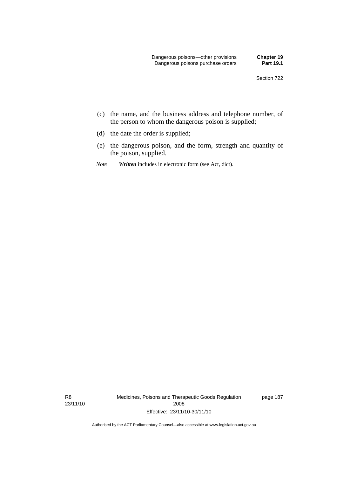- (c) the name, and the business address and telephone number, of the person to whom the dangerous poison is supplied;
- (d) the date the order is supplied;
- (e) the dangerous poison, and the form, strength and quantity of the poison, supplied.
- *Note Written* includes in electronic form (see Act, dict).

R8 23/11/10 Medicines, Poisons and Therapeutic Goods Regulation 2008 Effective: 23/11/10-30/11/10

page 187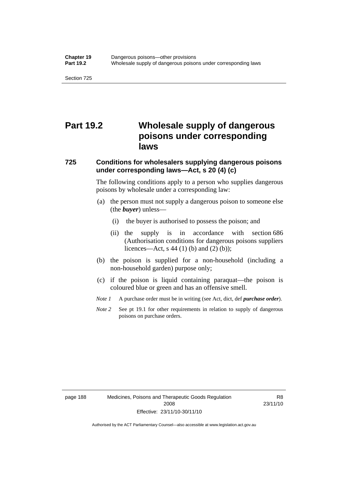# **Part 19.2 Wholesale supply of dangerous poisons under corresponding laws**

#### **725 Conditions for wholesalers supplying dangerous poisons under corresponding laws—Act, s 20 (4) (c)**

The following conditions apply to a person who supplies dangerous poisons by wholesale under a corresponding law:

- (a) the person must not supply a dangerous poison to someone else (the *buyer*) unless—
	- (i) the buyer is authorised to possess the poison; and
	- (ii) the supply is in accordance with section 686 (Authorisation conditions for dangerous poisons suppliers licences—Act, s 44 (1) (b) and (2) (b));
- (b) the poison is supplied for a non-household (including a non-household garden) purpose only;
- (c) if the poison is liquid containing paraquat—the poison is coloured blue or green and has an offensive smell.
- *Note 1* A purchase order must be in writing (see Act, dict, def *purchase order*).
- *Note* 2 See pt 19.1 for other requirements in relation to supply of dangerous poisons on purchase orders.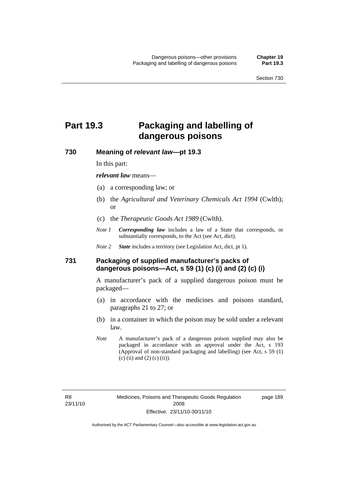# **Part 19.3 Packaging and labelling of dangerous poisons**

**730 Meaning of** *relevant law***—pt 19.3** 

In this part:

*relevant law* means—

- (a) a corresponding law; or
- (b) the *Agricultural and Veterinary Chemicals Act 1994* (Cwlth); or
- (c) the *Therapeutic Goods Act 1989* (Cwlth).
- *Note 1 Corresponding law* includes a law of a State that corresponds, or substantially corresponds, to the Act (see Act, dict).
- *Note 2 State* includes a territory (see Legislation Act, dict, pt 1).

#### **731 Packaging of supplied manufacturer's packs of dangerous poisons—Act, s 59 (1) (c) (i) and (2) (c) (i)**

A manufacturer's pack of a supplied dangerous poison must be packaged—

- (a) in accordance with the medicines and poisons standard, paragraphs 21 to 27; or
- (b) in a container in which the poison may be sold under a relevant law.
- *Note* A manufacturer's pack of a dangerous poison supplied may also be packaged in accordance with an approval under the Act, s 193 (Approval of non-standard packaging and labelling) (see Act, s 59 (1) (c) (ii) and (2) (c) (ii)).

page 189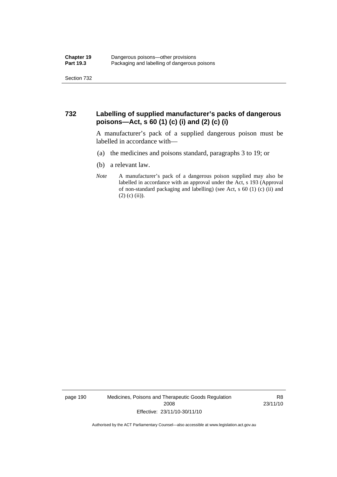#### **732 Labelling of supplied manufacturer's packs of dangerous poisons—Act, s 60 (1) (c) (i) and (2) (c) (i)**

A manufacturer's pack of a supplied dangerous poison must be labelled in accordance with—

- (a) the medicines and poisons standard, paragraphs 3 to 19; or
- (b) a relevant law.
- *Note* A manufacturer's pack of a dangerous poison supplied may also be labelled in accordance with an approval under the Act, s 193 (Approval of non-standard packaging and labelling) (see Act, s 60 (1) (c) (ii) and  $(2)$  (c) (ii)).

page 190 Medicines, Poisons and Therapeutic Goods Regulation 2008 Effective: 23/11/10-30/11/10

R8 23/11/10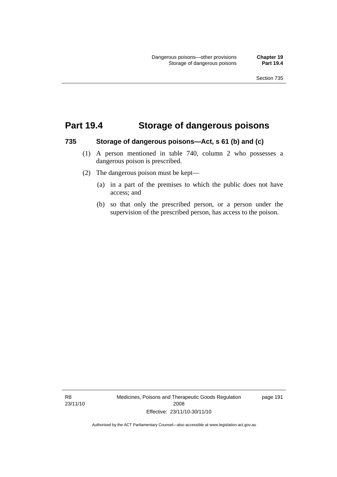### **Part 19.4 Storage of dangerous poisons**

#### **735 Storage of dangerous poisons—Act, s 61 (b) and (c)**

- (1) A person mentioned in table 740, column 2 who possesses a dangerous poison is prescribed.
- (2) The dangerous poison must be kept—
	- (a) in a part of the premises to which the public does not have access; and
	- (b) so that only the prescribed person, or a person under the supervision of the prescribed person, has access to the poison.

R8 23/11/10 Medicines, Poisons and Therapeutic Goods Regulation 2008 Effective: 23/11/10-30/11/10

page 191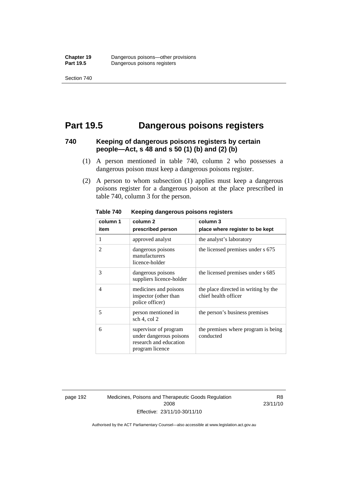## **Part 19.5 Dangerous poisons registers**

#### **740 Keeping of dangerous poisons registers by certain people—Act, s 48 and s 50 (1) (b) and (2) (b)**

- (1) A person mentioned in table 740, column 2 who possesses a dangerous poison must keep a dangerous poisons register.
- (2) A person to whom subsection (1) applies must keep a dangerous poisons register for a dangerous poison at the place prescribed in table 740, column 3 for the person.

| column 1                 | column <sub>2</sub>                                                                           | column 3                                                     |  |
|--------------------------|-----------------------------------------------------------------------------------------------|--------------------------------------------------------------|--|
| item                     | prescribed person                                                                             | place where register to be kept                              |  |
| 1                        | approved analyst                                                                              | the analyst's laboratory                                     |  |
| $\overline{\mathcal{L}}$ | dangerous poisons<br>manufacturers<br>licence-holder                                          | the licensed premises under s 675                            |  |
| 3                        | dangerous poisons<br>suppliers licence-holder                                                 | the licensed premises under s 685                            |  |
| $\overline{4}$           | medicines and poisons<br>inspector (other than<br>police officer)                             | the place directed in writing by the<br>chief health officer |  |
| 5                        | person mentioned in<br>sch 4, col 2                                                           | the person's business premises                               |  |
| 6                        | supervisor of program<br>under dangerous poisons<br>research and education<br>program licence | the premises where program is being<br>conducted             |  |

**Table 740 Keeping dangerous poisons registers** 

page 192 Medicines, Poisons and Therapeutic Goods Regulation 2008 Effective: 23/11/10-30/11/10

R8 23/11/10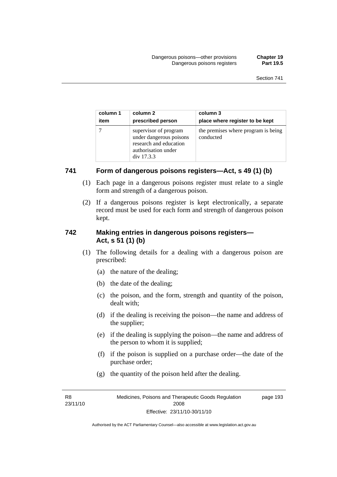| column 1 | column 2                                                                                                        | column 3                                         |
|----------|-----------------------------------------------------------------------------------------------------------------|--------------------------------------------------|
| item     | prescribed person                                                                                               | place where register to be kept                  |
|          | supervisor of program<br>under dangerous poisons<br>research and education<br>authorisation under<br>div 17.3.3 | the premises where program is being<br>conducted |

#### **741 Form of dangerous poisons registers—Act, s 49 (1) (b)**

- (1) Each page in a dangerous poisons register must relate to a single form and strength of a dangerous poison.
- (2) If a dangerous poisons register is kept electronically, a separate record must be used for each form and strength of dangerous poison kept.

#### **742 Making entries in dangerous poisons registers— Act, s 51 (1) (b)**

- (1) The following details for a dealing with a dangerous poison are prescribed:
	- (a) the nature of the dealing;
	- (b) the date of the dealing;
	- (c) the poison, and the form, strength and quantity of the poison, dealt with;
	- (d) if the dealing is receiving the poison—the name and address of the supplier;
	- (e) if the dealing is supplying the poison—the name and address of the person to whom it is supplied;
	- (f) if the poison is supplied on a purchase order—the date of the purchase order;
	- (g) the quantity of the poison held after the dealing.

R8 23/11/10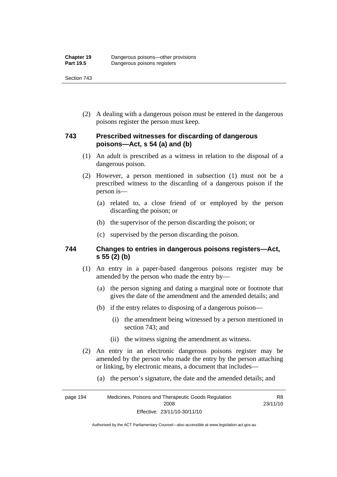Section 743

 (2) A dealing with a dangerous poison must be entered in the dangerous poisons register the person must keep.

### **743 Prescribed witnesses for discarding of dangerous poisons—Act, s 54 (a) and (b)**

- (1) An adult is prescribed as a witness in relation to the disposal of a dangerous poison.
- (2) However, a person mentioned in subsection (1) must not be a prescribed witness to the discarding of a dangerous poison if the person is—
	- (a) related to, a close friend of or employed by the person discarding the poison; or
	- (b) the supervisor of the person discarding the poison; or
	- (c) supervised by the person discarding the poison.

#### **744 Changes to entries in dangerous poisons registers—Act, s 55 (2) (b)**

- (1) An entry in a paper-based dangerous poisons register may be amended by the person who made the entry by—
	- (a) the person signing and dating a marginal note or footnote that gives the date of the amendment and the amended details; and
	- (b) if the entry relates to disposing of a dangerous poison—
		- (i) the amendment being witnessed by a person mentioned in section 743; and
		- (ii) the witness signing the amendment as witness.
- (2) An entry in an electronic dangerous poisons register may be amended by the person who made the entry by the person attaching or linking, by electronic means, a document that includes—
	- (a) the person's signature, the date and the amended details; and

page 194 Medicines, Poisons and Therapeutic Goods Regulation 2008 Effective: 23/11/10-30/11/10 R8 23/11/10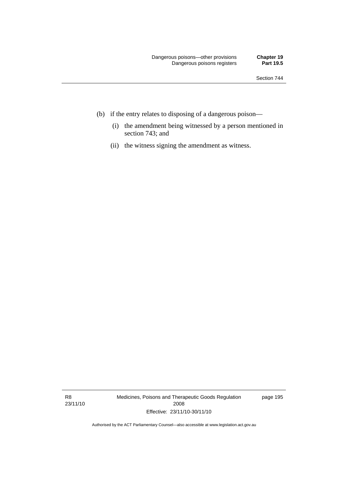- (b) if the entry relates to disposing of a dangerous poison—
	- (i) the amendment being witnessed by a person mentioned in section 743; and
	- (ii) the witness signing the amendment as witness.

R8 23/11/10 Medicines, Poisons and Therapeutic Goods Regulation 2008 Effective: 23/11/10-30/11/10

page 195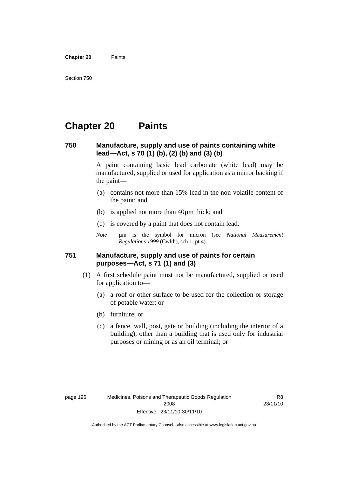**Chapter 20** Paints

## **Chapter 20 Paints**

#### **750 Manufacture, supply and use of paints containing white lead—Act, s 70 (1) (b), (2) (b) and (3) (b)**

A paint containing basic lead carbonate (white lead) may be manufactured, supplied or used for application as a mirror backing if the paint—

- (a) contains not more than 15% lead in the non-volatile content of the paint; and
- (b) is applied not more than 40µm thick; and
- (c) is covered by a paint that does not contain lead.
- *Note* um is the symbol for micron (see *National Measurement Regulations 1999* (Cwlth), sch 1, pt 4).

#### **751 Manufacture, supply and use of paints for certain purposes—Act, s 71 (1) and (3)**

- (1) A first schedule paint must not be manufactured, supplied or used for application to—
	- (a) a roof or other surface to be used for the collection or storage of potable water; or
	- (b) furniture; or
	- (c) a fence, wall, post, gate or building (including the interior of a building), other than a building that is used only for industrial purposes or mining or as an oil terminal; or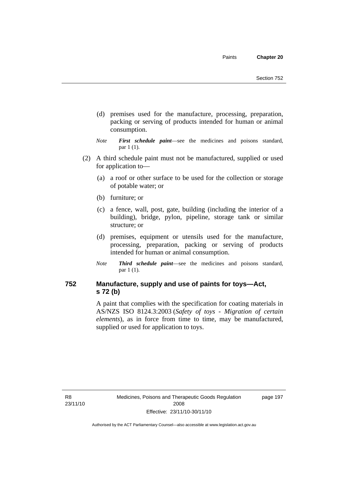- (d) premises used for the manufacture, processing, preparation, packing or serving of products intended for human or animal consumption.
- *Note First schedule paint*—see the medicines and poisons standard, par 1 (1).
- (2) A third schedule paint must not be manufactured, supplied or used for application to—
	- (a) a roof or other surface to be used for the collection or storage of potable water; or
	- (b) furniture; or
	- (c) a fence, wall, post, gate, building (including the interior of a building), bridge, pylon, pipeline, storage tank or similar structure; or
	- (d) premises, equipment or utensils used for the manufacture, processing, preparation, packing or serving of products intended for human or animal consumption.
	- *Note Third schedule paint*—see the medicines and poisons standard, par 1 (1).

### **752 Manufacture, supply and use of paints for toys—Act, s 72 (b)**

A paint that complies with the specification for coating materials in AS/NZS ISO 8124.3:2003 (*Safety of toys - Migration of certain elements*), as in force from time to time, may be manufactured, supplied or used for application to toys.

R8 23/11/10 page 197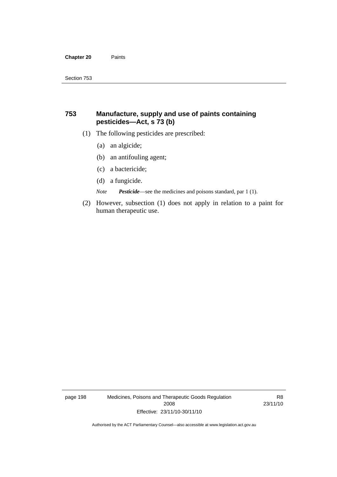#### **Chapter 20** Paints

#### **753 Manufacture, supply and use of paints containing pesticides—Act, s 73 (b)**

- (1) The following pesticides are prescribed:
	- (a) an algicide;
	- (b) an antifouling agent;
	- (c) a bactericide;
	- (d) a fungicide.

*Note Pesticide*—see the medicines and poisons standard, par 1 (1).

 (2) However, subsection (1) does not apply in relation to a paint for human therapeutic use.

page 198 Medicines, Poisons and Therapeutic Goods Regulation 2008 Effective: 23/11/10-30/11/10

R8 23/11/10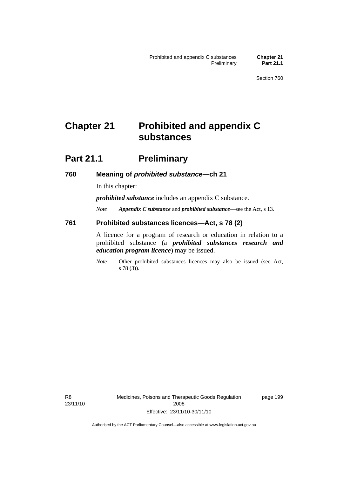# **Chapter 21 Prohibited and appendix C substances**

### **Part 21.1 Preliminary**

#### **760 Meaning of** *prohibited substance***—ch 21**

In this chapter:

*prohibited substance* includes an appendix C substance.

*Note Appendix C substance* and *prohibited substance*—see the Act, s 13.

#### **761 Prohibited substances licences—Act, s 78 (2)**

A licence for a program of research or education in relation to a prohibited substance (a *prohibited substances research and education program licence*) may be issued.

*Note* Other prohibited substances licences may also be issued (see Act, s 78 (3)).

R8 23/11/10 page 199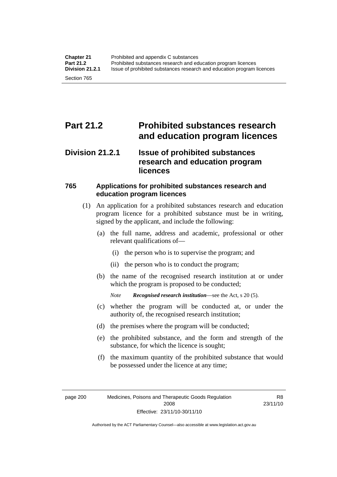# **Part 21.2 Prohibited substances research and education program licences**

### **Division 21.2.1 Issue of prohibited substances research and education program licences**

### **765 Applications for prohibited substances research and education program licences**

- (1) An application for a prohibited substances research and education program licence for a prohibited substance must be in writing, signed by the applicant, and include the following:
	- (a) the full name, address and academic, professional or other relevant qualifications of—
		- (i) the person who is to supervise the program; and
		- (ii) the person who is to conduct the program;
	- (b) the name of the recognised research institution at or under which the program is proposed to be conducted;

*Note Recognised research institution*—see the Act, s 20 (5).

- (c) whether the program will be conducted at, or under the authority of, the recognised research institution;
- (d) the premises where the program will be conducted;
- (e) the prohibited substance, and the form and strength of the substance, for which the licence is sought;
- (f) the maximum quantity of the prohibited substance that would be possessed under the licence at any time;

R8 23/11/10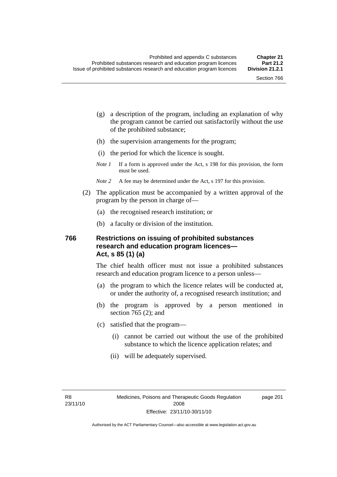- (g) a description of the program, including an explanation of why the program cannot be carried out satisfactorily without the use of the prohibited substance;
- (h) the supervision arrangements for the program;
- (i) the period for which the licence is sought.
- *Note 1* If a form is approved under the Act, s 198 for this provision, the form must be used.
- *Note* 2 A fee may be determined under the Act, s 197 for this provision.
- (2) The application must be accompanied by a written approval of the program by the person in charge of—
	- (a) the recognised research institution; or
	- (b) a faculty or division of the institution.

#### **766 Restrictions on issuing of prohibited substances research and education program licences— Act, s 85 (1) (a)**

The chief health officer must not issue a prohibited substances research and education program licence to a person unless—

- (a) the program to which the licence relates will be conducted at, or under the authority of, a recognised research institution; and
- (b) the program is approved by a person mentioned in section 765 (2); and
- (c) satisfied that the program—
	- (i) cannot be carried out without the use of the prohibited substance to which the licence application relates; and
	- (ii) will be adequately supervised.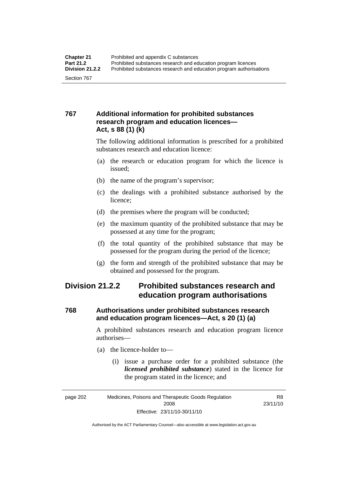### **767 Additional information for prohibited substances research program and education licences— Act, s 88 (1) (k)**

The following additional information is prescribed for a prohibited substances research and education licence:

- (a) the research or education program for which the licence is issued;
- (b) the name of the program's supervisor;
- (c) the dealings with a prohibited substance authorised by the licence;
- (d) the premises where the program will be conducted;
- (e) the maximum quantity of the prohibited substance that may be possessed at any time for the program;
- (f) the total quantity of the prohibited substance that may be possessed for the program during the period of the licence;
- (g) the form and strength of the prohibited substance that may be obtained and possessed for the program.

### **Division 21.2.2 Prohibited substances research and education program authorisations**

### **768 Authorisations under prohibited substances research and education program licences—Act, s 20 (1) (a)**

A prohibited substances research and education program licence authorises—

- (a) the licence-holder to—
	- (i) issue a purchase order for a prohibited substance (the *licensed prohibited substance*) stated in the licence for the program stated in the licence; and

R8 23/11/10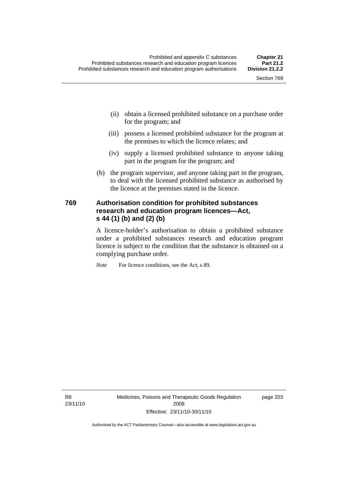- (ii) obtain a licensed prohibited substance on a purchase order for the program; and
- (iii) possess a licensed prohibited substance for the program at the premises to which the licence relates; and
- (iv) supply a licensed prohibited substance to anyone taking part in the program for the program; and
- (b) the program supervisor, and anyone taking part in the program, to deal with the licensed prohibited substance as authorised by the licence at the premises stated in the licence.

#### **769 Authorisation condition for prohibited substances research and education program licences—Act, s 44 (1) (b) and (2) (b)**

A licence-holder's authorisation to obtain a prohibited substance under a prohibited substances research and education program licence is subject to the condition that the substance is obtained on a complying purchase order.

*Note* For licence conditions, see the Act, s 89.

R8 23/11/10 Medicines, Poisons and Therapeutic Goods Regulation 2008 Effective: 23/11/10-30/11/10

page 203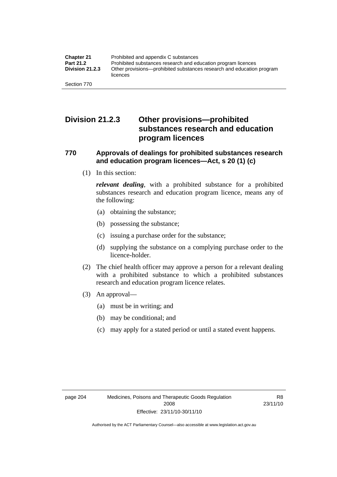### **Division 21.2.3 Other provisions—prohibited substances research and education program licences**

#### **770 Approvals of dealings for prohibited substances research and education program licences—Act, s 20 (1) (c)**

(1) In this section:

*relevant dealing*, with a prohibited substance for a prohibited substances research and education program licence, means any of the following:

- (a) obtaining the substance;
- (b) possessing the substance;
- (c) issuing a purchase order for the substance;
- (d) supplying the substance on a complying purchase order to the licence-holder.
- (2) The chief health officer may approve a person for a relevant dealing with a prohibited substance to which a prohibited substances research and education program licence relates.
- (3) An approval—
	- (a) must be in writing; and
	- (b) may be conditional; and
	- (c) may apply for a stated period or until a stated event happens.

R8 23/11/10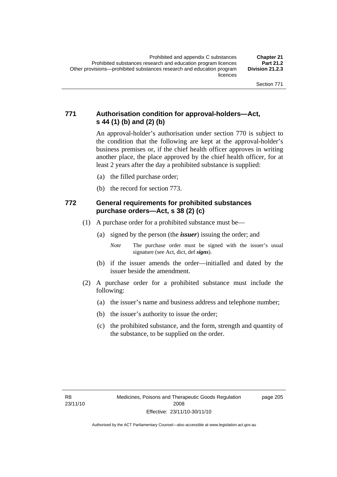### **771 Authorisation condition for approval-holders—Act, s 44 (1) (b) and (2) (b)**

An approval-holder's authorisation under section 770 is subject to the condition that the following are kept at the approval-holder's business premises or, if the chief health officer approves in writing another place, the place approved by the chief health officer, for at least 2 years after the day a prohibited substance is supplied:

- (a) the filled purchase order;
- (b) the record for section 773.

#### **772 General requirements for prohibited substances purchase orders—Act, s 38 (2) (c)**

- (1) A purchase order for a prohibited substance must be—
	- (a) signed by the person (the *issuer*) issuing the order; and
		- *Note* The purchase order must be signed with the issuer's usual signature (see Act, dict, def *signs*).
	- (b) if the issuer amends the order—initialled and dated by the issuer beside the amendment.
- (2) A purchase order for a prohibited substance must include the following:
	- (a) the issuer's name and business address and telephone number;
	- (b) the issuer's authority to issue the order;
	- (c) the prohibited substance, and the form, strength and quantity of the substance, to be supplied on the order.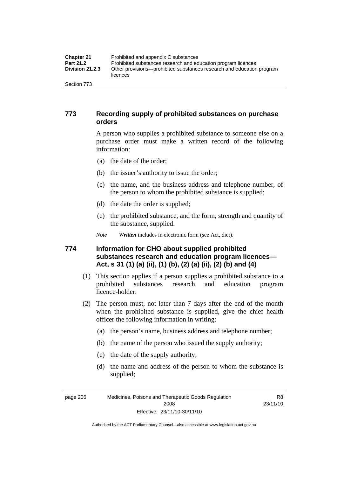| <b>Chapter 21</b>      | Prohibited and appendix C substances                                              |
|------------------------|-----------------------------------------------------------------------------------|
| <b>Part 21.2</b>       | Prohibited substances research and education program licences                     |
| <b>Division 21.2.3</b> | Other provisions—prohibited substances research and education program<br>licences |
| Section 773            |                                                                                   |

#### **773 Recording supply of prohibited substances on purchase orders**

A person who supplies a prohibited substance to someone else on a purchase order must make a written record of the following information:

- (a) the date of the order;
- (b) the issuer's authority to issue the order;
- (c) the name, and the business address and telephone number, of the person to whom the prohibited substance is supplied;
- (d) the date the order is supplied;
- (e) the prohibited substance, and the form, strength and quantity of the substance, supplied.

*Note Written* includes in electronic form (see Act, dict).

### **774 Information for CHO about supplied prohibited substances research and education program licences— Act, s 31 (1) (a) (ii), (1) (b), (2) (a) (ii), (2) (b) and (4)**

- (1) This section applies if a person supplies a prohibited substance to a prohibited substances research and education program licence-holder.
- (2) The person must, not later than 7 days after the end of the month when the prohibited substance is supplied, give the chief health officer the following information in writing:
	- (a) the person's name, business address and telephone number;
	- (b) the name of the person who issued the supply authority;
	- (c) the date of the supply authority;
	- (d) the name and address of the person to whom the substance is supplied;

page 206 Medicines, Poisons and Therapeutic Goods Regulation 2008 Effective: 23/11/10-30/11/10

R8 23/11/10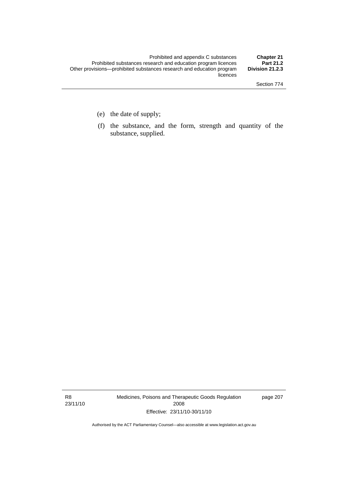- (e) the date of supply;
- (f) the substance, and the form, strength and quantity of the substance, supplied.

R8 23/11/10 Medicines, Poisons and Therapeutic Goods Regulation 2008 Effective: 23/11/10-30/11/10

page 207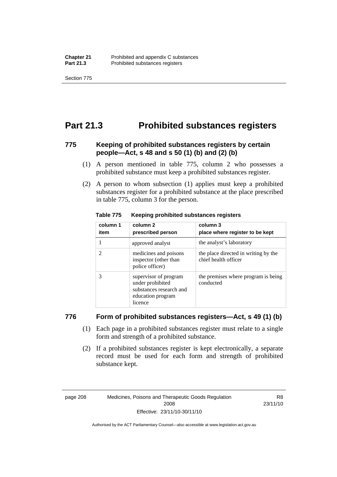Section 775

### **Part 21.3 Prohibited substances registers**

### **775 Keeping of prohibited substances registers by certain people—Act, s 48 and s 50 (1) (b) and (2) (b)**

- (1) A person mentioned in table 775, column 2 who possesses a prohibited substance must keep a prohibited substances register.
- (2) A person to whom subsection (1) applies must keep a prohibited substances register for a prohibited substance at the place prescribed in table 775, column 3 for the person.

| column 1<br>item | column 2<br>prescribed person                                                                        | column 3<br>place where register to be kept                  |
|------------------|------------------------------------------------------------------------------------------------------|--------------------------------------------------------------|
|                  | approved analyst                                                                                     | the analyst's laboratory                                     |
| 2                | medicines and poisons<br>inspector (other than<br>police officer)                                    | the place directed in writing by the<br>chief health officer |
| 3                | supervisor of program<br>under prohibited<br>substances research and<br>education program<br>licence | the premises where program is being<br>conducted             |

#### **Table 775 Keeping prohibited substances registers**

#### **776 Form of prohibited substances registers—Act, s 49 (1) (b)**

- (1) Each page in a prohibited substances register must relate to a single form and strength of a prohibited substance.
- (2) If a prohibited substances register is kept electronically, a separate record must be used for each form and strength of prohibited substance kept.

page 208 Medicines, Poisons and Therapeutic Goods Regulation 2008 Effective: 23/11/10-30/11/10

R8 23/11/10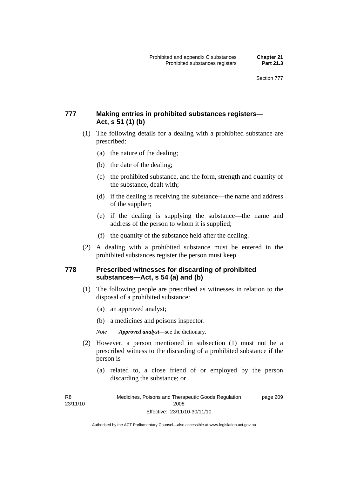### **777 Making entries in prohibited substances registers— Act, s 51 (1) (b)**

- (1) The following details for a dealing with a prohibited substance are prescribed:
	- (a) the nature of the dealing;
	- (b) the date of the dealing;
	- (c) the prohibited substance, and the form, strength and quantity of the substance, dealt with;
	- (d) if the dealing is receiving the substance—the name and address of the supplier;
	- (e) if the dealing is supplying the substance—the name and address of the person to whom it is supplied;
	- (f) the quantity of the substance held after the dealing.
- (2) A dealing with a prohibited substance must be entered in the prohibited substances register the person must keep.

#### **778 Prescribed witnesses for discarding of prohibited substances—Act, s 54 (a) and (b)**

- (1) The following people are prescribed as witnesses in relation to the disposal of a prohibited substance:
	- (a) an approved analyst;
	- (b) a medicines and poisons inspector.

*Note Approved analyst*—see the dictionary.

- (2) However, a person mentioned in subsection (1) must not be a prescribed witness to the discarding of a prohibited substance if the person is—
	- (a) related to, a close friend of or employed by the person discarding the substance; or

R8 23/11/10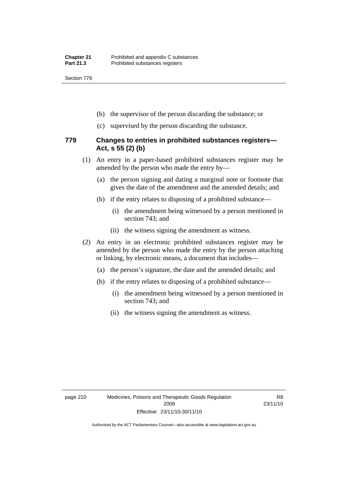Section 779

- (b) the supervisor of the person discarding the substance; or
- (c) supervised by the person discarding the substance.

#### **779 Changes to entries in prohibited substances registers— Act, s 55 (2) (b)**

- (1) An entry in a paper-based prohibited substances register may be amended by the person who made the entry by—
	- (a) the person signing and dating a marginal note or footnote that gives the date of the amendment and the amended details; and
	- (b) if the entry relates to disposing of a prohibited substance—
		- (i) the amendment being witnessed by a person mentioned in section 743; and
		- (ii) the witness signing the amendment as witness.
- (2) An entry in an electronic prohibited substances register may be amended by the person who made the entry by the person attaching or linking, by electronic means, a document that includes—
	- (a) the person's signature, the date and the amended details; and
	- (b) if the entry relates to disposing of a prohibited substance—
		- (i) the amendment being witnessed by a person mentioned in section 743; and
		- (ii) the witness signing the amendment as witness.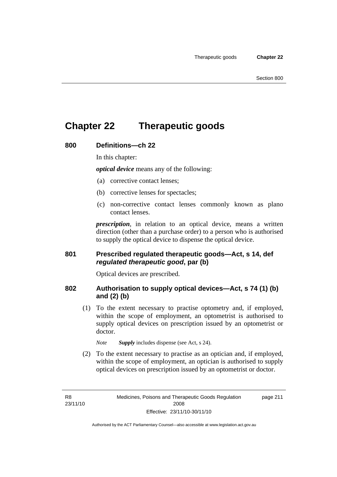# **Chapter 22 Therapeutic goods**

#### **800 Definitions—ch 22**

In this chapter:

*optical device* means any of the following:

- (a) corrective contact lenses;
- (b) corrective lenses for spectacles;
- (c) non-corrective contact lenses commonly known as plano contact lenses.

*prescription*, in relation to an optical device, means a written direction (other than a purchase order) to a person who is authorised to supply the optical device to dispense the optical device.

#### **801 Prescribed regulated therapeutic goods—Act, s 14, def**  *regulated therapeutic good***, par (b)**

Optical devices are prescribed.

#### **802 Authorisation to supply optical devices—Act, s 74 (1) (b) and (2) (b)**

 (1) To the extent necessary to practise optometry and, if employed, within the scope of employment, an optometrist is authorised to supply optical devices on prescription issued by an optometrist or doctor.

*Note Supply* includes dispense (see Act, s 24).

 (2) To the extent necessary to practise as an optician and, if employed, within the scope of employment, an optician is authorised to supply optical devices on prescription issued by an optometrist or doctor.

R8 23/11/10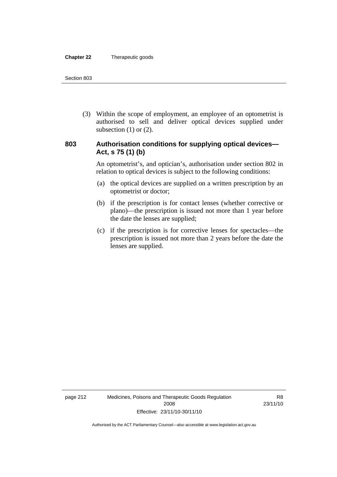#### **Chapter 22** Therapeutic goods

 (3) Within the scope of employment, an employee of an optometrist is authorised to sell and deliver optical devices supplied under subsection  $(1)$  or  $(2)$ .

#### **803 Authorisation conditions for supplying optical devices— Act, s 75 (1) (b)**

An optometrist's, and optician's, authorisation under section 802 in relation to optical devices is subject to the following conditions:

- (a) the optical devices are supplied on a written prescription by an optometrist or doctor;
- (b) if the prescription is for contact lenses (whether corrective or plano)—the prescription is issued not more than 1 year before the date the lenses are supplied;
- (c) if the prescription is for corrective lenses for spectacles—the prescription is issued not more than 2 years before the date the lenses are supplied.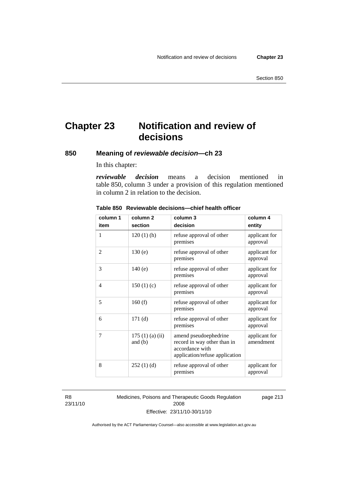# **Chapter 23 Notification and review of decisions**

**850 Meaning of** *reviewable decision—***ch 23** 

In this chapter:

*reviewable decision* means a decision mentioned in table 850, column 3 under a provision of this regulation mentioned in column 2 in relation to the decision.

| column 1 | column <sub>2</sub>        | column 3                                                                                                  | column 4                   |
|----------|----------------------------|-----------------------------------------------------------------------------------------------------------|----------------------------|
| item     | section                    | decision                                                                                                  | entity                     |
| 1        | $120(1)$ (h)               | refuse approval of other<br>premises                                                                      | applicant for<br>approval  |
| 2        | 130(e)                     | refuse approval of other<br>premises                                                                      | applicant for<br>approval  |
| 3        | 140(e)                     | refuse approval of other<br>premises                                                                      | applicant for<br>approval  |
| 4        | 150(1)(c)                  | refuse approval of other<br>premises                                                                      | applicant for<br>approval  |
| 5        | 160(f)                     | refuse approval of other<br>premises                                                                      | applicant for<br>approval  |
| 6        | 171(d)                     | refuse approval of other<br>premises                                                                      | applicant for<br>approval  |
| 7        | 175(1)(a)(ii)<br>and $(b)$ | amend pseudoephedrine<br>record in way other than in<br>accordance with<br>application/refuse application | applicant for<br>amendment |
| 8        | 252(1)(d)                  | refuse approval of other<br>premises                                                                      | applicant for<br>approval  |

#### **Table 850 Reviewable decisions—chief health officer**

R8 23/11/10 Medicines, Poisons and Therapeutic Goods Regulation 2008 Effective: 23/11/10-30/11/10 page 213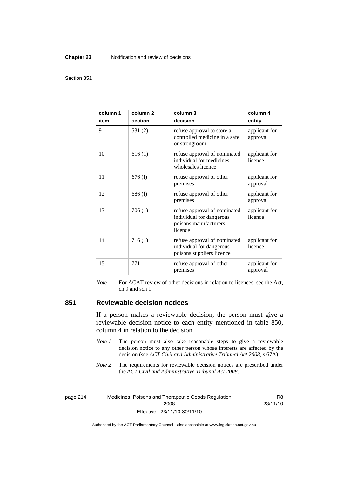#### **Chapter 23** Notification and review of decisions

#### Section 851

| column 1<br>item | column <sub>2</sub><br>section | column 3<br>decision                                                                         | column 4<br>entity        |
|------------------|--------------------------------|----------------------------------------------------------------------------------------------|---------------------------|
| 9                | 531 $(2)$                      | refuse approval to store a<br>controlled medicine in a safe<br>or strongroom                 | applicant for<br>approval |
| 10               | 616(1)                         | refuse approval of nominated<br>individual for medicines<br>wholesales licence               | applicant for<br>licence  |
| 11               | 676(f)                         | refuse approval of other<br>premises                                                         | applicant for<br>approval |
| 12               | 686(f)                         | refuse approval of other<br>premises                                                         | applicant for<br>approval |
| 13               | 706(1)                         | refuse approval of nominated<br>individual for dangerous<br>poisons manufacturers<br>licence | applicant for<br>licence  |
| 14               | 716(1)                         | refuse approval of nominated<br>individual for dangerous<br>poisons suppliers licence        | applicant for<br>licence  |
| 15               | 771                            | refuse approval of other<br>premises                                                         | applicant for<br>approval |

*Note* For ACAT review of other decisions in relation to licences, see the Act, ch 9 and sch 1.

#### **851 Reviewable decision notices**

If a person makes a reviewable decision, the person must give a reviewable decision notice to each entity mentioned in table 850, column 4 in relation to the decision.

- *Note 1* The person must also take reasonable steps to give a reviewable decision notice to any other person whose interests are affected by the decision (see *ACT Civil and Administrative Tribunal Act 2008*, s 67A).
- *Note* 2 The requirements for reviewable decision notices are prescribed under the *ACT Civil and Administrative Tribunal Act 2008*.

page 214 Medicines, Poisons and Therapeutic Goods Regulation 2008 Effective: 23/11/10-30/11/10

R8 23/11/10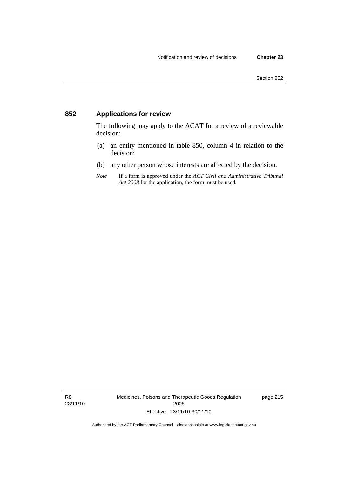### **852 Applications for review**

The following may apply to the ACAT for a review of a reviewable decision:

- (a) an entity mentioned in table 850, column 4 in relation to the decision;
- (b) any other person whose interests are affected by the decision.
- *Note* If a form is approved under the *ACT Civil and Administrative Tribunal Act 2008* for the application, the form must be used.

R8 23/11/10 Medicines, Poisons and Therapeutic Goods Regulation 2008 Effective: 23/11/10-30/11/10

page 215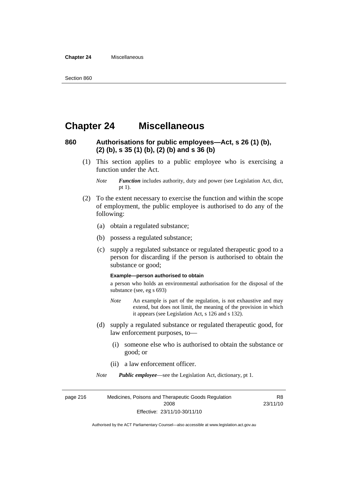#### **Chapter 24** Miscellaneous

### **Chapter 24 Miscellaneous**

### **860 Authorisations for public employees—Act, s 26 (1) (b), (2) (b), s 35 (1) (b), (2) (b) and s 36 (b)**

 (1) This section applies to a public employee who is exercising a function under the Act.

- (2) To the extent necessary to exercise the function and within the scope of employment, the public employee is authorised to do any of the following:
	- (a) obtain a regulated substance;
	- (b) possess a regulated substance;
	- (c) supply a regulated substance or regulated therapeutic good to a person for discarding if the person is authorised to obtain the substance or good;

#### **Example—person authorised to obtain**

a person who holds an environmental authorisation for the disposal of the substance (see, eg s 693)

- *Note* An example is part of the regulation, is not exhaustive and may extend, but does not limit, the meaning of the provision in which it appears (see Legislation Act, s 126 and s 132).
- (d) supply a regulated substance or regulated therapeutic good, for law enforcement purposes, to—
	- (i) someone else who is authorised to obtain the substance or good; or
	- (ii) a law enforcement officer.

*Note Public employee*—see the Legislation Act, dictionary, pt 1.

page 216 Medicines, Poisons and Therapeutic Goods Regulation 2008 Effective: 23/11/10-30/11/10 R8 23/11/10

*Note Function* includes authority, duty and power (see Legislation Act, dict, pt 1).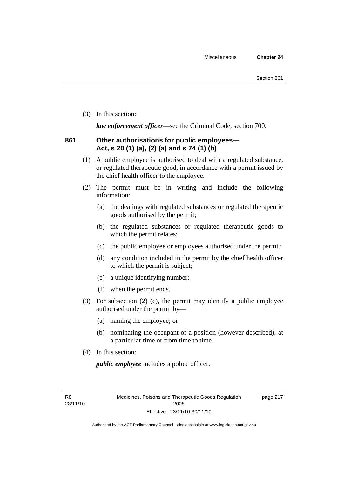(3) In this section:

*law enforcement officer*—see the Criminal Code, section 700.

#### **861 Other authorisations for public employees— Act, s 20 (1) (a), (2) (a) and s 74 (1) (b)**

- (1) A public employee is authorised to deal with a regulated substance, or regulated therapeutic good, in accordance with a permit issued by the chief health officer to the employee.
- (2) The permit must be in writing and include the following information:
	- (a) the dealings with regulated substances or regulated therapeutic goods authorised by the permit;
	- (b) the regulated substances or regulated therapeutic goods to which the permit relates;
	- (c) the public employee or employees authorised under the permit;
	- (d) any condition included in the permit by the chief health officer to which the permit is subject;
	- (e) a unique identifying number;
	- (f) when the permit ends.
- (3) For subsection (2) (c), the permit may identify a public employee authorised under the permit by—
	- (a) naming the employee; or
	- (b) nominating the occupant of a position (however described), at a particular time or from time to time.
- (4) In this section:

*public employee* includes a police officer.

R8 23/11/10 page 217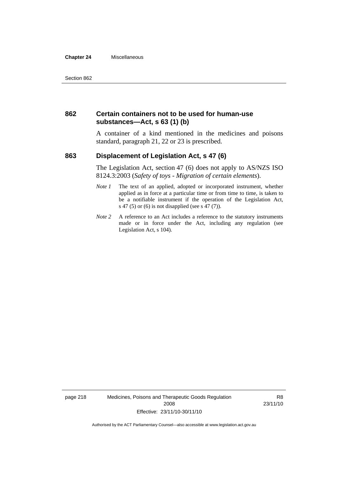#### **Chapter 24** Miscellaneous

#### **862 Certain containers not to be used for human-use substances—Act, s 63 (1) (b)**

A container of a kind mentioned in the medicines and poisons standard, paragraph 21, 22 or 23 is prescribed.

#### **863 Displacement of Legislation Act, s 47 (6)**

The Legislation Act, section 47 (6) does not apply to AS/NZS ISO 8124.3:2003 (*Safety of toys - Migration of certain elements*).

- *Note 1* The text of an applied, adopted or incorporated instrument, whether applied as in force at a particular time or from time to time, is taken to be a notifiable instrument if the operation of the Legislation Act, s 47 (5) or (6) is not disapplied (see s 47 (7)).
- *Note 2* A reference to an Act includes a reference to the statutory instruments made or in force under the Act, including any regulation (see Legislation Act, s 104).

page 218 Medicines, Poisons and Therapeutic Goods Regulation 2008 Effective: 23/11/10-30/11/10

R8 23/11/10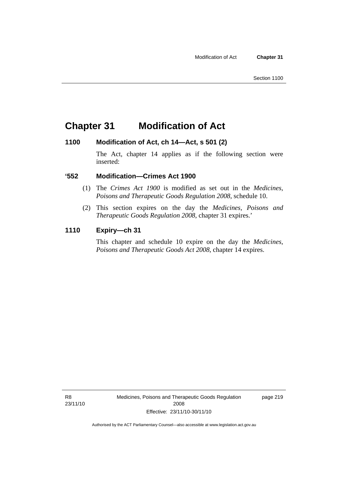### **Chapter 31 Modification of Act**

#### **1100 Modification of Act, ch 14—Act, s 501 (2)**

The Act, chapter 14 applies as if the following section were inserted:

#### **'552 Modification—Crimes Act 1900**

- (1) The *Crimes Act 1900* is modified as set out in the *Medicines, Poisons and Therapeutic Goods Regulation 2008*, schedule 10.
- (2) This section expires on the day the *Medicines, Poisons and Therapeutic Goods Regulation 2008*, chapter 31 expires.'

#### **1110 Expiry—ch 31**

This chapter and schedule 10 expire on the day the *Medicines, Poisons and Therapeutic Goods Act 2008*, chapter 14 expires.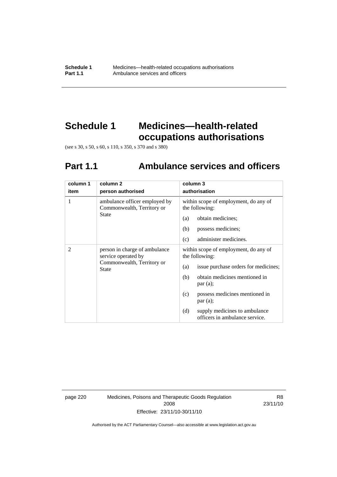# **Schedule 1 Medicines—health-related occupations authorisations**

(see s 30, s 50, s 60, s 110, s 350, s 370 and s 380)

# **Part 1.1 Ambulance services and officers**

| column 1 | column 2                                                                                    | column 3                                                               |
|----------|---------------------------------------------------------------------------------------------|------------------------------------------------------------------------|
| item     | person authorised                                                                           | authorisation                                                          |
| 1        | ambulance officer employed by<br>Commonwealth, Territory or                                 | within scope of employment, do any of<br>the following:                |
|          | State                                                                                       | obtain medicines;<br>(a)                                               |
|          |                                                                                             | (b)<br>possess medicines;                                              |
|          |                                                                                             | (c)<br>administer medicines.                                           |
| 2        | person in charge of ambulance<br>service operated by<br>Commonwealth, Territory or<br>State | within scope of employment, do any of<br>the following:                |
|          |                                                                                             | issue purchase orders for medicines;<br>(a)                            |
|          |                                                                                             | obtain medicines mentioned in<br>(b)<br>par(a);                        |
|          |                                                                                             | possess medicines mentioned in<br>(c)<br>par(a);                       |
|          |                                                                                             | (d)<br>supply medicines to ambulance<br>officers in ambulance service. |

page 220 Medicines, Poisons and Therapeutic Goods Regulation 2008 Effective: 23/11/10-30/11/10

R8 23/11/10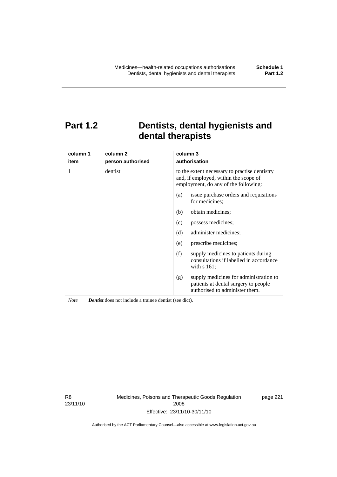# **Part 1.2 Dentists, dental hygienists and dental therapists**

| column 1<br>item | column 2<br>person authorised | column 3<br>authorisation                                                                                                      |
|------------------|-------------------------------|--------------------------------------------------------------------------------------------------------------------------------|
| 1                | dentist                       | to the extent necessary to practise dentistry<br>and, if employed, within the scope of<br>employment, do any of the following: |
|                  |                               | issue purchase orders and requisitions<br>(a)<br>for medicines:                                                                |
|                  |                               | obtain medicines;<br>(b)                                                                                                       |
|                  |                               | possess medicines;<br>(c)                                                                                                      |
|                  |                               | (d)<br>administer medicines;                                                                                                   |
|                  |                               | prescribe medicines;<br>(e)                                                                                                    |
|                  |                               | supply medicines to patients during<br>(f)<br>consultations if labelled in accordance<br>with $s$ 161;                         |
|                  |                               | supply medicines for administration to<br>(g)<br>patients at dental surgery to people<br>authorised to administer them.        |

*Note Dentist* does not include a trainee dentist (see dict).

R8 23/11/10 Medicines, Poisons and Therapeutic Goods Regulation 2008 Effective: 23/11/10-30/11/10

page 221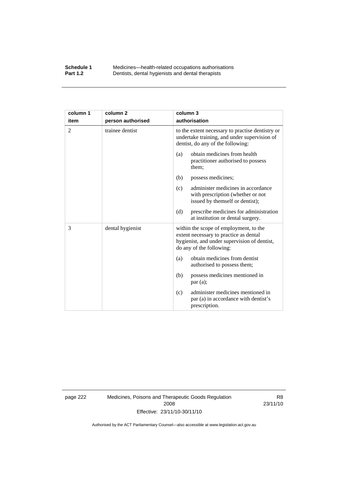#### **Schedule 1** Medicines—health-related occupations authorisations<br>**Part 1.2** Dentists, dental hygienists and dental therapists **Part 1.2** Dentists, dental hygienists and dental therapists

| column 1       | column <sub>2</sub> | column 3                                                                                                                                                     |
|----------------|---------------------|--------------------------------------------------------------------------------------------------------------------------------------------------------------|
| item           | person authorised   | authorisation                                                                                                                                                |
| $\overline{2}$ | trainee dentist     | to the extent necessary to practise dentistry or<br>undertake training, and under supervision of<br>dentist, do any of the following:                        |
|                |                     | obtain medicines from health<br>(a)<br>practitioner authorised to possess<br>them;                                                                           |
|                |                     | (b)<br>possess medicines;                                                                                                                                    |
|                |                     | administer medicines in accordance<br>(c)<br>with prescription (whether or not<br>issued by themself or dentist);                                            |
|                |                     | prescribe medicines for administration<br>(d)<br>at institution or dental surgery.                                                                           |
| 3              | dental hygienist    | within the scope of employment, to the<br>extent necessary to practice as dental<br>hygienist, and under supervision of dentist,<br>do any of the following: |
|                |                     | obtain medicines from dentist<br>(a)<br>authorised to possess them;                                                                                          |
|                |                     | possess medicines mentioned in<br>(b)<br>par(a);                                                                                                             |
|                |                     | administer medicines mentioned in<br>(c)<br>par (a) in accordance with dentist's<br>prescription.                                                            |

page 222 Medicines, Poisons and Therapeutic Goods Regulation 2008 Effective: 23/11/10-30/11/10

R8 23/11/10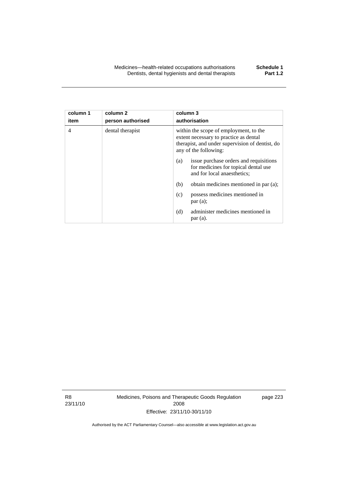| column 1 | column 2          | column 3                                                                                                                                                     |  |
|----------|-------------------|--------------------------------------------------------------------------------------------------------------------------------------------------------------|--|
| item     | person authorised | authorisation                                                                                                                                                |  |
| 4        | dental therapist  | within the scope of employment, to the<br>extent necessary to practice as dental<br>therapist, and under supervision of dentist, do<br>any of the following: |  |
|          |                   | issue purchase orders and requisitions<br>(a)<br>for medicines for topical dental use<br>and for local anaesthetics;                                         |  |
|          |                   | obtain medicines mentioned in par (a);<br>(b)                                                                                                                |  |
|          |                   | possess medicines mentioned in<br>(c)<br>par(a);                                                                                                             |  |
|          |                   | administer medicines mentioned in<br>(d)<br>par(a).                                                                                                          |  |

R8 23/11/10 Medicines, Poisons and Therapeutic Goods Regulation 2008 Effective: 23/11/10-30/11/10

page 223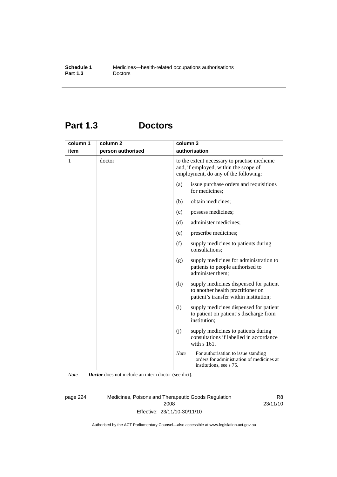# **Part 1.3 Doctors**

| column 1 | column <sub>2</sub> | column 3    |                                                                                                                               |
|----------|---------------------|-------------|-------------------------------------------------------------------------------------------------------------------------------|
| item     | person authorised   |             | authorisation                                                                                                                 |
| 1        | doctor              |             | to the extent necessary to practise medicine<br>and, if employed, within the scope of<br>employment, do any of the following: |
|          |                     | (a)         | issue purchase orders and requisitions<br>for medicines;                                                                      |
|          |                     | (b)         | obtain medicines;                                                                                                             |
|          |                     | (c)         | possess medicines;                                                                                                            |
|          |                     | (d)         | administer medicines;                                                                                                         |
|          |                     | (e)         | prescribe medicines;                                                                                                          |
|          |                     | (f)         | supply medicines to patients during<br>consultations;                                                                         |
|          |                     | (g)         | supply medicines for administration to<br>patients to people authorised to<br>administer them;                                |
|          |                     | (h)         | supply medicines dispensed for patient<br>to another health practitioner on<br>patient's transfer within institution;         |
|          |                     | (i)         | supply medicines dispensed for patient<br>to patient on patient's discharge from<br>institution;                              |
|          |                     | (j)         | supply medicines to patients during<br>consultations if labelled in accordance<br>with s 161.                                 |
|          |                     | <b>Note</b> | For authorisation to issue standing<br>orders for administration of medicines at<br>institutions, see s 75.                   |

*Note Doctor* does not include an intern doctor (see dict).

page 224 Medicines, Poisons and Therapeutic Goods Regulation 2008 Effective: 23/11/10-30/11/10

R8 23/11/10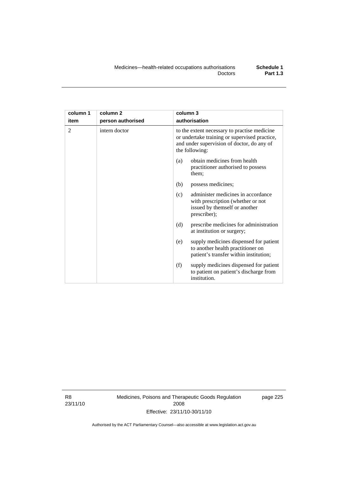| column 1       | column <sub>2</sub> | column 3                                                                                                                                                      |
|----------------|---------------------|---------------------------------------------------------------------------------------------------------------------------------------------------------------|
| item           | person authorised   | authorisation                                                                                                                                                 |
| $\mathfrak{D}$ | intern doctor       | to the extent necessary to practise medicine<br>or undertake training or supervised practice,<br>and under supervision of doctor, do any of<br>the following: |
|                |                     | obtain medicines from health<br>(a)<br>practitioner authorised to possess<br>them;                                                                            |
|                |                     | (b)<br>possess medicines;                                                                                                                                     |
|                |                     | administer medicines in accordance<br>(c)<br>with prescription (whether or not<br>issued by themself or another<br>prescriber);                               |
|                |                     | (d)<br>prescribe medicines for administration<br>at institution or surgery;                                                                                   |
|                |                     | supply medicines dispensed for patient<br>(e)<br>to another health practitioner on<br>patient's transfer within institution;                                  |
|                |                     | (f)<br>supply medicines dispensed for patient<br>to patient on patient's discharge from<br>institution.                                                       |

R8 23/11/10 Medicines, Poisons and Therapeutic Goods Regulation 2008 Effective: 23/11/10-30/11/10

page 225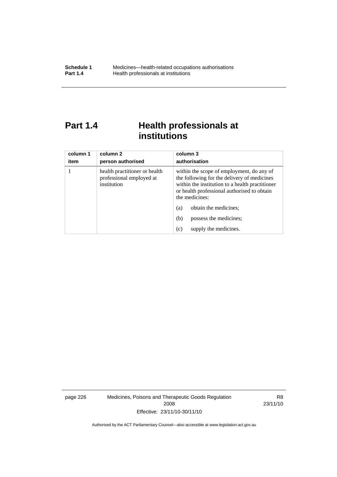# **Part 1.4 Health professionals at institutions**

| column 1<br>item | column 2<br>person authorised                                            | column 3<br>authorisation                                                                                                                                                                                    |
|------------------|--------------------------------------------------------------------------|--------------------------------------------------------------------------------------------------------------------------------------------------------------------------------------------------------------|
|                  | health practitioner or health<br>professional employed at<br>institution | within the scope of employment, do any of<br>the following for the delivery of medicines<br>within the institution to a health practitioner<br>or health professional authorised to obtain<br>the medicines: |
|                  |                                                                          | obtain the medicines;<br>(a)                                                                                                                                                                                 |
|                  |                                                                          | (b)<br>possess the medicines;                                                                                                                                                                                |
|                  |                                                                          | supply the medicines.<br>(c)                                                                                                                                                                                 |

page 226 Medicines, Poisons and Therapeutic Goods Regulation 2008 Effective: 23/11/10-30/11/10

R8 23/11/10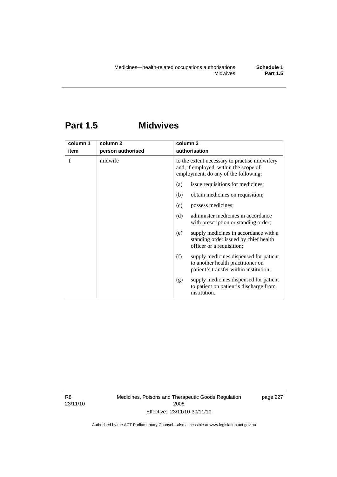# **Part 1.5 Midwives**

| column 1 | column <sub>2</sub> | column 3                                                                                                                       |  |
|----------|---------------------|--------------------------------------------------------------------------------------------------------------------------------|--|
| item     | person authorised   | authorisation                                                                                                                  |  |
| 1        | midwife             | to the extent necessary to practise midwifery<br>and, if employed, within the scope of<br>employment, do any of the following: |  |
|          |                     | issue requisitions for medicines;<br>(a)                                                                                       |  |
|          |                     | obtain medicines on requisition;<br>(b)                                                                                        |  |
|          |                     | possess medicines;<br>(c)                                                                                                      |  |
|          |                     | administer medicines in accordance<br>(d)<br>with prescription or standing order;                                              |  |
|          |                     | supply medicines in accordance with a<br>(e)<br>standing order issued by chief health<br>officer or a requisition;             |  |
|          |                     | supply medicines dispensed for patient<br>(f)<br>to another health practitioner on<br>patient's transfer within institution;   |  |
|          |                     | supply medicines dispensed for patient<br>(g)<br>to patient on patient's discharge from<br>institution.                        |  |

R8 23/11/10 Medicines, Poisons and Therapeutic Goods Regulation 2008 Effective: 23/11/10-30/11/10

page 227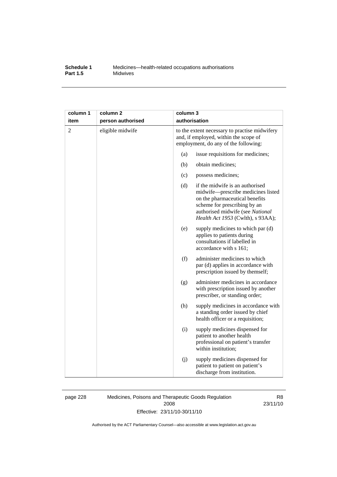#### **Schedule 1** Medicines—health-related occupations authorisations<br>**Part 1.5** Midwives **Midwives**

| column 1       | column <sub>2</sub> |                                                                                                                                | column 3                                                                                                                                                                                                         |  |
|----------------|---------------------|--------------------------------------------------------------------------------------------------------------------------------|------------------------------------------------------------------------------------------------------------------------------------------------------------------------------------------------------------------|--|
| item           | person authorised   | authorisation                                                                                                                  |                                                                                                                                                                                                                  |  |
| $\overline{2}$ | eligible midwife    | to the extent necessary to practise midwifery<br>and, if employed, within the scope of<br>employment, do any of the following: |                                                                                                                                                                                                                  |  |
|                |                     | (a)                                                                                                                            | issue requisitions for medicines;                                                                                                                                                                                |  |
|                |                     | (b)                                                                                                                            | obtain medicines;                                                                                                                                                                                                |  |
|                |                     | (c)                                                                                                                            | possess medicines;                                                                                                                                                                                               |  |
|                |                     | (d)                                                                                                                            | if the midwife is an authorised<br>midwife-prescribe medicines listed<br>on the pharmaceutical benefits<br>scheme for prescribing by an<br>authorised midwife (see National<br>Health Act 1953 (Cwlth), s 93AA); |  |
|                |                     | (e)                                                                                                                            | supply medicines to which par (d)<br>applies to patients during<br>consultations if labelled in<br>accordance with s 161;                                                                                        |  |
|                |                     | (f)                                                                                                                            | administer medicines to which<br>par (d) applies in accordance with<br>prescription issued by themself;                                                                                                          |  |
|                |                     | (g)                                                                                                                            | administer medicines in accordance<br>with prescription issued by another<br>prescriber, or standing order;                                                                                                      |  |
|                |                     | (h)                                                                                                                            | supply medicines in accordance with<br>a standing order issued by chief<br>health officer or a requisition;                                                                                                      |  |
|                |                     | (i)                                                                                                                            | supply medicines dispensed for<br>patient to another health<br>professional on patient's transfer<br>within institution;                                                                                         |  |
|                |                     | (j)                                                                                                                            | supply medicines dispensed for<br>patient to patient on patient's<br>discharge from institution.                                                                                                                 |  |

page 228 Medicines, Poisons and Therapeutic Goods Regulation 2008 Effective: 23/11/10-30/11/10

R8 23/11/10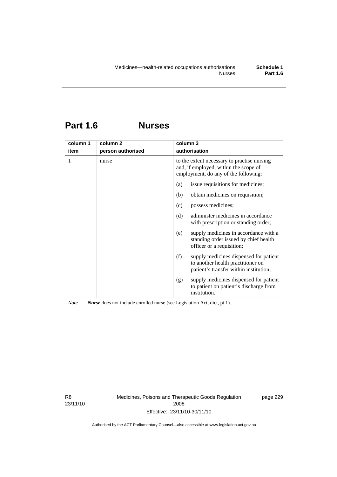## **Part 1.6 Nurses**

| column 1 | column <sub>2</sub> | column 3                                                                                                                     |  |
|----------|---------------------|------------------------------------------------------------------------------------------------------------------------------|--|
| item     | person authorised   | authorisation                                                                                                                |  |
| 1        | nurse               | to the extent necessary to practise nursing<br>and, if employed, within the scope of<br>employment, do any of the following: |  |
|          |                     | issue requisitions for medicines;<br>(a)                                                                                     |  |
|          |                     | obtain medicines on requisition;<br>(b)                                                                                      |  |
|          |                     | possess medicines;<br>(c)                                                                                                    |  |
|          |                     | administer medicines in accordance<br>(d)<br>with prescription or standing order;                                            |  |
|          |                     | supply medicines in accordance with a<br>(e)<br>standing order issued by chief health<br>officer or a requisition;           |  |
|          |                     | (f)<br>supply medicines dispensed for patient<br>to another health practitioner on<br>patient's transfer within institution; |  |
|          |                     | supply medicines dispensed for patient<br>(g)<br>to patient on patient's discharge from<br>institution.                      |  |

*Note Nurse* does not include enrolled nurse (see Legislation Act, dict, pt 1).

R8 23/11/10 Medicines, Poisons and Therapeutic Goods Regulation 2008 Effective: 23/11/10-30/11/10

page 229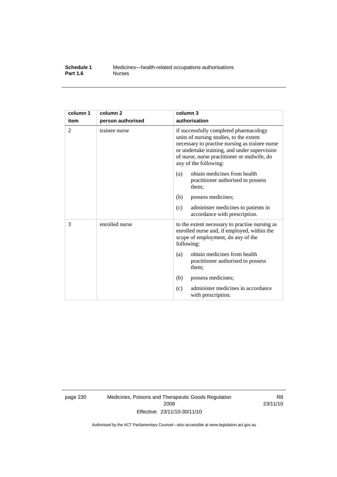#### **Schedule 1** Medicines—health-related occupations authorisations<br>**Part 1.6** Murses **Part 1.6**

| column 1       | column <sub>2</sub> | column 3                                                                                                                                                                                                                                                    |  |
|----------------|---------------------|-------------------------------------------------------------------------------------------------------------------------------------------------------------------------------------------------------------------------------------------------------------|--|
| item           | person authorised   | authorisation                                                                                                                                                                                                                                               |  |
| $\overline{2}$ | trainee nurse       | if successfully completed pharmacology<br>units of nursing studies, to the extent<br>necessary to practise nursing as trainee nurse<br>or undertake training, and under supervision<br>of nurse, nurse practitioner or midwife, do<br>any of the following: |  |
|                |                     | obtain medicines from health<br>(a)<br>practitioner authorised to possess<br>them;                                                                                                                                                                          |  |
|                |                     | possess medicines;<br>(b)                                                                                                                                                                                                                                   |  |
|                |                     | administer medicines to patients in<br>(c)<br>accordance with prescription.                                                                                                                                                                                 |  |
| 3              | enrolled nurse      | to the extent necessary to practise nursing as<br>enrolled nurse and, if employed, within the<br>scope of employment, do any of the<br>following:                                                                                                           |  |
|                |                     | obtain medicines from health<br>(a)<br>practitioner authorised to possess<br>them;                                                                                                                                                                          |  |
|                |                     | (b)<br>possess medicines;                                                                                                                                                                                                                                   |  |
|                |                     | administer medicines in accordance<br>(c)<br>with prescription.                                                                                                                                                                                             |  |

page 230 Medicines, Poisons and Therapeutic Goods Regulation 2008 Effective: 23/11/10-30/11/10

R8 23/11/10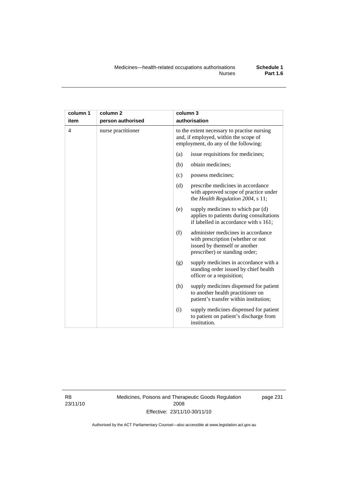| column 1 | column <sub>2</sub> | column 3                                                                                                                                          |
|----------|---------------------|---------------------------------------------------------------------------------------------------------------------------------------------------|
| item     | person authorised   | authorisation                                                                                                                                     |
| 4        | nurse practitioner  | to the extent necessary to practise nursing<br>and, if employed, within the scope of<br>employment, do any of the following:                      |
|          |                     | issue requisitions for medicines;<br>(a)                                                                                                          |
|          |                     | (b)<br>obtain medicines;                                                                                                                          |
|          |                     | possess medicines;<br>(c)                                                                                                                         |
|          |                     | (d)<br>prescribe medicines in accordance<br>with approved scope of practice under<br>the Health Regulation 2004, s 11;                            |
|          |                     | supply medicines to which par (d)<br>(e)<br>applies to patients during consultations<br>if labelled in accordance with s 161;                     |
|          |                     | administer medicines in accordance<br>(f)<br>with prescription (whether or not<br>issued by themself or another<br>prescriber) or standing order; |
|          |                     | supply medicines in accordance with a<br>(g)<br>standing order issued by chief health<br>officer or a requisition;                                |
|          |                     | (h)<br>supply medicines dispensed for patient<br>to another health practitioner on<br>patient's transfer within institution;                      |
|          |                     | supply medicines dispensed for patient<br>(i)<br>to patient on patient's discharge from<br>institution.                                           |

R8 23/11/10 Medicines, Poisons and Therapeutic Goods Regulation 2008 Effective: 23/11/10-30/11/10

page 231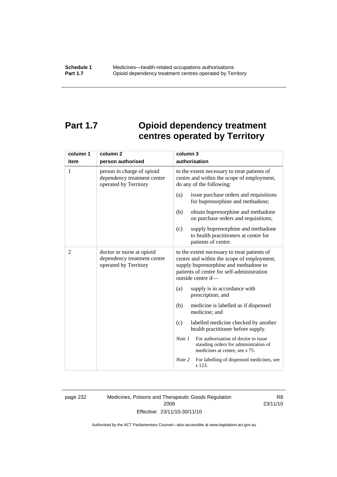# **Part 1.7 Opioid dependency treatment centres operated by Territory**

| column 1       | column <sub>2</sub>                                                                | column 3                                                                                                                                                                                                |  |  |
|----------------|------------------------------------------------------------------------------------|---------------------------------------------------------------------------------------------------------------------------------------------------------------------------------------------------------|--|--|
| item           | person authorised                                                                  | authorisation                                                                                                                                                                                           |  |  |
| 1              | person in charge of opioid<br>dependency treatment centre<br>operated by Territory | to the extent necessary to treat patients of<br>centre and within the scope of employment,<br>do any of the following:                                                                                  |  |  |
|                |                                                                                    | issue purchase orders and requisitions<br>(a)<br>for buprenorphine and methadone;                                                                                                                       |  |  |
|                |                                                                                    | obtain buprenorphine and methadone<br>(b)<br>on purchase orders and requisitions;                                                                                                                       |  |  |
|                |                                                                                    | supply buprenorphine and methadone<br>(c)<br>to health practitioners at centre for<br>patients of centre.                                                                                               |  |  |
| $\overline{2}$ | doctor or nurse at opioid<br>dependency treatment centre<br>operated by Territory  | to the extent necessary to treat patients of<br>centre and within the scope of employment,<br>supply buprenorphine and methadone to<br>patients of centre for self-administration<br>outside centre if- |  |  |
|                |                                                                                    | (a)<br>supply is in accordance with<br>prescription; and                                                                                                                                                |  |  |
|                |                                                                                    | (b)<br>medicine is labelled as if dispensed<br>medicine; and                                                                                                                                            |  |  |
|                |                                                                                    | labelled medicine checked by another<br>(c)<br>health practitioner before supply.                                                                                                                       |  |  |
|                |                                                                                    | For authorisation of doctor to issue<br>Note 1<br>standing orders for administration of<br>medicines at centre, see s 75.                                                                               |  |  |
|                |                                                                                    | For labelling of dispensed medicines, see<br>Note 2<br>s 123.                                                                                                                                           |  |  |

page 232 Medicines, Poisons and Therapeutic Goods Regulation 2008 Effective: 23/11/10-30/11/10

R8 23/11/10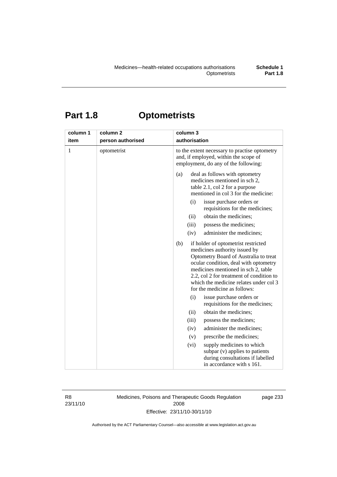# **Part 1.8 Optometrists**

| column 1<br>item | column <sub>2</sub><br>person authorised | column 3<br>authorisation                                                                                                                                                                                                                                                                                                  |
|------------------|------------------------------------------|----------------------------------------------------------------------------------------------------------------------------------------------------------------------------------------------------------------------------------------------------------------------------------------------------------------------------|
| 1                | optometrist                              | to the extent necessary to practise optometry<br>and, if employed, within the scope of<br>employment, do any of the following:                                                                                                                                                                                             |
|                  |                                          | deal as follows with optometry<br>(a)<br>medicines mentioned in sch 2,<br>table 2.1, col 2 for a purpose<br>mentioned in col 3 for the medicine:                                                                                                                                                                           |
|                  |                                          | (i)<br>issue purchase orders or<br>requisitions for the medicines;                                                                                                                                                                                                                                                         |
|                  |                                          | obtain the medicines;<br>(ii)                                                                                                                                                                                                                                                                                              |
|                  |                                          | possess the medicines;<br>(iii)                                                                                                                                                                                                                                                                                            |
|                  |                                          | administer the medicines;<br>(iv)                                                                                                                                                                                                                                                                                          |
|                  |                                          | (b)<br>if holder of optometrist restricted<br>medicines authority issued by<br>Optometry Board of Australia to treat<br>ocular condition, deal with optometry<br>medicines mentioned in sch 2, table<br>2.2, col 2 for treatment of condition to<br>which the medicine relates under col 3<br>for the medicine as follows: |
|                  |                                          | (i)<br>issue purchase orders or<br>requisitions for the medicines;                                                                                                                                                                                                                                                         |
|                  |                                          | obtain the medicines;<br>(ii)                                                                                                                                                                                                                                                                                              |
|                  |                                          | possess the medicines;<br>(iii)                                                                                                                                                                                                                                                                                            |
|                  |                                          | administer the medicines;<br>(iv)                                                                                                                                                                                                                                                                                          |
|                  |                                          | prescribe the medicines;<br>(v)                                                                                                                                                                                                                                                                                            |
|                  |                                          | (vi)<br>supply medicines to which<br>subpar (v) applies to patients<br>during consultations if labelled<br>in accordance with s 161.                                                                                                                                                                                       |

R8 23/11/10 Medicines, Poisons and Therapeutic Goods Regulation 2008 Effective: 23/11/10-30/11/10

page 233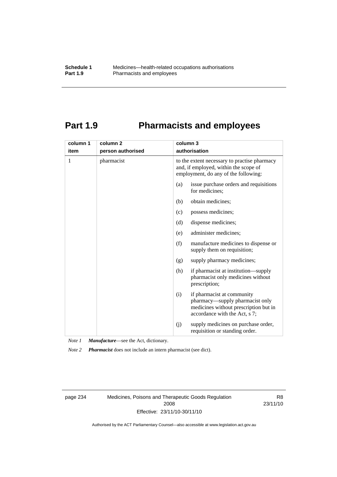# **Part 1.9 Pharmacists and employees**

| column 1 | column <sub>2</sub> | column 3                                                                                                                                       |  |
|----------|---------------------|------------------------------------------------------------------------------------------------------------------------------------------------|--|
| item     | person authorised   | authorisation                                                                                                                                  |  |
| 1        | pharmacist          | to the extent necessary to practise pharmacy<br>and, if employed, within the scope of<br>employment, do any of the following:                  |  |
|          |                     | issue purchase orders and requisitions<br>(a)<br>for medicines;                                                                                |  |
|          |                     | obtain medicines;<br>(b)                                                                                                                       |  |
|          |                     | possess medicines;<br>(c)                                                                                                                      |  |
|          |                     | dispense medicines;<br>(d)                                                                                                                     |  |
|          |                     | administer medicines;<br>(e)                                                                                                                   |  |
|          |                     | (f)<br>manufacture medicines to dispense or<br>supply them on requisition;                                                                     |  |
|          |                     | supply pharmacy medicines;<br>(g)                                                                                                              |  |
|          |                     | (h)<br>if pharmacist at institution—supply<br>pharmacist only medicines without<br>prescription;                                               |  |
|          |                     | if pharmacist at community<br>(i)<br>pharmacy—supply pharmacist only<br>medicines without prescription but in<br>accordance with the Act, s 7; |  |
|          |                     | supply medicines on purchase order,<br>(j)<br>requisition or standing order.                                                                   |  |

*Note 1 Manufacture*—see the Act, dictionary.

*Note 2 Pharmacist* does not include an intern pharmacist (see dict).

page 234 Medicines, Poisons and Therapeutic Goods Regulation 2008 Effective: 23/11/10-30/11/10

R8 23/11/10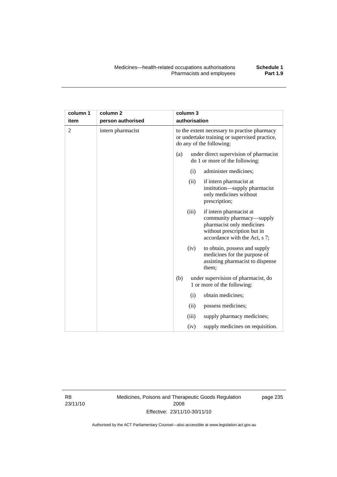| column 1       | column <sub>2</sub> |                                                                                                                           | column 3      |                                                                                                                                                   |
|----------------|---------------------|---------------------------------------------------------------------------------------------------------------------------|---------------|---------------------------------------------------------------------------------------------------------------------------------------------------|
| item           | person authorised   |                                                                                                                           | authorisation |                                                                                                                                                   |
| $\overline{2}$ | intern pharmacist   | to the extent necessary to practise pharmacy<br>or undertake training or supervised practice,<br>do any of the following: |               |                                                                                                                                                   |
|                |                     | (a)                                                                                                                       |               | under direct supervision of pharmacist<br>do 1 or more of the following:                                                                          |
|                |                     |                                                                                                                           | (i)           | administer medicines;                                                                                                                             |
|                |                     |                                                                                                                           | (ii)          | if intern pharmacist at<br>institution-supply pharmacist<br>only medicines without<br>prescription;                                               |
|                |                     |                                                                                                                           | (iii)         | if intern pharmacist at<br>community pharmacy—supply<br>pharmacist only medicines<br>without prescription but in<br>accordance with the Act, s 7; |
|                |                     |                                                                                                                           | (iv)          | to obtain, possess and supply<br>medicines for the purpose of<br>assisting pharmacist to dispense<br>them;                                        |
|                |                     | (b)                                                                                                                       |               | under supervision of pharmacist, do<br>1 or more of the following:                                                                                |
|                |                     |                                                                                                                           | (i)           | obtain medicines;                                                                                                                                 |
|                |                     |                                                                                                                           | (ii)          | possess medicines;                                                                                                                                |
|                |                     |                                                                                                                           | (iii)         | supply pharmacy medicines;                                                                                                                        |
|                |                     |                                                                                                                           | (iv)          | supply medicines on requisition.                                                                                                                  |

R8 23/11/10 Medicines, Poisons and Therapeutic Goods Regulation 2008 Effective: 23/11/10-30/11/10

page 235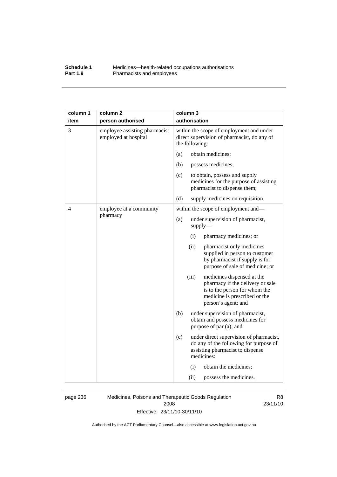#### **Schedule 1** Medicines—health-related occupations authorisations<br>**Part 1.9** Pharmacists and employees Pharmacists and employees

| column 1 | column <sub>2</sub>                                   | column 3                                                                                                                                                         |  |
|----------|-------------------------------------------------------|------------------------------------------------------------------------------------------------------------------------------------------------------------------|--|
| item     | person authorised                                     | authorisation                                                                                                                                                    |  |
| 3        | employee assisting pharmacist<br>employed at hospital | within the scope of employment and under<br>direct supervision of pharmacist, do any of<br>the following:                                                        |  |
|          |                                                       | obtain medicines;<br>(a)                                                                                                                                         |  |
|          |                                                       | (b)<br>possess medicines;                                                                                                                                        |  |
|          |                                                       | (c)<br>to obtain, possess and supply<br>medicines for the purpose of assisting<br>pharmacist to dispense them;                                                   |  |
|          |                                                       | (d)<br>supply medicines on requisition.                                                                                                                          |  |
| 4        | employee at a community                               | within the scope of employment and-                                                                                                                              |  |
|          | pharmacy                                              | (a)<br>under supervision of pharmacist,<br>$supply$ —                                                                                                            |  |
|          |                                                       | (i)<br>pharmacy medicines; or                                                                                                                                    |  |
|          |                                                       | (ii)<br>pharmacist only medicines<br>supplied in person to customer<br>by pharmacist if supply is for<br>purpose of sale of medicine; or                         |  |
|          |                                                       | (iii)<br>medicines dispensed at the<br>pharmacy if the delivery or sale<br>is to the person for whom the<br>medicine is prescribed or the<br>person's agent; and |  |
|          |                                                       | (b)<br>under supervision of pharmacist,<br>obtain and possess medicines for<br>purpose of par (a); and                                                           |  |
|          |                                                       | (c)<br>under direct supervision of pharmacist,<br>do any of the following for purpose of<br>assisting pharmacist to dispense<br>medicines:                       |  |
|          |                                                       | (i)<br>obtain the medicines;                                                                                                                                     |  |
|          |                                                       | (ii)<br>possess the medicines.                                                                                                                                   |  |

page 236 Medicines, Poisons and Therapeutic Goods Regulation 2008 Effective: 23/11/10-30/11/10

R8 23/11/10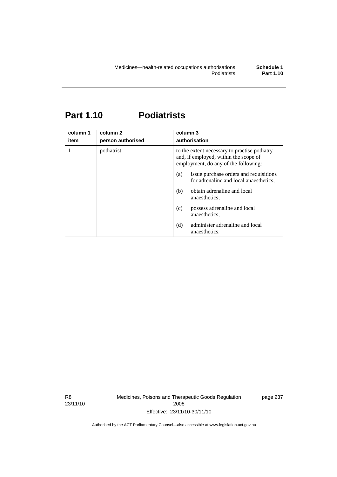# **Part 1.10 Podiatrists**

| column 1<br>item | column <sub>2</sub><br>person authorised | column 3<br>authorisation                                                                                                     |  |
|------------------|------------------------------------------|-------------------------------------------------------------------------------------------------------------------------------|--|
|                  | podiatrist                               | to the extent necessary to practise podiatry<br>and, if employed, within the scope of<br>employment, do any of the following: |  |
|                  |                                          | issue purchase orders and requisitions<br>(a)<br>for adrenaline and local anaesthetics;                                       |  |
|                  |                                          | obtain adrenaline and local<br>(b)<br>anaesthetics:                                                                           |  |
|                  |                                          | possess adrenaline and local<br>(c)<br>anaesthetics:                                                                          |  |
|                  |                                          | administer adrenaline and local<br>(d)<br>anaesthetics.                                                                       |  |

R8 23/11/10 Medicines, Poisons and Therapeutic Goods Regulation 2008 Effective: 23/11/10-30/11/10

page 237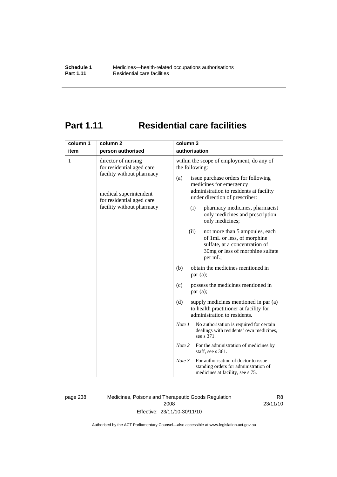# **Part 1.11 Residential care facilities**

| item |                                                                                                                                                                   | column 3                                                                                                                                                                                                                                                                                                                                                                                                                                                                                                                                                                                                                                                                                                                                                                                                                                                                               |  |
|------|-------------------------------------------------------------------------------------------------------------------------------------------------------------------|----------------------------------------------------------------------------------------------------------------------------------------------------------------------------------------------------------------------------------------------------------------------------------------------------------------------------------------------------------------------------------------------------------------------------------------------------------------------------------------------------------------------------------------------------------------------------------------------------------------------------------------------------------------------------------------------------------------------------------------------------------------------------------------------------------------------------------------------------------------------------------------|--|
|      | person authorised                                                                                                                                                 | authorisation                                                                                                                                                                                                                                                                                                                                                                                                                                                                                                                                                                                                                                                                                                                                                                                                                                                                          |  |
| 1    | director of nursing<br>for residential aged care<br>facility without pharmacy<br>medical superintendent<br>for residential aged care<br>facility without pharmacy | within the scope of employment, do any of<br>the following:<br>issue purchase orders for following<br>(a)<br>medicines for emergency<br>administration to residents at facility<br>under direction of prescriber:<br>pharmacy medicines, pharmacist<br>(i)<br>only medicines and prescription<br>only medicines;<br>(ii)<br>not more than 5 ampoules, each<br>of 1mL or less, of morphine<br>sulfate, at a concentration of<br>30mg or less of morphine sulfate<br>per mL;<br>obtain the medicines mentioned in<br>(b)<br>par(a);<br>possess the medicines mentioned in<br>(c)<br>par(a);<br>(d)<br>supply medicines mentioned in par (a)<br>to health practitioner at facility for<br>administration to residents.<br>No authorisation is required for certain<br>Note 1<br>dealings with residents' own medicines,<br>see s 371.<br>Note 2<br>For the administration of medicines by |  |
|      |                                                                                                                                                                   | staff, see s 361.<br>For authorisation of doctor to issue<br>Note 3<br>standing orders for administration of                                                                                                                                                                                                                                                                                                                                                                                                                                                                                                                                                                                                                                                                                                                                                                           |  |

page 238 Medicines, Poisons and Therapeutic Goods Regulation 2008 Effective: 23/11/10-30/11/10

R8 23/11/10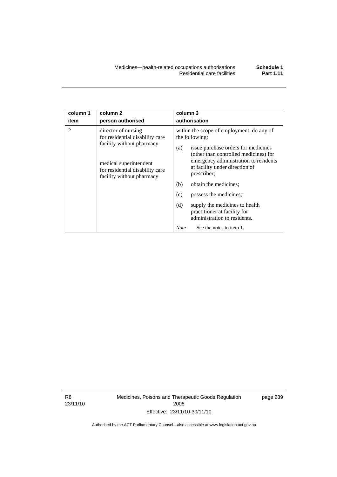| column 1<br>item | column <sub>2</sub><br>person authorised                                                                                                                                      | column 3<br>authorisation                                                                                                                                                                                                                                                                                                                                                                                              |  |
|------------------|-------------------------------------------------------------------------------------------------------------------------------------------------------------------------------|------------------------------------------------------------------------------------------------------------------------------------------------------------------------------------------------------------------------------------------------------------------------------------------------------------------------------------------------------------------------------------------------------------------------|--|
| 2                | director of nursing<br>for residential disability care<br>facility without pharmacy<br>medical superintendent<br>for residential disability care<br>facility without pharmacy | within the scope of employment, do any of<br>the following:<br>issue purchase orders for medicines<br>(a)<br>(other than controlled medicines) for<br>emergency administration to residents<br>at facility under direction of<br>prescriber;<br>(b)<br>obtain the medicines;<br>possess the medicines;<br>(c)<br>(d)<br>supply the medicines to health<br>practitioner at facility for<br>administration to residents. |  |
|                  |                                                                                                                                                                               | See the notes to item 1.<br><b>Note</b>                                                                                                                                                                                                                                                                                                                                                                                |  |

R8 23/11/10 Medicines, Poisons and Therapeutic Goods Regulation 2008 Effective: 23/11/10-30/11/10

page 239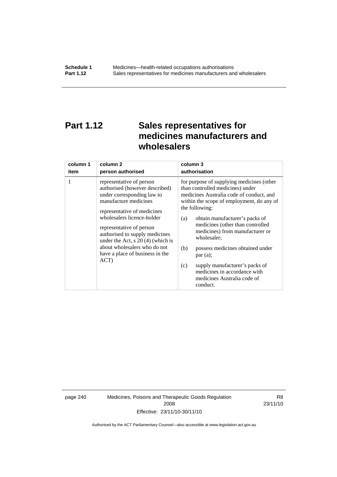# **Part 1.12 Sales representatives for medicines manufacturers and wholesalers**

| column 1 | column 2                                                                                                                                                                                                                                                                                                                                                       | column 3                                                                                                                                                                                                                                                                                                                                                                                                                                                                                          |
|----------|----------------------------------------------------------------------------------------------------------------------------------------------------------------------------------------------------------------------------------------------------------------------------------------------------------------------------------------------------------------|---------------------------------------------------------------------------------------------------------------------------------------------------------------------------------------------------------------------------------------------------------------------------------------------------------------------------------------------------------------------------------------------------------------------------------------------------------------------------------------------------|
| item     | person authorised                                                                                                                                                                                                                                                                                                                                              | authorisation                                                                                                                                                                                                                                                                                                                                                                                                                                                                                     |
| 1        | representative of person<br>authorised (however described)<br>under corresponding law to<br>manufacture medicines<br>representative of medicines<br>wholesalers licence-holder<br>representative of person<br>authorised to supply medicines<br>under the Act, $s$ 20 (4) (which is<br>about wholesalers who do not<br>have a place of business in the<br>ACT) | for purpose of supplying medicines (other<br>than controlled medicines) under<br>medicines Australia code of conduct, and<br>within the scope of employment, do any of<br>the following:<br>obtain manufacturer's packs of<br>(a)<br>medicines (other than controlled<br>medicines) from manufacturer or<br>wholesaler;<br>(b)<br>possess medicines obtained under<br>par(a);<br>supply manufacturer's packs of<br>(c)<br>medicines in accordance with<br>medicines Australia code of<br>conduct. |

page 240 Medicines, Poisons and Therapeutic Goods Regulation 2008 Effective: 23/11/10-30/11/10

R8 23/11/10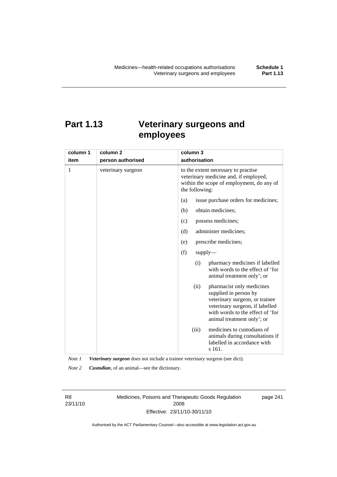# **Part 1.13 Veterinary surgeons and employees**

| column 1 | column <sub>2</sub> | column 3                                                                                                                                                                                          |  |
|----------|---------------------|---------------------------------------------------------------------------------------------------------------------------------------------------------------------------------------------------|--|
| item     | person authorised   | authorisation                                                                                                                                                                                     |  |
| 1        | veterinary surgeon  | to the extent necessary to practise<br>veterinary medicine and, if employed,<br>within the scope of employment, do any of<br>the following:                                                       |  |
|          |                     | issue purchase orders for medicines;<br>(a)                                                                                                                                                       |  |
|          |                     | obtain medicines;<br>(b)                                                                                                                                                                          |  |
|          |                     | possess medicines;<br>(c)                                                                                                                                                                         |  |
|          |                     | administer medicines;<br>(d)                                                                                                                                                                      |  |
|          |                     | prescribe medicines;<br>(e)                                                                                                                                                                       |  |
|          |                     | (f)<br>$supply$ —                                                                                                                                                                                 |  |
|          |                     | pharmacy medicines if labelled<br>(i)<br>with words to the effect of 'for<br>animal treatment only'; or                                                                                           |  |
|          |                     | (ii)<br>pharmacist only medicines<br>supplied in person by<br>veterinary surgeon, or trainee<br>veterinary surgeon, if labelled<br>with words to the effect of 'for<br>animal treatment only'; or |  |
|          |                     | medicines to custodians of<br>(iii)<br>animals during consultations if<br>labelled in accordance with<br>s 161.                                                                                   |  |

*Note 1 Veterinary surgeon* does not include a trainee veterinary surgeon (see dict).

*Note 2 Custodian*, of an animal—see the dictionary.

R8 23/11/10 Medicines, Poisons and Therapeutic Goods Regulation 2008 Effective: 23/11/10-30/11/10

page 241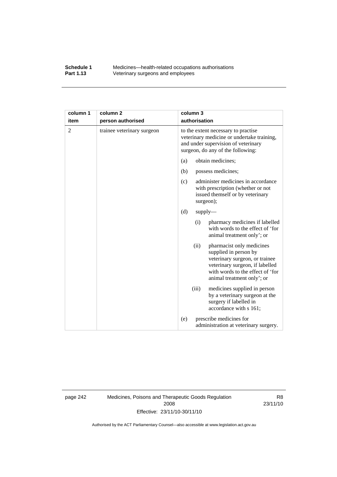#### **Schedule 1** Medicines—health-related occupations authorisations<br>**Part 1.13** Veterinary surgeons and employees Veterinary surgeons and employees

| column 1       | column <sub>2</sub>        | column 3                                                                                                                                                                                          |  |
|----------------|----------------------------|---------------------------------------------------------------------------------------------------------------------------------------------------------------------------------------------------|--|
| item           | person authorised          | authorisation                                                                                                                                                                                     |  |
| $\overline{2}$ | trainee veterinary surgeon | to the extent necessary to practise<br>veterinary medicine or undertake training,<br>and under supervision of veterinary<br>surgeon, do any of the following:                                     |  |
|                |                            | obtain medicines;<br>(a)                                                                                                                                                                          |  |
|                |                            | (b)<br>possess medicines;                                                                                                                                                                         |  |
|                |                            | administer medicines in accordance<br>(c)<br>with prescription (whether or not<br>issued themself or by veterinary<br>surgeon);                                                                   |  |
|                |                            | (d)<br>$supply$ —                                                                                                                                                                                 |  |
|                |                            | pharmacy medicines if labelled<br>(i)<br>with words to the effect of 'for<br>animal treatment only'; or                                                                                           |  |
|                |                            | (ii)<br>pharmacist only medicines<br>supplied in person by<br>veterinary surgeon, or trainee<br>veterinary surgeon, if labelled<br>with words to the effect of 'for<br>animal treatment only'; or |  |
|                |                            | medicines supplied in person<br>(iii)<br>by a veterinary surgeon at the<br>surgery if labelled in<br>accordance with s 161;                                                                       |  |
|                |                            | prescribe medicines for<br>(e)<br>administration at veterinary surgery.                                                                                                                           |  |

page 242 Medicines, Poisons and Therapeutic Goods Regulation 2008 Effective: 23/11/10-30/11/10

R8 23/11/10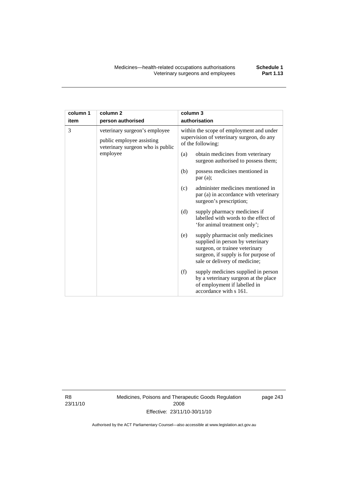| column 1 | column <sub>2</sub>                                                                            | column 3      |                                                                                                                                                                                 |  |
|----------|------------------------------------------------------------------------------------------------|---------------|---------------------------------------------------------------------------------------------------------------------------------------------------------------------------------|--|
| item     | person authorised                                                                              | authorisation |                                                                                                                                                                                 |  |
| 3        | veterinary surgeon's employee<br>public employee assisting<br>veterinary surgeon who is public |               | within the scope of employment and under<br>supervision of veterinary surgeon, do any<br>of the following:                                                                      |  |
|          | employee                                                                                       | (a)           | obtain medicines from veterinary<br>surgeon authorised to possess them;                                                                                                         |  |
|          |                                                                                                | (b)           | possess medicines mentioned in<br>par(a);                                                                                                                                       |  |
|          |                                                                                                | (c)           | administer medicines mentioned in<br>par (a) in accordance with veterinary<br>surgeon's prescription;                                                                           |  |
|          |                                                                                                | (d)           | supply pharmacy medicines if<br>labelled with words to the effect of<br>'for animal treatment only';                                                                            |  |
|          |                                                                                                | (e)           | supply pharmacist only medicines<br>supplied in person by veterinary<br>surgeon, or trainee veterinary<br>surgeon, if supply is for purpose of<br>sale or delivery of medicine; |  |
|          |                                                                                                | (f)           | supply medicines supplied in person<br>by a veterinary surgeon at the place<br>of employment if labelled in<br>accordance with s 161.                                           |  |

R8 23/11/10 Medicines, Poisons and Therapeutic Goods Regulation 2008 Effective: 23/11/10-30/11/10

page 243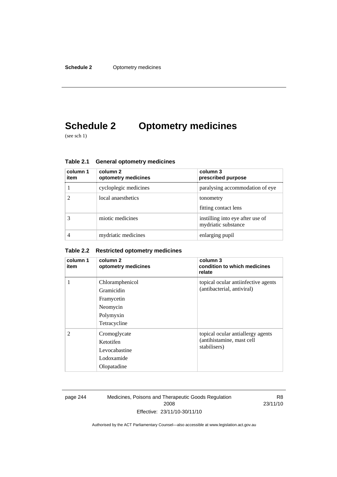# **Schedule 2 Optometry medicines**

(see sch 1)

| column 1<br>item | column 2<br>optometry medicines | column 3<br>prescribed purpose                          |
|------------------|---------------------------------|---------------------------------------------------------|
|                  | cycloplegic medicines           | paralysing accommodation of eye                         |
|                  | local anaesthetics              | tonometry<br>fitting contact lens                       |
|                  | miotic medicines                | instilling into eye after use of<br>mydriatic substance |
|                  | mydriatic medicines             | enlarging pupil                                         |

**Table 2.1 General optometry medicines** 

#### **Table 2.2 Restricted optometry medicines**

| column 1<br>item | column 2<br>optometry medicines                                                      | column 3<br>condition to which medicines<br>relate                             |
|------------------|--------------------------------------------------------------------------------------|--------------------------------------------------------------------------------|
| 1                | Chloramphenicol<br>Gramicidin<br>Framycetin<br>Neomycin<br>Polymyxin<br>Tetracycline | topical ocular antiinfective agents<br>(antibacterial, antiviral)              |
| $\mathfrak{D}$   | Cromoglycate<br>Ketotifen<br>Levocabastine<br>Lodoxamide<br>Olopatadine              | topical ocular antiallergy agents<br>(antihistamine, mast cell<br>stabilisers) |

page 244 Medicines, Poisons and Therapeutic Goods Regulation 2008 Effective: 23/11/10-30/11/10

R8 23/11/10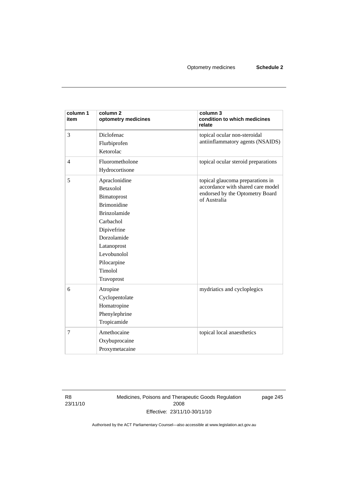| column 1<br>item | column 2<br>optometry medicines                                                                                                                                                                         | column 3<br>condition to which medicines<br>relate                                                                       |  |
|------------------|---------------------------------------------------------------------------------------------------------------------------------------------------------------------------------------------------------|--------------------------------------------------------------------------------------------------------------------------|--|
| 3                | Diclofenac<br>Flurbiprofen<br>Ketorolac                                                                                                                                                                 | topical ocular non-steroidal<br>antiinflammatory agents (NSAIDS)                                                         |  |
| $\overline{4}$   | Fluorometholone<br>Hydrocortisone                                                                                                                                                                       | topical ocular steroid preparations                                                                                      |  |
| 5                | Apraclonidine<br>Betaxolol<br>Bimatoprost<br><b>Brimonidine</b><br><b>Brinzolamide</b><br>Carbachol<br>Dipivefrine<br>Dorzolamide<br>Latanoprost<br>Levobunolol<br>Pilocarpine<br>Timolol<br>Travoprost | topical glaucoma preparations in<br>accordance with shared care model<br>endorsed by the Optometry Board<br>of Australia |  |
| 6                | Atropine<br>Cyclopentolate<br>Homatropine<br>Phenylephrine<br>Tropicamide                                                                                                                               | mydriatics and cycloplegics                                                                                              |  |
| 7                | Amethocaine<br>Oxybuprocaine<br>Proxymetacaine                                                                                                                                                          | topical local anaesthetics                                                                                               |  |

R8 23/11/10 Medicines, Poisons and Therapeutic Goods Regulation 2008 Effective: 23/11/10-30/11/10

page 245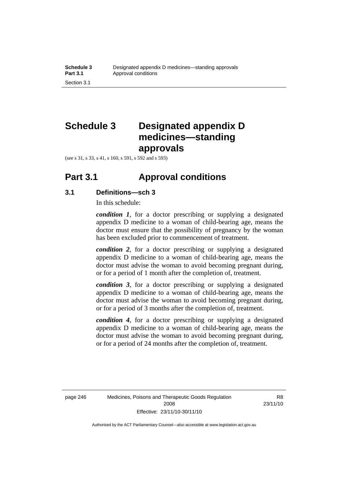# **Schedule 3 Designated appendix D medicines—standing approvals**

(see s 31, s 33, s 41, s 160, s 591, s 592 and s 593)

## **Part 3.1 Approval conditions**

### **3.1 Definitions—sch 3**

In this schedule:

*condition 1*, for a doctor prescribing or supplying a designated appendix D medicine to a woman of child-bearing age, means the doctor must ensure that the possibility of pregnancy by the woman has been excluded prior to commencement of treatment.

*condition 2*, for a doctor prescribing or supplying a designated appendix D medicine to a woman of child-bearing age, means the doctor must advise the woman to avoid becoming pregnant during, or for a period of 1 month after the completion of, treatment.

*condition 3*, for a doctor prescribing or supplying a designated appendix D medicine to a woman of child-bearing age, means the doctor must advise the woman to avoid becoming pregnant during, or for a period of 3 months after the completion of, treatment.

*condition 4*, for a doctor prescribing or supplying a designated appendix D medicine to a woman of child-bearing age, means the doctor must advise the woman to avoid becoming pregnant during, or for a period of 24 months after the completion of, treatment.

R8 23/11/10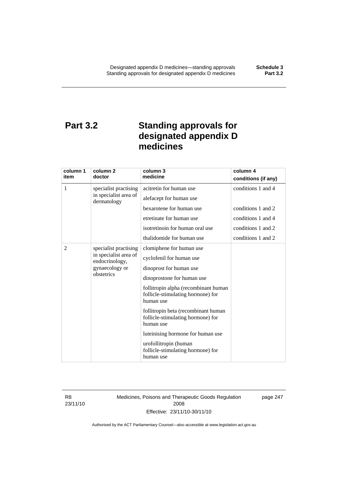# **Part 3.2 Standing approvals for designated appendix D medicines**

| column 1<br>item                               | column <sub>2</sub><br>doctor        | column 3<br>medicine                                                                   | column 4            |
|------------------------------------------------|--------------------------------------|----------------------------------------------------------------------------------------|---------------------|
|                                                |                                      |                                                                                        | conditions (if any) |
| 1                                              | specialist practising                | acitretin for human use                                                                | conditions 1 and 4  |
|                                                | in specialist area of<br>dermatology | alefacept for human use                                                                |                     |
|                                                |                                      | bexarotene for human use                                                               | conditions 1 and 2  |
|                                                |                                      | etretinate for human use                                                               | conditions 1 and 4  |
|                                                |                                      | isotretinoin for human oral use                                                        | conditions 1 and 2  |
|                                                |                                      | thalidomide for human use                                                              | conditions 1 and 2  |
| 2                                              | specialist practising                | clomiphene for human use                                                               |                     |
| endocrinology,<br>gynaecology or<br>obstetrics | in specialist area of                | cyclofenil for human use                                                               |                     |
|                                                |                                      | dinoprost for human use                                                                |                     |
|                                                |                                      | dinoprostone for human use                                                             |                     |
|                                                |                                      | follitropin alpha (recombinant human<br>follicle-stimulating hormone) for<br>human use |                     |
|                                                |                                      | follitropin beta (recombinant human<br>follicle-stimulating hormone) for<br>human use  |                     |
|                                                |                                      | luteinising hormone for human use                                                      |                     |
|                                                |                                      | urofollitropin (human<br>follicle-stimulating hormone) for<br>human use                |                     |

R8 23/11/10 Medicines, Poisons and Therapeutic Goods Regulation 2008 Effective: 23/11/10-30/11/10

page 247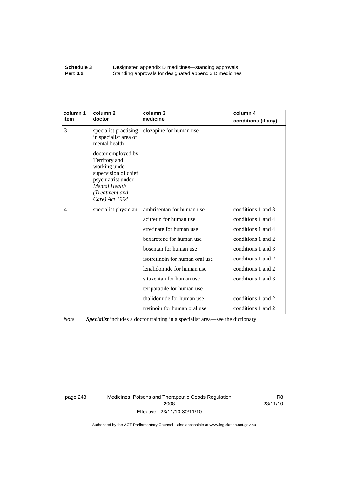#### **Schedule 3 Designated appendix D medicines—standing approvals Part 3.2** Standing approvals for designated appendix D medicine Standing approvals for designated appendix D medicines

| column 1<br>item | column <sub>2</sub><br>doctor                                                                                                                                  | column 3<br>medicine            | column 4<br>conditions (if any) |
|------------------|----------------------------------------------------------------------------------------------------------------------------------------------------------------|---------------------------------|---------------------------------|
| 3                | specialist practising<br>in specialist area of<br>mental health                                                                                                | clozapine for human use         |                                 |
|                  | doctor employed by<br>Territory and<br>working under<br>supervision of chief<br>psychiatrist under<br><b>Mental Health</b><br>(Treatment and<br>Care) Act 1994 |                                 |                                 |
| $\overline{4}$   | specialist physician                                                                                                                                           | ambrisentan for human use       | conditions 1 and 3              |
|                  |                                                                                                                                                                | acitretin for human use         | conditions 1 and 4              |
|                  |                                                                                                                                                                | etretinate for human use        | conditions 1 and 4              |
|                  |                                                                                                                                                                | bexarotene for human use        | conditions 1 and 2              |
|                  |                                                                                                                                                                | bosentan for human use          | conditions 1 and 3              |
|                  |                                                                                                                                                                | isotretinoin for human oral use | conditions 1 and 2              |
|                  |                                                                                                                                                                | lenalidomide for human use      | conditions 1 and 2              |
|                  |                                                                                                                                                                | sitaxentan for human use        | conditions 1 and 3              |
|                  |                                                                                                                                                                | teriparatide for human use      |                                 |
|                  |                                                                                                                                                                | thalidomide for human use       | conditions 1 and 2              |
|                  |                                                                                                                                                                | tretinoin for human oral use    | conditions 1 and 2              |

*Note Specialist* includes a doctor training in a specialist area—see the dictionary.

page 248 Medicines, Poisons and Therapeutic Goods Regulation 2008 Effective: 23/11/10-30/11/10

R8 23/11/10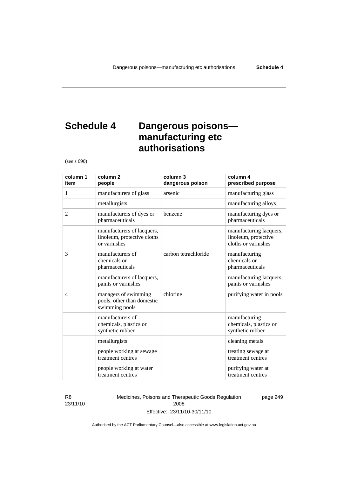# **Schedule 4 Dangerous poisons manufacturing etc authorisations**

(see s 690)

| column 1<br>item | column <sub>2</sub><br>people                                             | column 3<br>dangerous poison | column 4<br>prescribed purpose                                         |
|------------------|---------------------------------------------------------------------------|------------------------------|------------------------------------------------------------------------|
| 1                | manufacturers of glass                                                    | arsenic                      | manufacturing glass                                                    |
|                  | metallurgists                                                             |                              | manufacturing alloys                                                   |
| 2                | manufacturers of dyes or<br>pharmaceuticals                               | benzene                      | manufacturing dyes or<br>pharmaceuticals                               |
|                  | manufacturers of lacquers,<br>linoleum, protective cloths<br>or varnishes |                              | manufacturing lacquers,<br>linoleum, protective<br>cloths or varnishes |
| 3                | manufacturers of<br>chemicals or<br>pharmaceuticals                       | carbon tetrachloride         | manufacturing<br>chemicals or<br>pharmaceuticals                       |
|                  | manufacturers of lacquers,<br>paints or varnishes                         |                              | manufacturing lacquers,<br>paints or varnishes                         |
| $\overline{4}$   | managers of swimming<br>pools, other than domestic<br>swimming pools      | chlorine                     | purifying water in pools                                               |
|                  | manufacturers of<br>chemicals, plastics or<br>synthetic rubber            |                              | manufacturing<br>chemicals, plastics or<br>synthetic rubber            |
|                  | metallurgists                                                             |                              | cleaning metals                                                        |
|                  | people working at sewage<br>treatment centres                             |                              | treating sewage at<br>treatment centres                                |
|                  | people working at water<br>treatment centres                              |                              | purifying water at<br>treatment centres                                |

R8 23/11/10 Medicines, Poisons and Therapeutic Goods Regulation 2008 Effective: 23/11/10-30/11/10

page 249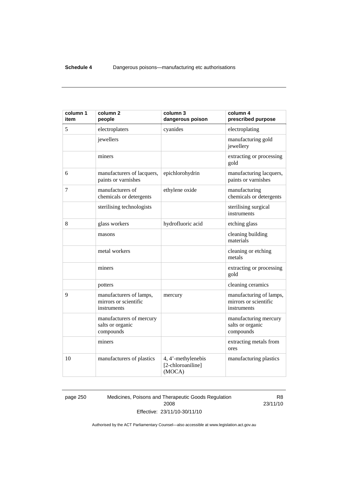| column 1<br>item | column <sub>2</sub><br>people                                   | column 3<br>dangerous poison                      | column 4<br>prescribed purpose                                  |
|------------------|-----------------------------------------------------------------|---------------------------------------------------|-----------------------------------------------------------------|
| 5                | electroplaters                                                  | cyanides                                          | electroplating                                                  |
|                  | jewellers                                                       |                                                   | manufacturing gold<br>jewellery                                 |
|                  | miners                                                          |                                                   | extracting or processing<br>gold                                |
| 6                | manufacturers of lacquers,<br>paints or varnishes               | epichlorohydrin                                   | manufacturing lacquers,<br>paints or varnishes                  |
| 7                | manufacturers of<br>chemicals or detergents                     | ethylene oxide                                    | manufacturing<br>chemicals or detergents                        |
|                  | sterilising technologists                                       |                                                   | sterilising surgical<br>instruments                             |
| 8                | glass workers                                                   | hydrofluoric acid                                 | etching glass                                                   |
|                  | masons                                                          |                                                   | cleaning building<br>materials                                  |
|                  | metal workers                                                   |                                                   | cleaning or etching<br>metals                                   |
|                  | miners                                                          |                                                   | extracting or processing<br>gold                                |
|                  | potters                                                         |                                                   | cleaning ceramics                                               |
| 9                | manufacturers of lamps,<br>mirrors or scientific<br>instruments | mercury                                           | manufacturing of lamps,<br>mirrors or scientific<br>instruments |
|                  | manufacturers of mercury<br>salts or organic<br>compounds       |                                                   | manufacturing mercury<br>salts or organic<br>compounds          |
|                  | miners                                                          |                                                   | extracting metals from<br>ores                                  |
| 10               | manufacturers of plastics                                       | 4, 4'-methylenebis<br>[2-chloroaniline]<br>(MOCA) | manufacturing plastics                                          |

page 250 Medicines, Poisons and Therapeutic Goods Regulation 2008 Effective: 23/11/10-30/11/10

R8 23/11/10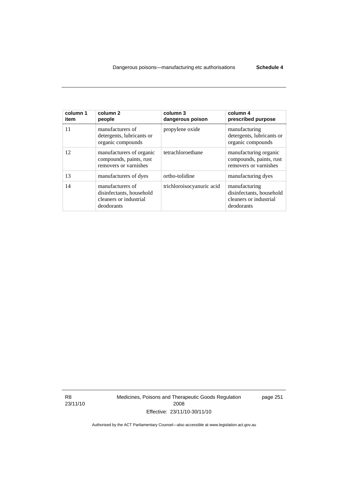| column 1<br>item | column <sub>2</sub><br>people                                                        | column 3<br>dangerous poison | column 4<br>prescribed purpose                                                    |
|------------------|--------------------------------------------------------------------------------------|------------------------------|-----------------------------------------------------------------------------------|
| 11               | manufacturers of<br>detergents, lubricants or<br>organic compounds                   | propylene oxide              | manufacturing<br>detergents, lubricants or<br>organic compounds                   |
| 12               | manufacturers of organic<br>compounds, paints, rust<br>removers or varnishes         | tetrachloroethane            | manufacturing organic<br>compounds, paints, rust<br>removers or varnishes         |
| 13               | manufacturers of dyes                                                                | ortho-tolidine               | manufacturing dyes                                                                |
| 14               | manufacturers of<br>disinfectants, household<br>cleaners or industrial<br>deodorants | trichloroisocyanuric acid    | manufacturing<br>disinfectants, household<br>cleaners or industrial<br>deodorants |

R8 23/11/10 Medicines, Poisons and Therapeutic Goods Regulation 2008 Effective: 23/11/10-30/11/10

page 251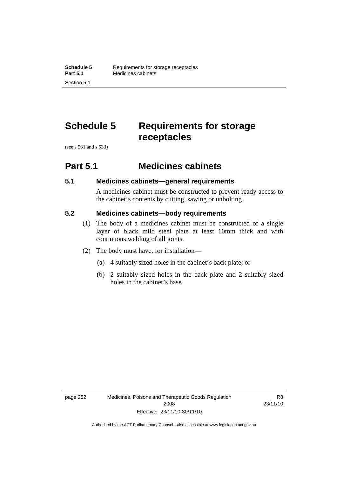# **Schedule 5 Requirements for storage receptacles**

(see s 531 and s 533)

### **Part 5.1 Medicines cabinets**

#### **5.1 Medicines cabinets—general requirements**

A medicines cabinet must be constructed to prevent ready access to the cabinet's contents by cutting, sawing or unbolting.

### **5.2 Medicines cabinets—body requirements**

- (1) The body of a medicines cabinet must be constructed of a single layer of black mild steel plate at least 10mm thick and with continuous welding of all joints.
- (2) The body must have, for installation—
	- (a) 4 suitably sized holes in the cabinet's back plate; or
	- (b) 2 suitably sized holes in the back plate and 2 suitably sized holes in the cabinet's base.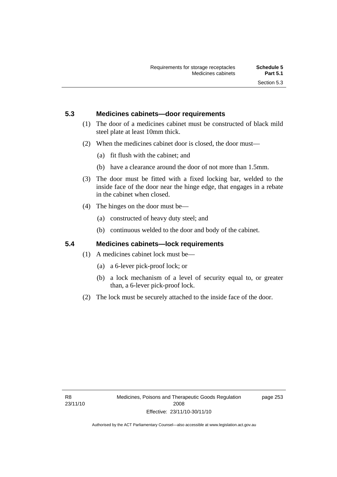### **5.3 Medicines cabinets—door requirements**

- (1) The door of a medicines cabinet must be constructed of black mild steel plate at least 10mm thick.
- (2) When the medicines cabinet door is closed, the door must—
	- (a) fit flush with the cabinet; and
	- (b) have a clearance around the door of not more than 1.5mm.
- (3) The door must be fitted with a fixed locking bar, welded to the inside face of the door near the hinge edge, that engages in a rebate in the cabinet when closed.
- (4) The hinges on the door must be—
	- (a) constructed of heavy duty steel; and
	- (b) continuous welded to the door and body of the cabinet.

### **5.4 Medicines cabinets—lock requirements**

- (1) A medicines cabinet lock must be—
	- (a) a 6-lever pick-proof lock; or
	- (b) a lock mechanism of a level of security equal to, or greater than, a 6-lever pick-proof lock.
- (2) The lock must be securely attached to the inside face of the door.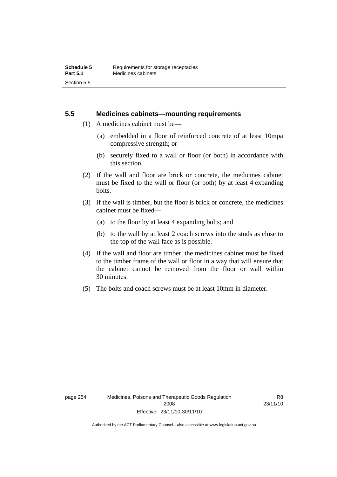#### **5.5 Medicines cabinets—mounting requirements**

- (1) A medicines cabinet must be—
	- (a) embedded in a floor of reinforced concrete of at least 10mpa compressive strength; or
	- (b) securely fixed to a wall or floor (or both) in accordance with this section.
- (2) If the wall and floor are brick or concrete, the medicines cabinet must be fixed to the wall or floor (or both) by at least 4 expanding bolts.
- (3) If the wall is timber, but the floor is brick or concrete, the medicines cabinet must be fixed—
	- (a) to the floor by at least 4 expanding bolts; and
	- (b) to the wall by at least 2 coach screws into the studs as close to the top of the wall face as is possible.
- (4) If the wall and floor are timber, the medicines cabinet must be fixed to the timber frame of the wall or floor in a way that will ensure that the cabinet cannot be removed from the floor or wall within 30 minutes.
- (5) The bolts and coach screws must be at least 10mm in diameter.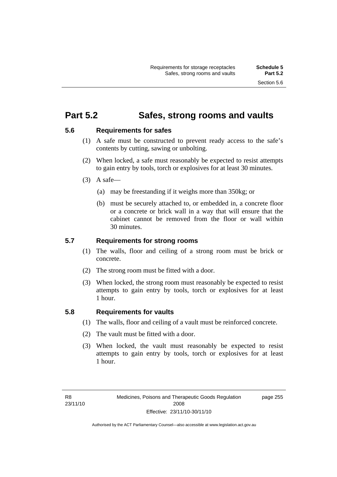## **Part 5.2 Safes, strong rooms and vaults**

#### **5.6 Requirements for safes**

- (1) A safe must be constructed to prevent ready access to the safe's contents by cutting, sawing or unbolting.
- (2) When locked, a safe must reasonably be expected to resist attempts to gain entry by tools, torch or explosives for at least 30 minutes.
- $(3)$  A safe-
	- (a) may be freestanding if it weighs more than 350kg; or
	- (b) must be securely attached to, or embedded in, a concrete floor or a concrete or brick wall in a way that will ensure that the cabinet cannot be removed from the floor or wall within 30 minutes.

#### **5.7 Requirements for strong rooms**

- (1) The walls, floor and ceiling of a strong room must be brick or concrete.
- (2) The strong room must be fitted with a door.
- (3) When locked, the strong room must reasonably be expected to resist attempts to gain entry by tools, torch or explosives for at least 1 hour.

#### **5.8 Requirements for vaults**

- (1) The walls, floor and ceiling of a vault must be reinforced concrete.
- (2) The vault must be fitted with a door.
- (3) When locked, the vault must reasonably be expected to resist attempts to gain entry by tools, torch or explosives for at least 1 hour.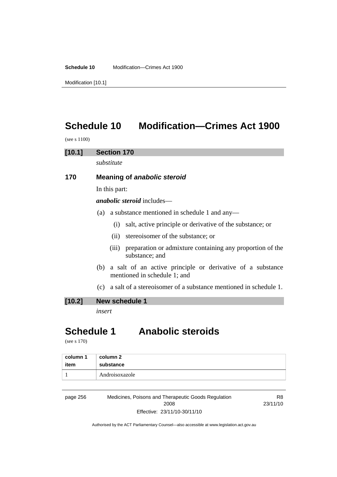**Schedule 10** Modification—Crimes Act 1900

Modification [10.1]

# **Schedule 10 Modification—Crimes Act 1900**

(see s 1100)

#### **[10.1] Section 170**

*substitute* 

#### **170 Meaning of** *anabolic steroid*

In this part:

*anabolic steroid* includes—

- (a) a substance mentioned in schedule 1 and any—
	- (i) salt, active principle or derivative of the substance; or
	- (ii) stereoisomer of the substance; or
	- (iii) preparation or admixture containing any proportion of the substance; and
- (b) a salt of an active principle or derivative of a substance mentioned in schedule 1; and
- (c) a salt of a stereoisomer of a substance mentioned in schedule 1.

#### **[10.2] New schedule 1**

*insert* 

# **Schedule 1 Anabolic steroids**

(see s 170)

| column 1 | column 2       |
|----------|----------------|
| item     | substance      |
|          | Androisoxazole |

page 256 Medicines, Poisons and Therapeutic Goods Regulation 2008 Effective: 23/11/10-30/11/10

R8 23/11/10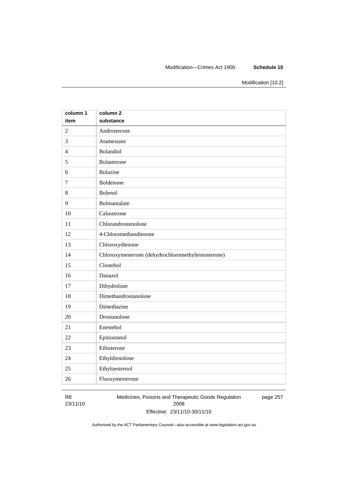#### Modification—Crimes Act 1900 **Schedule 10**

Modification [10.2]

| column 1       | column <sub>2</sub>                                 |
|----------------|-----------------------------------------------------|
| item           | substance                                           |
| $\overline{2}$ | Androsterone                                        |
| 3              | Atamestane                                          |
| $\overline{4}$ | Bolandiol                                           |
| 5              | Bolasterone                                         |
| 6              | <b>Bolazine</b>                                     |
| $\overline{7}$ | Boldenone                                           |
| 8              | Bolenol                                             |
| 9              | Bolmantalate                                        |
| 10             | Calusterone                                         |
| 11             | Chlorandrostenolone                                 |
| 12             | 4-Chloromethandienone                               |
| 13             | Chloroxydienone                                     |
| 14             | Chloroxymesterone (dehydrochloromethyltestosterone) |
| 15             | Clostebol                                           |
| 16             | Danazol                                             |
| 17             | Dihydrolone                                         |
| 18             | Dimethandrostanolone                                |
| 19             | Dimethazine                                         |
| 20             | Drostanolone                                        |
| 21             | Enestebol                                           |
| 22             | Epitiostanol                                        |
| 23             | Ethisterone                                         |
| 24             | Ethyldienolone                                      |
| 25             | Ethyloestrenol                                      |
| 26             | Fluoxymesterone                                     |

#### R8 23/11/10

Medicines, Poisons and Therapeutic Goods Regulation 2008 Effective: 23/11/10-30/11/10 page 257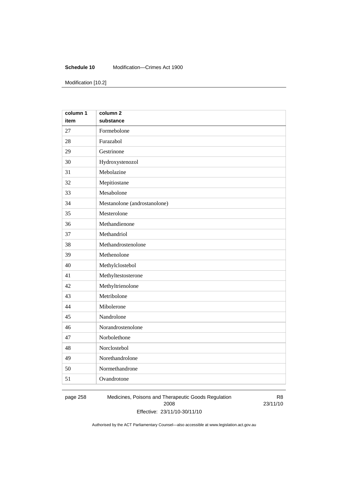#### **Schedule 10** Modification—Crimes Act 1900

Modification [10.2]

| column 1 | column <sub>2</sub>          |
|----------|------------------------------|
| item     | substance                    |
| 27       | Formebolone                  |
| 28       | Furazabol                    |
| 29       | Gestrinone                   |
| 30       | Hydroxystenozol              |
| 31       | Mebolazine                   |
| 32       | Mepitiostane                 |
| 33       | Mesabolone                   |
| 34       | Mestanolone (androstanolone) |
| 35       | Mesterolone                  |
| 36       | Methandienone                |
| 37       | Methandriol                  |
| 38       | Methandrostenolone           |
| 39       | Methenolone                  |
| 40       | Methylclostebol              |
| 41       | Methyltestosterone           |
| 42       | Methyltrienolone             |
| 43       | Metribolone                  |
| 44       | Mibolerone                   |
| 45       | Nandrolone                   |
| 46       | Norandrostenolone            |
| 47       | Norbolethone                 |
| 48       | Norclostebol                 |
| 49       | Norethandrolone              |
| 50       | Normethandrone               |
| 51       | Ovandrotone                  |

page 258 Medicines, Poisons and Therapeutic Goods Regulation 2008 Effective: 23/11/10-30/11/10

R8 23/11/10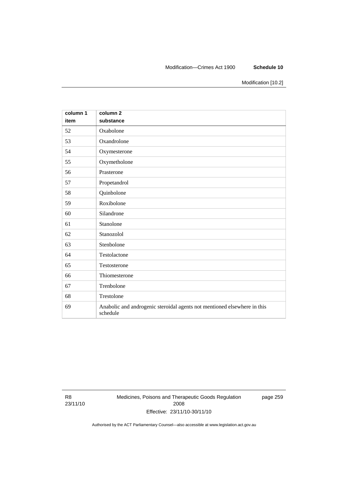#### Modification—Crimes Act 1900 **Schedule 10**

Modification [10.2]

| column 1<br>item | column 2<br>substance                                                                |
|------------------|--------------------------------------------------------------------------------------|
| 52               | Oxabolone                                                                            |
| 53               | Oxandrolone                                                                          |
| 54               | Oxymesterone                                                                         |
| 55               | Oxymetholone                                                                         |
| 56               | Prasterone                                                                           |
| 57               | Propetandrol                                                                         |
| 58               | Quinbolone                                                                           |
| 59               | Roxibolone                                                                           |
| 60               | Silandrone                                                                           |
| 61               | Stanolone                                                                            |
| 62               | Stanozolol                                                                           |
| 63               | Stenbolone                                                                           |
| 64               | Testolactone                                                                         |
| 65               | Testosterone                                                                         |
| 66               | Thiomesterone                                                                        |
| 67               | Trenbolone                                                                           |
| 68               | Trestolone                                                                           |
| 69               | Anabolic and androgenic steroidal agents not mentioned elsewhere in this<br>schedule |

R8 23/11/10 Medicines, Poisons and Therapeutic Goods Regulation 2008 Effective: 23/11/10-30/11/10

page 259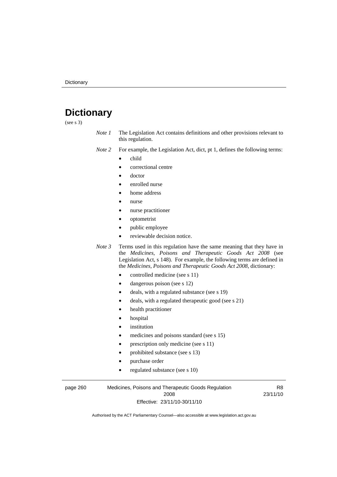# **Dictionary**

(see s 3)

- *Note 1* The Legislation Act contains definitions and other provisions relevant to this regulation.
- *Note 2* For example, the Legislation Act, dict, pt 1, defines the following terms:
	- child
		- correctional centre
		- doctor
		- enrolled nurse
		- home address
		- nurse
		- nurse practitioner
		- optometrist
		- public employee
		- reviewable decision notice.

*Note 3* Terms used in this regulation have the same meaning that they have in the *Medicines, Poisons and Therapeutic Goods Act 2008* (see Legislation Act, s 148). For example, the following terms are defined in the *Medicines, Poisons and Therapeutic Goods Act 2008*, dictionary:

- controlled medicine (see s 11)
- dangerous poison (see s 12)
- deals, with a regulated substance (see s 19)
- deals, with a regulated therapeutic good (see s 21)
- health practitioner
- hospital
- *institution*
- medicines and poisons standard (see s 15)
- prescription only medicine (see s 11)
- prohibited substance (see s 13)
- purchase order
- regulated substance (see s 10)

page 260 Medicines, Poisons and Therapeutic Goods Regulation 2008 Effective: 23/11/10-30/11/10

R8 23/11/10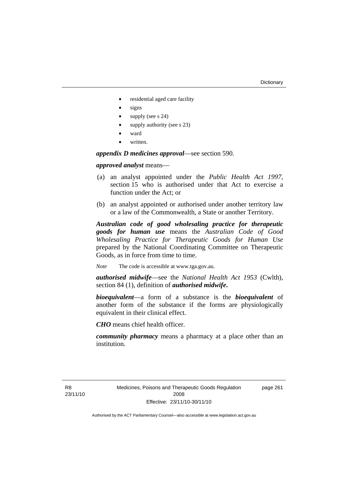#### **Dictionary**

- residential aged care facility
- signs
- supply (see s 24)
- supply authority (see s 23)
- ward
- written.

*appendix D medicines approval*—see section 590.

#### *approved analyst* means—

- (a) an analyst appointed under the *Public Health Act 1997*, section 15 who is authorised under that Act to exercise a function under the Act; or
- (b) an analyst appointed or authorised under another territory law or a law of the Commonwealth, a State or another Territory.

*Australian code of good wholesaling practice for therapeutic goods for human use* means the *Australian Code of Good Wholesaling Practice for Therapeutic Goods for Human Use*  prepared by the National Coordinating Committee on Therapeutic Goods, as in force from time to time.

*Note* The code is accessible at www.tga.gov.au.

*authorised midwife*—see the *National Health Act 1953* (Cwlth), section 84 (1), definition of *authorised midwife***.**

*bioequivalent*—a form of a substance is the *bioequivalent* of another form of the substance if the forms are physiologically equivalent in their clinical effect.

*CHO* means chief health officer.

*community pharmacy* means a pharmacy at a place other than an institution.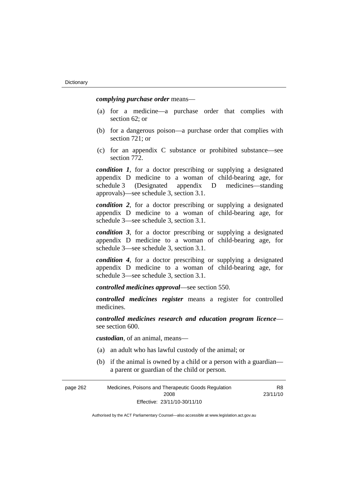*complying purchase order* means—

- (a) for a medicine—a purchase order that complies with section 62; or
- (b) for a dangerous poison—a purchase order that complies with section 721; or
- (c) for an appendix C substance or prohibited substance—see section 772.

*condition 1*, for a doctor prescribing or supplying a designated appendix D medicine to a woman of child-bearing age, for schedule 3 (Designated appendix D medicines—standing approvals)—see schedule 3, section 3.1.

*condition 2*, for a doctor prescribing or supplying a designated appendix D medicine to a woman of child-bearing age, for schedule 3—see schedule 3, section 3.1.

*condition 3*, for a doctor prescribing or supplying a designated appendix D medicine to a woman of child-bearing age, for schedule 3—see schedule 3, section 3.1.

*condition 4*, for a doctor prescribing or supplying a designated appendix D medicine to a woman of child-bearing age, for schedule 3—see schedule 3, section 3.1.

*controlled medicines approval*—see section 550.

*controlled medicines register* means a register for controlled medicines.

*controlled medicines research and education program licence* see section 600.

*custodian*, of an animal, means—

- (a) an adult who has lawful custody of the animal; or
- (b) if the animal is owned by a child or a person with a guardian a parent or guardian of the child or person.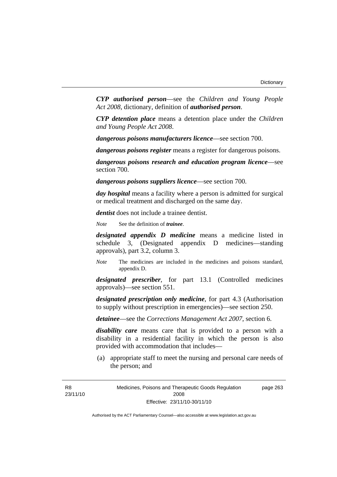*CYP authorised person*—see the *Children and Young People Act 2008*, dictionary, definition of *authorised person*.

*CYP detention place* means a detention place under the *Children and Young People Act 2008*.

*dangerous poisons manufacturers licence*—see section 700.

*dangerous poisons register* means a register for dangerous poisons.

*dangerous poisons research and education program licence*—see section 700.

*dangerous poisons suppliers licence*—see section 700.

*day hospital* means a facility where a person is admitted for surgical or medical treatment and discharged on the same day.

*dentist* does not include a trainee dentist.

*Note* See the definition of *trainee*.

*designated appendix D medicine* means a medicine listed in schedule 3, (Designated appendix D medicines—standing approvals), part 3.2, column 3.

*Note* The medicines are included in the medicines and poisons standard, appendix D.

*designated prescriber*, for part 13.1 (Controlled medicines approvals)—see section 551.

*designated prescription only medicine*, for part 4.3 (Authorisation to supply without prescription in emergencies)—see section 250.

*detainee*—see the *Corrections Management Act 2007*, section 6.

*disability care* means care that is provided to a person with a disability in a residential facility in which the person is also provided with accommodation that includes—

 (a) appropriate staff to meet the nursing and personal care needs of the person; and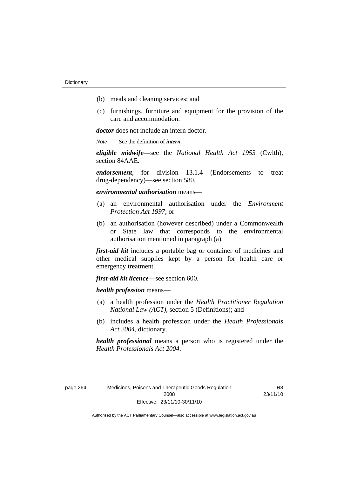- (b) meals and cleaning services; and
- (c) furnishings, furniture and equipment for the provision of the care and accommodation.

*doctor* does not include an intern doctor.

*Note* See the definition of *intern*.

*eligible midwife*—see the *National Health Act 1953* (Cwlth), section 84AAE**.**

*endorsement*, for division 13.1.4 (Endorsements to treat drug-dependency)—see section 580.

*environmental authorisation* means—

- (a) an environmental authorisation under the *Environment Protection Act 1997*; or
- (b) an authorisation (however described) under a Commonwealth or State law that corresponds to the environmental authorisation mentioned in paragraph (a).

*first-aid kit* includes a portable bag or container of medicines and other medical supplies kept by a person for health care or emergency treatment.

*first-aid kit licence*—see section 600.

*health profession* means—

- (a) a health profession under the *Health Practitioner Regulation National Law (ACT)*, section 5 (Definitions); and
- (b) includes a health profession under the *Health Professionals Act 2004*, dictionary.

*health professional* means a person who is registered under the *Health Professionals Act 2004*.

| วage 264 |  |
|----------|--|
|----------|--|

R8 23/11/10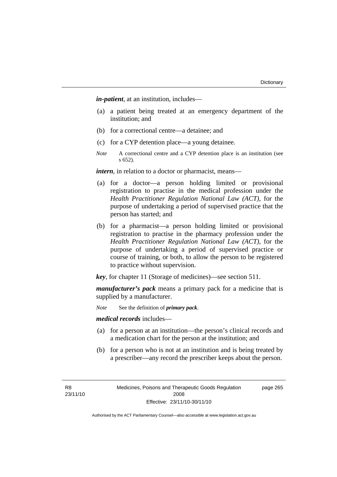*in-patient*, at an institution, includes—

- (a) a patient being treated at an emergency department of the institution; and
- (b) for a correctional centre—a detainee; and
- (c) for a CYP detention place—a young detainee.
- *Note* A correctional centre and a CYP detention place is an institution (see s 652).

*intern*, in relation to a doctor or pharmacist, means—

- (a) for a doctor—a person holding limited or provisional registration to practise in the medical profession under the *Health Practitioner Regulation National Law (ACT)*, for the purpose of undertaking a period of supervised practice that the person has started; and
- (b) for a pharmacist—a person holding limited or provisional registration to practise in the pharmacy profession under the *Health Practitioner Regulation National Law (ACT)*, for the purpose of undertaking a period of supervised practice or course of training, or both, to allow the person to be registered to practice without supervision.

*key*, for chapter 11 (Storage of medicines)—see section 511.

*manufacturer's pack* means a primary pack for a medicine that is supplied by a manufacturer.

*Note* See the definition of *primary pack*.

*medical records* includes—

- (a) for a person at an institution—the person's clinical records and a medication chart for the person at the institution; and
- (b) for a person who is not at an institution and is being treated by a prescriber—any record the prescriber keeps about the person.

page 265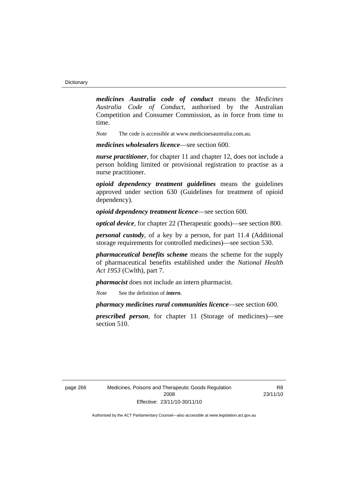*medicines Australia code of conduct* means the *Medicines Australia Code of Conduct*, authorised by the Australian Competition and Consumer Commission, as in force from time to time.

*Note* The code is accessible at www.medicinesaustralia.com.au.

*medicines wholesalers licence*—see section 600.

*nurse practitioner*, for chapter 11 and chapter 12, does not include a person holding limited or provisional registration to practise as a nurse practitioner.

*opioid dependency treatment guidelines* means the guidelines approved under section 630 (Guidelines for treatment of opioid dependency).

*opioid dependency treatment licence*—see section 600.

*optical device*, for chapter 22 (Therapeutic goods)—see section 800.

*personal custody*, of a key by a person, for part 11.4 (Additional storage requirements for controlled medicines)—see section 530.

*pharmaceutical benefits scheme* means the scheme for the supply of pharmaceutical benefits established under the *National Health Act 1953* (Cwlth), part 7.

*pharmacist* does not include an intern pharmacist.

*Note* See the definition of *intern*.

*pharmacy medicines rural communities licence*—see section 600.

*prescribed person*, for chapter 11 (Storage of medicines)—see section 510.

**R8** 23/11/10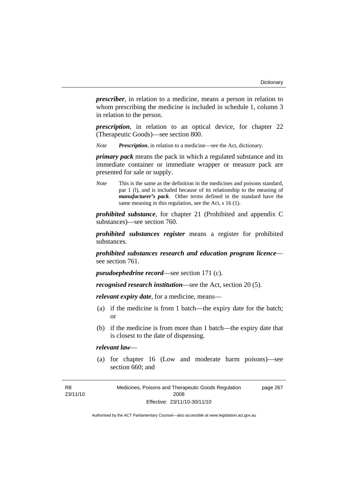*prescriber*, in relation to a medicine, means a person in relation to whom prescribing the medicine is included in schedule 1, column 3 in relation to the person.

*prescription*, in relation to an optical device, for chapter 22 (Therapeutic Goods)—see section 800.

*Note Prescription*, in relation to a medicine—see the Act, dictionary.

*primary pack* means the pack in which a regulated substance and its immediate container or immediate wrapper or measure pack are presented for sale or supply.

*Note* This is the same as the definition in the medicines and poisons standard, par 1 (l), and is included because of its relationship to the meaning of *manufacturer's pack*. Other terms defined in the standard have the same meaning in this regulation, see the Act, s 16 (1).

*prohibited substance*, for chapter 21 (Prohibited and appendix C substances)—see section 760.

*prohibited substances register* means a register for prohibited substances.

*prohibited substances research and education program licence* see section 761.

*pseudoephedrine record*—see section 171 (c).

*recognised research institution*—see the Act, section 20 (5).

*relevant expiry date*, for a medicine, means—

- (a) if the medicine is from 1 batch—the expiry date for the batch; or
- (b) if the medicine is from more than 1 batch—the expiry date that is closest to the date of dispensing.

# *relevant law*—

 (a) for chapter 16 (Low and moderate harm poisons)—see section 660; and

Medicines, Poisons and Therapeutic Goods Regulation 2008 Effective: 23/11/10-30/11/10 page 267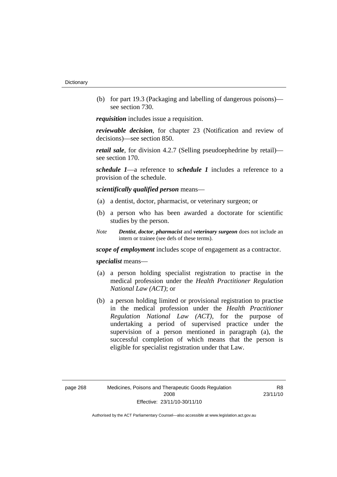(b) for part 19.3 (Packaging and labelling of dangerous poisons) see section 730.

*requisition* includes issue a requisition.

*reviewable decision*, for chapter 23 (Notification and review of decisions)—see section 850.

*retail sale*, for division 4.2.7 (Selling pseudoephedrine by retail) see section 170.

*schedule 1*—a reference to *schedule 1* includes a reference to a provision of the schedule.

*scientifically qualified person* means—

- (a) a dentist, doctor, pharmacist, or veterinary surgeon; or
- (b) a person who has been awarded a doctorate for scientific studies by the person.
- *Note Dentist*, *doctor*, *pharmacist* and *veterinary surgeon* does not include an intern or trainee (see defs of these terms).

*scope of employment* includes scope of engagement as a contractor.

*specialist* means—

- (a) a person holding specialist registration to practise in the medical profession under the *Health Practitioner Regulation National Law (ACT)*; or
- (b) a person holding limited or provisional registration to practise in the medical profession under the *Health Practitioner Regulation National Law (ACT)*, for the purpose of undertaking a period of supervised practice under the supervision of a person mentioned in paragraph (a), the successful completion of which means that the person is eligible for specialist registration under that Law.

R8 23/11/10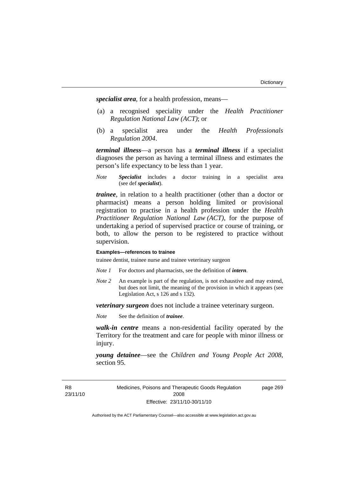*specialist area*, for a health profession, means—

- (a) a recognised speciality under the *Health Practitioner Regulation National Law (ACT)*; or
- (b) a specialist area under the *Health Professionals Regulation 2004*.

*terminal illness*—a person has a *terminal illness* if a specialist diagnoses the person as having a terminal illness and estimates the person's life expectancy to be less than 1 year.

*Note Specialist* includes a doctor training in a specialist area (see def *specialist*).

*trainee*, in relation to a health practitioner (other than a doctor or pharmacist) means a person holding limited or provisional registration to practise in a health profession under the *Health Practitioner Regulation National Law (ACT)*, for the purpose of undertaking a period of supervised practice or course of training, or both, to allow the person to be registered to practice without supervision.

#### **Examples—references to trainee**

trainee dentist, trainee nurse and trainee veterinary surgeon

- *Note 1* For doctors and pharmacists, see the definition of *intern*.
- *Note 2* An example is part of the regulation, is not exhaustive and may extend, but does not limit, the meaning of the provision in which it appears (see Legislation Act, s 126 and s 132).

*veterinary surgeon* does not include a trainee veterinary surgeon.

*Note* See the definition of *trainee*.

*walk-in centre* means a non-residential facility operated by the Territory for the treatment and care for people with minor illness or injury.

*young detainee*—see the *Children and Young People Act 2008*, section 95.

Medicines, Poisons and Therapeutic Goods Regulation 2008 Effective: 23/11/10-30/11/10

page 269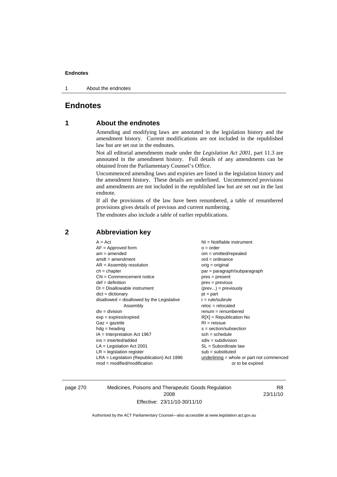1 About the endnotes

# **Endnotes**

# **1 About the endnotes**

Amending and modifying laws are annotated in the legislation history and the amendment history. Current modifications are not included in the republished law but are set out in the endnotes.

Not all editorial amendments made under the *Legislation Act 2001*, part 11.3 are annotated in the amendment history. Full details of any amendments can be obtained from the Parliamentary Counsel's Office.

Uncommenced amending laws and expiries are listed in the legislation history and the amendment history. These details are underlined. Uncommenced provisions and amendments are not included in the republished law but are set out in the last endnote.

If all the provisions of the law have been renumbered, a table of renumbered provisions gives details of previous and current numbering.

The endnotes also include a table of earlier republications.

| $A = Act$                                    | $NI = Notifiable$ instrument              |
|----------------------------------------------|-------------------------------------------|
| $AF =$ Approved form                         | $o = order$                               |
| $am = amended$                               | $om = omitted/repealed$                   |
| $amdt = amendment$                           | $ord = ordinance$                         |
| $AR = Assembly resolution$                   | orig = original                           |
| $ch = chapter$                               | $par = paragraph/subparagraph$            |
| $CN =$ Commencement notice                   | $pres = present$                          |
| $def = definition$                           | $prev = previous$                         |
| $DI = Disallowable instrument$               | $(\text{prev}) = \text{previously}$       |
| $dict = dictionary$                          | $pt = part$                               |
| $disallowed = disallowed by the Legislative$ | $r = rule/subrule$                        |
| Assembly                                     | $reloc = relocated$                       |
| $div =$ division                             | $remum = renumbered$                      |
| $exp = expires/expired$                      | $R[X]$ = Republication No                 |
| $Gaz = gazette$                              | $RI = reissue$                            |
| $hdg =$ heading                              | $s = section/subsection$                  |
| $IA = Interpretation Act 1967$               | $sch = schedule$                          |
| $ins = inserted/added$                       | $sdiv = subdivision$                      |
| $LA =$ Legislation Act 2001                  | $SL = Subordinate$ law                    |
| $LR =$ legislation register                  | $sub =$ substituted                       |
| $LRA =$ Legislation (Republication) Act 1996 | underlining = whole or part not commenced |
| $mod = modified/modification$                | or to be expired                          |
|                                              |                                           |

# **2 Abbreviation key**

page 270 Medicines, Poisons and Therapeutic Goods Regulation 2008 Effective: 23/11/10-30/11/10

R8 23/11/10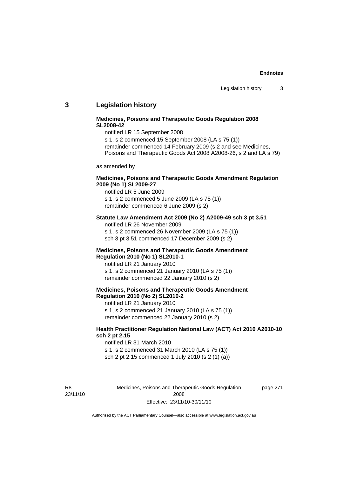## **3 Legislation history**

## **Medicines, Poisons and Therapeutic Goods Regulation 2008 SL2008-42**

notified LR 15 September 2008

s 1, s 2 commenced 15 September 2008 (LA s 75 (1)) remainder commenced 14 February 2009 (s 2 and see Medicines, Poisons and Therapeutic Goods Act 2008 A2008-26, s 2 and LA s 79)

as amended by

### **Medicines, Poisons and Therapeutic Goods Amendment Regulation 2009 (No 1) SL2009-27**

notified LR 5 June 2009 s 1, s 2 commenced 5 June 2009 (LA s 75 (1)) remainder commenced 6 June 2009 (s 2)

### **Statute Law Amendment Act 2009 (No 2) A2009-49 sch 3 pt 3.51**  notified LR 26 November 2009

s 1, s 2 commenced 26 November 2009 (LA s 75 (1)) sch 3 pt 3.51 commenced 17 December 2009 (s 2)

#### **Medicines, Poisons and Therapeutic Goods Amendment Regulation 2010 (No 1) SL2010-1**

notified LR 21 January 2010 s 1, s 2 commenced 21 January 2010 (LA s 75 (1)) remainder commenced 22 January 2010 (s 2)

## **Medicines, Poisons and Therapeutic Goods Amendment Regulation 2010 (No 2) SL2010-2**

notified LR 21 January 2010 s 1, s 2 commenced 21 January 2010 (LA s 75 (1)) remainder commenced 22 January 2010 (s 2)

### **Health Practitioner Regulation National Law (ACT) Act 2010 A2010-10 sch 2 pt 2.15**

notified LR 31 March 2010 s 1, s 2 commenced 31 March 2010 (LA s 75 (1)) sch 2 pt 2.15 commenced 1 July 2010 (s 2 (1) (a))

R8 23/11/10 Medicines, Poisons and Therapeutic Goods Regulation 2008 Effective: 23/11/10-30/11/10

page 271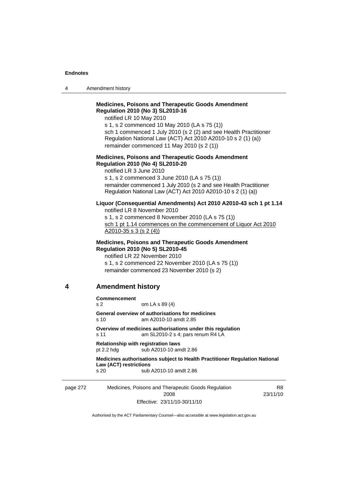4 Amendment history

# **Medicines, Poisons and Therapeutic Goods Amendment Regulation 2010 (No 3) SL2010-16**

notified LR 10 May 2010

s 1, s 2 commenced 10 May 2010 (LA s 75 (1)) sch 1 commenced 1 July 2010 (s 2 (2) and see Health Practitioner Regulation National Law (ACT) Act 2010 A2010-10 s 2 (1) (a)) remainder commenced 11 May 2010 (s 2 (1))

### **Medicines, Poisons and Therapeutic Goods Amendment Regulation 2010 (No 4) SL2010-20**

notified LR 3 June 2010 s 1, s 2 commenced 3 June 2010 (LA s 75 (1)) remainder commenced 1 July 2010 (s 2 and see Health Practitioner Regulation National Law (ACT) Act 2010 A2010-10 s 2 (1) (a))

### **Liquor (Consequential Amendments) Act 2010 A2010-43 sch 1 pt 1.14**

notified LR 8 November 2010 s 1, s 2 commenced 8 November 2010 (LA s 75 (1)) sch 1 pt 1.14 commences on the commencement of Liquor Act 2010 A2010-35 s 3 (s 2 (4))

## **Medicines, Poisons and Therapeutic Goods Amendment Regulation 2010 (No 5) SL2010-45**

notified LR 22 November 2010 s 1, s 2 commenced 22 November 2010 (LA s 75 (1)) remainder commenced 23 November 2010 (s 2)

# **4 Amendment history**

**Commencement** 

s 2 om LA s 89 (4)

**General overview of authorisations for medicines**  s 10 am A2010-10 amdt 2.85

**Overview of medicines authorisations under this regulation**  s 11 am SL2010-2 s 4; pars renum R4 LA

**Relationship with registration laws**  pt 2.2 hdg sub A2010-10 amdt 2.86

**Medicines authorisations subject to Health Practitioner Regulation National Law (ACT) restrictions**  s 20 sub A2010-10 amdt 2.86

page 272 Medicines, Poisons and Therapeutic Goods Regulation 2008 Effective: 23/11/10-30/11/10

R8 23/11/10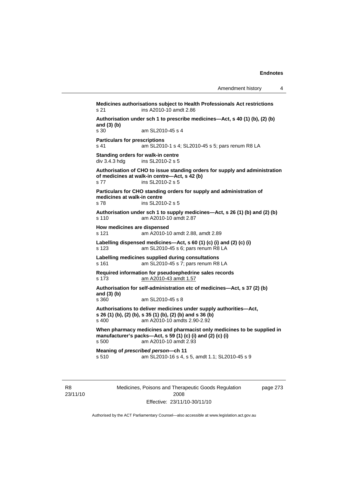**Medicines authorisations subject to Health Professionals Act restrictions**  s 21 ins A2010-10 amdt 2.86 **Authorisation under sch 1 to prescribe medicines—Act, s 40 (1) (b), (2) (b) and (3) (b)**  am SL2010-45 s 4 **Particulars for prescriptions**  s 41 am SL2010-1 s 4; SL2010-45 s 5; pars renum R8 LA **Standing orders for walk-in centre**   $div$  3.4.3 hdg ins SL2010-2 s 5 **Authorisation of CHO to issue standing orders for supply and administration of medicines at walk-in centre—Act, s 42 (b)**  s 77 ins SL2010-2 s 5 **Particulars for CHO standing orders for supply and administration of medicines at walk-in centre**  s 78 ins SL2010-2 s 5 **Authorisation under sch 1 to supply medicines—Act, s 26 (1) (b) and (2) (b)**  s 110 am A2010-10 amdt 2.87 **How medicines are dispensed**  s 121 am A2010-10 amdt 2.88, amdt 2.89 **Labelling dispensed medicines—Act, s 60 (1) (c) (i) and (2) (c) (i)**  s 123 am SL2010-45 s 6; pars renum R8 LA **Labelling medicines supplied during consultations**  s 161 am SL2010-45 s 7; pars renum R8 LA **Required information for pseudoephedrine sales records**  s 173 am A2010-43 amdt 1.57 **Authorisation for self-administration etc of medicines—Act, s 37 (2) (b) and (3) (b)**  s 360 am SL2010-45 s 8 **Authorisations to deliver medicines under supply authorities—Act, s 26 (1) (b), (2) (b), s 35 (1) (b), (2) (b) and s 36 (b)**<br>s 400 **am A2010-10** amdts 2.90-2.92 am A2010-10 amdts 2.90-2.92 **When pharmacy medicines and pharmacist only medicines to be supplied in manufacturer's packs—Act, s 59 (1) (c) (i) and (2) (c) (i)**  s 500 am A2010-10 amdt 2.93 **Meaning of** *prescribed person***—ch 11** s 510 am SL2010-16 s 4. s am SL2010-16 s 4, s 5, amdt 1.1; SL2010-45 s 9

R8 23/11/10 Medicines, Poisons and Therapeutic Goods Regulation 2008 Effective: 23/11/10-30/11/10

page 273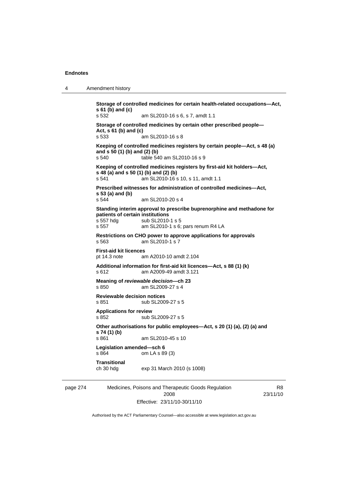4 Amendment history

page 274 Medicines, Poisons and Therapeutic Goods Regulation 2008 R8 **Storage of controlled medicines for certain health-related occupations—Act, s 61 (b) and (c)**  s 532 am SL2010-16 s 6, s 7, amdt 1.1 **Storage of controlled medicines by certain other prescribed people— Act, s 61 (b) and (c)**  s 533 am SL2010-16 s 8 **Keeping of controlled medicines registers by certain people—Act, s 48 (a) and s 50 (1) (b) and (2) (b)**<br>s 540 **table 54** table 540 am SL2010-16 s 9 **Keeping of controlled medicines registers by first-aid kit holders—Act, s 48 (a) and s 50 (1) (b) and (2) (b)**  s 541 am SL2010-16 s 10, s 11, amdt 1.1 **Prescribed witnesses for administration of controlled medicines—Act, s 53 (a) and (b)**  s 544 am SL2010-20 s 4 **Standing interim approval to prescribe buprenorphine and methadone for patients of certain institutions**  s 557 hdg sub SL2010-1 s 5 s 557 am SL2010-1 s 6; pars renum R4 LA **Restrictions on CHO power to approve applications for approvals**  s 563 am SL2010-1 s 7 **First-aid kit licences**  pt 14.3 note am A2010-10 amdt 2.104 **Additional information for first-aid kit licences—Act, s 88 (1) (k)**  s 612 am A2009-49 amdt 3.121 **Meaning of** *reviewable decision—***ch 23**  s 850 am SL2009-27 s 4 **Reviewable decision notices**  s 851 sub SL2009-27 s 5 **Applications for review**  s 852 sub SL2009-27 s 5 **Other authorisations for public employees—Act, s 20 (1) (a), (2) (a) and s 74 (1) (b)**  s 861 am SL2010-45 s 10 **Legislation amended—sch 6**  s 864 om LA s 89 (3) **Transitional**  ch 30 hdg exp 31 March 2010 (s 1008)

Effective: 23/11/10-30/11/10

23/11/10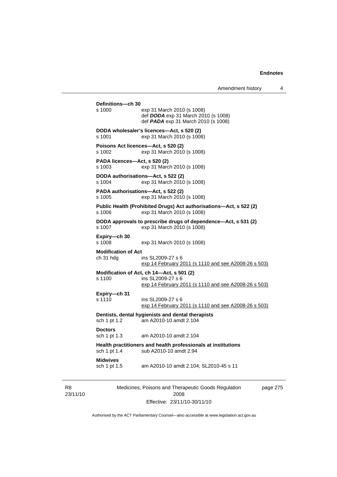| Definitions-ch 30                       |                                                                                                                        |
|-----------------------------------------|------------------------------------------------------------------------------------------------------------------------|
| s 1000                                  | exp 31 March 2010 (s 1008)<br>def DODA exp 31 March 2010 (s 1008)<br>def <b>PADA</b> exp 31 March 2010 (s 1008)        |
| s 1001                                  | DODA wholesaler's licences-Act, s 520 (2)<br>exp 31 March 2010 (s 1008)                                                |
| s 1002                                  | Poisons Act licences-Act, s 520 (2)<br>exp 31 March 2010 (s 1008)                                                      |
| PADA licences—Act, s 520 (2)<br>s 1003  | exp 31 March 2010 (s 1008)                                                                                             |
| s 1004                                  | DODA authorisations-Act, s 522 (2)<br>exp 31 March 2010 (s 1008)                                                       |
| s 1005                                  | PADA authorisations-Act, s 522 (2)<br>exp 31 March 2010 (s 1008)                                                       |
| s 1006                                  | Public Health (Prohibited Drugs) Act authorisations-Act, s 522 (2)<br>exp 31 March 2010 (s 1008)                       |
| s 1007                                  | DODA approvals to prescribe drugs of dependence-Act, s 531 (2)<br>exp 31 March 2010 (s 1008)                           |
| Expiry-ch 30<br>s 1008                  | exp 31 March 2010 (s 1008)                                                                                             |
| <b>Modification of Act</b><br>ch 31 hdg | ins SL2009-27 s 6<br>exp 14 February 2011 (s 1110 and see A2008-26 s 503)                                              |
| s 1100                                  | Modification of Act, ch 14-Act, s 501 (2)<br>ins SL2009-27 s 6<br>exp 14 February 2011 (s 1110 and see A2008-26 s 503) |
| Expiry-ch 31<br>s 1110                  | ins SL2009-27 s 6<br>exp 14 February 2011 (s 1110 and see A2008-26 s 503)                                              |
| sch 1 pt 1.2                            | Dentists, dental hygienists and dental therapists<br>am A2010-10 amdt 2.104                                            |
| <b>Doctors</b><br>sch 1 pt 1.3          | am A2010-10 amdt 2.104                                                                                                 |
| sch 1 pt 1.4                            | Health practitioners and health professionals at institutions<br>sub A2010-10 amdt 2.94                                |
| <b>Midwives</b><br>sch 1 pt 1.5         | am A2010-10 amdt 2.104; SL2010-45 s 11                                                                                 |
|                                         | Martiniana Data and and Thomas<br>and a Orange Damily Co                                                               |

R8 23/11/10 Medicines, Poisons and Therapeutic Goods Regulation 2008 Effective: 23/11/10-30/11/10

page 275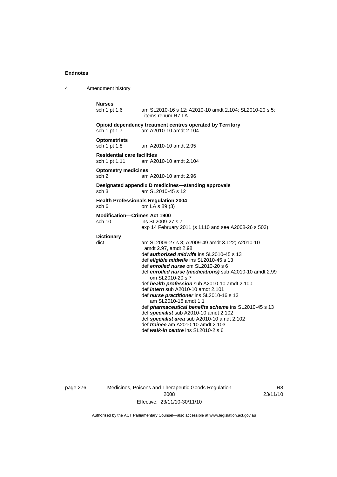4 Amendment history

#### **Nurses**

sch 1 pt 1.6 am SL2010-16 s 12; A2010-10 amdt 2.104; SL2010-20 s 5; items renum R7 LA

# **Opioid dependency treatment centres operated by Territory** sch 1 pt 1.7 am A2010-10 amdt 2.104

am A2010-10 amdt 2.104

**Optometrists**  sch 1 pt 1.8 am A2010-10 amdt 2.95

**Residential care facilities**  sch 1 pt 1.11 am A2010-10 amdt 2.104

#### **Optometry medicines**

sch 2 am A2010-10 amdt 2.96

# **Designated appendix D medicines—standing approvals**

sch 3 am SL2010-45 s 12

#### **Health Professionals Regulation 2004**  sch 6 om LA s 89 (3)

#### **Modification—Crimes Act 1900**

sch 10 ins SL2009-27 s 7 exp 14 February 2011 (s 1110 and see A2008-26 s 503)

# **Dictionary**

am SL2009-27 s 8; A2009-49 amdt 3.122; A2010-10 amdt 2.97, amdt 2.98 def *authorised midwife* ins SL2010-45 s 13 def *eligible midwife* ins SL2010-45 s 13 def *enrolled nurse* om SL2010-20 s 6 def *enrolled nurse (medications)* sub A2010-10 amdt 2.99 om SL2010-20 s 7 def *health profession* sub A2010-10 amdt 2.100 def *intern* sub A2010-10 amdt 2.101 def *nurse practitioner* ins SL2010-16 s 13 am SL2010-16 amdt 1.1 def *pharmaceutical benefits scheme* ins SL2010-45 s 13

def *specialist* sub A2010-10 amdt 2.102

def *specialist area* sub A2010-10 amdt 2.102

def *trainee* am A2010-10 amdt 2.103

def *walk-in centre* ins SL2010-2 s 6

# page 276 Medicines, Poisons and Therapeutic Goods Regulation 2008 Effective: 23/11/10-30/11/10

R8 23/11/10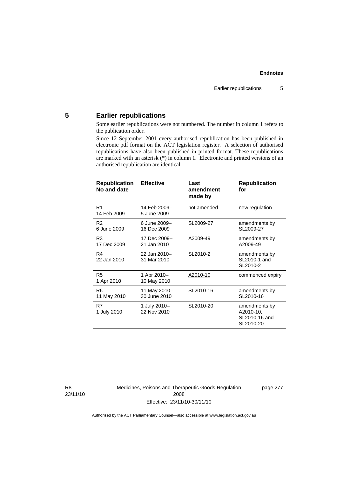# **5 Earlier republications**

Some earlier republications were not numbered. The number in column 1 refers to the publication order.

Since 12 September 2001 every authorised republication has been published in electronic pdf format on the ACT legislation register. A selection of authorised republications have also been published in printed format. These republications are marked with an asterisk (\*) in column 1. Electronic and printed versions of an authorised republication are identical.

| <b>Republication</b><br>No and date | <b>Effective</b>             | Last<br>amendment<br>made by | <b>Republication</b><br>for                              |
|-------------------------------------|------------------------------|------------------------------|----------------------------------------------------------|
| R1<br>14 Feb 2009                   | 14 Feb 2009-<br>5 June 2009  | not amended                  | new regulation                                           |
| R2<br>6 June 2009                   | 6 June 2009-<br>16 Dec 2009  | SL2009-27                    | amendments by<br>SL2009-27                               |
| R3<br>17 Dec 2009                   | 17 Dec 2009-<br>21 Jan 2010  | A2009-49                     | amendments by<br>A2009-49                                |
| R4<br>22 Jan 2010                   | 22 Jan 2010-<br>31 Mar 2010  | SL2010-2                     | amendments by<br>SL2010-1 and<br>SL2010-2                |
| R <sub>5</sub><br>1 Apr 2010        | 1 Apr 2010-<br>10 May 2010   | A2010-10                     | commenced expiry                                         |
| R6<br>11 May 2010                   | 11 May 2010-<br>30 June 2010 | SL2010-16                    | amendments by<br>SL2010-16                               |
| R7<br>1 July 2010                   | 1 July 2010-<br>22 Nov 2010  | SL2010-20                    | amendments by<br>A2010-10,<br>SL2010-16 and<br>SL2010-20 |

R8 23/11/10 Medicines, Poisons and Therapeutic Goods Regulation 2008 Effective: 23/11/10-30/11/10

page 277